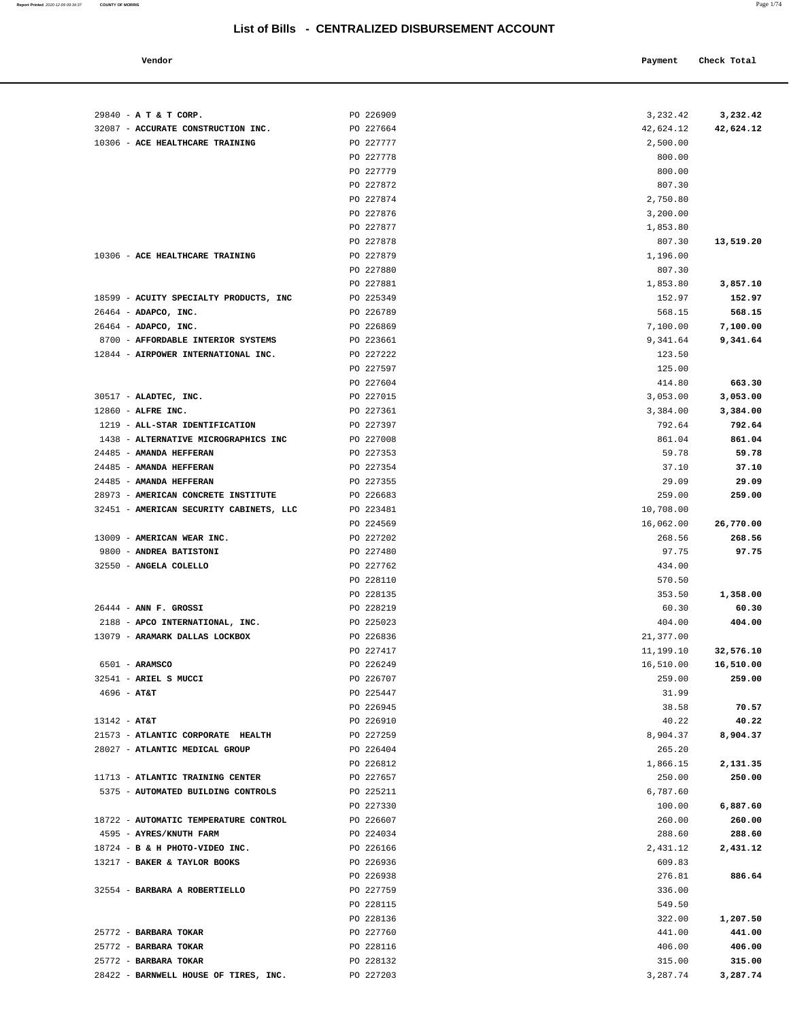| Vendor | Payment Check Total |
|--------|---------------------|
|        |                     |

| 29840 - A T & T CORP.                   | PO 226909              | 3,232.42             | 3,232.42             |
|-----------------------------------------|------------------------|----------------------|----------------------|
| 32087 - ACCURATE CONSTRUCTION INC.      | PO 227664              | 42,624.12            | 42,624.12            |
| 10306 - ACE HEALTHCARE TRAINING         | PO 227777              | 2,500.00             |                      |
|                                         | PO 227778              | 800.00               |                      |
|                                         | PO 227779              | 800.00               |                      |
|                                         | PO 227872              | 807.30               |                      |
|                                         | PO 227874              | 2,750.80             |                      |
|                                         | PO 227876              | 3,200.00             |                      |
|                                         | PO 227877              | 1,853.80             |                      |
|                                         | PO 227878              | 807.30               | 13,519.20            |
| 10306 - ACE HEALTHCARE TRAINING         | PO 227879              | 1,196.00             |                      |
|                                         | PO 227880              | 807.30               |                      |
|                                         | PO 227881              | 1,853.80             | 3,857.10             |
| 18599 - ACUITY SPECIALTY PRODUCTS, INC  | PO 225349              | 152.97               | 152.97               |
| $26464$ - ADAPCO, INC.                  | PO 226789              | 568.15               | 568.15               |
| 26464 - ADAPCO, INC.                    | PO 226869              | 7,100.00             | 7,100.00             |
| 8700 - AFFORDABLE INTERIOR SYSTEMS      | PO 223661<br>PO 227222 | 9,341.64             | 9,341.64             |
| 12844 - AIRPOWER INTERNATIONAL INC.     | PO 227597              | 123.50               |                      |
|                                         | PO 227604              | 125.00<br>414.80     | 663.30               |
| 30517 - ALADTEC, INC.                   | PO 227015              |                      |                      |
| $12860$ - ALFRE INC.                    | PO 227361              | 3,053.00<br>3,384.00 | 3,053.00<br>3,384.00 |
| 1219 - ALL-STAR IDENTIFICATION          | PO 227397              | 792.64               | 792.64               |
| 1438 - ALTERNATIVE MICROGRAPHICS INC    | PO 227008              | 861.04               | 861.04               |
| 24485 - AMANDA HEFFERAN                 | PO 227353              | 59.78                | 59.78                |
| 24485 - AMANDA HEFFERAN                 | PO 227354              | 37.10                | 37.10                |
| 24485 - AMANDA HEFFERAN                 | PO 227355              | 29.09                | 29.09                |
| 28973 - AMERICAN CONCRETE INSTITUTE     | PO 226683              | 259.00               | 259.00               |
| 32451 - AMERICAN SECURITY CABINETS, LLC | PO 223481              | 10,708.00            |                      |
|                                         | PO 224569              | 16,062.00            | 26,770.00            |
| 13009 - AMERICAN WEAR INC.              | PO 227202              | 268.56               | 268.56               |
| 9800 - ANDREA BATISTONI                 | PO 227480              | 97.75                | 97.75                |
| 32550 - ANGELA COLELLO                  | PO 227762              | 434.00               |                      |
|                                         | PO 228110              | 570.50               |                      |
|                                         | PO 228135              | 353.50               | 1,358.00             |
| $26444$ - ANN F. GROSSI                 | PO 228219              | 60.30                | 60.30                |
| 2188 - APCO INTERNATIONAL, INC.         | PO 225023              | 404.00               | 404.00               |
| 13079 - ARAMARK DALLAS LOCKBOX          | PO 226836              | 21,377.00            |                      |
|                                         | PO 227417              | 11,199.10            | 32,576.10            |
| $6501 - ARAMSCO$                        | PO 226249              | 16,510.00            | 16,510.00            |
| 32541 - ARIEL S MUCCI                   | PO 226707              | 259.00               | 259.00               |
| $4696 - AT&T$                           | PO 225447              | 31.99                |                      |
|                                         | PO 226945              | 38.58                | 70.57                |
| $13142 - AT&T$                          | PO 226910              | 40.22                | 40.22                |
| 21573 - ATLANTIC CORPORATE HEALTH       | PO 227259              | 8,904.37             | 8,904.37             |
| 28027 - ATLANTIC MEDICAL GROUP          | PO 226404              | 265.20               |                      |
|                                         | PO 226812              | 1,866.15             | 2,131.35             |
| 11713 - ATLANTIC TRAINING CENTER        | PO 227657              | 250.00               | 250.00               |
| 5375 - AUTOMATED BUILDING CONTROLS      | PO 225211              | 6,787.60             |                      |
|                                         | PO 227330              | 100.00               | 6,887.60             |
| 18722 - AUTOMATIC TEMPERATURE CONTROL   | PO 226607              | 260.00               | 260.00               |
| 4595 - AYRES/KNUTH FARM                 | PO 224034              | 288.60               | 288.60               |
| 18724 - B & H PHOTO-VIDEO INC.          | PO 226166              | 2,431.12             | 2,431.12             |
| 13217 - BAKER & TAYLOR BOOKS            | PO 226936              | 609.83               |                      |
|                                         | PO 226938              | 276.81               | 886.64               |
| 32554 - BARBARA A ROBERTIELLO           | PO 227759              | 336.00               |                      |
|                                         | PO 228115              | 549.50               |                      |
|                                         | PO 228136              | 322.00               | 1,207.50             |
| 25772 - BARBARA TOKAR                   | PO 227760              | 441.00               | 441.00               |
| 25772 - BARBARA TOKAR                   | PO 228116              | 406.00               | 406.00               |
| 25772 - BARBARA TOKAR                   | PO 228132              | 315.00               | 315.00               |
| 28422 - BARNWELL HOUSE OF TIRES, INC.   | PO 227203              | 3,287.74             | 3,287.74             |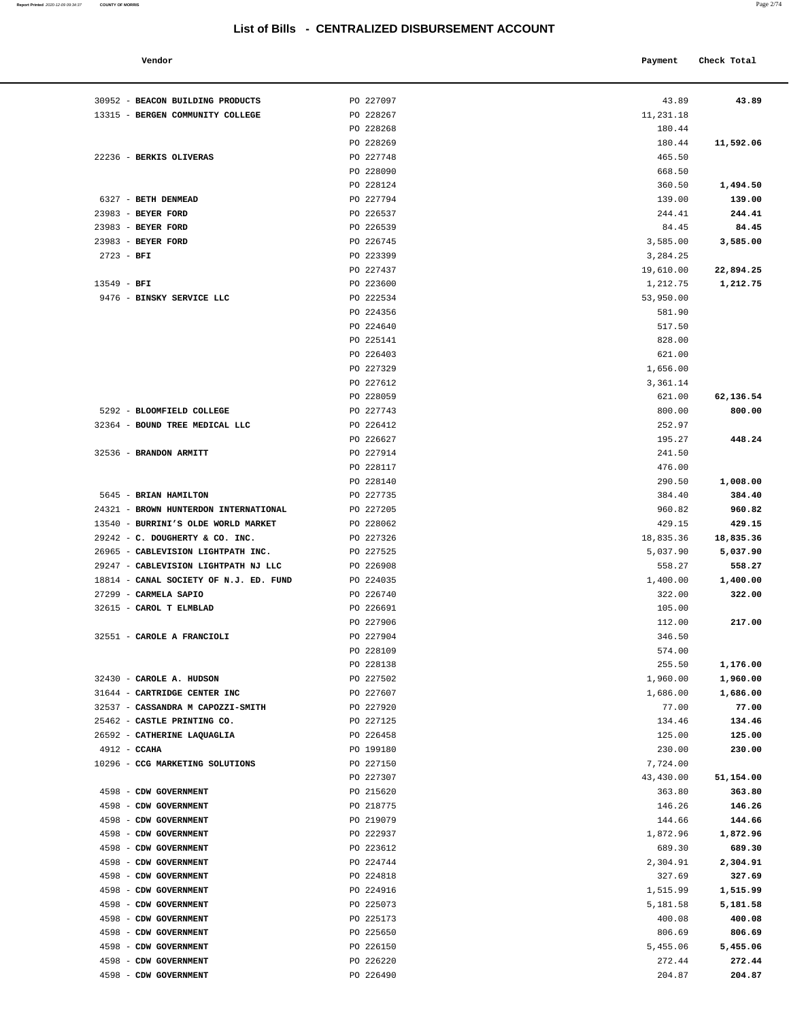| Vendor                          |           | Payment   | Check Total |
|---------------------------------|-----------|-----------|-------------|
| <b>BEACON BUILDING PRODUCTS</b> | PO 227097 | 43.89     | 43.89       |
| BERGEN COMMUNITY COLLEGE        | PO 228267 | 11,231.18 |             |
|                                 | PO 228268 | 180.44    |             |
|                                 | PO 228269 | 180.44    | 11,592.06   |
| <b>BERKIS OLIVERAS</b>          | PO 227748 | 465.50    |             |
|                                 | PO 228090 | 668.50    |             |
|                                 | PO 228124 | 360.50    | 1,494.50    |
| <b>BETH DENMEAD</b>             | PO 227794 | 139.00    | 139.00      |
| <b>BEYER FORD</b>               | PO 226537 | 244.41    | 244.41      |
| <b>BEYER FORD</b>               | PO 226539 | 84.45     | 84.45       |
|                                 |           |           |             |

| 30952 - BEACON BUILDING PRODUCTS                  | PO 227097              | 43.89                | 43.89            |
|---------------------------------------------------|------------------------|----------------------|------------------|
| 13315 - BERGEN COMMUNITY COLLEGE                  | PO 228267              | 11,231.18            |                  |
|                                                   | PO 228268              | 180.44               |                  |
|                                                   | PO 228269              | 180.44               | 11,592.06        |
| 22236 - BERKIS OLIVERAS                           | PO 227748              | 465.50               |                  |
|                                                   | PO 228090              | 668.50               |                  |
|                                                   | PO 228124              | 360.50               | 1,494.50         |
| 6327 - BETH DENMEAD                               | PO 227794              | 139.00               | 139.00           |
| 23983 - BEYER FORD                                | PO 226537              | 244.41               | 244.41           |
| 23983 - BEYER FORD                                | PO 226539              | 84.45                | 84.45            |
| 23983 - BEYER FORD                                | PO 226745              | 3,585.00             | 3,585.00         |
| $2723 - BFI$                                      | PO 223399              | 3,284.25             |                  |
|                                                   | PO 227437              | 19,610.00            | 22,894.25        |
| $13549 - BFI$                                     | PO 223600              | 1,212.75             | 1,212.75         |
| 9476 - BINSKY SERVICE LLC                         | PO 222534              | 53,950.00            |                  |
|                                                   | PO 224356              | 581.90               |                  |
|                                                   | PO 224640              | 517.50               |                  |
|                                                   | PO 225141              | 828.00               |                  |
|                                                   | PO 226403              | 621.00               |                  |
|                                                   | PO 227329<br>PO 227612 | 1,656.00<br>3,361.14 |                  |
|                                                   | PO 228059              | 621.00               | 62,136.54        |
| 5292 - BLOOMFIELD COLLEGE                         | PO 227743              | 800.00               | 800.00           |
| 32364 - BOUND TREE MEDICAL LLC                    | PO 226412              | 252.97               |                  |
|                                                   | PO 226627              | 195.27               | 448.24           |
| 32536 - BRANDON ARMITT                            | PO 227914              | 241.50               |                  |
|                                                   | PO 228117              | 476.00               |                  |
|                                                   | PO 228140              | 290.50               | 1,008.00         |
| 5645 - BRIAN HAMILTON                             | PO 227735              | 384.40               | 384.40           |
| 24321 - BROWN HUNTERDON INTERNATIONAL             | PO 227205              | 960.82               | 960.82           |
| 13540 - BURRINI'S OLDE WORLD MARKET               | PO 228062              | 429.15               | 429.15           |
| 29242 - C. DOUGHERTY & CO. INC.                   | PO 227326              | 18,835.36            | 18,835.36        |
| 26965 - CABLEVISION LIGHTPATH INC.                | PO 227525              | 5,037.90             | 5,037.90         |
| 29247 - CABLEVISION LIGHTPATH NJ LLC              | PO 226908              | 558.27               | 558.27           |
| 18814 - CANAL SOCIETY OF N.J. ED. FUND            | PO 224035              | 1,400.00             | 1,400.00         |
| 27299 - CARMELA SAPIO                             | PO 226740              | 322.00               | 322.00           |
| 32615 - CAROL T ELMBLAD                           | PO 226691              | 105.00               |                  |
|                                                   | PO 227906              | 112.00               | 217.00           |
| 32551 - CAROLE A FRANCIOLI                        | PO 227904              | 346.50               |                  |
|                                                   | PO 228109              | 574.00               |                  |
|                                                   | PO 228138              | 255.50               | 1,176.00         |
| 32430 - CAROLE A. HUDSON                          | PO 227502              | 1,960.00             | 1,960.00         |
| 31644 - CARTRIDGE CENTER INC                      | PO 227607              | 1,686.00             | 1,686.00         |
| 32537 - CASSANDRA M CAPOZZI-SMITH                 | PO 227920              | 77.00                | 77.00            |
| 25462 - CASTLE PRINTING CO.                       | PO 227125              | 134.46               | 134.46           |
| 26592 - CATHERINE LAQUAGLIA                       | PO 226458<br>PO 199180 | 125.00               | 125.00<br>230.00 |
| $4912 - CCAHA$<br>10296 - CCG MARKETING SOLUTIONS |                        | 230.00<br>7,724.00   |                  |
|                                                   | PO 227150<br>PO 227307 | 43,430.00            | 51,154.00        |
| 4598 - CDW GOVERNMENT                             | PO 215620              | 363.80               | 363.80           |
| 4598 - CDW GOVERNMENT                             | PO 218775              | 146.26               | 146.26           |
| 4598 - CDW GOVERNMENT                             | PO 219079              | 144.66               | 144.66           |
| 4598 - CDW GOVERNMENT                             | PO 222937              | 1,872.96             | 1,872.96         |
| 4598 - CDW GOVERNMENT                             | PO 223612              | 689.30               | 689.30           |
| 4598 - CDW GOVERNMENT                             | PO 224744              | 2,304.91             | 2,304.91         |
| 4598 - CDW GOVERNMENT                             | PO 224818              | 327.69               | 327.69           |
| 4598 - CDW GOVERNMENT                             | PO 224916              | 1,515.99             | 1,515.99         |
| 4598 - CDW GOVERNMENT                             | PO 225073              | 5,181.58             | 5,181.58         |
| 4598 - CDW GOVERNMENT                             | PO 225173              | 400.08               | 400.08           |
| 4598 - CDW GOVERNMENT                             | PO 225650              | 806.69               | 806.69           |
| 4598 - CDW GOVERNMENT                             | PO 226150              | 5,455.06             | 5,455.06         |
| 4598 - CDW GOVERNMENT                             | PO 226220              | 272.44               | 272.44           |

4598 - **CDW GOVERNMENT** PO 226490 204.87 **204.87**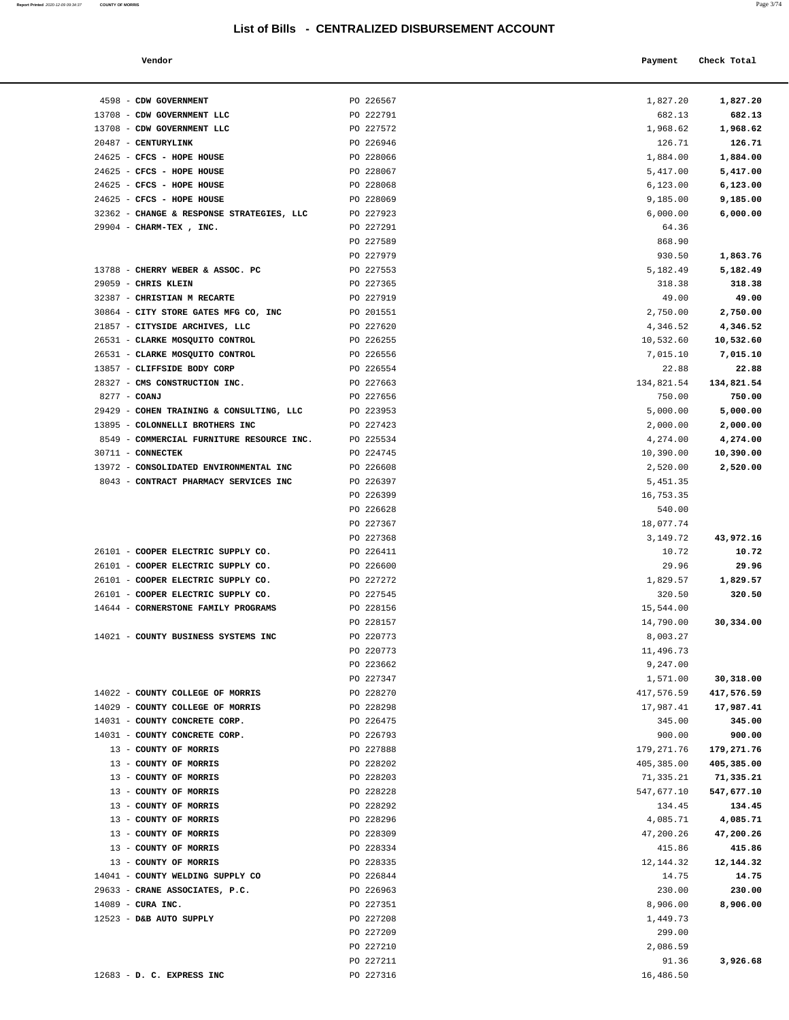**Report Printed**  2020-12-09 09:34:37 **COUNTY OF MORRIS** 

| Vendor<br>. | Payment Check Total |
|-------------|---------------------|
|             |                     |

| 4598 - CDW GOVERNMENT                                        | PO 226567              | 1,827.20               | 1,827.20                |
|--------------------------------------------------------------|------------------------|------------------------|-------------------------|
| 13708 - CDW GOVERNMENT LLC                                   | PO 222791              | 682.13                 | 682.13                  |
| 13708 - CDW GOVERNMENT LLC                                   | PO 227572              | 1,968.62               | 1,968.62                |
| 20487 - CENTURYLINK                                          | PO 226946              | 126.71                 | 126.71                  |
| 24625 - CFCS - HOPE HOUSE                                    | PO 228066              | 1,884.00               | 1,884.00                |
| 24625 - CFCS - HOPE HOUSE                                    | PO 228067              | 5,417.00               | 5,417.00                |
| 24625 - CFCS - HOPE HOUSE                                    | PO 228068              | 6, 123.00              | 6,123.00                |
| 24625 - CFCS - HOPE HOUSE                                    | PO 228069              | 9,185.00               | 9,185.00                |
| 32362 - CHANGE & RESPONSE STRATEGIES, LLC                    | PO 227923              | 6,000.00               | 6,000.00                |
| 29904 - CHARM-TEX, INC.                                      | PO 227291              | 64.36                  |                         |
|                                                              | PO 227589              | 868.90                 |                         |
|                                                              | PO 227979              | 930.50                 | 1,863.76                |
| 13788 - CHERRY WEBER & ASSOC. PC                             | PO 227553              | 5,182.49               | 5,182.49                |
| 29059 - CHRIS KLEIN                                          | PO 227365              | 318.38                 | 318.38                  |
| 32387 - CHRISTIAN M RECARTE                                  | PO 227919              | 49.00                  | 49.00                   |
| 30864 - CITY STORE GATES MFG CO, INC                         | PO 201551              | 2,750.00               | 2,750.00                |
| 21857 - CITYSIDE ARCHIVES, LLC                               | PO 227620              | 4,346.52               | 4,346.52                |
| 26531 - CLARKE MOSQUITO CONTROL                              | PO 226255              | 10,532.60              | 10,532.60               |
| 26531 - CLARKE MOSQUITO CONTROL                              | PO 226556              | 7,015.10               | 7,015.10                |
| 13857 - CLIFFSIDE BODY CORP<br>28327 - CMS CONSTRUCTION INC. | PO 226554<br>PO 227663 | 22.88                  | 22.88                   |
| 8277 - COANJ                                                 | PO 227656              | 134,821.54<br>750.00   | 134,821.54<br>750.00    |
| 29429 - COHEN TRAINING & CONSULTING, LLC                     | PO 223953              | 5,000.00               | 5,000.00                |
| 13895 - COLONNELLI BROTHERS INC                              | PO 227423              | 2,000.00               | 2,000.00                |
| 8549 - COMMERCIAL FURNITURE RESOURCE INC.                    | PO 225534              | 4,274.00               | 4,274.00                |
| 30711 - CONNECTEK                                            | PO 224745              | 10,390.00              | 10,390.00               |
| 13972 - CONSOLIDATED ENVIRONMENTAL INC                       | PO 226608              | 2,520.00               | 2,520.00                |
| 8043 - CONTRACT PHARMACY SERVICES INC                        | PO 226397              | 5,451.35               |                         |
|                                                              | PO 226399              | 16,753.35              |                         |
|                                                              | PO 226628              | 540.00                 |                         |
|                                                              | PO 227367              | 18,077.74              |                         |
|                                                              | PO 227368              | 3,149.72               | 43,972.16               |
| 26101 - COOPER ELECTRIC SUPPLY CO.                           | PO 226411              | 10.72                  | 10.72                   |
| 26101 - COOPER ELECTRIC SUPPLY CO.                           | PO 226600              | 29.96                  | 29.96                   |
| 26101 - COOPER ELECTRIC SUPPLY CO.                           | PO 227272              | 1,829.57               | 1,829.57                |
| 26101 - COOPER ELECTRIC SUPPLY CO.                           | PO 227545              | 320.50                 | 320.50                  |
| 14644 - CORNERSTONE FAMILY PROGRAMS                          | PO 228156              | 15,544.00              |                         |
|                                                              | PO 228157              | 14,790.00              | 30,334.00               |
| 14021 - COUNTY BUSINESS SYSTEMS INC                          | PO 220773              | 8,003.27               |                         |
|                                                              | PO 220773              | 11,496.73              |                         |
|                                                              | PO 223662              | 9,247.00               |                         |
| 14022 - COUNTY COLLEGE OF MORRIS                             | PO 227347<br>PO 228270 | 1,571.00<br>417,576.59 | 30,318.00               |
| 14029 - COUNTY COLLEGE OF MORRIS                             | PO 228298              | 17,987.41              | 417,576.59<br>17,987.41 |
| 14031 - COUNTY CONCRETE CORP.                                | PO 226475              | 345.00                 | 345.00                  |
| 14031 - COUNTY CONCRETE CORP.                                | PO 226793              | 900.00                 | 900.00                  |
| 13 - COUNTY OF MORRIS                                        | PO 227888              | 179, 271.76            | 179,271.76              |
| 13 - COUNTY OF MORRIS                                        | PO 228202              | 405,385.00             | 405,385.00              |
| 13 - COUNTY OF MORRIS                                        | PO 228203              | 71,335.21              | 71,335.21               |
| 13 - COUNTY OF MORRIS                                        | PO 228228              | 547,677.10             | 547,677.10              |
| 13 - COUNTY OF MORRIS                                        | PO 228292              | 134.45                 | 134.45                  |
| 13 - COUNTY OF MORRIS                                        | PO 228296              | 4,085.71               | 4,085.71                |
| 13 - COUNTY OF MORRIS                                        | PO 228309              | 47,200.26              | 47,200.26               |
| 13 - COUNTY OF MORRIS                                        | PO 228334              | 415.86                 | 415.86                  |
| 13 - COUNTY OF MORRIS                                        | PO 228335              | 12,144.32              | 12,144.32               |
| 14041 - COUNTY WELDING SUPPLY CO                             | PO 226844              | 14.75                  | 14.75                   |
| 29633 - CRANE ASSOCIATES, P.C.                               | PO 226963              | 230.00                 | 230.00                  |
| $14089$ - CURA INC.                                          | PO 227351              | 8,906.00               | 8,906.00                |
| 12523 - D&B AUTO SUPPLY                                      | PO 227208              | 1,449.73               |                         |
|                                                              | PO 227209              | 299.00                 |                         |
|                                                              | PO 227210              | 2,086.59               |                         |
| 12683 - D. C. EXPRESS INC                                    | PO 227211<br>PO 227316 | 91.36<br>16,486.50     | 3,926.68                |
|                                                              |                        |                        |                         |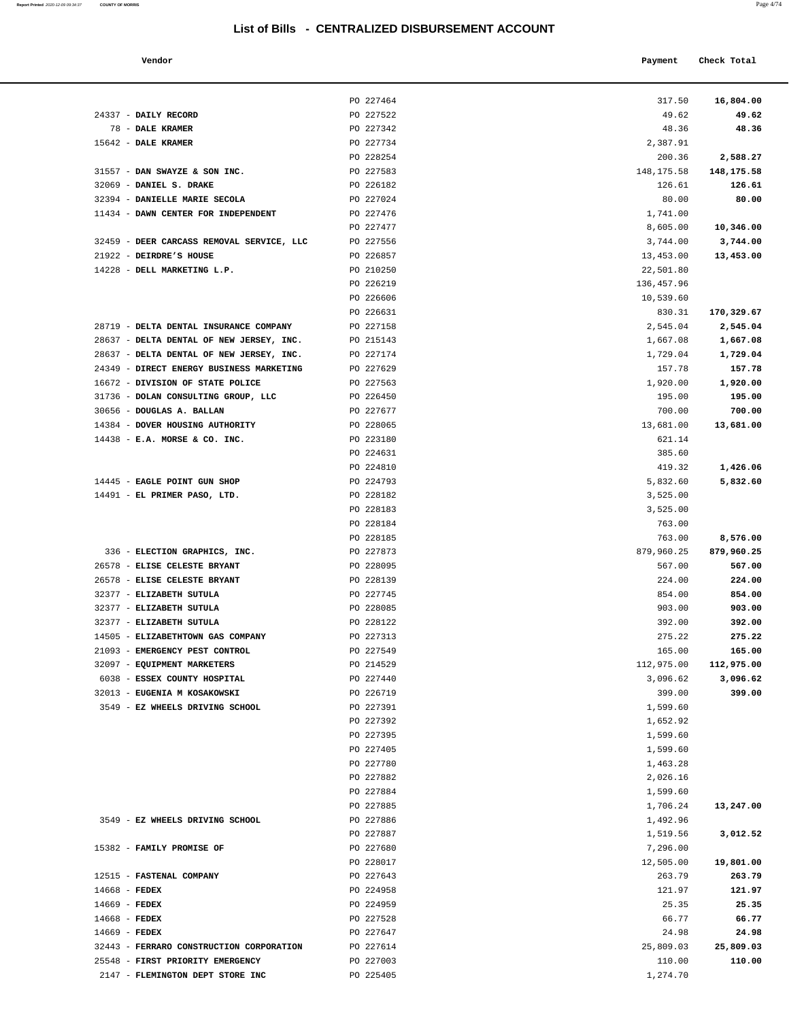| Report Printed 2020-12-09 09:34:37 COUNTY OF MORRIS<br>and the contract of the contract of the contract of the contract of the contract of the contract of the contract of the contract of the contract of the contract of the contract of the contract of the contract of the contra | Page 4/74 |  |
|---------------------------------------------------------------------------------------------------------------------------------------------------------------------------------------------------------------------------------------------------------------------------------------|-----------|--|
|                                                                                                                                                                                                                                                                                       |           |  |

| Vendor |  | Payment Check Total |
|--------|--|---------------------|
|        |  |                     |

|                                                                  | PO 227464              | 317.50               | 16,804.00        |
|------------------------------------------------------------------|------------------------|----------------------|------------------|
| 24337 - DAILY RECORD                                             | PO 227522              | 49.62                | 49.62            |
| 78 - DALE KRAMER                                                 | PO 227342              | 48.36                | 48.36            |
| 15642 - DALE KRAMER                                              | PO 227734              | 2,387.91             |                  |
|                                                                  | PO 228254              | 200.36               | 2,588.27         |
| 31557 - DAN SWAYZE & SON INC.                                    | PO 227583              | 148, 175.58          | 148,175.58       |
| 32069 - DANIEL S. DRAKE                                          | PO 226182              | 126.61               | 126.61           |
| 32394 - DANIELLE MARIE SECOLA                                    | PO 227024              | 80.00                | 80.00            |
| 11434 - DAWN CENTER FOR INDEPENDENT                              | PO 227476              | 1,741.00             |                  |
|                                                                  | PO 227477              | 8,605.00             | 10,346.00        |
| 32459 - DEER CARCASS REMOVAL SERVICE, LLC                        | PO 227556              | 3,744.00             | 3,744.00         |
| 21922 - DEIRDRE'S HOUSE                                          | PO 226857              | 13,453.00            | 13,453.00        |
| 14228 - DELL MARKETING L.P.                                      | PO 210250              | 22,501.80            |                  |
|                                                                  | PO 226219              | 136,457.96           |                  |
|                                                                  | PO 226606              | 10,539.60            |                  |
|                                                                  | PO 226631              | 830.31               | 170,329.67       |
| 28719 - DELTA DENTAL INSURANCE COMPANY                           | PO 227158              | 2,545.04             | 2,545.04         |
| 28637 - DELTA DENTAL OF NEW JERSEY, INC.                         | PO 215143              | 1,667.08             | 1,667.08         |
| 28637 - DELTA DENTAL OF NEW JERSEY, INC.                         | PO 227174              | 1,729.04             | 1,729.04         |
| 24349 - DIRECT ENERGY BUSINESS MARKETING                         | PO 227629              | 157.78               | 157.78           |
| 16672 - DIVISION OF STATE POLICE                                 | PO 227563              | 1,920.00             | 1,920.00         |
| 31736 - DOLAN CONSULTING GROUP, LLC<br>30656 - DOUGLAS A. BALLAN | PO 226450<br>PO 227677 | 195.00<br>700.00     | 195.00<br>700.00 |
| 14384 - DOVER HOUSING AUTHORITY                                  | PO 228065              | 13,681.00            | 13,681.00        |
| $14438$ - E.A. MORSE & CO. INC.                                  | PO 223180              | 621.14               |                  |
|                                                                  | PO 224631              | 385.60               |                  |
|                                                                  | PO 224810              | 419.32               | 1,426.06         |
| 14445 - EAGLE POINT GUN SHOP                                     | PO 224793              | 5,832.60             | 5,832.60         |
| 14491 - EL PRIMER PASO, LTD.                                     | PO 228182              | 3,525.00             |                  |
|                                                                  | PO 228183              | 3,525.00             |                  |
|                                                                  | PO 228184              | 763.00               |                  |
|                                                                  | PO 228185              | 763.00               | 8,576.00         |
| 336 - ELECTION GRAPHICS, INC.                                    | PO 227873              | 879,960.25           | 879,960.25       |
| 26578 - ELISE CELESTE BRYANT                                     | PO 228095              | 567.00               | 567.00           |
| 26578 - ELISE CELESTE BRYANT                                     | PO 228139              | 224.00               | 224.00           |
| 32377 - ELIZABETH SUTULA                                         | PO 227745              | 854.00               | 854.00           |
| 32377 - ELIZABETH SUTULA                                         | PO 228085              | 903.00               | 903.00           |
| 32377 - ELIZABETH SUTULA                                         | PO 228122              | 392.00               | 392.00           |
| 14505 - ELIZABETHTOWN GAS COMPANY                                | PO 227313              | 275.22               | 275.22           |
| 21093 - EMERGENCY PEST CONTROL                                   | PO 227549              | 165.00               | 165.00           |
| 32097 - EQUIPMENT MARKETERS                                      | PO 214529              | 112,975.00           | 112,975.00       |
| 6038 - ESSEX COUNTY HOSPITAL                                     | PO 227440              | 3,096.62             | 3,096.62         |
| 32013 - EUGENIA M KOSAKOWSKI                                     | PO 226719              | 399.00               | 399.00           |
| 3549 - EZ WHEELS DRIVING SCHOOL                                  | PO 227391<br>PO 227392 | 1,599.60<br>1,652.92 |                  |
|                                                                  | PO 227395              | 1,599.60             |                  |
|                                                                  | PO 227405              | 1,599.60             |                  |
|                                                                  | PO 227780              | 1,463.28             |                  |
|                                                                  | PO 227882              | 2,026.16             |                  |
|                                                                  | PO 227884              | 1,599.60             |                  |
|                                                                  | PO 227885              | 1,706.24             | 13,247.00        |
| 3549 - EZ WHEELS DRIVING SCHOOL                                  | PO 227886              | 1,492.96             |                  |
|                                                                  | PO 227887              | 1,519.56             | 3,012.52         |
| 15382 - FAMILY PROMISE OF                                        | PO 227680              | 7,296.00             |                  |
|                                                                  | PO 228017              | 12,505.00            | 19,801.00        |
| 12515 - FASTENAL COMPANY                                         | PO 227643              | 263.79               | 263.79           |
| $14668$ - FEDEX                                                  | PO 224958              | 121.97               | 121.97           |
| 14669 - FEDEX                                                    | PO 224959              | 25.35                | 25.35            |
| 14668 - FEDEX                                                    | PO 227528              | 66.77                | 66.77            |
| 14669 - FEDEX                                                    | PO 227647              | 24.98                | 24.98            |
| 32443 - FERRARO CONSTRUCTION CORPORATION                         | PO 227614              | 25,809.03            | 25,809.03        |
| 25548 - FIRST PRIORITY EMERGENCY                                 | PO 227003              | 110.00               | 110.00           |
| 2147 - FLEMINGTON DEPT STORE INC                                 | PO 225405              | 1,274.70             |                  |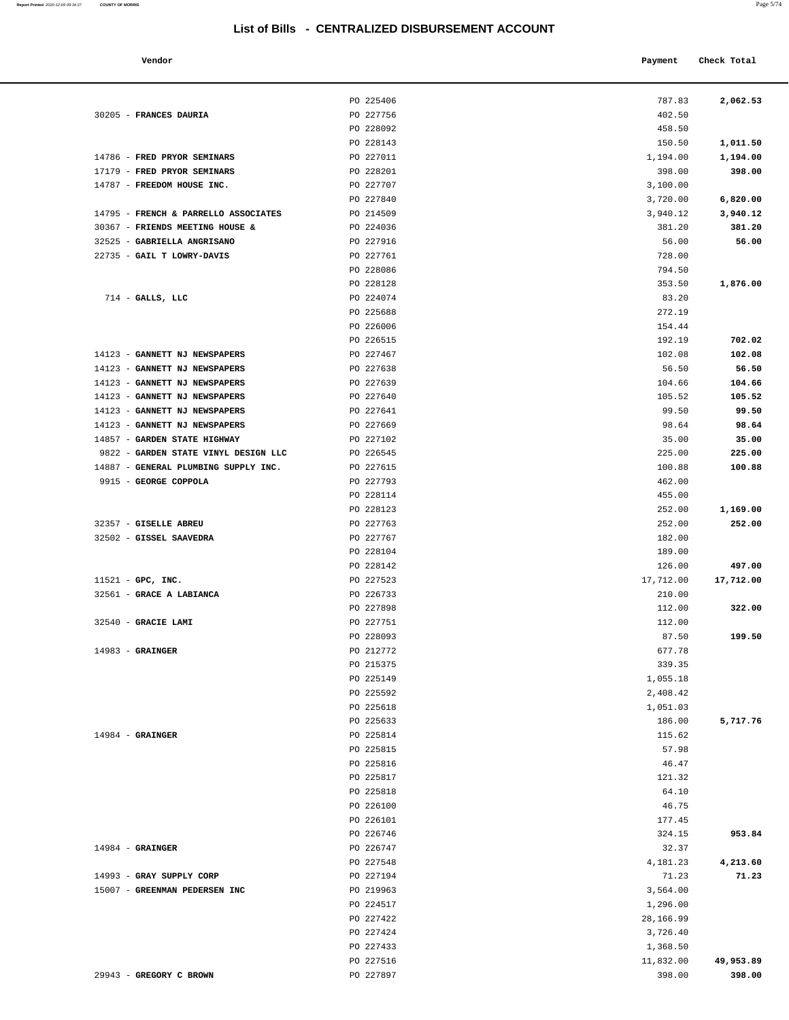30205 - **FRANCES DAURIA PO 227756** 

14786 - **FRED PRYOR SEMINARS PO 227011** 

| Vendor                                  |           | Payment   | Check Total |
|-----------------------------------------|-----------|-----------|-------------|
|                                         | PO 225406 | 787.83    | 2,062.53    |
| <b>FRANCES DAURIA</b>                   | PO 227756 | 402.50    |             |
|                                         | PO 228092 | 458.50    |             |
|                                         | PO 228143 | 150.50    | 1,011.50    |
| FRED PRYOR SEMINARS                     | PO 227011 | 1,194.00  | 1,194.00    |
| FRED PRYOR SEMINARS                     | PO 228201 | 398.00    | 398.00      |
| FREEDOM HOUSE INC.                      | PO 227707 | 3,100.00  |             |
|                                         | PO 227840 | 3,720.00  | 6,820.00    |
| <b>FRENCH &amp; PARRELLO ASSOCIATES</b> | PO 214509 | 3,940.12  | 3,940.12    |
| <b>FRIENDS MEETING HOUSE &amp;</b>      | PO 224036 | 381.20    | 381.20      |
| <b>GABRIELLA ANGRISANO</b>              | PO 227916 | 56.00     | 56.00       |
| <b>GAIL T LOWRY-DAVIS</b>               | PO 227761 | 728.00    |             |
|                                         | PO 228086 | 794.50    |             |
|                                         | PO 228128 | 353.50    | 1,876.00    |
| GALLS, LLC                              | PO 224074 | 83.20     |             |
|                                         | PO 225688 | 272.19    |             |
|                                         | PO 226006 | 154.44    |             |
|                                         | PO 226515 | 192.19    | 702.02      |
| <b>GANNETT NJ NEWSPAPERS</b>            | PO 227467 | 102.08    | 102.08      |
| <b>GANNETT NJ NEWSPAPERS</b>            | PO 227638 | 56.50     | 56.50       |
|                                         | PO 227639 | 104.66    |             |
| <b>GANNETT NJ NEWSPAPERS</b>            |           |           | 104.66      |
| <b>GANNETT NJ NEWSPAPERS</b>            | PO 227640 | 105.52    | 105.52      |
| <b>GANNETT NJ NEWSPAPERS</b>            | PO 227641 | 99.50     | 99.50       |
| <b>GANNETT NJ NEWSPAPERS</b>            | PO 227669 | 98.64     | 98.64       |
| <b>GARDEN STATE HIGHWAY</b>             | PO 227102 | 35.00     | 35.00       |
| GARDEN STATE VINYL DESIGN LLC           | PO 226545 | 225.00    | 225.00      |
| GENERAL PLUMBING SUPPLY INC.            | PO 227615 | 100.88    | 100.88      |
| <b>GEORGE COPPOLA</b>                   | PO 227793 | 462.00    |             |
|                                         | PO 228114 | 455.00    |             |
|                                         | PO 228123 | 252.00    | 1,169.00    |
| <b>GISELLE ABREU</b>                    | PO 227763 | 252.00    | 252.00      |
| <b>GISSEL SAAVEDRA</b>                  | PO 227767 | 182.00    |             |
|                                         | PO 228104 | 189.00    |             |
|                                         | PO 228142 | 126.00    | 497.00      |
| GPC, INC.                               | PO 227523 | 17,712.00 | 17,712.00   |
| <b>GRACE A LABIANCA</b>                 | PO 226733 | 210.00    |             |
|                                         | PO 227898 | 112.00    | 322.00      |
| <b>GRACIE LAMI</b>                      | PO 227751 | 112.00    |             |
|                                         | PO 228093 | 87.50     | 199.50      |
| <b>GRAINGER</b>                         | PO 212772 | 677.78    |             |
|                                         | PO 215375 | 339.35    |             |
|                                         | PO 225149 | 1,055.18  |             |
|                                         | PO 225592 | 2,408.42  |             |
|                                         | PO 225618 | 1,051.03  |             |
|                                         | PO 225633 | 186.00    | 5,717.76    |
| <b>GRAINGER</b>                         | PO 225814 | 115.62    |             |
|                                         | PO 225815 | 57.98     |             |
|                                         | PO 225816 | 46.47     |             |
|                                         | PO 225817 | 121.32    |             |
|                                         | PO 225818 | 64.10     |             |
|                                         | PO 226100 | 46.75     |             |
|                                         |           |           |             |

| 17179 - FRED PRYOR SEMINARS          | PO 228201              | 398.00            | 398.00    |
|--------------------------------------|------------------------|-------------------|-----------|
| 14787 - FREEDOM HOUSE INC.           | PO 227707              | 3,100.00          |           |
|                                      | PO 227840              | 3,720.00          | 6,820.00  |
| 14795 - FRENCH & PARRELLO ASSOCIATES | PO 214509              | 3,940.12          | 3,940.12  |
| 30367 - FRIENDS MEETING HOUSE &      | PO 224036              | 381.20            | 381.20    |
| 32525 - GABRIELLA ANGRISANO          | PO 227916              | 56.00             | 56.00     |
| 22735 - GAIL T LOWRY-DAVIS           | PO 227761              | 728.00            |           |
|                                      | PO 228086              | 794.50            |           |
|                                      | PO 228128              | 353.50            | 1,876.00  |
| $714$ - GALLS, LLC                   | PO 224074              | 83.20             |           |
|                                      | PO 225688              | 272.19            |           |
|                                      | PO 226006              | 154.44            |           |
|                                      | PO 226515              | 192.19            | 702.02    |
| 14123 - GANNETT NJ NEWSPAPERS        | PO 227467              | 102.08            | 102.08    |
| 14123 - GANNETT NJ NEWSPAPERS        | PO 227638              | 56.50             | 56.50     |
| 14123 - GANNETT NJ NEWSPAPERS        | PO 227639              | 104.66            | 104.66    |
| 14123 - GANNETT NJ NEWSPAPERS        | PO 227640              | 105.52            | 105.52    |
| 14123 - GANNETT NJ NEWSPAPERS        | PO 227641              | 99.50             | 99.50     |
| 14123 - GANNETT NJ NEWSPAPERS        | PO 227669              | 98.64             | 98.64     |
| 14857 - GARDEN STATE HIGHWAY         | PO 227102              | 35.00             | 35.00     |
| 9822 - GARDEN STATE VINYL DESIGN LLC | PO 226545              | 225.00            | 225.00    |
| 14887 - GENERAL PLUMBING SUPPLY INC. | PO 227615              | 100.88            | 100.88    |
| 9915 - GEORGE COPPOLA                | PO 227793<br>PO 228114 | 462.00<br>455.00  |           |
|                                      | PO 228123              | 252.00            | 1,169.00  |
| 32357 - GISELLE ABREU                | PO 227763              | 252.00            | 252.00    |
| 32502 - GISSEL SAAVEDRA              | PO 227767              | 182.00            |           |
|                                      | PO 228104              | 189.00            |           |
|                                      | PO 228142              | 126.00            | 497.00    |
| $11521$ - GPC, INC.                  | PO 227523              | 17,712.00         | 17,712.00 |
| 32561 - GRACE A LABIANCA             | PO 226733              | 210.00            |           |
|                                      | PO 227898              | 112.00            | 322.00    |
| 32540 - GRACIE LAMI                  | PO 227751              | 112.00            |           |
|                                      | PO 228093              | 87.50             | 199.50    |
| $14983$ - GRAINGER                   | PO 212772              | 677.78            |           |
|                                      | PO 215375              | 339.35            |           |
|                                      | PO 225149              | 1,055.18          |           |
|                                      | PO 225592              | 2,408.42          |           |
|                                      | PO 225618              | 1,051.03          |           |
|                                      | PO 225633              | 186.00            | 5,717.76  |
| $14984$ - GRAINGER                   | PO 225814              | 115.62            |           |
|                                      | PO 225815              | 57.98             |           |
|                                      | PO 225816              | 46.47             |           |
|                                      | PO 225817              | 121.32            |           |
|                                      | PO 225818              | 64.10             |           |
|                                      | PO 226100              | 46.75             |           |
|                                      | PO 226101              | 177.45            | 953.84    |
|                                      | PO 226746<br>PO 226747 | 324.15            |           |
| $14984$ - GRAINGER                   | PO 227548              | 32.37<br>4,181.23 | 4,213.60  |
| 14993 - GRAY SUPPLY CORP             | PO 227194              | 71.23             | 71.23     |
| 15007 - GREENMAN PEDERSEN INC        | PO 219963              | 3,564.00          |           |
|                                      | PO 224517              | 1,296.00          |           |
|                                      | PO 227422              | 28,166.99         |           |
|                                      | PO 227424              | 3,726.40          |           |
|                                      | PO 227433              | 1,368.50          |           |
|                                      | PO 227516              | 11,832.00         | 49,953.89 |
| 29943 - GREGORY C BROWN              | PO 227897              | 398.00            | 398.00    |

**Report Printed**  2020-12-09 09:34:37 **COUNTY OF MORRIS**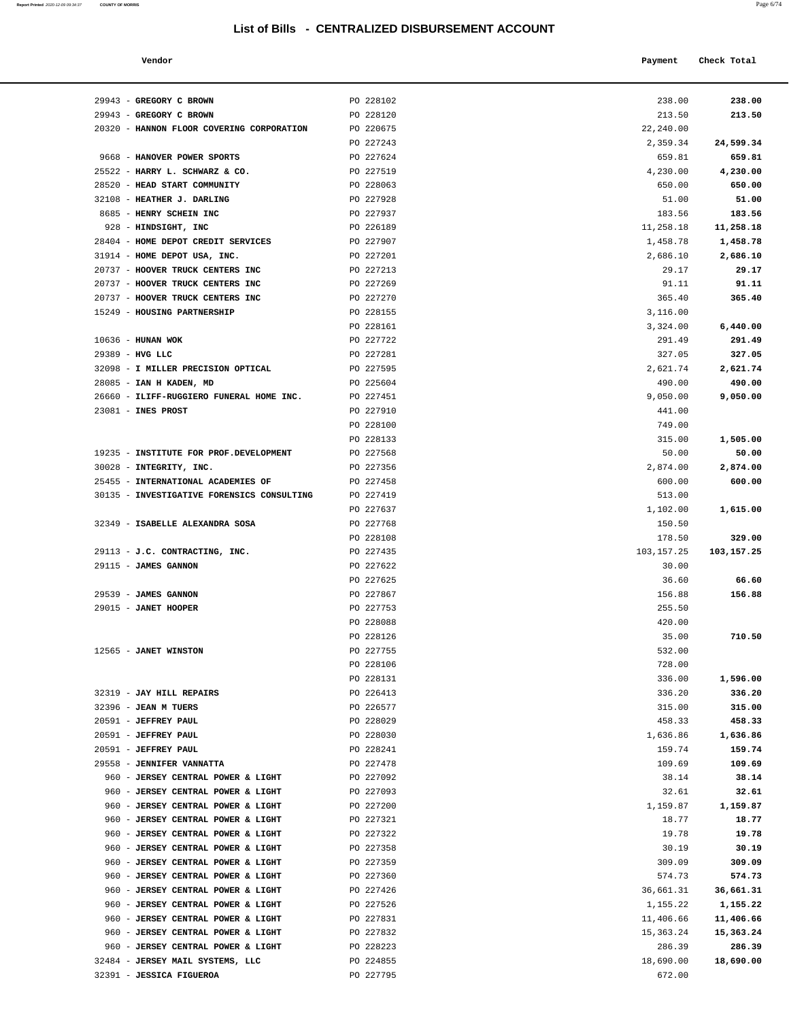| Report Printed 2020-12-09 09:34:37 | <b>COUNTY OF MORRIS</b> | Page $6/74$ |
|------------------------------------|-------------------------|-------------|
|                                    |                         |             |

| Vendor | Payment Check Total |
|--------|---------------------|
|--------|---------------------|

| 29943 - GREGORY C BROWN                    | PO 228102 | 238.00       | 238.00     |
|--------------------------------------------|-----------|--------------|------------|
| 29943 - GREGORY C BROWN                    | PO 228120 | 213.50       | 213.50     |
| 20320 - HANNON FLOOR COVERING CORPORATION  | PO 220675 | 22,240.00    |            |
|                                            | PO 227243 | 2,359.34     | 24,599.34  |
| 9668 - HANOVER POWER SPORTS                | PO 227624 | 659.81       | 659.81     |
| 25522 - HARRY L. SCHWARZ & CO.             | PO 227519 | 4,230.00     | 4,230.00   |
| 28520 - HEAD START COMMUNITY               | PO 228063 | 650.00       | 650.00     |
| 32108 - HEATHER J. DARLING                 | PO 227928 | 51.00        | 51.00      |
| 8685 - HENRY SCHEIN INC                    | PO 227937 | 183.56       | 183.56     |
| 928 - HINDSIGHT, INC                       | PO 226189 | 11,258.18    | 11,258.18  |
| 28404 - HOME DEPOT CREDIT SERVICES         | PO 227907 | 1,458.78     | 1,458.78   |
| 31914 - HOME DEPOT USA, INC.               | PO 227201 | 2,686.10     | 2,686.10   |
| 20737 - HOOVER TRUCK CENTERS INC           | PO 227213 | 29.17        | 29.17      |
| 20737 - HOOVER TRUCK CENTERS INC           | PO 227269 | 91.11        | 91.11      |
| 20737 - HOOVER TRUCK CENTERS INC           | PO 227270 | 365.40       | 365.40     |
| 15249 - HOUSING PARTNERSHIP                | PO 228155 | 3,116.00     |            |
|                                            | PO 228161 | 3,324.00     | 6,440.00   |
| $10636$ - HUNAN WOK                        | PO 227722 | 291.49       | 291.49     |
| 29389 - HVG LLC                            | PO 227281 | 327.05       | 327.05     |
| 32098 - I MILLER PRECISION OPTICAL         | PO 227595 | 2,621.74     | 2,621.74   |
| 28085 - IAN H KADEN, MD                    | PO 225604 | 490.00       | 490.00     |
| 26660 - ILIFF-RUGGIERO FUNERAL HOME INC.   | PO 227451 | 9,050.00     | 9,050.00   |
| 23081 - INES PROST                         | PO 227910 | 441.00       |            |
|                                            | PO 228100 | 749.00       |            |
|                                            | PO 228133 | 315.00       | 1,505.00   |
| 19235 - INSTITUTE FOR PROF. DEVELOPMENT    | PO 227568 | 50.00        | 50.00      |
| 30028 - INTEGRITY, INC.                    | PO 227356 | 2,874.00     | 2,874.00   |
| 25455 - INTERNATIONAL ACADEMIES OF         | PO 227458 | 600.00       | 600.00     |
| 30135 - INVESTIGATIVE FORENSICS CONSULTING | PO 227419 | 513.00       |            |
|                                            | PO 227637 | 1,102.00     | 1,615.00   |
| 32349 - ISABELLE ALEXANDRA SOSA            | PO 227768 | 150.50       |            |
|                                            | PO 228108 | 178.50       | 329.00     |
| 29113 - J.C. CONTRACTING, INC.             | PO 227435 | 103, 157. 25 | 103,157.25 |
| 29115 - JAMES GANNON                       | PO 227622 | 30.00        |            |
|                                            | PO 227625 | 36.60        | 66.60      |
| 29539 - JAMES GANNON                       | PO 227867 | 156.88       | 156.88     |
| 29015 - JANET HOOPER                       | PO 227753 | 255.50       |            |
|                                            | PO 228088 | 420.00       |            |
|                                            | PO 228126 | 35.00        | 710.50     |
| 12565 - JANET WINSTON                      | PO 227755 | 532.00       |            |
|                                            | PO 228106 | 728.00       |            |
|                                            | PO 228131 | 336.00       | 1,596.00   |
| 32319 - JAY HILL REPAIRS                   | PO 226413 | 336.20       | 336.20     |
| 32396 - JEAN M TUERS                       | PO 226577 | 315.00       | 315.00     |
| 20591 - JEFFREY PAUL                       | PO 228029 | 458.33       | 458.33     |
| 20591 - JEFFREY PAUL                       | PO 228030 | 1,636.86     | 1,636.86   |
| 20591 - JEFFREY PAUL                       | PO 228241 | 159.74       | 159.74     |
| 29558 - JENNIFER VANNATTA                  | PO 227478 | 109.69       | 109.69     |
| 960 - JERSEY CENTRAL POWER & LIGHT         | PO 227092 | 38.14        | 38.14      |
| 960 - JERSEY CENTRAL POWER & LIGHT         | PO 227093 | 32.61        | 32.61      |
| 960 - JERSEY CENTRAL POWER & LIGHT         | PO 227200 | 1,159.87     | 1,159.87   |
| 960 - JERSEY CENTRAL POWER & LIGHT         | PO 227321 | 18.77        | 18.77      |
| 960 - JERSEY CENTRAL POWER & LIGHT         | PO 227322 | 19.78        | 19.78      |
| 960 - JERSEY CENTRAL POWER & LIGHT         | PO 227358 | 30.19        | 30.19      |
| 960 - JERSEY CENTRAL POWER & LIGHT         | PO 227359 | 309.09       | 309.09     |
| 960 - JERSEY CENTRAL POWER & LIGHT         | PO 227360 | 574.73       | 574.73     |
| 960 - JERSEY CENTRAL POWER & LIGHT         | PO 227426 | 36,661.31    | 36,661.31  |
| 960 - JERSEY CENTRAL POWER & LIGHT         | PO 227526 | 1,155.22     | 1,155.22   |
| 960 - JERSEY CENTRAL POWER & LIGHT         | PO 227831 | 11,406.66    | 11,406.66  |
| 960 - JERSEY CENTRAL POWER & LIGHT         | PO 227832 | 15,363.24    | 15,363.24  |
| 960 - JERSEY CENTRAL POWER & LIGHT         | PO 228223 | 286.39       | 286.39     |
| 32484 - JERSEY MAIL SYSTEMS, LLC           | PO 224855 | 18,690.00    | 18,690.00  |
| 32391 - JESSICA FIGUEROA                   | PO 227795 | 672.00       |            |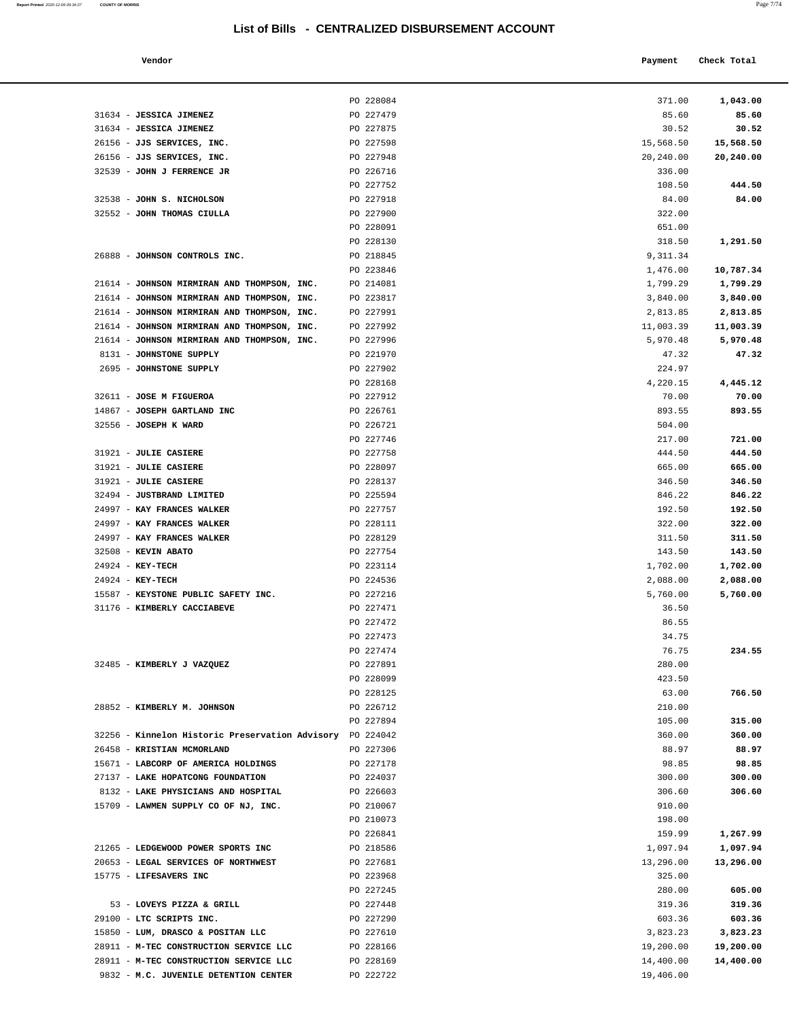| Report Printed 2020-12-09 09:34:37 | <b>COUNTY OF MORRIS</b> | Page 7/74 |
|------------------------------------|-------------------------|-----------|
|                                    |                         |           |

| Vendor |                     | Payment | Check Total |
|--------|---------------------|---------|-------------|
|        | $P^{\alpha}$ 220001 | 271.00  | 1.012.00    |

|                                                                                            | PO 228084              | 371.00               | 1,043.00             |
|--------------------------------------------------------------------------------------------|------------------------|----------------------|----------------------|
| 31634 - JESSICA JIMENEZ                                                                    | PO 227479              | 85.60                | 85.60                |
| 31634 - JESSICA JIMENEZ                                                                    | PO 227875              | 30.52                | 30.52                |
| 26156 - JJS SERVICES, INC.                                                                 | PO 227598              | 15,568.50            | 15,568.50            |
| 26156 - JJS SERVICES, INC.                                                                 | PO 227948              | 20,240.00            | 20,240.00            |
| 32539 - JOHN J FERRENCE JR                                                                 | PO 226716              | 336.00               |                      |
|                                                                                            | PO 227752              | 108.50               | 444.50               |
| 32538 - JOHN S. NICHOLSON                                                                  | PO 227918              | 84.00                | 84.00                |
| 32552 - JOHN THOMAS CIULLA                                                                 | PO 227900              | 322.00               |                      |
|                                                                                            | PO 228091              | 651.00               |                      |
|                                                                                            | PO 228130              | 318.50               | 1,291.50             |
| 26888 - JOHNSON CONTROLS INC.                                                              | PO 218845              | 9,311.34             |                      |
|                                                                                            | PO 223846              | 1,476.00             | 10,787.34            |
| 21614 - JOHNSON MIRMIRAN AND THOMPSON, INC.                                                | PO 214081              | 1,799.29             | 1,799.29             |
| 21614 - JOHNSON MIRMIRAN AND THOMPSON, INC.<br>21614 - JOHNSON MIRMIRAN AND THOMPSON, INC. | PO 223817<br>PO 227991 | 3,840.00<br>2,813.85 | 3,840.00<br>2,813.85 |
| 21614 - JOHNSON MIRMIRAN AND THOMPSON, INC.                                                | PO 227992              | 11,003.39            | 11,003.39            |
| 21614 - JOHNSON MIRMIRAN AND THOMPSON, INC.                                                | PO 227996              | 5,970.48             | 5,970.48             |
| 8131 - JOHNSTONE SUPPLY                                                                    | PO 221970              | 47.32                | 47.32                |
| 2695 - JOHNSTONE SUPPLY                                                                    | PO 227902              | 224.97               |                      |
|                                                                                            | PO 228168              | 4,220.15             | 4,445.12             |
| 32611 - JOSE M FIGUEROA                                                                    | PO 227912              | 70.00                | 70.00                |
| 14867 - JOSEPH GARTLAND INC                                                                | PO 226761              | 893.55               | 893.55               |
| 32556 - JOSEPH K WARD                                                                      | PO 226721              | 504.00               |                      |
|                                                                                            | PO 227746              | 217.00               | 721.00               |
| 31921 - JULIE CASIERE                                                                      | PO 227758              | 444.50               | 444.50               |
| 31921 - JULIE CASIERE                                                                      | PO 228097              | 665.00               | 665.00               |
| 31921 - JULIE CASIERE                                                                      | PO 228137              | 346.50               | 346.50               |
| 32494 - JUSTBRAND LIMITED                                                                  | PO 225594              | 846.22               | 846.22               |
| 24997 - KAY FRANCES WALKER                                                                 | PO 227757              | 192.50               | 192.50               |
| 24997 - KAY FRANCES WALKER                                                                 | PO 228111              | 322.00               | 322.00               |
| 24997 - KAY FRANCES WALKER                                                                 | PO 228129              | 311.50               | 311.50               |
| 32508 - KEVIN ABATO                                                                        | PO 227754              | 143.50               | 143.50               |
| 24924 - KEY-TECH<br>24924 - KEY-TECH                                                       | PO 223114<br>PO 224536 | 1,702.00<br>2,088.00 | 1,702.00<br>2,088.00 |
| 15587 - KEYSTONE PUBLIC SAFETY INC.                                                        | PO 227216              | 5,760.00             | 5,760.00             |
| 31176 - KIMBERLY CACCIABEVE                                                                | PO 227471              | 36.50                |                      |
|                                                                                            | PO 227472              | 86.55                |                      |
|                                                                                            | PO 227473              | 34.75                |                      |
|                                                                                            | PO 227474              | 76.75                | 234.55               |
| 32485 - KIMBERLY J VAZQUEZ                                                                 | PO 227891              | 280.00               |                      |
|                                                                                            | PO 228099              | 423.50               |                      |
|                                                                                            | PO 228125              | 63.00                | 766.50               |
| 28852 - KIMBERLY M. JOHNSON                                                                | PO 226712              | 210.00               |                      |
|                                                                                            | PO 227894              | 105.00               | 315.00               |
| 32256 - Kinnelon Historic Preservation Advisory PO 224042                                  |                        | 360.00               | 360.00               |
| 26458 - KRISTIAN MCMORLAND                                                                 | PO 227306              | 88.97                | 88.97                |
| 15671 - LABCORP OF AMERICA HOLDINGS                                                        | PO 227178              | 98.85                | 98.85                |
| 27137 - LAKE HOPATCONG FOUNDATION                                                          | PO 224037              | 300.00               | 300.00               |
| 8132 - LAKE PHYSICIANS AND HOSPITAL                                                        | PO 226603              | 306.60               | 306.60               |
| 15709 - LAWMEN SUPPLY CO OF NJ, INC.                                                       | PO 210067              | 910.00               |                      |
|                                                                                            | PO 210073<br>PO 226841 | 198.00<br>159.99     | 1,267.99             |
| 21265 - LEDGEWOOD POWER SPORTS INC                                                         | PO 218586              | 1,097.94             | 1,097.94             |
| 20653 - LEGAL SERVICES OF NORTHWEST                                                        | PO 227681              | 13,296.00            | 13,296.00            |
| 15775 - LIFESAVERS INC                                                                     | PO 223968              | 325.00               |                      |
|                                                                                            | PO 227245              | 280.00               | 605.00               |
| 53 - LOVEYS PIZZA & GRILL                                                                  | PO 227448              | 319.36               | 319.36               |
| 29100 - LTC SCRIPTS INC.                                                                   | PO 227290              | 603.36               | 603.36               |
| 15850 - LUM, DRASCO & POSITAN LLC                                                          | PO 227610              | 3,823.23             | 3,823.23             |
| 28911 - M-TEC CONSTRUCTION SERVICE LLC                                                     | PO 228166              | 19,200.00            | 19,200.00            |
| 28911 - M-TEC CONSTRUCTION SERVICE LLC                                                     | PO 228169              | 14,400.00            | 14,400.00            |
| 9832 - M.C. JUVENILE DETENTION CENTER                                                      | PO 222722              | 19,406.00            |                      |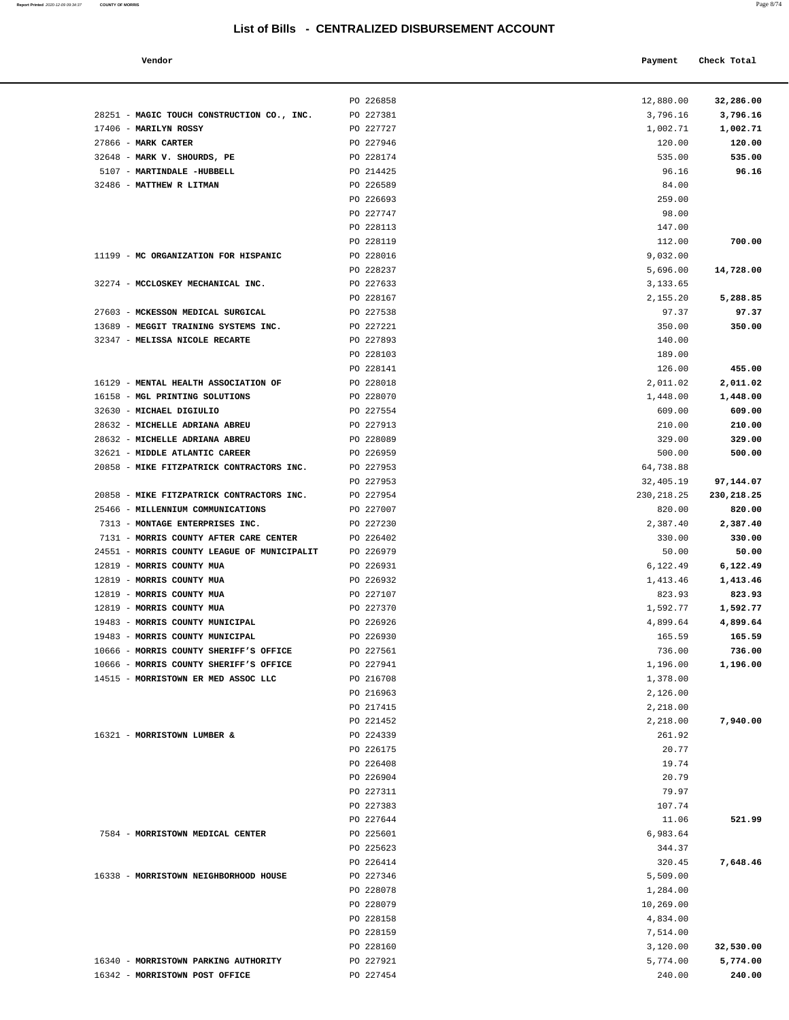| Report Printed 2020-12-09 09:34:37 COUNTY OF MORRIS | Page 8/74 |
|-----------------------------------------------------|-----------|
|                                                     |           |

PO 226858 12,880.00 **32,286.00**

| 17406 - MARILYN ROSSY                       | PO 227727              | 1,002.71           | 1,002.71   |
|---------------------------------------------|------------------------|--------------------|------------|
| 27866 - MARK CARTER                         | PO 227946              | 120.00             | 120.00     |
| 32648 - MARK V. SHOURDS, PE                 | PO 228174              | 535.00             | 535.00     |
| 5107 - MARTINDALE -HUBBELL                  | PO 214425              | 96.16              | 96.16      |
| 32486 - MATTHEW R LITMAN                    | PO 226589              | 84.00              |            |
|                                             | PO 226693              | 259.00             |            |
|                                             | PO 227747              | 98.00              |            |
|                                             | PO 228113              | 147.00             |            |
|                                             | PO 228119              | 112.00             | 700.00     |
| 11199 - MC ORGANIZATION FOR HISPANIC        | PO 228016              | 9,032.00           |            |
|                                             | PO 228237              | 5,696.00           | 14,728.00  |
| 32274 - MCCLOSKEY MECHANICAL INC.           | PO 227633              | 3,133.65           |            |
|                                             | PO 228167              | 2,155.20           | 5,288.85   |
| 27603 - MCKESSON MEDICAL SURGICAL           | PO 227538              | 97.37              | 97.37      |
| 13689 - MEGGIT TRAINING SYSTEMS INC.        | PO 227221              | 350.00             | 350.00     |
| 32347 - MELISSA NICOLE RECARTE              | PO 227893              | 140.00             |            |
|                                             | PO 228103              | 189.00             |            |
|                                             | PO 228141              | 126.00             | 455.00     |
| 16129 - MENTAL HEALTH ASSOCIATION OF        | PO 228018              | 2,011.02           | 2,011.02   |
| 16158 - MGL PRINTING SOLUTIONS              | PO 228070              | 1,448.00           | 1,448.00   |
| 32630 - MICHAEL DIGIULIO                    | PO 227554              | 609.00             | 609.00     |
| 28632 - MICHELLE ADRIANA ABREU              | PO 227913              | 210.00             | 210.00     |
| 28632 - MICHELLE ADRIANA ABREU              | PO 228089              | 329.00             | 329.00     |
| 32621 - MIDDLE ATLANTIC CAREER              | PO 226959              | 500.00             | 500.00     |
| 20858 - MIKE FITZPATRICK CONTRACTORS INC.   | PO 227953              | 64,738.88          |            |
|                                             | PO 227953              | 32,405.19          | 97,144.07  |
| 20858 - MIKE FITZPATRICK CONTRACTORS INC.   | PO 227954              | 230,218.25         | 230,218.25 |
| 25466 - MILLENNIUM COMMUNICATIONS           | PO 227007              | 820.00             | 820.00     |
| 7313 - MONTAGE ENTERPRISES INC.             | PO 227230              | 2,387.40           | 2,387.40   |
| 7131 - MORRIS COUNTY AFTER CARE CENTER      | PO 226402              | 330.00             | 330.00     |
| 24551 - MORRIS COUNTY LEAGUE OF MUNICIPALIT | PO 226979              | 50.00              | 50.00      |
| 12819 - MORRIS COUNTY MUA                   | PO 226931              | 6,122.49           | 6,122.49   |
| 12819 - MORRIS COUNTY MUA                   | PO 226932              | 1,413.46           | 1,413.46   |
| 12819 - MORRIS COUNTY MUA                   | PO 227107              | 823.93             | 823.93     |
| 12819 - MORRIS COUNTY MUA                   | PO 227370              | 1,592.77           | 1,592.77   |
| 19483 - MORRIS COUNTY MUNICIPAL             | PO 226926              | 4,899.64           | 4,899.64   |
| 19483 - MORRIS COUNTY MUNICIPAL             | PO 226930              | 165.59             | 165.59     |
| 10666 - MORRIS COUNTY SHERIFF'S OFFICE      | PO 227561              | 736.00             | 736.00     |
| 10666 - MORRIS COUNTY SHERIFF'S OFFICE      | PO 227941              | 1,196.00           | 1,196.00   |
| 14515 - MORRISTOWN ER MED ASSOC LLC         | PO 216708              | 1,378.00           |            |
|                                             | PO 216963              | 2,126.00           |            |
|                                             | PO 217415              | 2,218.00           |            |
|                                             | PO 221452              | 2,218.00           | 7,940.00   |
| 16321 - MORRISTOWN LUMBER &                 | PO 224339              | 261.92             |            |
|                                             | PO 226175              | 20.77              |            |
|                                             | PO 226408              | 19.74              |            |
|                                             | PO 226904              | 20.79              |            |
|                                             | PO 227311              | 79.97              |            |
|                                             | PO 227383              | 107.74             |            |
|                                             | PO 227644              | 11.06              | 521.99     |
| 7584 - MORRISTOWN MEDICAL CENTER            | PO 225601<br>PO 225623 | 6,983.64<br>344.37 |            |
|                                             |                        |                    |            |
| 16338 - MORRISTOWN NEIGHBORHOOD HOUSE       | PO 226414              | 320.45             | 7,648.46   |
|                                             | PO 227346              | 5,509.00           |            |
|                                             | PO 228078              | 1,284.00           |            |
|                                             | PO 228079              | 10,269.00          |            |
|                                             | PO 228158              | 4,834.00           |            |
|                                             | PO 228159              | 7,514.00           |            |
|                                             | PO 228160              | 3,120.00           | 32,530.00  |
| 16340 - MORRISTOWN PARKING AUTHORITY        | PO 227921              | 5,774.00           | 5,774.00   |
| 16342 - MORRISTOWN POST OFFICE              | PO 227454              | 240.00             | 240.00     |
|                                             |                        |                    |            |

28251 - MAGIC TOUCH CONSTRUCTION CO., INC. PO 227381 3,796.16 3,796.16 3,796.16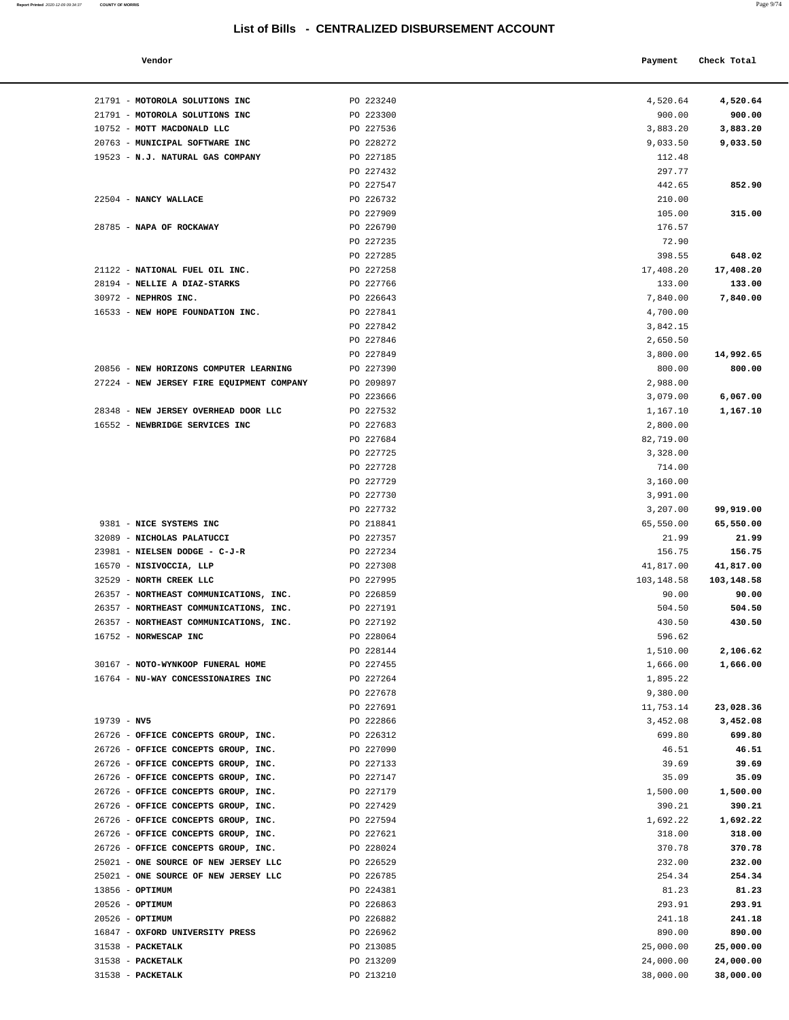| Report Printed 2020-12-09 09:34:37 | <b>COUNTY OF MORRIS</b> | Page 9/74 |
|------------------------------------|-------------------------|-----------|
|                                    |                         |           |

| Vendor                            |           | Payment    | Check Total |
|-----------------------------------|-----------|------------|-------------|
| MOTOROLA SOLUTIONS INC            | PO 223240 | 4,520.64   | 4,520.64    |
| MOTOROLA SOLUTIONS INC            | PO 223300 | 900.00     | 900.00      |
| MOTT MACDONALD LLC                | PO 227536 | 3,883.20   | 3,883.20    |
| MUNICIPAL SOFTWARE INC            | PO 228272 | 9,033.50   | 9,033.50    |
| <b>N.J. NATURAL GAS COMPANY</b>   | PO 227185 | 112.48     |             |
|                                   | PO 227432 | 297.77     |             |
|                                   | PO 227547 | 442.65     | 852.90      |
| NANCY WALLACE                     | PO 226732 | 210.00     |             |
|                                   | PO 227909 | 105.00     | 315.00      |
| <b>NAPA OF ROCKAWAY</b>           | PO 226790 | 176.57     |             |
|                                   | PO 227235 | 72.90      |             |
|                                   | PO 227285 | 398.55     | 648.02      |
| NATIONAL FUEL OIL INC.            | PO 227258 | 17,408.20  | 17,408.20   |
| <b>NELLIE A DIAZ-STARKS</b>       | PO 227766 | 133.00     | 133.00      |
| NEPHROS INC.                      | PO 226643 | 7,840.00   | 7,840.00    |
| NEW HOPE FOUNDATION INC.          | PO 227841 | 4,700.00   |             |
|                                   | PO 227842 | 3,842.15   |             |
|                                   | PO 227846 | 2,650.50   |             |
|                                   | PO 227849 | 3,800.00   | 14,992.65   |
| NEW HORIZONS COMPUTER LEARNING    | PO 227390 | 800.00     | 800.00      |
| NEW JERSEY FIRE EQUIPMENT COMPANY | PO 209897 | 2,988.00   |             |
|                                   | PO 223666 | 3,079.00   | 6,067.00    |
| NEW JERSEY OVERHEAD DOOR LLC      | PO 227532 | 1,167.10   | 1,167.10    |
| NEWBRIDGE SERVICES INC            | PO 227683 | 2,800.00   |             |
|                                   | PO 227684 | 82,719.00  |             |
|                                   | PO 227725 | 3,328.00   |             |
|                                   | PO 227728 | 714.00     |             |
|                                   | PO 227729 | 3,160.00   |             |
|                                   | PO 227730 | 3,991.00   |             |
|                                   | PO 227732 | 3,207.00   | 99,919.00   |
| NICE SYSTEMS INC                  | PO 218841 | 65,550.00  | 65,550.00   |
| NICHOLAS PALATUCCI                | PO 227357 | 21.99      | 21.99       |
| NIELSEN DODGE - C-J-R             | PO 227234 | 156.75     | 156.75      |
| NISIVOCCIA, LLP                   | PO 227308 | 41,817.00  | 41,817.00   |
| NORTH CREEK LLC                   | PO 227995 | 103,148.58 | 103,148.58  |
| NORTHEAST COMMUNICATIONS, INC.    | PO 226859 | 90.00      | 90.00       |
| NORTHEAST COMMUNICATIONS, INC.    | PO 227191 | 504.50     | 504.50      |
| NORTHEAST COMMUNICATIONS, INC.    | PO 227192 | 430.50     | 430.50      |
| <b>NORWESCAP INC</b>              | PO 228064 | 596.62     |             |
|                                   | PO 228144 | 1,510.00   | 2,106.62    |
| NOTO-WYNKOOP FUNERAL HOME         | PO 227455 | 1,666.00   | 1,666.00    |
| NU-WAY CONCESSIONAIRES INC        | PO 227264 | 1,895.22   |             |
|                                   | PO 227678 | 9,380.00   |             |
|                                   | PO 227691 | 11,753.14  | 23,028.36   |
| NV5                               | PO 222866 | 3,452.08   | 3,452.08    |
| OFFICE CONCEPTS GROUP, INC.       | PO 226312 | 699.80     | 699.80      |
| OFFICE CONCEPTS GROUP, INC.       | PO 227090 | 46.51      | 46.51       |
| OFFICE CONCEPTS GROUP, INC.       | PO 227133 | 39.69      | 39.69       |
| OFFICE CONCEPTS GROUP, INC.       | PO 227147 | 35.09      | 35.09       |
| OFFICE CONCEPTS GROUP, INC.       | PO 227179 | 1,500.00   | 1,500.00    |
| OFFICE CONCEPTS GROUP, INC.       | PO 227429 | 390.21     | 390.21      |
| OFFICE CONCEPTS GROUP, INC.       | PO 227594 | 1,692.22   | 1,692.22    |
| OFFICE CONCEPTS GROUP, INC.       | PO 227621 | 318.00     | 318.00      |
| OFFICE CONCEPTS GROUP, INC.       | PO 228024 | 370.78     | 370.78      |
| ONE SOURCE OF NEW JERSEY LLC      | PO 226529 | 232.00     | 232.00      |
| ONE SOURCE OF NEW JERSEY LLC      | PO 226785 | 254.34     | 254.34      |
| OPTIMUM                           | PO 224381 | 81.23      | 81.23       |
| OPTIMUM                           | PO 226863 | 293.91     | 293.91      |
| OPTIMUM                           | PO 226882 | 241.18     | 241.18      |
| OXFORD UNIVERSITY PRESS           | PO 226962 | 890.00     | 890.00      |

| 21791 - MOTOROLA SOLUTIONS INC                                                   | PO 223240              | 4,520.64             | 4,520.64         |
|----------------------------------------------------------------------------------|------------------------|----------------------|------------------|
| 21791 - MOTOROLA SOLUTIONS INC                                                   | PO 223300              | 900.00               | 900.00           |
| 10752 - MOTT MACDONALD LLC                                                       | PO 227536              | 3,883.20             | 3,883.20         |
| 20763 - MUNICIPAL SOFTWARE INC                                                   | PO 228272              | 9,033.50             | 9,033.50         |
| 19523 - N.J. NATURAL GAS COMPANY                                                 | PO 227185              | 112.48               |                  |
|                                                                                  | PO 227432              | 297.77               |                  |
|                                                                                  | PO 227547              | 442.65               | 852.90           |
| 22504 - NANCY WALLACE                                                            | PO 226732              | 210.00               |                  |
|                                                                                  | PO 227909              | 105.00               | 315.00           |
| 28785 - NAPA OF ROCKAWAY                                                         | PO 226790              | 176.57               |                  |
|                                                                                  | PO 227235              | 72.90                |                  |
|                                                                                  | PO 227285              | 398.55               | 648.02           |
| 21122 - NATIONAL FUEL OIL INC.                                                   | PO 227258              | 17,408.20            | 17,408.20        |
| 28194 - NELLIE A DIAZ-STARKS                                                     | PO 227766              | 133.00               | 133.00           |
| 30972 - NEPHROS INC.                                                             | PO 226643              | 7,840.00             | 7,840.00         |
| 16533 - NEW HOPE FOUNDATION INC.                                                 | PO 227841              | 4,700.00             |                  |
|                                                                                  | PO 227842<br>PO 227846 | 3,842.15             |                  |
|                                                                                  | PO 227849              | 2,650.50<br>3,800.00 | 14,992.65        |
| 20856 - NEW HORIZONS COMPUTER LEARNING                                           | PO 227390              | 800.00               | 800.00           |
| 27224 - NEW JERSEY FIRE EQUIPMENT COMPANY                                        | PO 209897              | 2,988.00             |                  |
|                                                                                  | PO 223666              | 3,079.00             | 6,067.00         |
| 28348 - NEW JERSEY OVERHEAD DOOR LLC                                             | PO 227532              | 1,167.10             | 1,167.10         |
| 16552 - NEWBRIDGE SERVICES INC                                                   | PO 227683              | 2,800.00             |                  |
|                                                                                  | PO 227684              | 82,719.00            |                  |
|                                                                                  | PO 227725              | 3,328.00             |                  |
|                                                                                  | PO 227728              | 714.00               |                  |
|                                                                                  | PO 227729              | 3,160.00             |                  |
|                                                                                  | PO 227730              | 3,991.00             |                  |
|                                                                                  | PO 227732              | 3,207.00             | 99,919.00        |
| 9381 - NICE SYSTEMS INC                                                          | PO 218841              | 65,550.00            | 65,550.00        |
| 32089 - NICHOLAS PALATUCCI                                                       | PO 227357              | 21.99                | 21.99            |
| 23981 - NIELSEN DODGE - C-J-R                                                    | PO 227234              | 156.75               | 156.75           |
| 16570 - NISIVOCCIA, LLP                                                          | PO 227308              | 41,817.00            | 41,817.00        |
| 32529 - NORTH CREEK LLC                                                          | PO 227995              | 103,148.58           | 103,148.58       |
| 26357 - NORTHEAST COMMUNICATIONS, INC.                                           | PO 226859              | 90.00                | 90.00            |
| 26357 - NORTHEAST COMMUNICATIONS, INC.<br>26357 - NORTHEAST COMMUNICATIONS, INC. | PO 227191<br>PO 227192 | 504.50<br>430.50     | 504.50<br>430.50 |
| 16752 - NORWESCAP INC                                                            | PO 228064              | 596.62               |                  |
|                                                                                  | PO 228144              | 1,510.00             | 2,106.62         |
| 30167 - NOTO-WYNKOOP FUNERAL HOME                                                | PO 227455              | 1,666.00             | 1,666.00         |
| 16764 - NU-WAY CONCESSIONAIRES INC                                               | PO 227264              | 1,895.22             |                  |
|                                                                                  | PO 227678              | 9,380.00             |                  |
|                                                                                  | PO 227691              | 11,753.14            | 23,028.36        |
| $19739 - NV5$                                                                    | PO 222866              | 3,452.08             | 3,452.08         |
| 26726 - OFFICE CONCEPTS GROUP, INC.                                              | PO 226312              | 699.80               | 699.80           |
| 26726 - OFFICE CONCEPTS GROUP, INC.                                              | PO 227090              | 46.51                | 46.51            |
| 26726 - OFFICE CONCEPTS GROUP, INC.                                              | PO 227133              | 39.69                | 39.69            |
| 26726 - OFFICE CONCEPTS GROUP, INC.                                              | PO 227147              | 35.09                | 35.09            |
| 26726 - OFFICE CONCEPTS GROUP, INC.                                              | PO 227179              | 1,500.00             | 1,500.00         |
| 26726 - OFFICE CONCEPTS GROUP, INC.                                              | PO 227429              | 390.21               | 390.21           |
| 26726 - OFFICE CONCEPTS GROUP, INC.                                              | PO 227594              | 1,692.22             | 1,692.22         |
| 26726 - OFFICE CONCEPTS GROUP, INC.                                              | PO 227621              | 318.00               | 318.00           |
| 26726 - OFFICE CONCEPTS GROUP, INC.                                              | PO 228024              | 370.78               | 370.78           |
| 25021 - ONE SOURCE OF NEW JERSEY LLC<br>25021 - ONE SOURCE OF NEW JERSEY LLC     | PO 226529<br>PO 226785 | 232.00<br>254.34     | 232.00<br>254.34 |
| 13856 - OPTIMUM                                                                  | PO 224381              | 81.23                | 81.23            |
| 20526 - OPTIMUM                                                                  | PO 226863              | 293.91               | 293.91           |
| $20526$ - OPTIMUM                                                                | PO 226882              | 241.18               | 241.18           |
| 16847 - OXFORD UNIVERSITY PRESS                                                  | PO 226962              | 890.00               | 890.00           |
| 31538 - PACKETALK                                                                | PO 213085              | 25,000.00            | 25,000.00        |
| 31538 - PACKETALK                                                                | PO 213209              | 24,000.00            | 24,000.00        |
| 31538 - PACKETALK                                                                | PO 213210              | 38,000.00            | 38,000.00        |
|                                                                                  |                        |                      |                  |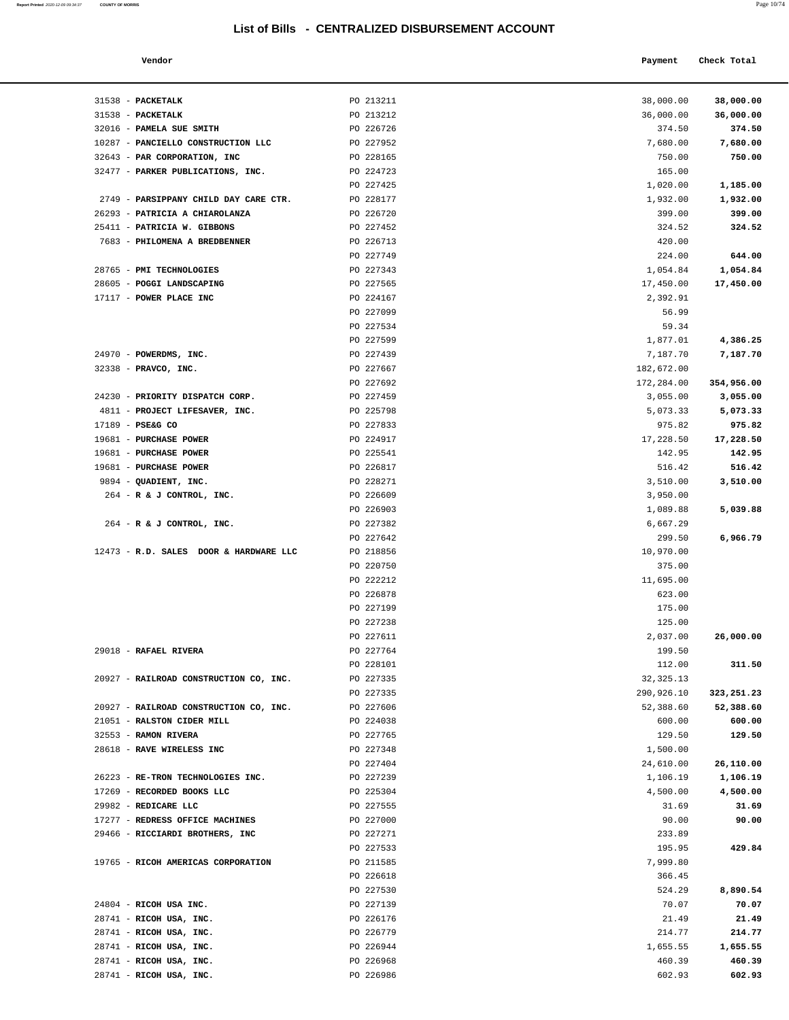**Report Printed** 2020-12-09 09:34:37 **COUNTY OF MORRIS** Page 10/74

|                                | List of Bills - CENTRALIZED DISBURSEMENT ACCOUNT |            |             |
|--------------------------------|--------------------------------------------------|------------|-------------|
| Vendor                         |                                                  | Payment    | Check Total |
| <b>PACKETALK</b>               | PO 213211                                        | 38,000.00  | 38,000.00   |
| <b>PACKETALK</b>               | PO 213212                                        | 36,000.00  | 36,000.00   |
| <b>PAMELA SUE SMITH</b>        | PO 226726                                        | 374.50     | 374.50      |
| PANCIELLO CONSTRUCTION LLC     | PO 227952                                        | 7,680.00   | 7,680.00    |
| PAR CORPORATION, INC           | PO 228165                                        | 750.00     | 750.00      |
| PARKER PUBLICATIONS, INC.      | PO 224723                                        | 165.00     |             |
|                                | PO 227425                                        | 1,020.00   | 1,185.00    |
| PARSIPPANY CHILD DAY CARE CTR. | PO 228177                                        | 1,932.00   | 1,932.00    |
| PATRICIA A CHIAROLANZA         | PO 226720                                        | 399.00     | 399.00      |
| PATRICIA W. GIBBONS            | PO 227452                                        | 324.52     | 324.52      |
| PHILOMENA A BREDBENNER         | PO 226713                                        | 420.00     |             |
|                                | PO 227749                                        | 224.00     | 644.00      |
| <b>PMI TECHNOLOGIES</b>        | PO 227343                                        | 1,054.84   | 1,054.84    |
| <b>POGGI LANDSCAPING</b>       | PO 227565                                        | 17,450.00  | 17,450.00   |
| POWER PLACE INC                | PO 224167                                        | 2,392.91   |             |
|                                | PO 227099                                        | 56.99      |             |
|                                | PO 227534                                        | 59.34      |             |
|                                | PO 227599                                        | 1,877.01   | 4,386.25    |
| POWERDMS, INC.                 | PO 227439                                        | 7,187.70   | 7,187.70    |
| PRAVCO, INC.                   | PO 227667                                        | 182,672.00 |             |
|                                | PO 227692                                        | 172,284.00 | 354,956.00  |
| PRIORITY DISPATCH CORP.        | PO 227459                                        | 3,055.00   | 3,055.00    |
| PROJECT LIFESAVER, INC.        | PO 225798                                        | 5,073.33   | 5,073.33    |
| PSE&G CO                       | PO 227833                                        | 975.82     | 975.82      |
| <b>PURCHASE POWER</b>          | PO 224917                                        | 17,228.50  | 17,228.50   |

| 31538 - PACKETALK                      | PO 213211 | 38,000.00  | 38,000.00        |
|----------------------------------------|-----------|------------|------------------|
| 31538 - PACKETALK                      | PO 213212 | 36,000.00  | 36,000.00        |
| 32016 - PAMELA SUE SMITH               | PO 226726 | 374.50     | 374.50           |
| 10287 - PANCIELLO CONSTRUCTION LLC     | PO 227952 | 7,680.00   | 7,680.00         |
| 32643 - PAR CORPORATION, INC           | PO 228165 | 750.00     | 750.00           |
| 32477 - PARKER PUBLICATIONS, INC.      | PO 224723 | 165.00     |                  |
|                                        | PO 227425 | 1,020.00   | 1,185.00         |
| 2749 - PARSIPPANY CHILD DAY CARE CTR.  | PO 228177 | 1,932.00   | 1,932.00         |
| 26293 - PATRICIA A CHIAROLANZA         | PO 226720 | 399.00     | 399.00           |
| 25411 - PATRICIA W. GIBBONS            | PO 227452 | 324.52     | 324.52           |
| 7683 - PHILOMENA A BREDBENNER          | PO 226713 | 420.00     |                  |
|                                        | PO 227749 | 224.00     | 644.00           |
| 28765 - PMI TECHNOLOGIES               | PO 227343 | 1,054.84   | 1,054.84         |
| 28605 - POGGI LANDSCAPING              | PO 227565 | 17,450.00  | 17,450.00        |
| 17117 - POWER PLACE INC                | PO 224167 | 2,392.91   |                  |
|                                        | PO 227099 | 56.99      |                  |
|                                        | PO 227534 | 59.34      |                  |
|                                        | PO 227599 | 1,877.01   | 4,386.25         |
| 24970 - POWERDMS, INC.                 | PO 227439 | 7,187.70   | 7,187.70         |
| 32338 - PRAVCO, INC.                   | PO 227667 | 182,672.00 |                  |
|                                        | PO 227692 | 172,284.00 | 354,956.00       |
| 24230 - PRIORITY DISPATCH CORP.        | PO 227459 | 3,055.00   | 3,055.00         |
| 4811 - PROJECT LIFESAVER, INC.         | PO 225798 | 5,073.33   | 5,073.33         |
| 17189 - PSE&G CO                       | PO 227833 | 975.82     | 975.82           |
| 19681 - PURCHASE POWER                 | PO 224917 | 17,228.50  | 17,228.50        |
| 19681 - PURCHASE POWER                 | PO 225541 | 142.95     | 142.95           |
| 19681 - PURCHASE POWER                 | PO 226817 | 516.42     | 516.42           |
| 9894 - QUADIENT, INC.                  | PO 228271 | 3,510.00   | 3,510.00         |
| 264 - R & J CONTROL, INC.              | PO 226609 | 3,950.00   |                  |
|                                        | PO 226903 | 1,089.88   | 5,039.88         |
| 264 - R & J CONTROL, INC.              | PO 227382 | 6,667.29   |                  |
|                                        | PO 227642 | 299.50     | 6,966.79         |
| 12473 - R.D. SALES DOOR & HARDWARE LLC | PO 218856 | 10,970.00  |                  |
|                                        | PO 220750 | 375.00     |                  |
|                                        | PO 222212 | 11,695.00  |                  |
|                                        | PO 226878 | 623.00     |                  |
|                                        | PO 227199 | 175.00     |                  |
|                                        | PO 227238 | 125.00     |                  |
|                                        | PO 227611 | 2,037.00   | 26,000.00        |
| 29018 - RAFAEL RIVERA                  | PO 227764 | 199.50     |                  |
|                                        | PO 228101 | 112.00     | 311.50           |
| 20927 - RAILROAD CONSTRUCTION CO, INC. | PO 227335 | 32, 325.13 |                  |
|                                        | PO 227335 | 290,926.10 | 323,251.23       |
| 20927 - RAILROAD CONSTRUCTION CO, INC. | PO 227606 | 52,388.60  | 52,388.60        |
| 21051 - RALSTON CIDER MILL             | PO 224038 | 600.00     | 600.00           |
| 32553 - RAMON RIVERA                   | PO 227765 | 129.50     | 129.50           |
| 28618 - RAVE WIRELESS INC              | PO 227348 | 1,500.00   |                  |
|                                        | PO 227404 | 24,610.00  | 26,110.00        |
| 26223 - RE-TRON TECHNOLOGIES INC.      | PO 227239 | 1,106.19   | 1,106.19         |
| 17269 - RECORDED BOOKS LLC             | PO 225304 | 4,500.00   | 4,500.00         |
| 29982 - REDICARE LLC                   | PO 227555 | 31.69      | 31.69            |
| 17277 - REDRESS OFFICE MACHINES        | PO 227000 | 90.00      | 90.00            |
| 29466 - RICCIARDI BROTHERS, INC        | PO 227271 | 233.89     |                  |
|                                        | PO 227533 | 195.95     | 429.84           |
| 19765 - RICOH AMERICAS CORPORATION     | PO 211585 | 7,999.80   |                  |
|                                        | PO 226618 | 366.45     |                  |
|                                        | PO 227530 | 524.29     | 8,890.54         |
| 24804 - RICOH USA INC.                 | PO 227139 | 70.07      | 70.07            |
| 28741 - RICOH USA, INC.                |           |            | 21.49            |
|                                        | PO 226176 | 21.49      |                  |
| 28741 - RICOH USA, INC.                | PO 226779 | 214.77     | 214.77           |
| 28741 - RICOH USA, INC.                | PO 226944 | 1,655.55   | 1,655.55         |
| 28741 - RICOH USA, INC.                | PO 226968 | 460.39     | 460.39<br>602.93 |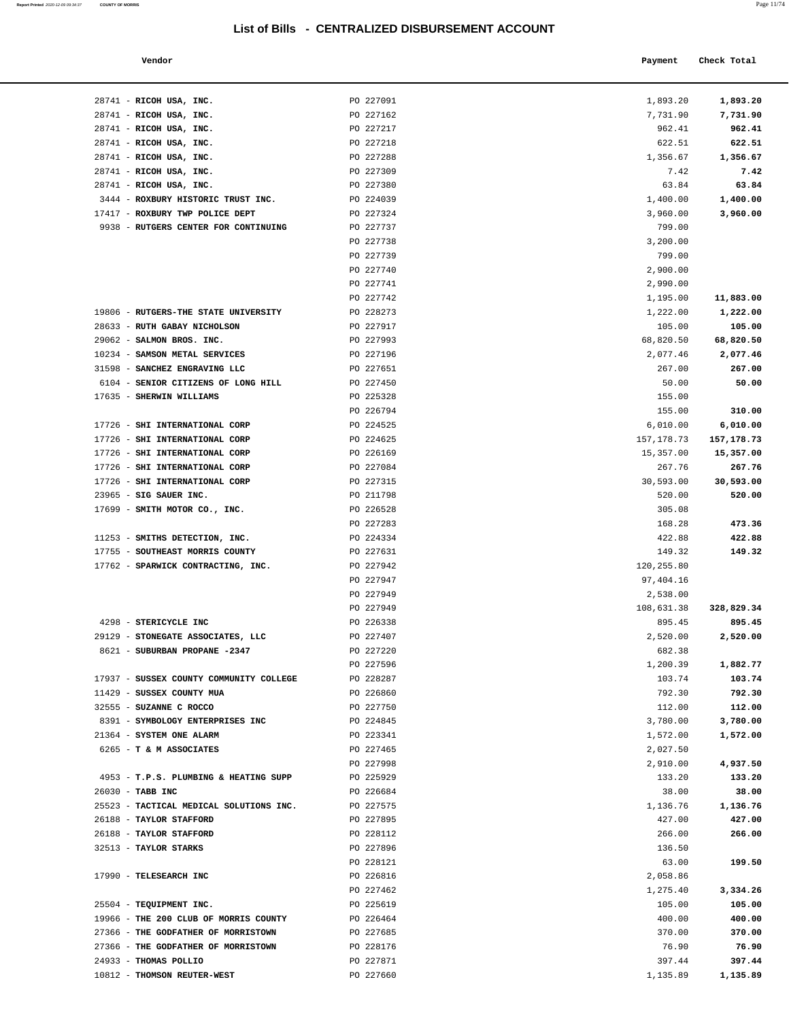#### **Vendor Check Total Payment Check Total**

**Report Printed**  2020-12-09 09:34:37 **COUNTY OF MORRIS** 

|--|--|

| 28741 - RICOH USA, INC.                                              | PO 227091              | 1,893.20            | 1,893.20            |
|----------------------------------------------------------------------|------------------------|---------------------|---------------------|
| 28741 - RICOH USA, INC.                                              | PO 227162              | 7,731.90            | 7,731.90            |
| 28741 - RICOH USA, INC.                                              | PO 227217              | 962.41              | 962.41              |
| 28741 - RICOH USA, INC.                                              | PO 227218              | 622.51              | 622.51              |
| 28741 - RICOH USA, INC.                                              | PO 227288              | 1,356.67            | 1,356.67            |
| 28741 - RICOH USA, INC.                                              | PO 227309              | 7.42                | 7.42                |
| 28741 - RICOH USA, INC.                                              | PO 227380              | 63.84               | 63.84               |
| 3444 - ROXBURY HISTORIC TRUST INC.                                   | PO 224039              | 1,400.00            | 1,400.00            |
| 17417 - ROXBURY TWP POLICE DEPT                                      | PO 227324              | 3,960.00            | 3,960.00            |
| 9938 - RUTGERS CENTER FOR CONTINUING                                 | PO 227737              | 799.00              |                     |
|                                                                      | PO 227738              | 3,200.00            |                     |
|                                                                      | PO 227739              | 799.00              |                     |
|                                                                      | PO 227740              | 2,900.00            |                     |
|                                                                      | PO 227741              | 2,990.00            |                     |
|                                                                      | PO 227742              | 1,195.00            | 11,883.00           |
| 19806 - RUTGERS-THE STATE UNIVERSITY<br>28633 - RUTH GABAY NICHOLSON | PO 228273<br>PO 227917 | 1,222.00            | 1,222.00            |
| 29062 - SALMON BROS. INC.                                            | PO 227993              | 105.00<br>68,820.50 | 105.00<br>68,820.50 |
| 10234 - SAMSON METAL SERVICES                                        | PO 227196              | 2,077.46            | 2,077.46            |
| 31598 - SANCHEZ ENGRAVING LLC                                        | PO 227651              | 267.00              | 267.00              |
| 6104 - SENIOR CITIZENS OF LONG HILL                                  | PO 227450              | 50.00               | 50.00               |
| 17635 - SHERWIN WILLIAMS                                             | PO 225328              | 155.00              |                     |
|                                                                      | PO 226794              | 155.00              | 310.00              |
| 17726 - SHI INTERNATIONAL CORP                                       | PO 224525              | 6,010.00            | 6,010.00            |
| 17726 - SHI INTERNATIONAL CORP                                       | PO 224625              | 157,178.73          | 157,178.73          |
| 17726 - SHI INTERNATIONAL CORP                                       | PO 226169              | 15,357.00           | 15,357.00           |
| 17726 - SHI INTERNATIONAL CORP                                       | PO 227084              | 267.76              | 267.76              |
| 17726 - SHI INTERNATIONAL CORP                                       | PO 227315              | 30,593.00           | 30,593.00           |
| 23965 - SIG SAUER INC.                                               | PO 211798              | 520.00              | 520.00              |
| 17699 - SMITH MOTOR CO., INC.                                        | PO 226528              | 305.08              |                     |
|                                                                      | PO 227283              | 168.28              | 473.36              |
| 11253 - SMITHS DETECTION, INC.                                       | PO 224334              | 422.88              | 422.88              |
| 17755 - SOUTHEAST MORRIS COUNTY                                      | PO 227631              | 149.32              | 149.32              |
| 17762 - SPARWICK CONTRACTING, INC.                                   | PO 227942              | 120,255.80          |                     |
|                                                                      | PO 227947              | 97,404.16           |                     |
|                                                                      | PO 227949              | 2,538.00            |                     |
|                                                                      | PO 227949              | 108,631.38          | 328,829.34          |
| 4298 - STERICYCLE INC<br>29129 - STONEGATE ASSOCIATES, LLC           | PO 226338<br>PO 227407 | 895.45<br>2,520.00  | 895.45<br>2,520.00  |
| 8621 - SUBURBAN PROPANE -2347                                        | PO 227220              | 682.38              |                     |
|                                                                      | PO 227596              | 1,200.39            | 1,882.77            |
| 17937 - SUSSEX COUNTY COMMUNITY COLLEGE                              | PO 228287              | 103.74              | 103.74              |
| 11429 - SUSSEX COUNTY MUA                                            | PO 226860              | 792.30              | 792.30              |
| 32555 - SUZANNE C ROCCO                                              | PO 227750              | 112.00              | 112.00              |
| 8391 - SYMBOLOGY ENTERPRISES INC                                     | PO 224845              | 3,780.00            | 3,780.00            |
| 21364 - SYSTEM ONE ALARM                                             | PO 223341              | 1,572.00            | 1,572.00            |
| 6265 - T & M ASSOCIATES                                              | PO 227465              | 2,027.50            |                     |
|                                                                      | PO 227998              | 2,910.00            | 4,937.50            |
| 4953 - T.P.S. PLUMBING & HEATING SUPP                                | PO 225929              | 133.20              | 133.20              |
| 26030 - TABB INC                                                     | PO 226684              | 38.00               | 38.00               |
| 25523 - TACTICAL MEDICAL SOLUTIONS INC.                              | PO 227575              | 1,136.76            | 1,136.76            |
| 26188 - TAYLOR STAFFORD                                              | PO 227895              | 427.00              | 427.00              |
| 26188 - TAYLOR STAFFORD                                              | PO 228112              | 266.00              | 266.00              |
| 32513 - TAYLOR STARKS                                                | PO 227896              | 136.50              |                     |
|                                                                      | PO 228121              | 63.00               | 199.50              |
| 17990 - TELESEARCH INC                                               | PO 226816              | 2,058.86            |                     |
| 25504 - TEQUIPMENT INC.                                              | PO 227462              | 1,275.40            | 3,334.26<br>105.00  |
| 19966 - THE 200 CLUB OF MORRIS COUNTY                                | PO 225619<br>PO 226464 | 105.00<br>400.00    | 400.00              |
| 27366 - THE GODFATHER OF MORRISTOWN                                  | PO 227685              | 370.00              | 370.00              |
| 27366 - THE GODFATHER OF MORRISTOWN                                  | PO 228176              | 76.90               | 76.90               |
| 24933 - THOMAS POLLIO                                                | PO 227871              | 397.44              | 397.44              |
| 10812 - THOMSON REUTER-WEST                                          | PO 227660              | 1,135.89            | 1,135.89            |

| 28741 - RICOH USA, INC.                 | PO 227091 | 1,893.20   | 1,893.20     |
|-----------------------------------------|-----------|------------|--------------|
| 28741 - RICOH USA, INC.                 | PO 227162 | 7,731.90   | 7,731.90     |
| 28741 - RICOH USA, INC.                 | PO 227217 | 962.41     | 962.41       |
| 28741 - RICOH USA, INC.                 | PO 227218 | 622.51     | 622.51       |
| 28741 - RICOH USA, INC.                 | PO 227288 | 1,356.67   | 1,356.67     |
| 28741 - RICOH USA, INC.                 | PO 227309 | 7.42       | 7.42         |
| 28741 - RICOH USA, INC.                 | PO 227380 | 63.84      | 63.84        |
| 3444 - ROXBURY HISTORIC TRUST INC.      | PO 224039 | 1,400.00   | 1,400.00     |
| 17417 - ROXBURY TWP POLICE DEPT         | PO 227324 | 3,960.00   | 3,960.00     |
| 9938 - RUTGERS CENTER FOR CONTINUING    | PO 227737 | 799.00     |              |
|                                         | PO 227738 | 3,200.00   |              |
|                                         | PO 227739 | 799.00     |              |
|                                         | PO 227740 | 2,900.00   |              |
|                                         | PO 227741 | 2,990.00   |              |
|                                         | PO 227742 | 1,195.00   | 11,883.00    |
| 19806 - RUTGERS-THE STATE UNIVERSITY    | PO 228273 | 1,222.00   | 1,222.00     |
| 28633 - RUTH GABAY NICHOLSON            | PO 227917 | 105.00     | 105.00       |
| 29062 - SALMON BROS. INC.               | PO 227993 | 68,820.50  | 68,820.50    |
| 10234 - SAMSON METAL SERVICES           | PO 227196 | 2,077.46   | 2,077.46     |
| 31598 - SANCHEZ ENGRAVING LLC           | PO 227651 | 267.00     | 267.00       |
| 6104 - SENIOR CITIZENS OF LONG HILL     | PO 227450 | 50.00      | 50.00        |
| 17635 - SHERWIN WILLIAMS                | PO 225328 | 155.00     |              |
|                                         | PO 226794 | 155.00     | 310.00       |
| 17726 - SHI INTERNATIONAL CORP          | PO 224525 | 6,010.00   | 6,010.00     |
| 17726 - SHI INTERNATIONAL CORP          | PO 224625 | 157,178.73 | 157, 178. 73 |
| 17726 - SHI INTERNATIONAL CORP          | PO 226169 | 15,357.00  | 15,357.00    |
| 17726 - SHI INTERNATIONAL CORP          | PO 227084 | 267.76     | 267.76       |
| 17726 - SHI INTERNATIONAL CORP          | PO 227315 | 30,593.00  | 30,593.00    |
| 23965 - SIG SAUER INC.                  | PO 211798 | 520.00     | 520.00       |
| 17699 - SMITH MOTOR CO., INC.           | PO 226528 | 305.08     |              |
|                                         | PO 227283 | 168.28     | 473.36       |
| 11253 - SMITHS DETECTION, INC.          | PO 224334 | 422.88     | 422.88       |
| 17755 - SOUTHEAST MORRIS COUNTY         | PO 227631 | 149.32     | 149.32       |
| 17762 - SPARWICK CONTRACTING, INC.      | PO 227942 | 120,255.80 |              |
|                                         | PO 227947 | 97,404.16  |              |
|                                         | PO 227949 | 2,538.00   |              |
|                                         | PO 227949 | 108,631.38 | 328,829.34   |
| 4298 - STERICYCLE INC                   | PO 226338 | 895.45     | 895.45       |
| 29129 - STONEGATE ASSOCIATES, LLC       | PO 227407 | 2,520.00   | 2,520.00     |
| 8621 - SUBURBAN PROPANE -2347           | PO 227220 | 682.38     |              |
|                                         | PO 227596 | 1,200.39   | 1,882.77     |
| 17937 - SUSSEX COUNTY COMMUNITY COLLEGE | PO 228287 | 103.74     | 103.74       |
| 11429 - SUSSEX COUNTY MUA               | PO 226860 | 792.30     | 792.30       |
| 32555 - SUZANNE C ROCCO                 | PO 227750 | 112.00     | 112.00       |
| 8391 - SYMBOLOGY ENTERPRISES INC        | PO 224845 | 3,780.00   | 3,780.00     |
| 21364 - SYSTEM ONE ALARM                | PO 223341 | 1,572.00   | 1,572.00     |
| 6265 - T & M ASSOCIATES                 | PO 227465 | 2,027.50   |              |
|                                         | PO 227998 | 2,910.00   | 4,937.50     |
| 4953 - T.P.S. PLUMBING & HEATING SUPP   | PO 225929 | 133.20     | 133.20       |
| 26030 - TABB INC                        | PO 226684 | 38.00      | 38.00        |
| 25523 - TACTICAL MEDICAL SOLUTIONS INC. | PO 227575 | 1,136.76   | 1,136.76     |
| 26188 - TAYLOR STAFFORD                 | PO 227895 | 427.00     | 427.00       |
| 26188 - TAYLOR STAFFORD                 | PO 228112 | 266.00     | 266.00       |
| 32513 - TAYLOR STARKS                   | PO 227896 | 136.50     |              |
|                                         | PO 228121 | 63.00      | 199.50       |
| 17990 - TELESEARCH INC                  | PO 226816 | 2,058.86   |              |
|                                         | PO 227462 | 1,275.40   | 3,334.26     |
| 25504 - TEQUIPMENT INC.                 | PO 225619 | 105.00     | 105.00       |
| 19966 - THE 200 CLUB OF MORRIS COUNTY   | PO 226464 | 400.00     | 400.00       |
| 27366 - THE GODFATHER OF MORRISTOWN     | PO 227685 | 370.00     | 370.00       |
| 27366 - THE GODFATHER OF MORRISTOWN     | PO 228176 | 76.90      | 76.90        |
| 24933 - THOMAS POLLIO                   | PO 227871 | 397.44     | 397.44       |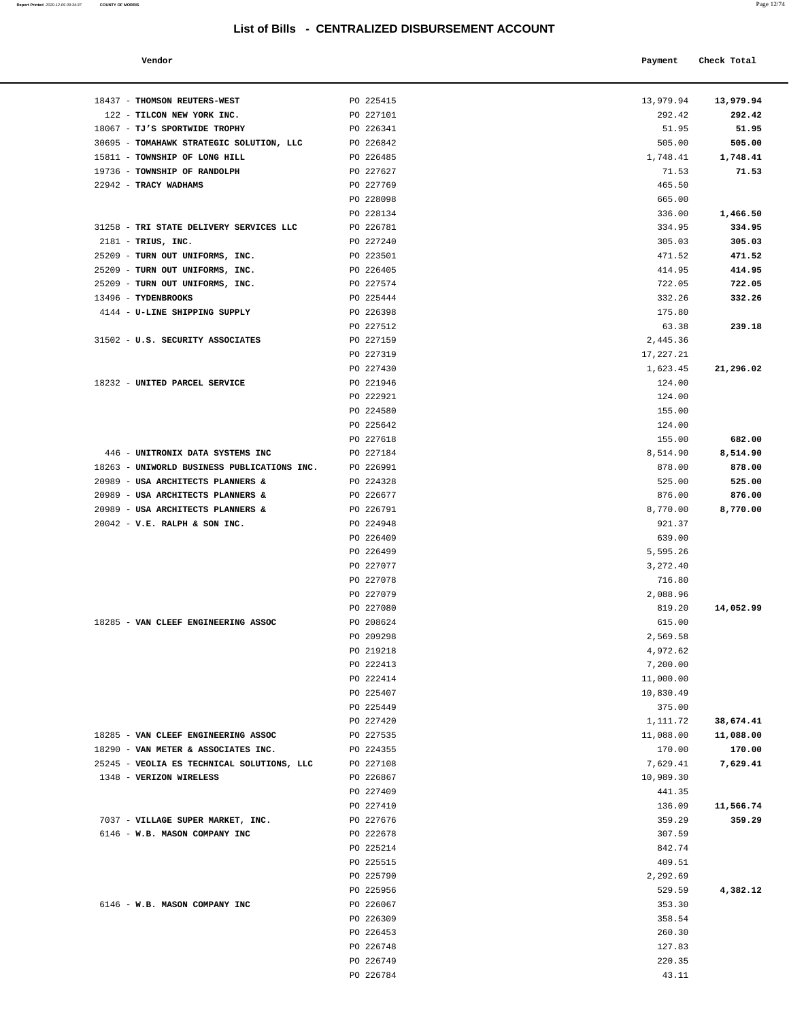**Report Printed**  2020-12-09 09:34:37 **COUNTY OF MORRIS** 

| a.<br>o pro | ۰ |
|-------------|---|
|             |   |

| Vendor                               |           | Payment   | Check Total |
|--------------------------------------|-----------|-----------|-------------|
| <b>THOMSON REUTERS-WEST</b>          | PO 225415 | 13,979.94 | 13,979.94   |
| TILCON NEW YORK INC.                 | PO 227101 | 292.42    | 292.42      |
| <b>IJ'S SPORTWIDE TROPHY</b>         | PO 226341 | 51.95     | 51.95       |
| TOMAHAWK STRATEGIC SOLUTION, LLC     | PO 226842 | 505.00    | 505.00      |
| <b>TOWNSHIP OF LONG HILL</b>         | PO 226485 | 1,748.41  | 1,748.41    |
| <b>TOWNSHIP OF RANDOLPH</b>          | PO 227627 | 71.53     | 71.53       |
| <b>TRACY WADHAMS</b>                 | PO 227769 | 465.50    |             |
|                                      | PO 228098 | 665.00    |             |
|                                      | PO 228134 | 336.00    | 1,466.50    |
| TRI STATE DELIVERY SERVICES LLC      | PO 226781 | 334.95    | 334.95      |
| TRIUS, INC.                          | PO 227240 | 305.03    | 305.03      |
| TURN OUT UNIFORMS, INC.              | PO 223501 | 471.52    | 471.52      |
| TURN OUT UNIFORMS, INC.              | PO 226405 | 414.95    | 414.95      |
| TURN OUT UNIFORMS, INC.              | PO 227574 | 722.05    | 722.05      |
| <b>TYDENBROOKS</b>                   | PO 225444 | 332.26    | 332.26      |
| <b>J-LINE SHIPPING SUPPLY</b>        | PO 226398 | 175.80    |             |
|                                      | PO 227512 | 63.38     | 239.18      |
| <b>J.S. SECURITY ASSOCIATES</b>      | PO 227159 | 2,445.36  |             |
|                                      | PO 227319 | 17,227.21 |             |
|                                      | PO 227430 | 1,623.45  | 21,296.02   |
| <b>JNITED PARCEL SERVICE</b>         | PO 221946 | 124.00    |             |
|                                      | PO 222921 | 124.00    |             |
|                                      | PO 224580 | 155.00    |             |
|                                      | PO 225642 | 124.00    |             |
|                                      | PO 227618 | 155.00    | 682.00      |
| <b>JNITRONIX DATA SYSTEMS INC</b>    | PO 227184 | 8,514.90  | 8,514.90    |
| UNIWORLD BUSINESS PUBLICATIONS INC.  | PO 226991 | 878.00    | 878.00      |
| <b>JSA ARCHITECTS PLANNERS &amp;</b> | PO 224328 | 525.00    | 525.00      |
| <b>JSA ARCHITECTS PLANNERS &amp;</b> | PO 226677 | 876.00    | 876.00      |
| <b>JSA ARCHITECTS PLANNERS &amp;</b> | PO 226791 | 8,770.00  | 8,770.00    |
| V.E. RALPH & SON INC.                | PO 224948 | 921.37    |             |
|                                      | PO 226409 | 639.00    |             |
|                                      | PO 226499 | 5,595.26  |             |
|                                      | PO 227077 | 3,272.40  |             |
|                                      | PO 227078 | 716.80    |             |
|                                      | PO 227079 | 2,088.96  |             |
|                                      | PO 227080 | 819.20    | 14,052.99   |
| VAN CLEEF ENGINEERING ASSOC          | PO 208624 | 615.00    |             |
|                                      | PO 209298 | 2,569.58  |             |
|                                      | PO 219218 | 4,972.62  |             |
|                                      | PO 222413 | 7,200.00  |             |
|                                      | PO 222414 | 11,000.00 |             |
|                                      | PO 225407 | 10,830.49 |             |
|                                      | PO 225449 | 375.00    |             |
|                                      | PO 227420 | 1,111.72  | 38,674.41   |
| VAN CLEEF ENGINEERING ASSOC          | PO 227535 | 11,088.00 | 11,088.00   |
| VAN METER & ASSOCIATES INC.          | PO 224355 | 170.00    | 170.00      |
| VEOLIA ES TECHNICAL SOLUTIONS, LLC   | PO 227108 | 7,629.41  | 7,629.41    |
| <b><i>VERIZON WIRELESS</i></b>       | PO 226867 | 10,989.30 |             |
|                                      | PO 227409 | 441.35    |             |
|                                      | PO 227410 | 136.09    | 11,566.74   |
| VILLAGE SUPER MARKET, INC.           | PO 227676 | 359.29    | 359.29      |
| W.B. MASON COMPANY INC               | PO 222678 | 307.59    |             |
|                                      | PO 225214 | 842.74    |             |
|                                      | PO 225515 | 409.51    |             |
|                                      | PO 225790 | 2,292.69  |             |
|                                      | PO 225956 | 529.59    | 4,382.12    |
| W.B. MASON COMPANY INC               | PO 226067 | 353.30    |             |
|                                      | PO 226309 | 358.54    |             |
|                                      | PO 226453 | 260 30    |             |

| 18437 - THOMSON REUTERS-WEST                           | PO 225415              | 13,979.94 13,979.94 |           |
|--------------------------------------------------------|------------------------|---------------------|-----------|
| 122 - TILCON NEW YORK INC.                             | PO 227101              | 292.42              | 292.42    |
| 18067 - TJ'S SPORTWIDE TROPHY                          | PO 226341              | 51.95               | 51.95     |
| 30695 - TOMAHAWK STRATEGIC SOLUTION, LLC PO 226842     |                        | 505.00              | 505.00    |
| 15811 - TOWNSHIP OF LONG HILL                          | PO 226485              | 1,748.41            | 1,748.41  |
| 19736 - TOWNSHIP OF RANDOLPH                           | PO 227627              | 71.53               | 71.53     |
| 22942 - TRACY WADHAMS                                  | PO 227769              | 465.50              |           |
|                                                        | PO 228098              | 665.00              |           |
|                                                        | PO 228134              | 336.00              | 1,466.50  |
| 31258 - TRI STATE DELIVERY SERVICES LLC                | PO 226781              | 334.95              | 334.95    |
| 2181 - TRIUS, INC.                                     | PO 227240              | 305.03              | 305.03    |
| 25209 - TURN OUT UNIFORMS, INC.                        | PO 223501              | 471.52              | 471.52    |
| 25209 - TURN OUT UNIFORMS, INC.                        | PO 226405              | 414.95              | 414.95    |
| 25209 - TURN OUT UNIFORMS, INC.<br>13496 - TYDENBROOKS | PO 227574              | 722.05              | 722.05    |
| 4144 - U-LINE SHIPPING SUPPLY                          | PO 225444<br>PO 226398 | 332.26<br>175.80    | 332.26    |
|                                                        | PO 227512              | 63.38               | 239.18    |
| 31502 - U.S. SECURITY ASSOCIATES                       | PO 227159              | 2,445.36            |           |
|                                                        | PO 227319              | 17,227.21           |           |
|                                                        | PO 227430              | 1,623.45            | 21,296.02 |
| 18232 - UNITED PARCEL SERVICE                          | PO 221946              | 124.00              |           |
|                                                        | PO 222921              | 124.00              |           |
|                                                        | PO 224580              | 155.00              |           |
|                                                        | PO 225642              | 124.00              |           |
|                                                        | PO 227618              | 155.00              | 682.00    |
| 446 - UNITRONIX DATA SYSTEMS INC                       | PO 227184              | 8,514.90            | 8,514.90  |
| 18263 - UNIWORLD BUSINESS PUBLICATIONS INC. PO 226991  |                        | 878.00              | 878.00    |
| 20989 - USA ARCHITECTS PLANNERS &                      | PO 224328              | 525.00              | 525.00    |
| 20989 - USA ARCHITECTS PLANNERS &                      | PO 226677              | 876.00              | 876.00    |
| 20989 - USA ARCHITECTS PLANNERS &                      | PO 226791              | 8,770.00            | 8,770.00  |
| $20042$ - V.E. RALPH & SON INC.                        | PO 224948              | 921.37              |           |
|                                                        | PO 226409              | 639.00              |           |
|                                                        | PO 226499              | 5,595.26            |           |
|                                                        | PO 227077              | 3,272.40            |           |
|                                                        | PO 227078              | 716.80              |           |
|                                                        | PO 227079              | 2,088.96            |           |
|                                                        | PO 227080              | 819.20              | 14,052.99 |
| 18285 - VAN CLEEF ENGINEERING ASSOC                    | PO 208624              | 615.00              |           |
|                                                        | PO 209298              | 2,569.58            |           |
|                                                        | PO 219218              | 4,972.62            |           |
|                                                        | PO 222413              | 7,200.00            |           |
|                                                        | PO 222414              | 11,000.00           |           |
|                                                        | PO 225407              | 10,830.49           |           |
|                                                        | PO 225449              | 375.00              |           |
|                                                        | PO 227420              | 1,111.72            | 38,674.41 |
| 18285 - VAN CLEEF ENGINEERING ASSOC                    | PO 227535              | 11,088.00           | 11,088.00 |
| 18290 - VAN METER & ASSOCIATES INC.                    | PO 224355              | 170.00              | 170.00    |
| 25245 - VEOLIA ES TECHNICAL SOLUTIONS, LLC             | PO 227108              | 7,629.41            | 7,629.41  |
| 1348 - VERIZON WIRELESS                                | PO 226867              | 10,989.30           |           |
|                                                        | PO 227409              | 441.35              |           |
|                                                        | PO 227410              | 136.09              | 11,566.74 |
| 7037 - VILLAGE SUPER MARKET, INC.                      | PO 227676              | 359.29              | 359.29    |
| 6146 - W.B. MASON COMPANY INC                          | PO 222678              | 307.59              |           |
|                                                        | PO 225214              | 842.74              |           |
|                                                        | PO 225515<br>PO 225790 | 409.51<br>2,292.69  |           |
|                                                        |                        | 529.59              | 4,382.12  |
| 6146 - W.B. MASON COMPANY INC                          | PO 225956<br>PO 226067 | 353.30              |           |
|                                                        | PO 226309              | 358.54              |           |
|                                                        | PO 226453              | 260.30              |           |
|                                                        |                        |                     |           |

PO 226748 127.83 PO 226749 220.35 PO 226784 43.11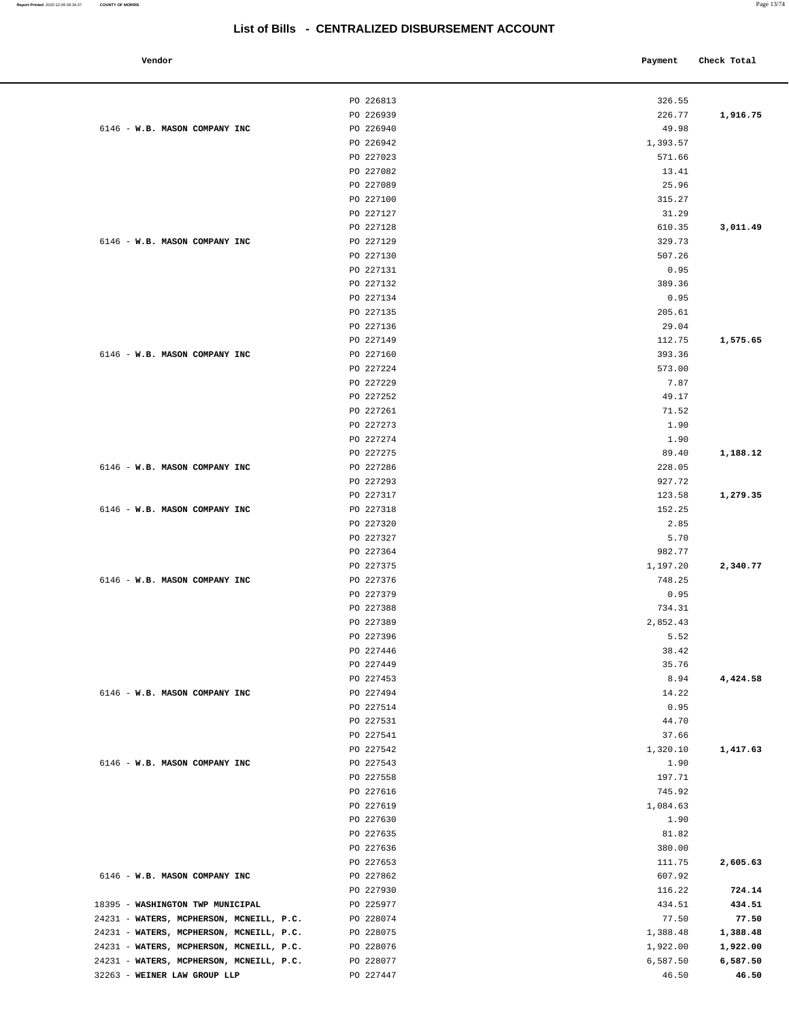| Vendor                                   |                        | Payment          | Check Total |
|------------------------------------------|------------------------|------------------|-------------|
|                                          | PO 226813              | 326.55           |             |
|                                          | PO 226939              | 226.77           | 1,916.75    |
| 6146 - W.B. MASON COMPANY INC            | PO 226940              | 49.98            |             |
|                                          | PO 226942              | 1,393.57         |             |
|                                          | PO 227023              | 571.66           |             |
|                                          | PO 227082              | 13.41            |             |
|                                          | PO 227089              | 25.96            |             |
|                                          | PO 227100              | 315.27           |             |
|                                          | PO 227127              | 31.29            |             |
|                                          | PO 227128              | 610.35           | 3,011.49    |
| 6146 - W.B. MASON COMPANY INC            | PO 227129              | 329.73           |             |
|                                          | PO 227130              | 507.26           |             |
|                                          | PO 227131<br>PO 227132 | 0.95<br>389.36   |             |
|                                          | PO 227134              | 0.95             |             |
|                                          | PO 227135              | 205.61           |             |
|                                          | PO 227136              | 29.04            |             |
|                                          | PO 227149              | 112.75           | 1,575.65    |
| 6146 - W.B. MASON COMPANY INC            | PO 227160              | 393.36           |             |
|                                          | PO 227224              | 573.00           |             |
|                                          | PO 227229              | 7.87             |             |
|                                          | PO 227252              | 49.17            |             |
|                                          | PO 227261              | 71.52            |             |
|                                          | PO 227273              | 1.90             |             |
|                                          | PO 227274              | 1.90             |             |
|                                          | PO 227275              | 89.40            | 1,188.12    |
| 6146 - W.B. MASON COMPANY INC            | PO 227286              | 228.05           |             |
|                                          | PO 227293              | 927.72           |             |
|                                          | PO 227317              | 123.58           | 1,279.35    |
| 6146 - W.B. MASON COMPANY INC            | PO 227318              | 152.25           |             |
|                                          | PO 227320              | 2.85             |             |
|                                          | PO 227327<br>PO 227364 | 5.70<br>982.77   |             |
|                                          | PO 227375              | 1,197.20         | 2,340.77    |
| 6146 - W.B. MASON COMPANY INC            | PO 227376              | 748.25           |             |
|                                          | PO 227379              | 0.95             |             |
|                                          | PO 227388              | 734.31           |             |
|                                          | PO 227389              | 2,852.43         |             |
|                                          | PO 227396              | 5.52             |             |
|                                          | PO 227446              | 38.42            |             |
|                                          | PO 227449              | 35.76            |             |
|                                          | PO 227453              | 8.94             | 4,424.58    |
| 6146 - W.B. MASON COMPANY INC            | PO 227494              | 14.22            |             |
|                                          | PO 227514              | 0.95             |             |
|                                          | PO 227531              | 44.70            |             |
|                                          | PO 227541              | 37.66            |             |
|                                          | PO 227542              | 1,320.10         | 1,417.63    |
| 6146 - W.B. MASON COMPANY INC            | PO 227543              | 1.90             |             |
|                                          | PO 227558<br>PO 227616 | 197.71<br>745.92 |             |
|                                          | PO 227619              | 1,084.63         |             |
|                                          | PO 227630              | 1.90             |             |
|                                          | PO 227635              | 81.82            |             |
|                                          | PO 227636              | 380.00           |             |
|                                          | PO 227653              | 111.75           | 2,605.63    |
| 6146 - W.B. MASON COMPANY INC            | PO 227862              | 607.92           |             |
|                                          | PO 227930              | 116.22           | 724.14      |
| 18395 - WASHINGTON TWP MUNICIPAL         | PO 225977              | 434.51           | 434.51      |
| 24231 - WATERS, MCPHERSON, MCNEILL, P.C. | PO 228074              | 77.50            | 77.50       |
| 24231 - WATERS, MCPHERSON, MCNEILL, P.C. | PO 228075              | 1,388.48         | 1,388.48    |
| 24231 - WATERS, MCPHERSON, MCNEILL, P.C. | PO 228076              | 1,922.00         | 1,922.00    |
| 24231 - WATERS, MCPHERSON, MCNEILL, P.C. | PO 228077              | 6,587.50         | 6,587.50    |
| 32263 - WEINER LAW GROUP LLP             | PO 227447              | 46.50            | 46.50       |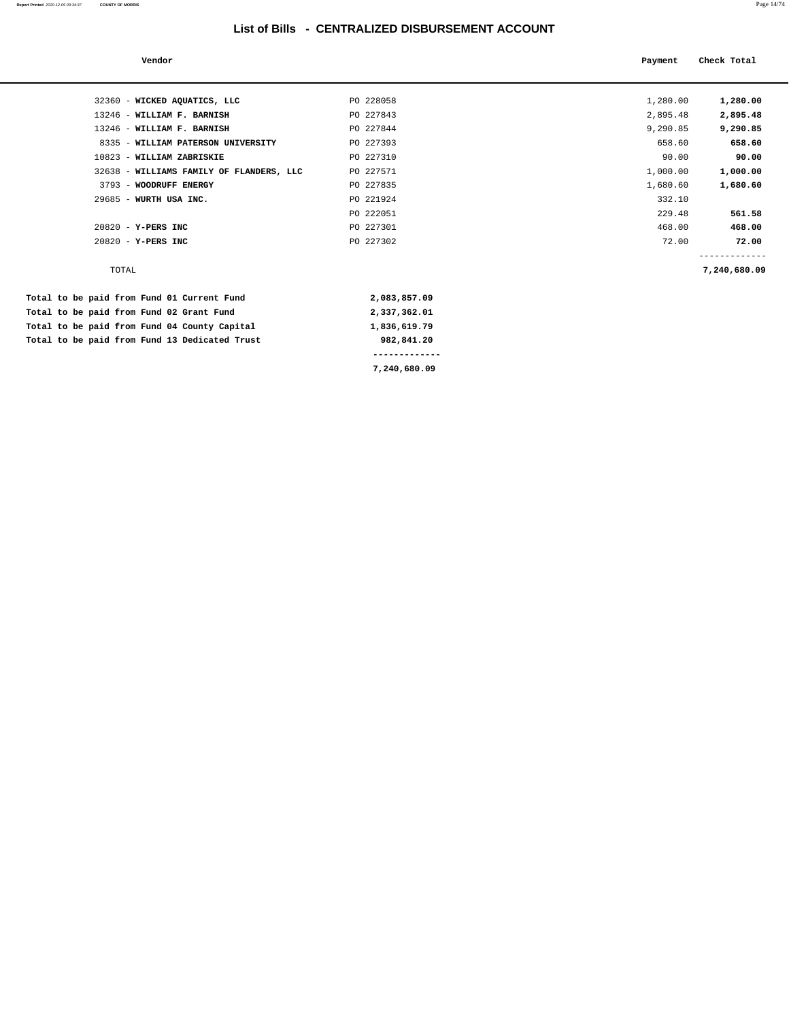| Vendor                                   |              | Payment  | Check Total                   |
|------------------------------------------|--------------|----------|-------------------------------|
|                                          |              |          |                               |
| 32360 - WICKED AQUATICS, LLC             | PO 228058    | 1,280.00 | 1,280.00                      |
| 13246 - WILLIAM F. BARNISH               | PO 227843    | 2,895.48 | 2,895.48                      |
| 13246 - WILLIAM F. BARNISH               | PO 227844    | 9,290.85 | 9,290.85                      |
| 8335 - WILLIAM PATERSON UNIVERSITY       | PO 227393    | 658.60   | 658.60                        |
| 10823 - WILLIAM ZABRISKIE                | PO 227310    | 90.00    | 90.00                         |
| 32638 - WILLIAMS FAMILY OF FLANDERS, LLC | PO 227571    | 1,000.00 | 1,000.00                      |
| 3793 - WOODRUFF ENERGY                   | PO 227835    | 1,680.60 | 1,680.60                      |
| 29685 - WURTH USA INC.                   | PO 221924    | 332.10   |                               |
|                                          | PO 222051    | 229.48   | 561.58                        |
| 20820 - Y-PERS INC                       | PO 227301    | 468.00   | 468.00                        |
| 20820 - Y-PERS INC                       | PO 227302    | 72.00    | 72.00                         |
| TOTAL                                    |              |          | -------------<br>7,240,680.09 |
| paid from Fund 01 Current Fund           | 2,083,857.09 |          |                               |

| Total to be paid from Fund 01 Current Fund    | 2,083,857.09 |
|-----------------------------------------------|--------------|
| Total to be paid from Fund 02 Grant Fund      | 2,337,362.01 |
| Total to be paid from Fund 04 County Capital  | 1,836,619.79 |
| Total to be paid from Fund 13 Dedicated Trust | 982,841.20   |
|                                               |              |
|                                               | 7,240,680.09 |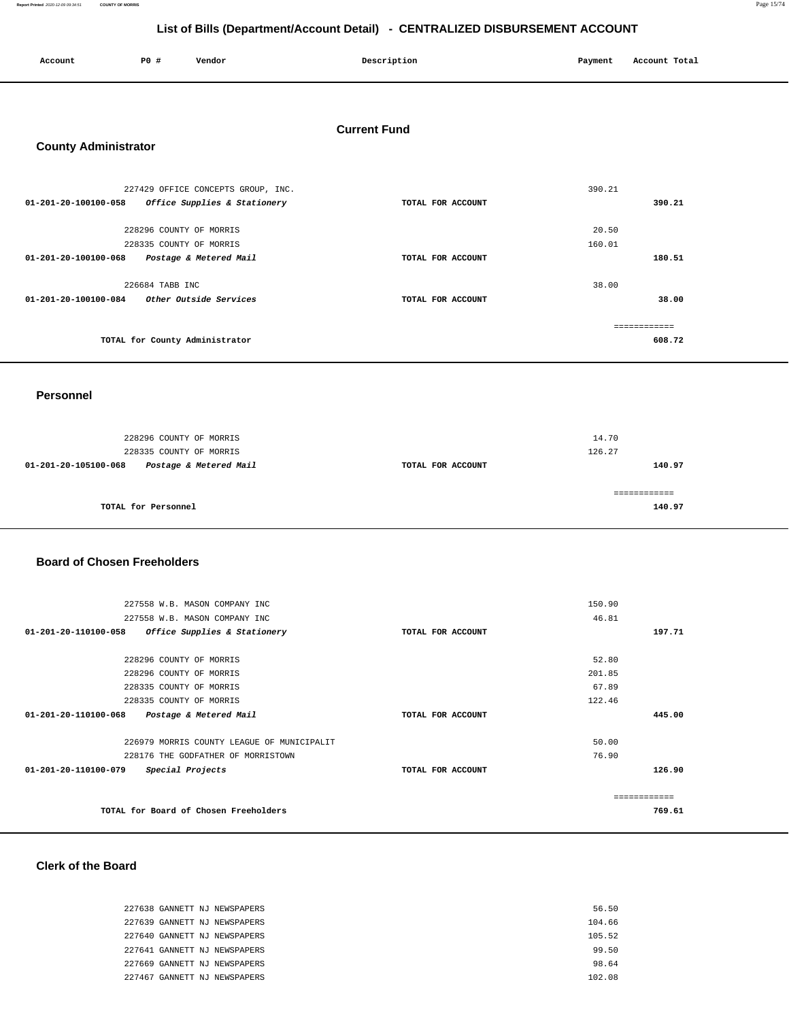**Report Printed** 2020-12-09 09:34:51 **COUNTY OF MORRIS** Page 15/74

# **List of Bills (Department/Account Detail) - CENTRALIZED DISBURSEMENT ACCOUNT**

| Account<br>. | P0 # | Vendor | Description | Payment | Account Total |
|--------------|------|--------|-------------|---------|---------------|
|              |      |        |             |         |               |

#### **Current Fund**

### **County Administrator**

| 227429 OFFICE CONCEPTS GROUP, INC.                       |                   | 390.21 |
|----------------------------------------------------------|-------------------|--------|
| Office Supplies & Stationery<br>01-201-20-100100-058     | TOTAL FOR ACCOUNT | 390.21 |
|                                                          |                   |        |
| 228296 COUNTY OF MORRIS                                  |                   | 20.50  |
| 228335 COUNTY OF MORRIS                                  |                   | 160.01 |
| $01 - 201 - 20 - 100100 - 068$<br>Postage & Metered Mail | TOTAL FOR ACCOUNT | 180.51 |
| 226684 TABB INC                                          |                   | 38.00  |
| $01 - 201 - 20 - 100100 - 084$<br>Other Outside Services | TOTAL FOR ACCOUNT | 38.00  |
|                                                          |                   |        |
| TOTAL for County Administrator                           |                   | 608.72 |

#### **Personnel**

| 01-201-20-105100-068 | Postage & Metered Mail  | TOTAL FOR ACCOUNT | 140.97 |
|----------------------|-------------------------|-------------------|--------|
|                      | 228335 COUNTY OF MORRIS |                   | 126.27 |
|                      | 228296 COUNTY OF MORRIS |                   | 14.70  |

#### **Board of Chosen Freeholders**

| 227558 W.B. MASON COMPANY INC                            |                   | 150.90 |              |
|----------------------------------------------------------|-------------------|--------|--------------|
| 227558 W.B. MASON COMPANY INC                            |                   | 46.81  |              |
| 01-201-20-110100-058<br>Office Supplies & Stationery     | TOTAL FOR ACCOUNT |        | 197.71       |
|                                                          |                   |        |              |
| 228296 COUNTY OF MORRIS                                  |                   | 52.80  |              |
| 228296 COUNTY OF MORRIS                                  |                   | 201.85 |              |
| 228335 COUNTY OF MORRIS                                  |                   | 67.89  |              |
| 228335 COUNTY OF MORRIS                                  |                   | 122.46 |              |
| $01 - 201 - 20 - 110100 - 068$<br>Postage & Metered Mail | TOTAL FOR ACCOUNT |        | 445.00       |
|                                                          |                   |        |              |
| 226979 MORRIS COUNTY LEAGUE OF MUNICIPALIT               |                   | 50.00  |              |
| 228176 THE GODFATHER OF MORRISTOWN                       |                   | 76.90  |              |
| 01-201-20-110100-079<br>Special Projects                 | TOTAL FOR ACCOUNT |        | 126.90       |
|                                                          |                   |        |              |
|                                                          |                   |        | ------------ |
| TOTAL for Board of Chosen Freeholders                    |                   |        | 769.61       |

### **Clerk of the Board**

| 227638 GANNETT NJ NEWSPAPERS | 56.50  |
|------------------------------|--------|
| 227639 GANNETT NJ NEWSPAPERS | 104.66 |
| 227640 GANNETT NJ NEWSPAPERS | 105.52 |
| 227641 GANNETT NJ NEWSPAPERS | 99.50  |
| 227669 GANNETT NJ NEWSPAPERS | 98.64  |
| 227467 GANNETT NJ NEWSPAPERS | 102.08 |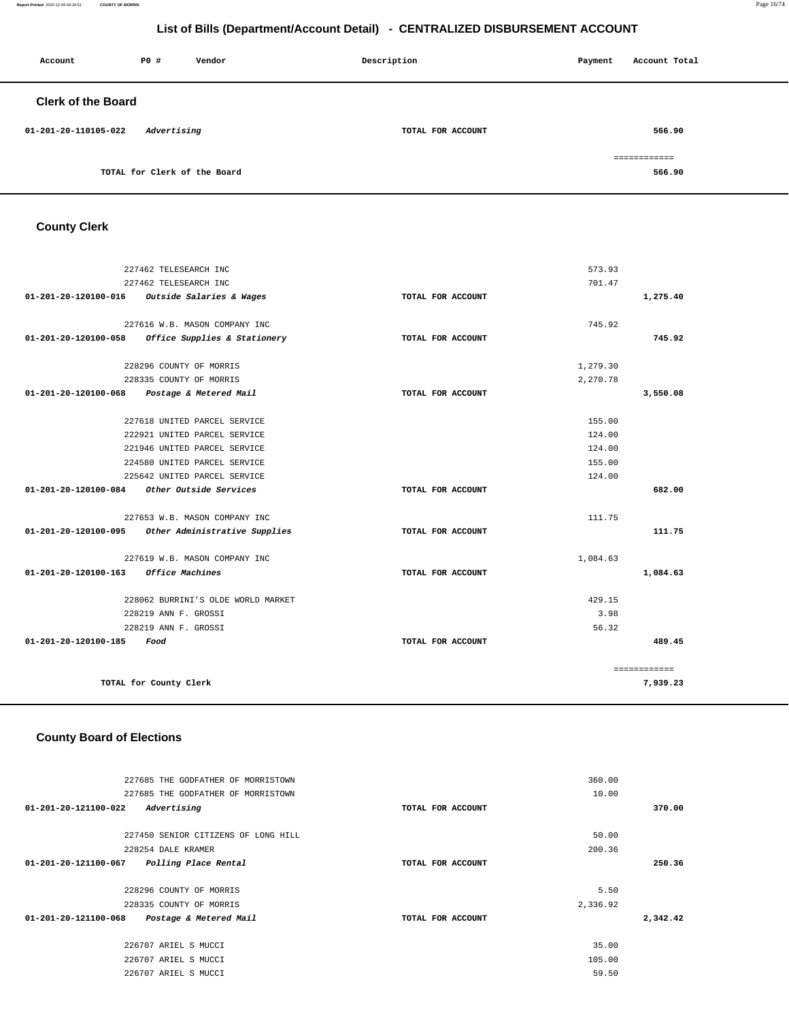#### **Report Printed** 2020-12-09 09:34:51 **COUNTY OF MORRIS** Page 16/74

# **List of Bills (Department/Account Detail) - CENTRALIZED DISBURSEMENT ACCOUNT**

| Account                   | P0 #                         | Vendor | Description       | Payment | Account Total |
|---------------------------|------------------------------|--------|-------------------|---------|---------------|
| <b>Clerk of the Board</b> |                              |        |                   |         |               |
| 01-201-20-110105-022      | Advertising                  |        | TOTAL FOR ACCOUNT |         | 566.90        |
|                           |                              |        |                   |         | ============  |
|                           | TOTAL for Clerk of the Board |        |                   |         | 566.90        |

# **County Clerk**

| 227462 TELESEARCH INC          | 573.93                                             |                   |          |              |
|--------------------------------|----------------------------------------------------|-------------------|----------|--------------|
|                                | 227462 TELESEARCH INC                              |                   | 701.47   |              |
|                                | 01-201-20-120100-016 Outside Salaries & Wages      | TOTAL FOR ACCOUNT |          | 1,275.40     |
|                                | 227616 W.B. MASON COMPANY INC                      |                   | 745.92   |              |
| 01-201-20-120100-058           | Office Supplies & Stationery                       | TOTAL FOR ACCOUNT |          | 745.92       |
|                                | 228296 COUNTY OF MORRIS                            |                   | 1,279.30 |              |
|                                | 228335 COUNTY OF MORRIS                            |                   | 2,270.78 |              |
|                                | 01-201-20-120100-068 Postage & Metered Mail        | TOTAL FOR ACCOUNT |          | 3,550.08     |
|                                |                                                    |                   |          |              |
|                                | 227618 UNITED PARCEL SERVICE                       |                   | 155.00   |              |
|                                | 222921 UNITED PARCEL SERVICE                       |                   | 124.00   |              |
|                                | 221946 UNITED PARCEL SERVICE                       |                   | 124.00   |              |
|                                | 224580 UNITED PARCEL SERVICE                       |                   | 155.00   |              |
|                                | 225642 UNITED PARCEL SERVICE                       |                   | 124.00   |              |
| $01 - 201 - 20 - 120100 - 084$ | Other Outside Services                             | TOTAL FOR ACCOUNT |          | 682.00       |
|                                | 227653 W.B. MASON COMPANY INC                      |                   | 111.75   |              |
|                                | 01-201-20-120100-095 Other Administrative Supplies | TOTAL FOR ACCOUNT |          | 111.75       |
|                                | 227619 W.B. MASON COMPANY INC                      |                   | 1,084.63 |              |
| 01-201-20-120100-163           | <b>Office Machines</b>                             | TOTAL FOR ACCOUNT |          | 1,084.63     |
|                                | 228062 BURRINI'S OLDE WORLD MARKET                 |                   | 429.15   |              |
|                                | 228219 ANN F. GROSSI                               |                   | 3.98     |              |
|                                | 228219 ANN F. GROSSI                               |                   | 56.32    |              |
| 01-201-20-120100-185           | Food                                               | TOTAL FOR ACCOUNT |          | 489.45       |
|                                |                                                    |                   |          | ============ |
|                                | TOTAL for County Clerk                             |                   |          | 7,939.23     |
|                                |                                                    |                   |          |              |

| 227685 THE GODFATHER OF MORRISTOWN             |                   | 360.00   |          |
|------------------------------------------------|-------------------|----------|----------|
| 227685 THE GODFATHER OF MORRISTOWN             |                   | 10.00    |          |
| Advertising<br>01-201-20-121100-022            | TOTAL FOR ACCOUNT |          | 370.00   |
|                                                |                   |          |          |
| 227450 SENIOR CITIZENS OF LONG HILL            |                   | 50.00    |          |
| 228254 DALE KRAMER                             |                   | 200.36   |          |
| 01-201-20-121100-067<br>Polling Place Rental   | TOTAL FOR ACCOUNT |          | 250.36   |
| 228296 COUNTY OF MORRIS                        |                   | 5.50     |          |
| 228335 COUNTY OF MORRIS                        |                   | 2,336.92 |          |
| 01-201-20-121100-068<br>Postage & Metered Mail | TOTAL FOR ACCOUNT |          | 2,342.42 |
| 226707 ARIEL S MUCCI                           |                   | 35.00    |          |
| 226707 ARIEL S MUCCI                           |                   | 105.00   |          |
| 226707 ARIEL S MUCCI                           |                   | 59.50    |          |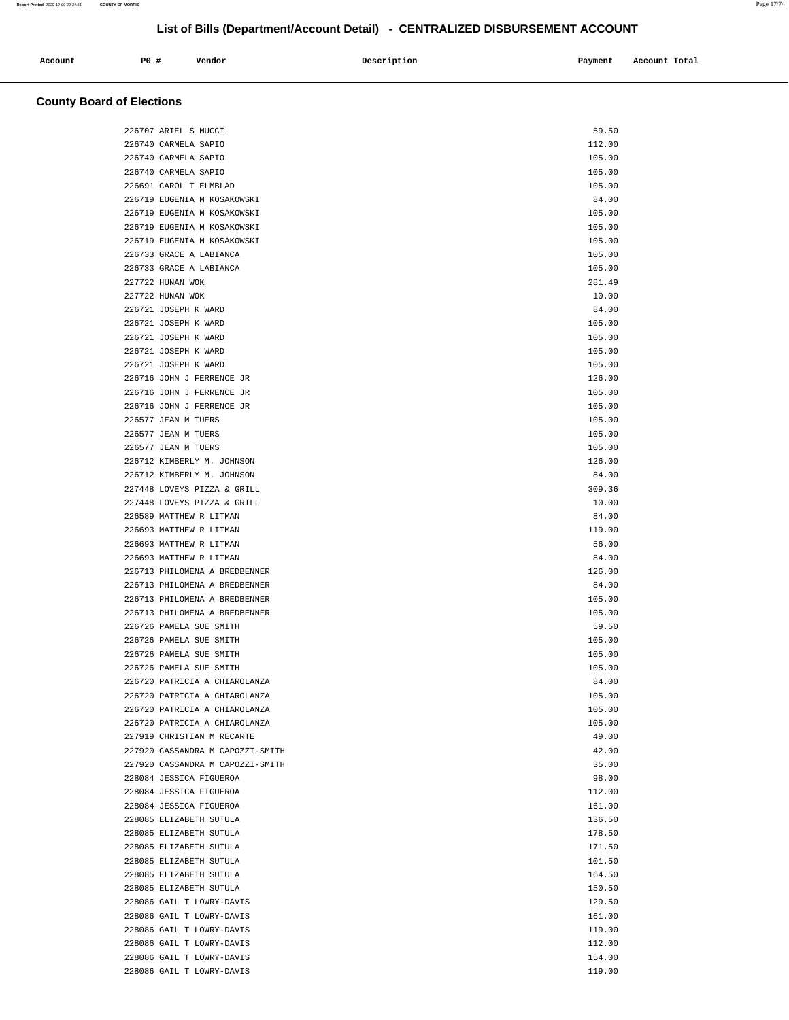| Account<br>. | <b>PO #</b> | Vendor | Description<br>$\sim$ $\sim$ | Payment | Account Total<br>. |
|--------------|-------------|--------|------------------------------|---------|--------------------|
|              |             |        |                              |         |                    |

| 226707 ARIEL S MUCCI                                   | 59.50            |
|--------------------------------------------------------|------------------|
| 226740 CARMELA SAPIO                                   | 112.00           |
| 226740 CARMELA SAPIO                                   | 105.00           |
| 226740 CARMELA SAPIO                                   | 105.00           |
| 226691 CAROL T ELMBLAD                                 | 105.00           |
| 226719 EUGENIA M KOSAKOWSKI                            | 84.00            |
| 226719 EUGENIA M KOSAKOWSKI                            | 105.00           |
| 226719 EUGENIA M KOSAKOWSKI                            | 105.00           |
| 226719 EUGENIA M KOSAKOWSKI                            | 105.00           |
| 226733 GRACE A LABIANCA                                | 105.00           |
| 226733 GRACE A LABIANCA                                | 105.00           |
| 227722 HUNAN WOK                                       | 281.49           |
| 227722 HUNAN WOK                                       | 10.00            |
| 226721 JOSEPH K WARD                                   | 84.00            |
| 226721 JOSEPH K WARD                                   | 105.00           |
| 226721 JOSEPH K WARD                                   | 105.00           |
| 226721 JOSEPH K WARD                                   | 105.00           |
| 226721 JOSEPH K WARD                                   | 105.00           |
| 226716 JOHN J FERRENCE JR                              | 126.00           |
| 226716 JOHN J FERRENCE JR                              | 105.00           |
| 226716 JOHN J FERRENCE JR                              | 105.00           |
| 226577 JEAN M TUERS                                    | 105.00           |
| 226577 JEAN M TUERS                                    | 105.00           |
| 226577 JEAN M TUERS                                    | 105.00           |
| 226712 KIMBERLY M. JOHNSON                             | 126.00           |
| 226712 KIMBERLY M. JOHNSON                             | 84.00            |
| 227448 LOVEYS PIZZA & GRILL                            | 309.36           |
| 227448 LOVEYS PIZZA & GRILL                            | 10.00            |
| 226589 MATTHEW R LITMAN                                | 84.00            |
| 226693 MATTHEW R LITMAN                                | 119.00           |
| 226693 MATTHEW R LITMAN                                | 56.00            |
| 226693 MATTHEW R LITMAN                                | 84.00            |
| 226713 PHILOMENA A BREDBENNER                          | 126.00           |
| 226713 PHILOMENA A BREDBENNER                          | 84.00            |
| 226713 PHILOMENA A BREDBENNER                          | 105.00           |
| 226713 PHILOMENA A BREDBENNER                          | 105.00           |
| 226726 PAMELA SUE SMITH                                | 59.50            |
| 226726 PAMELA SUE SMITH                                | 105.00           |
| 226726 PAMELA SUE SMITH                                | 105.00           |
| 226726 PAMELA SUE SMITH                                | 105.00           |
| 226720 PATRICIA A CHIAROLANZA                          | 84.00            |
| 226720 PATRICIA A CHIAROLANZA                          | 105.00           |
| 226720 PATRICIA A CHIAROLANZA                          | 105.00           |
| 226720 PATRICIA A CHIAROLANZA                          | 105.00           |
| 227919 CHRISTIAN M RECARTE                             | 49.00            |
| 227920 CASSANDRA M CAPOZZI-SMITH                       | 42.00            |
| 227920 CASSANDRA M CAPOZZI-SMITH                       | 35.00            |
| 228084 JESSICA FIGUEROA                                | 98.00            |
| 228084 JESSICA FIGUEROA                                | 112.00           |
| 228084 JESSICA FIGUEROA                                | 161.00           |
| 228085 ELIZABETH SUTULA                                | 136.50           |
| 228085 ELIZABETH SUTULA                                | 178.50           |
| 228085 ELIZABETH SUTULA<br>228085 ELIZABETH SUTULA     | 171.50           |
|                                                        | 101.50           |
| 228085 ELIZABETH SUTULA                                | 164.50           |
| 228085 ELIZABETH SUTULA                                | 150.50           |
| 228086 GAIL T LOWRY-DAVIS                              | 129.50           |
| 228086 GAIL T LOWRY-DAVIS<br>228086 GAIL T LOWRY-DAVIS | 161.00<br>119.00 |
|                                                        |                  |
| 228086 GAIL T LOWRY-DAVIS<br>228086 GAIL T LOWRY-DAVIS | 112.00<br>154.00 |
| 228086 GAIL T LOWRY-DAVIS                              | 119.00           |
|                                                        |                  |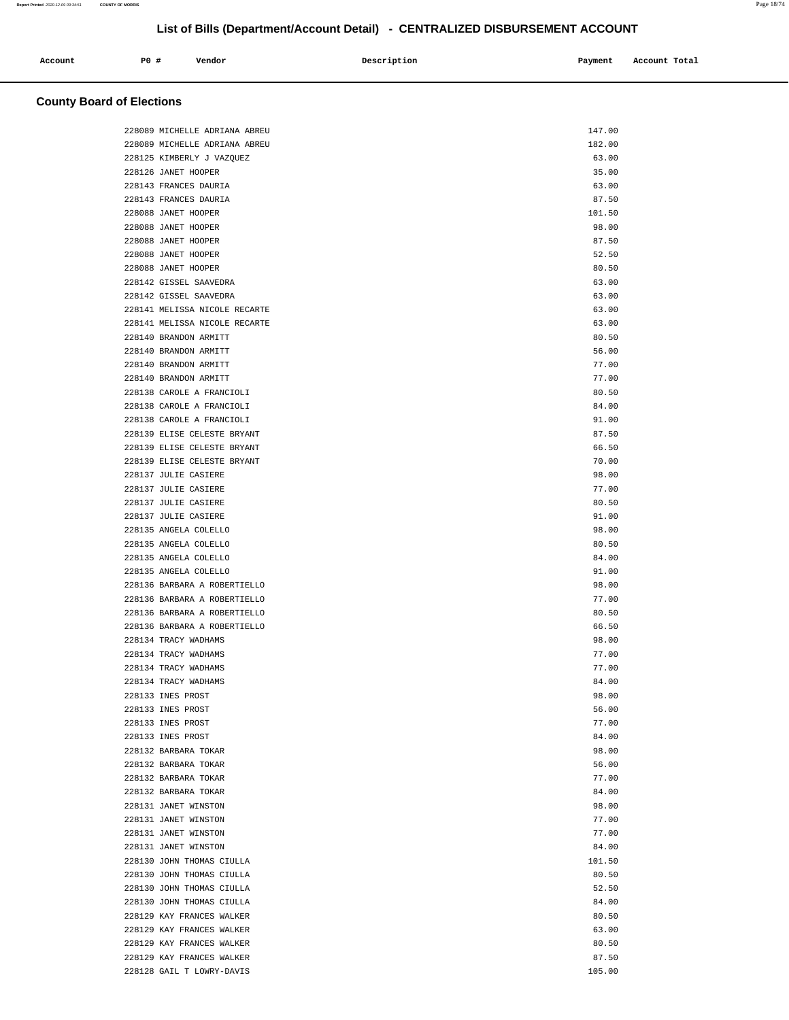| Account | P0 # | Vendor | Description | Payment | Account Total |
|---------|------|--------|-------------|---------|---------------|
|         |      |        |             |         |               |

| 228089 MICHELLE ADRIANA ABREU | 147.00 |
|-------------------------------|--------|
| 228089 MICHELLE ADRIANA ABREU | 182.00 |
| 228125 KIMBERLY J VAZQUEZ     | 63.00  |
| 228126 JANET HOOPER           | 35.00  |
| 228143 FRANCES DAURIA         | 63.00  |
| 228143 FRANCES DAURIA         | 87.50  |
| 228088 JANET HOOPER           | 101.50 |
| 228088 JANET HOOPER           | 98.00  |
| 228088 JANET HOOPER           | 87.50  |
| 228088 JANET HOOPER           | 52.50  |
| 228088 JANET HOOPER           | 80.50  |
| 228142 GISSEL SAAVEDRA        | 63.00  |
| 228142 GISSEL SAAVEDRA        | 63.00  |
| 228141 MELISSA NICOLE RECARTE | 63.00  |
| 228141 MELISSA NICOLE RECARTE | 63.00  |
| 228140 BRANDON ARMITT         | 80.50  |
| 228140 BRANDON ARMITT         | 56.00  |
| 228140 BRANDON ARMITT         | 77.00  |
| 228140 BRANDON ARMITT         | 77.00  |
| 228138 CAROLE A FRANCIOLI     | 80.50  |
| 228138 CAROLE A FRANCIOLI     | 84.00  |
| 228138 CAROLE A FRANCIOLI     | 91.00  |
| 228139 ELISE CELESTE BRYANT   | 87.50  |
| 228139 ELISE CELESTE BRYANT   | 66.50  |
| 228139 ELISE CELESTE BRYANT   | 70.00  |
| 228137 JULIE CASIERE          | 98.00  |
| 228137 JULIE CASIERE          | 77.00  |
| 228137 JULIE CASIERE          | 80.50  |
| 228137 JULIE CASIERE          | 91.00  |
| 228135 ANGELA COLELLO         | 98.00  |
| 228135 ANGELA COLELLO         | 80.50  |
| 228135 ANGELA COLELLO         | 84.00  |
| 228135 ANGELA COLELLO         | 91.00  |
| 228136 BARBARA A ROBERTIELLO  | 98.00  |
| 228136 BARBARA A ROBERTIELLO  | 77.00  |
| 228136 BARBARA A ROBERTIELLO  | 80.50  |
| 228136 BARBARA A ROBERTIELLO  | 66.50  |
| 228134 TRACY WADHAMS          | 98.00  |
| 228134 TRACY WADHAMS          | 77.00  |
| 228134 TRACY WADHAMS          | 77.00  |
| 228134 TRACY WADHAMS          | 84.00  |
| 228133 INES PROST             | 98.00  |
| 228133 INES PROST             | 56.00  |
| 228133 INES PROST             | 77.00  |
| 228133 INES PROST             | 84.00  |
| 228132 BARBARA TOKAR          | 98.00  |
| 228132 BARBARA TOKAR          | 56.00  |
| 228132 BARBARA TOKAR          | 77.00  |
| 228132 BARBARA TOKAR          | 84.00  |
| 228131 JANET WINSTON          | 98.00  |
| 228131 JANET WINSTON          | 77.00  |
| 228131 JANET WINSTON          | 77.00  |
| 228131 JANET WINSTON          | 84.00  |
| 228130 JOHN THOMAS CIULLA     | 101.50 |
| 228130 JOHN THOMAS CIULLA     | 80.50  |
| 228130 JOHN THOMAS CIULLA     | 52.50  |
| 228130 JOHN THOMAS CIULLA     | 84.00  |
| 228129 KAY FRANCES WALKER     | 80.50  |
| 228129 KAY FRANCES WALKER     | 63.00  |
| 228129 KAY FRANCES WALKER     | 80.50  |
| 228129 KAY FRANCES WALKER     | 87.50  |
| 228128 GAIL T LOWRY-DAVIS     | 105.00 |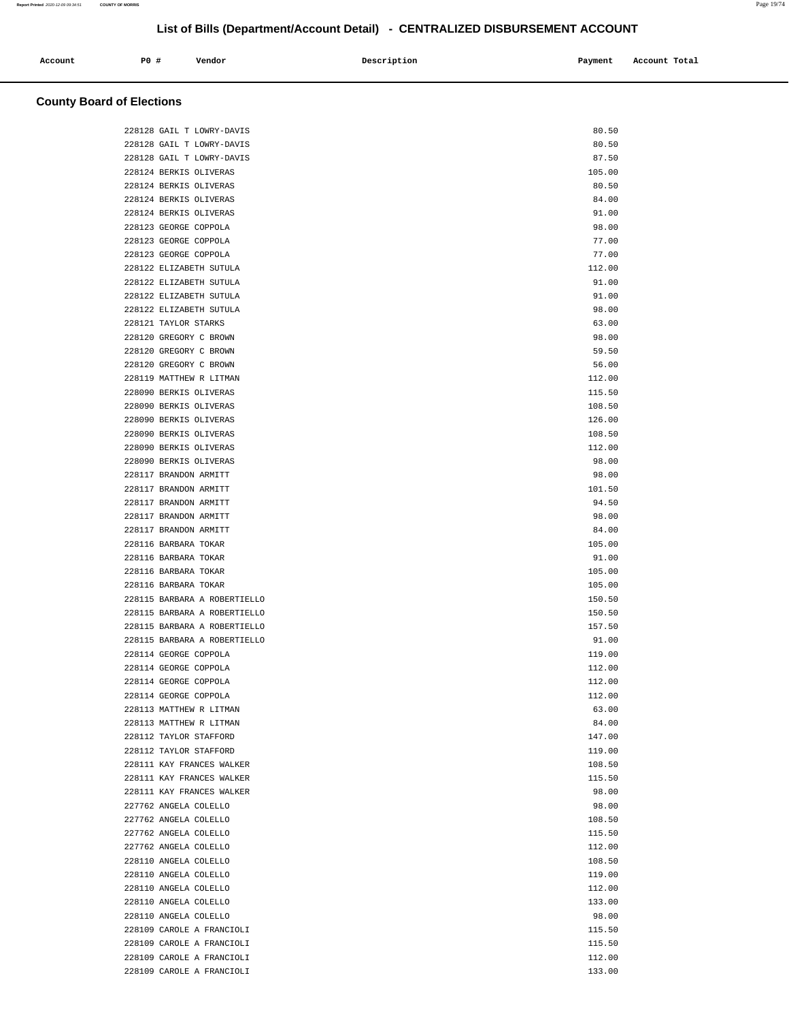| Account<br>. | <b>PO #</b> | Vendor | Description | Payment<br>$\sim$ $\sim$ | Account Total<br>. |
|--------------|-------------|--------|-------------|--------------------------|--------------------|
|              |             |        |             |                          |                    |

| 228128 GAIL T LOWRY-DAVIS    | 80.50  |
|------------------------------|--------|
| 228128 GAIL T LOWRY-DAVIS    | 80.50  |
| 228128 GAIL T LOWRY-DAVIS    | 87.50  |
| 228124 BERKIS OLIVERAS       | 105.00 |
| 228124 BERKIS OLIVERAS       | 80.50  |
| 228124 BERKIS OLIVERAS       | 84.00  |
| 228124 BERKIS OLIVERAS       | 91.00  |
| 228123 GEORGE COPPOLA        | 98.00  |
| 228123 GEORGE COPPOLA        | 77.00  |
| 228123 GEORGE COPPOLA        | 77.00  |
| 228122 ELIZABETH SUTULA      | 112.00 |
| 228122 ELIZABETH SUTULA      | 91.00  |
| 228122 ELIZABETH SUTULA      | 91.00  |
| 228122 ELIZABETH SUTULA      | 98.00  |
| 228121 TAYLOR STARKS         | 63.00  |
| 228120 GREGORY C BROWN       | 98.00  |
| 228120 GREGORY C BROWN       | 59.50  |
| 228120 GREGORY C BROWN       | 56.00  |
| 228119 MATTHEW R LITMAN      | 112.00 |
| 228090 BERKIS OLIVERAS       | 115.50 |
| 228090 BERKIS OLIVERAS       | 108.50 |
| 228090 BERKIS OLIVERAS       | 126.00 |
| 228090 BERKIS OLIVERAS       | 108.50 |
| 228090 BERKIS OLIVERAS       | 112.00 |
| 228090 BERKIS OLIVERAS       | 98.00  |
| 228117 BRANDON ARMITT        | 98.00  |
| 228117 BRANDON ARMITT        | 101.50 |
| 228117 BRANDON ARMITT        | 94.50  |
| 228117 BRANDON ARMITT        | 98.00  |
| 228117 BRANDON ARMITT        | 84.00  |
| 228116 BARBARA TOKAR         | 105.00 |
| 228116 BARBARA TOKAR         | 91.00  |
|                              |        |
| 228116 BARBARA TOKAR         | 105.00 |
| 228116 BARBARA TOKAR         | 105.00 |
| 228115 BARBARA A ROBERTIELLO | 150.50 |
| 228115 BARBARA A ROBERTIELLO | 150.50 |
| 228115 BARBARA A ROBERTIELLO | 157.50 |
| 228115 BARBARA A ROBERTIELLO | 91.00  |
| 228114 GEORGE COPPOLA        | 119.00 |
| 228114 GEORGE COPPOLA        | 112.00 |
| 228114 GEORGE COPPOLA        | 112.00 |
| 228114 GEORGE COPPOLA        | 112.00 |
| 228113 MATTHEW R LITMAN      | 63.00  |
| 228113 MATTHEW R LITMAN      | 84.00  |
| 228112 TAYLOR STAFFORD       | 147.00 |
| 228112 TAYLOR STAFFORD       | 119.00 |
| 228111 KAY FRANCES WALKER    | 108.50 |
| 228111 KAY FRANCES WALKER    | 115.50 |
| 228111 KAY FRANCES WALKER    | 98.00  |
| 227762 ANGELA COLELLO        | 98.00  |
| 227762 ANGELA COLELLO        | 108.50 |
| 227762 ANGELA COLELLO        | 115.50 |
| 227762 ANGELA COLELLO        | 112.00 |
| 228110 ANGELA COLELLO        | 108.50 |
| 228110 ANGELA COLELLO        | 119.00 |
| 228110 ANGELA COLELLO        | 112.00 |
| 228110 ANGELA COLELLO        | 133.00 |
| 228110 ANGELA COLELLO        | 98.00  |
| 228109 CAROLE A FRANCIOLI    | 115.50 |
| 228109 CAROLE A FRANCIOLI    | 115.50 |
| 228109 CAROLE A FRANCIOLI    | 112.00 |
| 228109 CAROLE A FRANCIOLI    | 133.00 |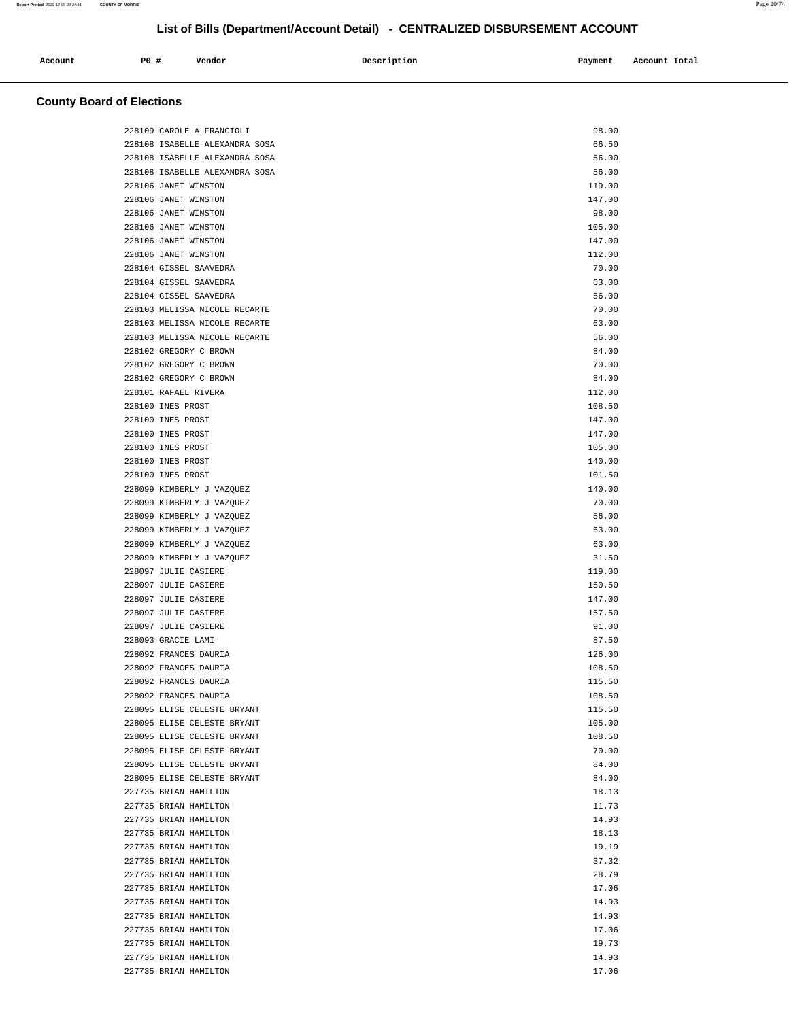| Account | PO# | Vendor | Description | Payment | Account Total |
|---------|-----|--------|-------------|---------|---------------|
|         |     |        |             |         | .             |
|         |     |        |             |         |               |

| 228109 CAROLE A FRANCIOLI      | 98.00  |
|--------------------------------|--------|
| 228108 ISABELLE ALEXANDRA SOSA | 66.50  |
| 228108 ISABELLE ALEXANDRA SOSA | 56.00  |
| 228108 ISABELLE ALEXANDRA SOSA | 56.00  |
| 228106 JANET WINSTON           | 119.00 |
| 228106 JANET WINSTON           | 147.00 |
| 228106 JANET WINSTON           | 98.00  |
| 228106 JANET WINSTON           | 105.00 |
| 228106 JANET WINSTON           | 147.00 |
| 228106 JANET WINSTON           | 112.00 |
| 228104 GISSEL SAAVEDRA         | 70.00  |
| 228104 GISSEL SAAVEDRA         | 63.00  |
| 228104 GISSEL SAAVEDRA         | 56.00  |
| 228103 MELISSA NICOLE RECARTE  | 70.00  |
| 228103 MELISSA NICOLE RECARTE  | 63.00  |
| 228103 MELISSA NICOLE RECARTE  | 56.00  |
| 228102 GREGORY C BROWN         | 84.00  |
| 228102 GREGORY C BROWN         | 70.00  |
| 228102 GREGORY C BROWN         | 84.00  |
| 228101 RAFAEL RIVERA           | 112.00 |
| 228100 INES PROST              | 108.50 |
| 228100 INES PROST              | 147.00 |
| 228100 INES PROST              | 147.00 |
| 228100 INES PROST              | 105.00 |
| 228100 INES PROST              | 140.00 |
| 228100 INES PROST              | 101.50 |
| 228099 KIMBERLY J VAZQUEZ      | 140.00 |
| 228099 KIMBERLY J VAZQUEZ      | 70.00  |
| 228099 KIMBERLY J VAZQUEZ      | 56.00  |
| 228099 KIMBERLY J VAZQUEZ      | 63.00  |
| 228099 KIMBERLY J VAZQUEZ      | 63.00  |
| 228099 KIMBERLY J VAZQUEZ      | 31.50  |
| 228097 JULIE CASIERE           | 119.00 |
| 228097 JULIE CASIERE           | 150.50 |
| 228097 JULIE CASIERE           | 147.00 |
| 228097 JULIE CASIERE           | 157.50 |
| 228097 JULIE CASIERE           | 91.00  |
| 228093 GRACIE LAMI             | 87.50  |
| 228092 FRANCES DAURIA          | 126.00 |
| 228092 FRANCES DAURIA          | 108.50 |
| 228092 FRANCES DAURIA          | 115.50 |
| 228092 FRANCES DAURIA          | 108.50 |
| 228095 ELISE CELESTE BRYANT    | 115.50 |
| 228095 ELISE CELESTE BRYANT    | 105.00 |
| 228095 ELISE CELESTE BRYANT    | 108.50 |
| 228095 ELISE CELESTE BRYANT    | 70.00  |
| 228095 ELISE CELESTE BRYANT    | 84.00  |
| 228095 ELISE CELESTE BRYANT    | 84.00  |
| 227735 BRIAN HAMILTON          | 18.13  |
| 227735 BRIAN HAMILTON          | 11.73  |
| 227735 BRIAN HAMILTON          | 14.93  |
| 227735 BRIAN HAMILTON          | 18.13  |
| 227735 BRIAN HAMILTON          | 19.19  |
| 227735 BRIAN HAMILTON          | 37.32  |
| 227735 BRIAN HAMILTON          | 28.79  |
| 227735 BRIAN HAMILTON          | 17.06  |
| 227735 BRIAN HAMILTON          | 14.93  |
| 227735 BRIAN HAMILTON          | 14.93  |
| 227735 BRIAN HAMILTON          | 17.06  |
| 227735 BRIAN HAMILTON          | 19.73  |
| 227735 BRIAN HAMILTON          | 14.93  |
| 227735 BRIAN HAMILTON          | 17.06  |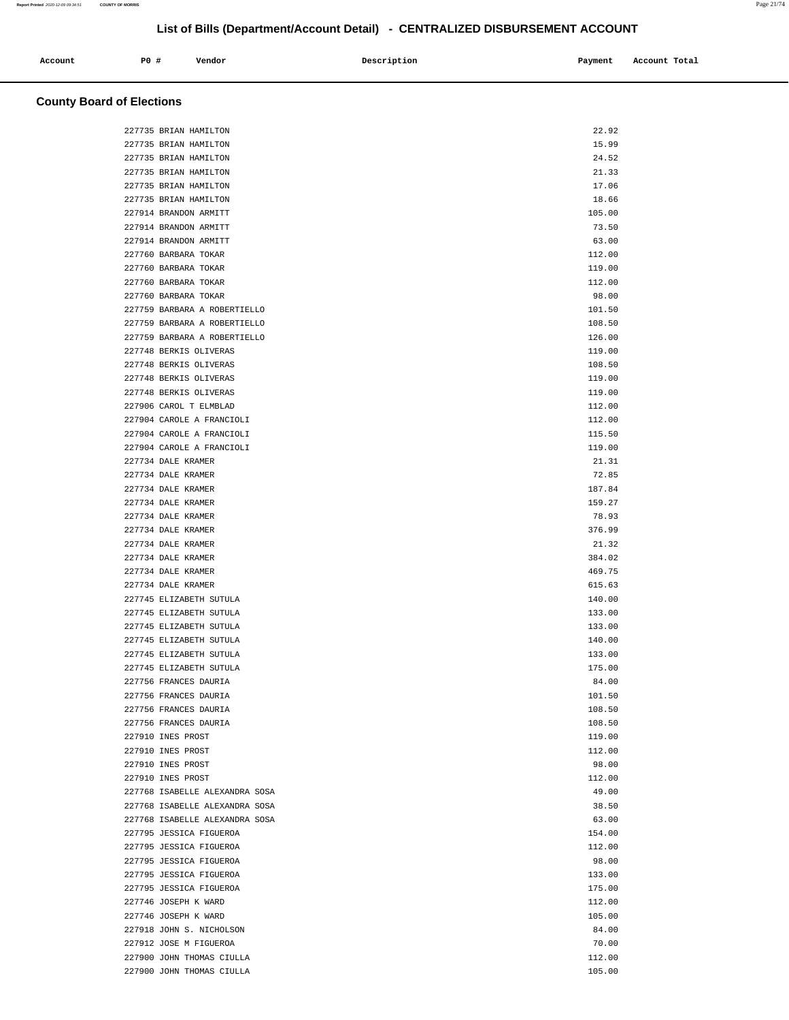| Account | P0 # | Vendor | Description | Payment | Account Total |
|---------|------|--------|-------------|---------|---------------|
|         |      |        |             |         |               |

| 227735 BRIAN HAMILTON          | 22.92  |
|--------------------------------|--------|
| 227735 BRIAN HAMILTON          | 15.99  |
| 227735 BRIAN HAMILTON          | 24.52  |
| 227735 BRIAN HAMILTON          | 21.33  |
| 227735 BRIAN HAMILTON          | 17.06  |
| 227735 BRIAN HAMILTON          | 18.66  |
| 227914 BRANDON ARMITT          | 105.00 |
| 227914 BRANDON ARMITT          | 73.50  |
| 227914 BRANDON ARMITT          | 63.00  |
| 227760 BARBARA TOKAR           | 112.00 |
| 227760 BARBARA TOKAR           | 119.00 |
| 227760 BARBARA TOKAR           | 112.00 |
| 227760 BARBARA TOKAR           | 98.00  |
| 227759 BARBARA A ROBERTIELLO   | 101.50 |
| 227759 BARBARA A ROBERTIELLO   | 108.50 |
| 227759 BARBARA A ROBERTIELLO   | 126.00 |
| 227748 BERKIS OLIVERAS         | 119.00 |
| 227748 BERKIS OLIVERAS         | 108.50 |
| 227748 BERKIS OLIVERAS         | 119.00 |
| 227748 BERKIS OLIVERAS         | 119.00 |
| 227906 CAROL T ELMBLAD         | 112.00 |
| 227904 CAROLE A FRANCIOLI      | 112.00 |
| 227904 CAROLE A FRANCIOLI      | 115.50 |
| 227904 CAROLE A FRANCIOLI      | 119.00 |
| 227734 DALE KRAMER             | 21.31  |
| 227734 DALE KRAMER             | 72.85  |
| 227734 DALE KRAMER             | 187.84 |
| 227734 DALE KRAMER             | 159.27 |
| 227734 DALE KRAMER             | 78.93  |
| 227734 DALE KRAMER             | 376.99 |
| 227734 DALE KRAMER             | 21.32  |
| 227734 DALE KRAMER             | 384.02 |
| 227734 DALE KRAMER             | 469.75 |
| 227734 DALE KRAMER             | 615.63 |
| 227745 ELIZABETH SUTULA        | 140.00 |
| 227745 ELIZABETH SUTULA        | 133.00 |
| 227745 ELIZABETH SUTULA        | 133.00 |
| 227745 ELIZABETH SUTULA        | 140.00 |
| 227745 ELIZABETH SUTULA        | 133.00 |
| 227745 ELIZABETH SUTULA        | 175.00 |
| 227756 FRANCES DAURIA          | 84.00  |
| 227756 FRANCES DAURIA          | 101.50 |
| 227756 FRANCES DAURIA          | 108.50 |
| 227756 FRANCES DAURIA          | 108.50 |
| 227910 INES PROST              | 119.00 |
| 227910 INES PROST              | 112.00 |
| 227910 INES PROST              | 98.00  |
| 227910 INES PROST              | 112.00 |
| 227768 ISABELLE ALEXANDRA SOSA | 49.00  |
| 227768 ISABELLE ALEXANDRA SOSA | 38.50  |
| 227768 ISABELLE ALEXANDRA SOSA | 63.00  |
| 227795 JESSICA FIGUEROA        | 154.00 |
| 227795 JESSICA FIGUEROA        | 112.00 |
| 227795 JESSICA FIGUEROA        | 98.00  |
| 227795 JESSICA FIGUEROA        | 133.00 |
| 227795 JESSICA FIGUEROA        | 175.00 |
| 227746 JOSEPH K WARD           | 112.00 |
| 227746 JOSEPH K WARD           | 105.00 |
| 227918 JOHN S. NICHOLSON       | 84.00  |
| 227912 JOSE M FIGUEROA         | 70.00  |
| 227900 JOHN THOMAS CIULLA      | 112.00 |
| 227900 JOHN THOMAS CIULLA      | 105.00 |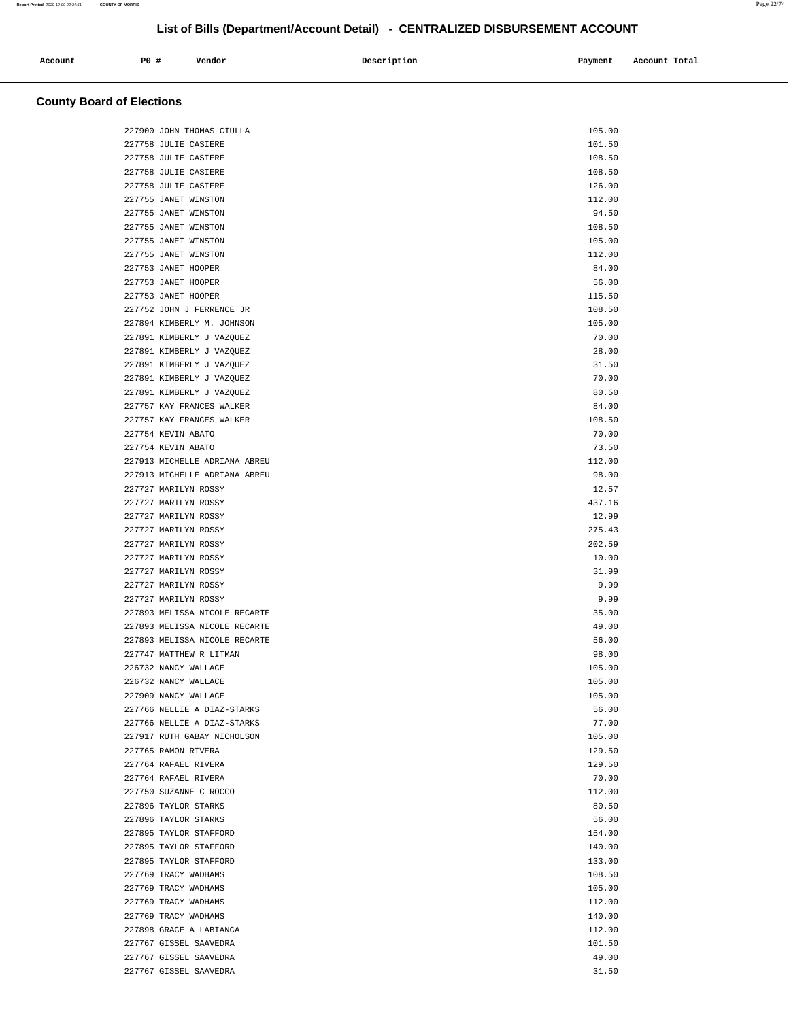| Account | P0 # | Vendor | Description | Payment | Account Total |
|---------|------|--------|-------------|---------|---------------|
|         |      |        |             |         |               |

| 227900 JOHN THOMAS CIULLA     | 105.00 |
|-------------------------------|--------|
| 227758 JULIE CASIERE          | 101.50 |
| 227758 JULIE CASIERE          | 108.50 |
| 227758 JULIE CASIERE          | 108.50 |
| 227758 JULIE CASIERE          | 126.00 |
| 227755 JANET WINSTON          | 112.00 |
| 227755 JANET WINSTON          | 94.50  |
| 227755 JANET WINSTON          | 108.50 |
| 227755 JANET WINSTON          | 105.00 |
| 227755 JANET WINSTON          | 112.00 |
| 227753 JANET HOOPER           | 84.00  |
| 227753 JANET HOOPER           | 56.00  |
| 227753 JANET HOOPER           | 115.50 |
| 227752 JOHN J FERRENCE JR     | 108.50 |
| 227894 KIMBERLY M. JOHNSON    | 105.00 |
| 227891 KIMBERLY J VAZQUEZ     | 70.00  |
| 227891 KIMBERLY J VAZQUEZ     | 28.00  |
| 227891 KIMBERLY J VAZQUEZ     | 31.50  |
| 227891 KIMBERLY J VAZQUEZ     | 70.00  |
| 227891 KIMBERLY J VAZQUEZ     | 80.50  |
| 227757 KAY FRANCES WALKER     | 84.00  |
| 227757 KAY FRANCES WALKER     | 108.50 |
| 227754 KEVIN ABATO            | 70.00  |
| 227754 KEVIN ABATO            | 73.50  |
| 227913 MICHELLE ADRIANA ABREU | 112.00 |
| 227913 MICHELLE ADRIANA ABREU | 98.00  |
| 227727 MARILYN ROSSY          | 12.57  |
| 227727 MARILYN ROSSY          | 437.16 |
| 227727 MARILYN ROSSY          | 12.99  |
| 227727 MARILYN ROSSY          | 275.43 |
| 227727 MARILYN ROSSY          | 202.59 |
| 227727 MARILYN ROSSY          | 10.00  |
| 227727 MARILYN ROSSY          | 31.99  |
| 227727 MARILYN ROSSY          | 9.99   |
| 227727 MARILYN ROSSY          | 9.99   |
| 227893 MELISSA NICOLE RECARTE | 35.00  |
| 227893 MELISSA NICOLE RECARTE | 49.00  |
| 227893 MELISSA NICOLE RECARTE | 56.00  |
| 227747 MATTHEW R LITMAN       | 98.00  |
| 226732 NANCY WALLACE          | 105.00 |
| 226732 NANCY WALLACE          | 105.00 |
| 227909 NANCY WALLACE          | 105.00 |
| 227766 NELLIE A DIAZ-STARKS   | 56.00  |
| 227766 NELLIE A DIAZ-STARKS   | 77.00  |
| 227917 RUTH GABAY NICHOLSON   | 105.00 |
| 227765 RAMON RIVERA           | 129.50 |
| 227764 RAFAEL RIVERA          | 129.50 |
| 227764 RAFAEL RIVERA          | 70.00  |
| 227750 SUZANNE C ROCCO        | 112.00 |
| 227896 TAYLOR STARKS          | 80.50  |
| 227896 TAYLOR STARKS          | 56.00  |
| 227895 TAYLOR STAFFORD        | 154.00 |
| 227895 TAYLOR STAFFORD        | 140.00 |
| 227895 TAYLOR STAFFORD        | 133.00 |
| 227769 TRACY WADHAMS          | 108.50 |
| 227769 TRACY WADHAMS          | 105.00 |
| 227769 TRACY WADHAMS          | 112.00 |
| 227769 TRACY WADHAMS          | 140.00 |
| 227898 GRACE A LABIANCA       | 112.00 |
| 227767 GISSEL SAAVEDRA        | 101.50 |
| 227767 GISSEL SAAVEDRA        | 49.00  |
| 227767 GISSEL SAAVEDRA        | 31.50  |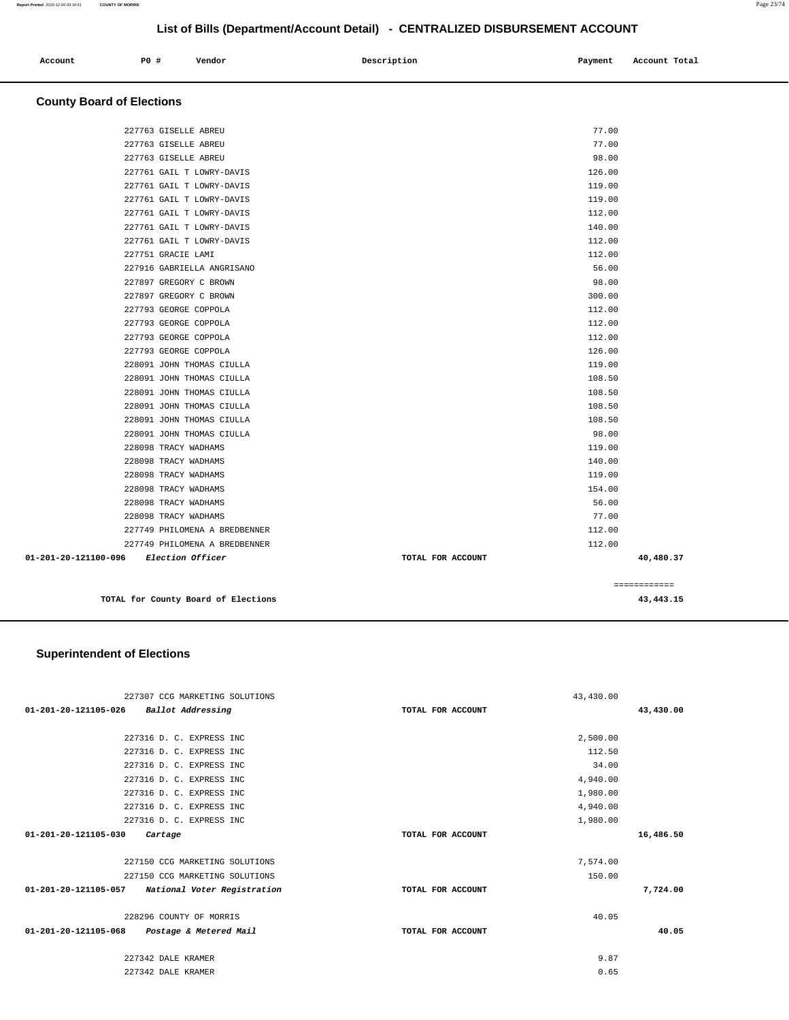| Account<br>. | <b>PO #</b> | Vendor | Description<br>$\sim$ $\sim$ | Payment | Account Total |
|--------------|-------------|--------|------------------------------|---------|---------------|
|              |             |        |                              |         |               |

### **County Board of Elections**

| 01-201-20-121100-096 | Election Officer              | TOTAL FOR ACCOUNT | 40,480.37 |
|----------------------|-------------------------------|-------------------|-----------|
|                      | 227749 PHILOMENA A BREDBENNER | 112.00            |           |
|                      | 227749 PHILOMENA A BREDBENNER | 112.00            |           |
|                      | 228098 TRACY WADHAMS          | 77.00             |           |
|                      | 228098 TRACY WADHAMS          | 56.00             |           |
|                      | 228098 TRACY WADHAMS          | 154.00            |           |
|                      | 228098 TRACY WADHAMS          | 119.00            |           |
|                      | 228098 TRACY WADHAMS          | 140.00            |           |
|                      | 228098 TRACY WADHAMS          | 119.00            |           |
|                      | 228091 JOHN THOMAS CIULLA     | 98.00             |           |
|                      | 228091 JOHN THOMAS CIULLA     | 108.50            |           |
|                      | 228091 JOHN THOMAS CIULLA     | 108.50            |           |
|                      | 228091 JOHN THOMAS CIULLA     | 108.50            |           |
|                      | 228091 JOHN THOMAS CIULLA     | 108.50            |           |
|                      | 228091 JOHN THOMAS CIULLA     | 119.00            |           |
|                      | 227793 GEORGE COPPOLA         | 126.00            |           |
|                      | 227793 GEORGE COPPOLA         | 112.00            |           |
|                      | 227793 GEORGE COPPOLA         | 112.00            |           |
|                      | 227793 GEORGE COPPOLA         | 112.00            |           |
|                      | 227897 GREGORY C BROWN        | 300.00            |           |
|                      | 227897 GREGORY C BROWN        | 98.00             |           |
|                      | 227916 GABRIELLA ANGRISANO    | 56.00             |           |
|                      | 227751 GRACIE LAMI            | 112.00            |           |
|                      | 227761 GAIL T LOWRY-DAVIS     | 112.00            |           |
|                      | 227761 GAIL T LOWRY-DAVIS     | 140.00            |           |
|                      | 227761 GAIL T LOWRY-DAVIS     | 112.00            |           |
|                      | 227761 GAIL T LOWRY-DAVIS     | 119.00            |           |
|                      | 227761 GAIL T LOWRY-DAVIS     | 119.00            |           |
|                      | 227761 GAIL T LOWRY-DAVIS     | 126.00            |           |
|                      | 227763 GISELLE ABREU          | 98.00             |           |
|                      | 227763 GISELLE ABREU          | 77.00             |           |
|                      | 227763 GISELLE ABREU          | 77.00             |           |
|                      |                               |                   |           |

**TOTAL for County Board of Elections 43,443.15**

 $=$ 

|             | -------- |
|-------------|----------|
| FOR ACCOUNT | 40,      |
|             | 112.00   |
|             | 112.00   |
|             | 77.00    |
|             | 56.00    |
|             | 154.00   |
|             | 119.00   |
|             | 140.00   |
|             | 119.00   |

|  |  | r ror County Board or Election L |
|--|--|----------------------------------|
|  |  |                                  |

|        | 40,480. |
|--------|---------|
| 112.00 |         |
| 112.00 |         |
| 77.00  |         |
| 56.00  |         |

| ıs |                     |  |  |                   |  |  |
|----|---------------------|--|--|-------------------|--|--|
|    |                     |  |  |                   |  |  |
|    | MARKETING SOLUTIONS |  |  |                   |  |  |
|    | Addressing          |  |  | TOTAL FOR ACCOUNT |  |  |
|    |                     |  |  |                   |  |  |
|    | . EXPRESS INC       |  |  |                   |  |  |
|    | . EXPRESS INC       |  |  |                   |  |  |
|    | . EXPRESS INC       |  |  |                   |  |  |
|    | . EXPRESS INC       |  |  |                   |  |  |
|    | munmman music       |  |  |                   |  |  |

### **Superintendent of Elections**

| 227307 CCG MARKETING SOLUTIONS                      |                   | 43,430.00 |           |
|-----------------------------------------------------|-------------------|-----------|-----------|
| 01-201-20-121105-026 Ballot Addressing              | TOTAL FOR ACCOUNT |           | 43,430.00 |
| 227316 D. C. EXPRESS INC                            |                   | 2,500.00  |           |
| 227316 D. C. EXPRESS INC                            |                   | 112.50    |           |
| 227316 D. C. EXPRESS INC                            |                   | 34.00     |           |
| 227316 D. C. EXPRESS INC                            |                   | 4,940.00  |           |
| 227316 D. C. EXPRESS INC                            |                   | 1,980.00  |           |
| 227316 D. C. EXPRESS INC                            |                   | 4,940.00  |           |
| 227316 D. C. EXPRESS INC                            |                   | 1,980.00  |           |
| 01-201-20-121105-030<br>Cartage                     | TOTAL FOR ACCOUNT |           | 16,486.50 |
| 227150 CCG MARKETING SOLUTIONS                      |                   | 7,574.00  |           |
| 227150 CCG MARKETING SOLUTIONS                      |                   | 150.00    |           |
| 01-201-20-121105-057<br>National Voter Registration | TOTAL FOR ACCOUNT |           | 7,724.00  |
| 228296 COUNTY OF MORRIS                             |                   | 40.05     |           |
| 01-201-20-121105-068<br>Postage & Metered Mail      | TOTAL FOR ACCOUNT |           | 40.05     |
| 227342 DALE KRAMER                                  |                   | 9.87      |           |
| 227342 DALE KRAMER                                  |                   | 0.65      |           |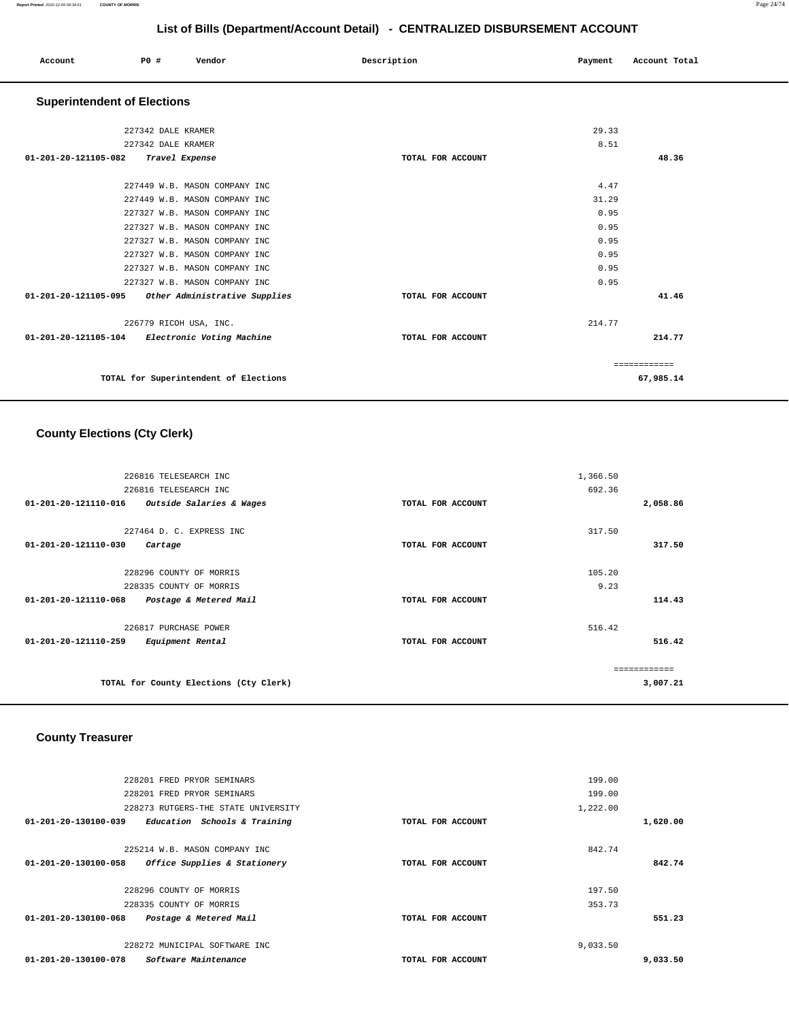| Account | P0 # | Vendor | Description | Payment | Account Total |
|---------|------|--------|-------------|---------|---------------|
|         |      |        |             |         |               |

# **Superintendent of Elections**

| 227342 DALE KRAMER                                 |                   | 29.33         |           |
|----------------------------------------------------|-------------------|---------------|-----------|
| 227342 DALE KRAMER                                 |                   | 8.51          |           |
| 01-201-20-121105-082<br>Travel Expense             | TOTAL FOR ACCOUNT |               | 48.36     |
|                                                    |                   |               |           |
| 227449 W.B. MASON COMPANY INC                      |                   | 4.47          |           |
| 227449 W.B. MASON COMPANY INC                      |                   | 31.29         |           |
| 227327 W.B. MASON COMPANY INC                      |                   | 0.95          |           |
| 227327 W.B. MASON COMPANY INC                      |                   | 0.95          |           |
| 227327 W.B. MASON COMPANY INC                      |                   | 0.95          |           |
| 227327 W.B. MASON COMPANY INC                      |                   | 0.95          |           |
| 227327 W.B. MASON COMPANY INC                      |                   | 0.95          |           |
| 227327 W.B. MASON COMPANY INC                      |                   | 0.95          |           |
| 01-201-20-121105-095 Other Administrative Supplies | TOTAL FOR ACCOUNT |               | 41.46     |
| 226779 RICOH USA, INC.                             |                   | 214.77        |           |
| 01-201-20-121105-104 Electronic Voting Machine     | TOTAL FOR ACCOUNT |               | 214.77    |
|                                                    |                   |               |           |
|                                                    |                   | ------------- |           |
| TOTAL for Superintendent of Elections              |                   |               | 67,985.14 |
|                                                    |                   |               |           |

# **County Elections (Cty Clerk)**

| 226816 TELESEARCH INC                            |                   | 1,366.50 |
|--------------------------------------------------|-------------------|----------|
| 226816 TELESEARCH INC                            |                   | 692.36   |
| 01-201-20-121110-016<br>Outside Salaries & Wages | TOTAL FOR ACCOUNT | 2,058.86 |
| 227464 D. C. EXPRESS INC                         |                   | 317.50   |
| 01-201-20-121110-030<br>Cartage                  | TOTAL FOR ACCOUNT | 317.50   |
| 228296 COUNTY OF MORRIS                          |                   | 105.20   |
| 228335 COUNTY OF MORRIS                          |                   | 9.23     |
|                                                  |                   |          |
| 01-201-20-121110-068<br>Postage & Metered Mail   | TOTAL FOR ACCOUNT | 114.43   |
| 226817 PURCHASE POWER                            |                   | 516.42   |
| 01-201-20-121110-259<br>Equipment Rental         | TOTAL FOR ACCOUNT | 516.42   |
|                                                  |                   |          |
|                                                  |                   |          |
| TOTAL for County Elections (Cty Clerk)           |                   | 3,007.21 |

# **County Treasurer**

|                                | 228201 FRED PRYOR SEMINARS          |                   | 199.00   |          |
|--------------------------------|-------------------------------------|-------------------|----------|----------|
|                                | 228201 FRED PRYOR SEMINARS          |                   | 199.00   |          |
|                                | 228273 RUTGERS-THE STATE UNIVERSITY |                   | 1,222.00 |          |
| 01-201-20-130100-039           | Education Schools & Training        | TOTAL FOR ACCOUNT |          | 1,620.00 |
|                                |                                     |                   |          |          |
|                                | 225214 W.B. MASON COMPANY INC       |                   | 842.74   |          |
| 01-201-20-130100-058           | Office Supplies & Stationery        | TOTAL FOR ACCOUNT |          | 842.74   |
|                                |                                     |                   |          |          |
|                                | 228296 COUNTY OF MORRIS             |                   | 197.50   |          |
|                                | 228335 COUNTY OF MORRIS             |                   | 353.73   |          |
| $01 - 201 - 20 - 130100 - 068$ | Postage & Metered Mail              | TOTAL FOR ACCOUNT |          | 551.23   |
|                                |                                     |                   |          |          |
|                                | 228272 MUNICIPAL SOFTWARE INC       |                   | 9,033.50 |          |
| 01-201-20-130100-078           | Software Maintenance                | TOTAL FOR ACCOUNT |          | 9,033.50 |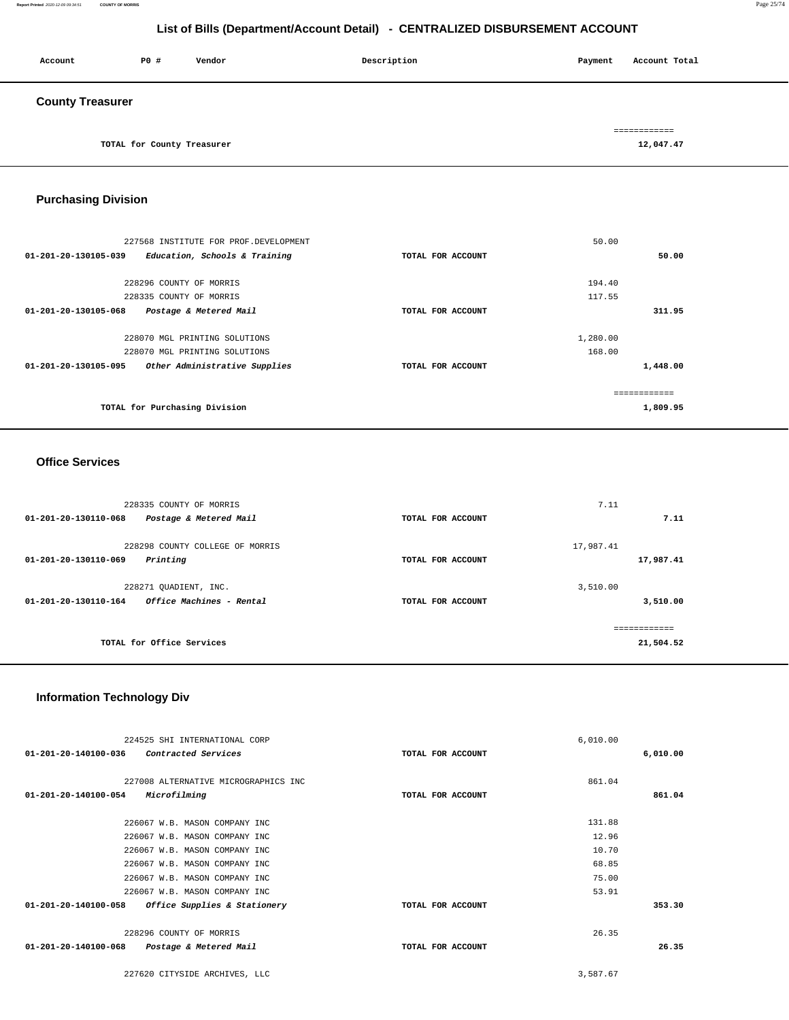#### **Report Printed** 2020-12-09 09:34:51 **COUNTY OF MORRIS** Page 25/74

# **List of Bills (Department/Account Detail) - CENTRALIZED DISBURSEMENT ACCOUNT**

| Account                 | P0 #                       | Vendor | Description | Payment | Account Total |
|-------------------------|----------------------------|--------|-------------|---------|---------------|
| <b>County Treasurer</b> |                            |        |             |         |               |
|                         |                            |        |             |         | ============  |
|                         | TOTAL for County Treasurer |        |             |         | 12,047.47     |

### **Purchasing Division**

| 227568 INSTITUTE FOR PROF. DEVELOPMENT                          | 50.00             |          |
|-----------------------------------------------------------------|-------------------|----------|
| $01 - 201 - 20 - 130105 - 039$<br>Education, Schools & Training | TOTAL FOR ACCOUNT | 50.00    |
| 228296 COUNTY OF MORRIS                                         | 194.40            |          |
| 228335 COUNTY OF MORRIS                                         | 117.55            |          |
| 01-201-20-130105-068<br>Postage & Metered Mail                  | TOTAL FOR ACCOUNT | 311.95   |
|                                                                 |                   |          |
| 228070 MGL PRINTING SOLUTIONS                                   | 1,280.00          |          |
| 228070 MGL PRINTING SOLUTIONS                                   | 168.00            |          |
| Other Administrative Supplies<br>01-201-20-130105-095           | TOTAL FOR ACCOUNT | 1,448.00 |
|                                                                 |                   |          |
| TOTAL for Purchasing Division                                   |                   | 1,809.95 |

#### **Office Services**

| 228335 COUNTY OF MORRIS                                    |                   | 7.11         |
|------------------------------------------------------------|-------------------|--------------|
| $01 - 201 - 20 - 130110 - 068$<br>Postage & Metered Mail   | TOTAL FOR ACCOUNT | 7.11         |
| 228298 COUNTY COLLEGE OF MORRIS                            |                   | 17,987.41    |
| Printing<br>01-201-20-130110-069                           | TOTAL FOR ACCOUNT | 17,987.41    |
| 228271 QUADIENT, INC.                                      |                   | 3,510.00     |
| Office Machines - Rental<br>$01 - 201 - 20 - 130110 - 164$ | TOTAL FOR ACCOUNT | 3,510.00     |
|                                                            |                   | ============ |
| TOTAL for Office Services                                  |                   | 21,504.52    |
|                                                            |                   |              |

#### **Information Technology Div**

| 224525 SHI INTERNATIONAL CORP                            |                   | 6,010.00 |          |
|----------------------------------------------------------|-------------------|----------|----------|
| 01-201-20-140100-036<br>Contracted Services              | TOTAL FOR ACCOUNT |          | 6,010.00 |
|                                                          |                   |          |          |
| 227008 ALTERNATIVE MICROGRAPHICS INC                     |                   | 861.04   |          |
| Microfilming<br>$01 - 201 - 20 - 140100 - 054$           | TOTAL FOR ACCOUNT |          | 861.04   |
|                                                          |                   |          |          |
| 226067 W.B. MASON COMPANY INC                            |                   | 131.88   |          |
| 226067 W.B. MASON COMPANY INC                            |                   | 12.96    |          |
| 226067 W.B. MASON COMPANY INC                            |                   | 10.70    |          |
| 226067 W.B. MASON COMPANY INC                            |                   | 68.85    |          |
| 226067 W.B. MASON COMPANY INC                            |                   | 75.00    |          |
| 226067 W.B. MASON COMPANY INC                            |                   | 53.91    |          |
| 01-201-20-140100-058<br>Office Supplies & Stationery     | TOTAL FOR ACCOUNT |          | 353.30   |
|                                                          |                   |          |          |
| 228296 COUNTY OF MORRIS                                  |                   | 26.35    |          |
| $01 - 201 - 20 - 140100 - 068$<br>Postage & Metered Mail | TOTAL FOR ACCOUNT |          | 26.35    |
|                                                          |                   |          |          |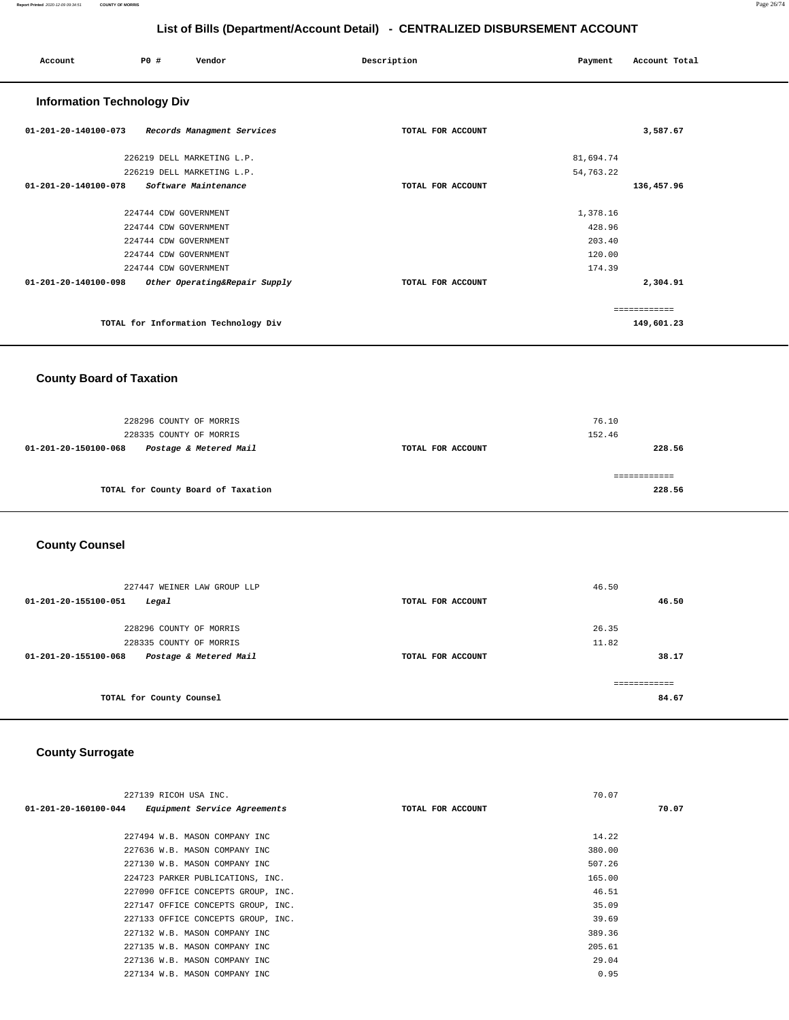| Account                           | P0 #                  | Vendor                               | Description       | Payment   | Account Total |
|-----------------------------------|-----------------------|--------------------------------------|-------------------|-----------|---------------|
| <b>Information Technology Div</b> |                       |                                      |                   |           |               |
| $01 - 201 - 20 - 140100 - 073$    |                       | Records Managment Services           | TOTAL FOR ACCOUNT |           | 3,587.67      |
|                                   |                       | 226219 DELL MARKETING L.P.           |                   | 81,694.74 |               |
|                                   |                       | 226219 DELL MARKETING L.P.           |                   | 54,763.22 |               |
| $01 - 201 - 20 - 140100 - 078$    |                       | Software Maintenance                 | TOTAL FOR ACCOUNT |           | 136,457.96    |
|                                   | 224744 CDW GOVERNMENT |                                      |                   | 1,378.16  |               |
|                                   | 224744 CDW GOVERNMENT |                                      |                   | 428.96    |               |
|                                   | 224744 CDW GOVERNMENT |                                      |                   | 203.40    |               |
|                                   | 224744 CDW GOVERNMENT |                                      |                   | 120.00    |               |
|                                   | 224744 CDW GOVERNMENT |                                      |                   | 174.39    |               |
| 01-201-20-140100-098              |                       | Other Operating&Repair Supply        | TOTAL FOR ACCOUNT |           | 2,304.91      |
|                                   |                       |                                      |                   |           | ============  |
|                                   |                       | TOTAL for Information Technology Div |                   |           | 149,601.23    |

### **County Board of Taxation**

| 228296 COUNTY OF MORRIS<br>228335 COUNTY OF MORRIS |                   | 76.10<br>152.46 |
|----------------------------------------------------|-------------------|-----------------|
| Postage & Metered Mail<br>01-201-20-150100-068     | TOTAL FOR ACCOUNT | 228.56          |
|                                                    |                   |                 |
| TOTAL for County Board of Taxation                 |                   | 228.56          |

# **County Counsel**

| 227447 WEINER LAW GROUP LLP<br>01-201-20-155100-051<br>Legal | TOTAL FOR ACCOUNT | 46.50<br>46.50         |
|--------------------------------------------------------------|-------------------|------------------------|
| 228296 COUNTY OF MORRIS                                      |                   | 26.35                  |
| 228335 COUNTY OF MORRIS                                      |                   | 11.82                  |
| 01-201-20-155100-068<br>Postage & Metered Mail               | TOTAL FOR ACCOUNT | 38.17                  |
| TOTAL for County Counsel                                     |                   | -------------<br>84.67 |

# **County Surrogate**

| 227139 RICOH USA INC.                                |                   | 70.07  |       |
|------------------------------------------------------|-------------------|--------|-------|
| Equipment Service Agreements<br>01-201-20-160100-044 | TOTAL FOR ACCOUNT |        | 70.07 |
|                                                      |                   |        |       |
| 227494 W.B. MASON COMPANY INC                        |                   | 14.22  |       |
| 227636 W.B. MASON COMPANY INC                        |                   | 380.00 |       |
| 227130 W.B. MASON COMPANY INC                        |                   | 507.26 |       |
| 224723 PARKER PUBLICATIONS, INC.                     |                   | 165.00 |       |
| 227090 OFFICE CONCEPTS GROUP, INC.                   |                   | 46.51  |       |
| 227147 OFFICE CONCEPTS GROUP, INC.                   |                   | 35.09  |       |
| 227133 OFFICE CONCEPTS GROUP, INC.                   |                   | 39.69  |       |
| 227132 W.B. MASON COMPANY INC                        |                   | 389.36 |       |
| 227135 W.B. MASON COMPANY INC                        |                   | 205.61 |       |
| 227136 W.B. MASON COMPANY INC                        |                   | 29.04  |       |
| 227134 W.B. MASON COMPANY INC                        |                   | 0.95   |       |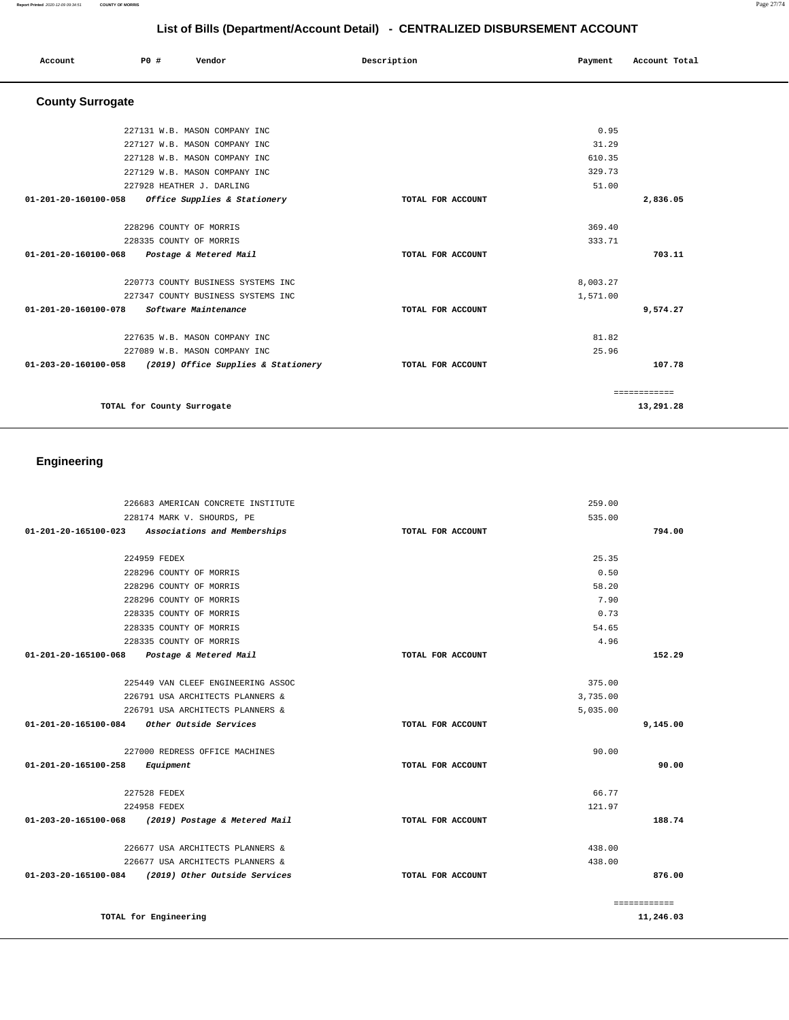|                         |                           | $\mathbf{v}$                  |                   |         |               |
|-------------------------|---------------------------|-------------------------------|-------------------|---------|---------------|
| Account                 | <b>PO #</b>               | Vendor                        | Description       | Payment | Account Total |
| <b>County Surrogate</b> |                           |                               |                   |         |               |
|                         |                           | 227131 W.B. MASON COMPANY INC |                   | 0.95    |               |
|                         |                           | 227127 W.B. MASON COMPANY INC |                   | 31.29   |               |
|                         |                           | 227128 W.B. MASON COMPANY INC |                   | 610.35  |               |
|                         |                           | 227129 W.B. MASON COMPANY INC |                   | 329.73  |               |
|                         | 227928 HEATHER J. DARLING |                               |                   | 51.00   |               |
| 01-201-20-160100-058    |                           | Office Supplies & Stationery  | TOTAL FOR ACCOUNT |         | 2,836.05      |

| 228296 COUNTY OF MORRIS                                     |                   | 369.40       |
|-------------------------------------------------------------|-------------------|--------------|
| 228335 COUNTY OF MORRIS                                     |                   | 333.71       |
| 01-201-20-160100-068<br>Postage & Metered Mail              | TOTAL FOR ACCOUNT | 703.11       |
| 220773 COUNTY BUSINESS SYSTEMS INC                          |                   | 8,003.27     |
| 227347 COUNTY BUSINESS SYSTEMS INC                          |                   | 1,571.00     |
| 01-201-20-160100-078<br><i>Software Maintenance</i>         | TOTAL FOR ACCOUNT | 9,574.27     |
| 227635 W.B. MASON COMPANY INC                               |                   | 81.82        |
| 227089 W.B. MASON COMPANY INC                               |                   | 25.96        |
| 01-203-20-160100-058<br>(2019) Office Supplies & Stationery | TOTAL FOR ACCOUNT | 107.78       |
|                                                             |                   | ------------ |
| TOTAL for County Surrogate                                  |                   | 13,291.28    |

# **Engineering**

|                                                    | 226683 AMERICAN CONCRETE INSTITUTE |                   | 259.00   |              |
|----------------------------------------------------|------------------------------------|-------------------|----------|--------------|
|                                                    | 228174 MARK V. SHOURDS, PE         |                   | 535.00   |              |
| 01-201-20-165100-023 Associations and Memberships  |                                    | TOTAL FOR ACCOUNT |          | 794.00       |
|                                                    |                                    |                   |          |              |
| 224959 FEDEX                                       |                                    |                   | 25.35    |              |
|                                                    | 228296 COUNTY OF MORRIS            |                   | 0.50     |              |
|                                                    | 228296 COUNTY OF MORRIS            |                   | 58.20    |              |
|                                                    | 228296 COUNTY OF MORRIS            |                   | 7.90     |              |
|                                                    | 228335 COUNTY OF MORRIS            |                   | 0.73     |              |
|                                                    | 228335 COUNTY OF MORRIS            |                   | 54.65    |              |
|                                                    | 228335 COUNTY OF MORRIS            |                   | 4.96     |              |
| 01-201-20-165100-068 Postage & Metered Mail        |                                    | TOTAL FOR ACCOUNT |          | 152.29       |
|                                                    | 225449 VAN CLEEF ENGINEERING ASSOC |                   | 375.00   |              |
|                                                    | 226791 USA ARCHITECTS PLANNERS &   |                   | 3,735.00 |              |
|                                                    | 226791 USA ARCHITECTS PLANNERS &   |                   | 5,035.00 |              |
| 01-201-20-165100-084 Other Outside Services        |                                    | TOTAL FOR ACCOUNT |          | 9,145.00     |
|                                                    | 227000 REDRESS OFFICE MACHINES     |                   | 90.00    |              |
| 01-201-20-165100-258                               | Equipment                          | TOTAL FOR ACCOUNT |          | 90.00        |
| 227528 FEDEX                                       |                                    |                   | 66.77    |              |
| 224958 FEDEX                                       |                                    |                   | 121.97   |              |
| 01-203-20-165100-068 (2019) Postage & Metered Mail |                                    | TOTAL FOR ACCOUNT |          | 188.74       |
|                                                    |                                    |                   |          |              |
|                                                    | 226677 USA ARCHITECTS PLANNERS &   |                   | 438.00   |              |
|                                                    | 226677 USA ARCHITECTS PLANNERS &   |                   | 438.00   |              |
| 01-203-20-165100-084 (2019) Other Outside Services |                                    | TOTAL FOR ACCOUNT |          | 876.00       |
|                                                    |                                    |                   |          | ============ |
| TOTAL for Engineering                              |                                    |                   |          | 11,246.03    |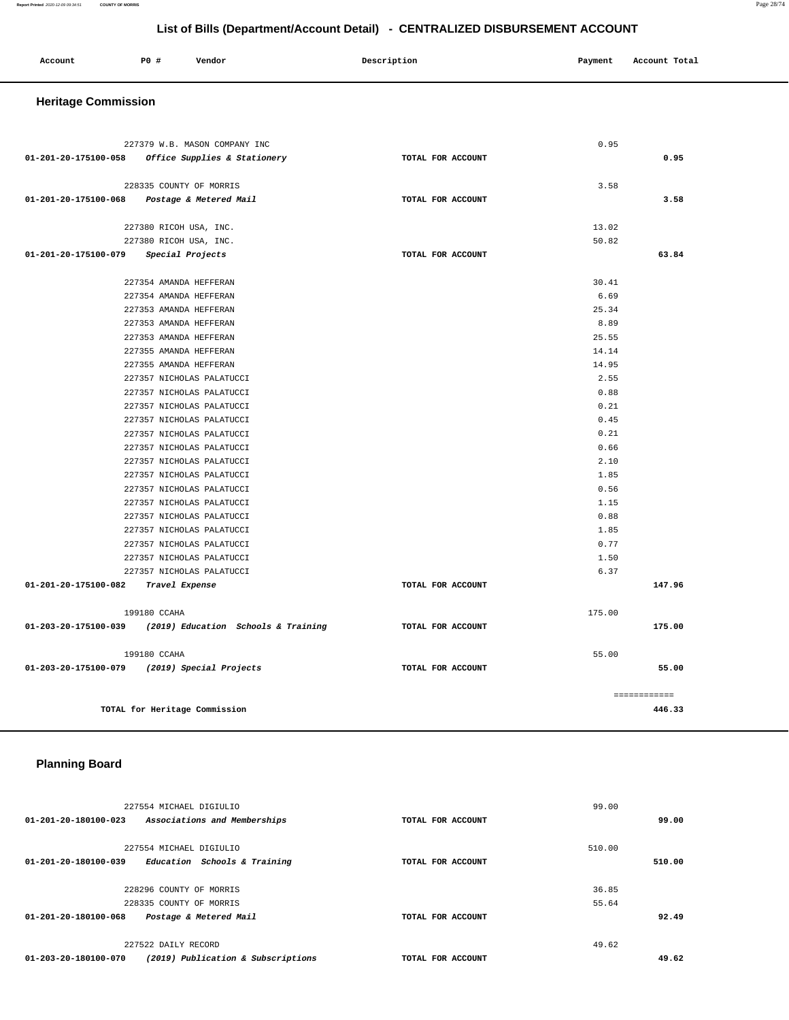| Account<br>. | <b>PO #</b> | Vendor | Description<br>$\sim$ $\sim$ | Payment | Account Total |
|--------------|-------------|--------|------------------------------|---------|---------------|
|              |             |        |                              |         |               |

### **Heritage Commission**

| 227379 W.B. MASON COMPANY INC                                            |                   | 0.95   |              |
|--------------------------------------------------------------------------|-------------------|--------|--------------|
| 01-201-20-175100-058 Office Supplies & Stationery                        | TOTAL FOR ACCOUNT |        | 0.95         |
|                                                                          |                   |        |              |
| 228335 COUNTY OF MORRIS                                                  |                   | 3.58   |              |
| 01-201-20-175100-068 Postage & Metered Mail                              | TOTAL FOR ACCOUNT |        | 3.58         |
|                                                                          |                   |        |              |
| 227380 RICOH USA, INC.                                                   |                   | 13.02  |              |
| 227380 RICOH USA, INC.                                                   |                   | 50.82  |              |
| 01-201-20-175100-079 Special Projects                                    | TOTAL FOR ACCOUNT |        | 63.84        |
| 227354 AMANDA HEFFERAN                                                   |                   | 30.41  |              |
| 227354 AMANDA HEFFERAN                                                   |                   | 6.69   |              |
| 227353 AMANDA HEFFERAN                                                   |                   | 25.34  |              |
| 227353 AMANDA HEFFERAN                                                   |                   | 8.89   |              |
| 227353 AMANDA HEFFERAN                                                   |                   | 25.55  |              |
| 227355 AMANDA HEFFERAN                                                   |                   | 14.14  |              |
| 227355 AMANDA HEFFERAN                                                   |                   | 14.95  |              |
| 227357 NICHOLAS PALATUCCI                                                |                   | 2.55   |              |
| 227357 NICHOLAS PALATUCCI                                                |                   | 0.88   |              |
| 227357 NICHOLAS PALATUCCI                                                |                   | 0.21   |              |
| 227357 NICHOLAS PALATUCCI                                                |                   | 0.45   |              |
| 227357 NICHOLAS PALATUCCI                                                |                   | 0.21   |              |
| 227357 NICHOLAS PALATUCCI                                                |                   | 0.66   |              |
| 227357 NICHOLAS PALATUCCI                                                |                   | 2.10   |              |
| 227357 NICHOLAS PALATUCCI                                                |                   | 1.85   |              |
| 227357 NICHOLAS PALATUCCI                                                |                   | 0.56   |              |
| 227357 NICHOLAS PALATUCCI                                                |                   | 1.15   |              |
| 227357 NICHOLAS PALATUCCI                                                |                   | 0.88   |              |
| 227357 NICHOLAS PALATUCCI                                                |                   | 1.85   |              |
| 227357 NICHOLAS PALATUCCI                                                |                   | 0.77   |              |
| 227357 NICHOLAS PALATUCCI                                                |                   | 1.50   |              |
| 227357 NICHOLAS PALATUCCI                                                |                   | 6.37   |              |
| 01-201-20-175100-082 Travel Expense                                      | TOTAL FOR ACCOUNT |        | 147.96       |
|                                                                          |                   |        |              |
| 199180 CCAHA<br>01-203-20-175100-039 (2019) Education Schools & Training | TOTAL FOR ACCOUNT | 175.00 | 175.00       |
|                                                                          |                   |        |              |
| 199180 CCAHA                                                             |                   | 55.00  |              |
| 01-203-20-175100-079 (2019) Special Projects                             | TOTAL FOR ACCOUNT |        | 55.00        |
|                                                                          |                   |        |              |
|                                                                          |                   |        | ============ |
| TOTAL for Heritage Commission                                            |                   |        | 446.33       |

# **Planning Board**

|                      | 227554 MICHAEL DIGIULIO            |                   | 99.00  |        |
|----------------------|------------------------------------|-------------------|--------|--------|
| 01-201-20-180100-023 | Associations and Memberships       | TOTAL FOR ACCOUNT |        | 99.00  |
|                      |                                    |                   |        |        |
|                      | 227554 MICHAEL DIGIULIO            |                   | 510.00 |        |
| 01-201-20-180100-039 | Education Schools & Training       | TOTAL FOR ACCOUNT |        | 510.00 |
|                      |                                    |                   |        |        |
|                      | 228296 COUNTY OF MORRIS            |                   | 36.85  |        |
|                      | 228335 COUNTY OF MORRIS            |                   | 55.64  |        |
| 01-201-20-180100-068 | Postage & Metered Mail             | TOTAL FOR ACCOUNT |        | 92.49  |
|                      |                                    |                   |        |        |
|                      | 227522 DAILY RECORD                |                   | 49.62  |        |
| 01-203-20-180100-070 | (2019) Publication & Subscriptions | TOTAL FOR ACCOUNT |        | 49.62  |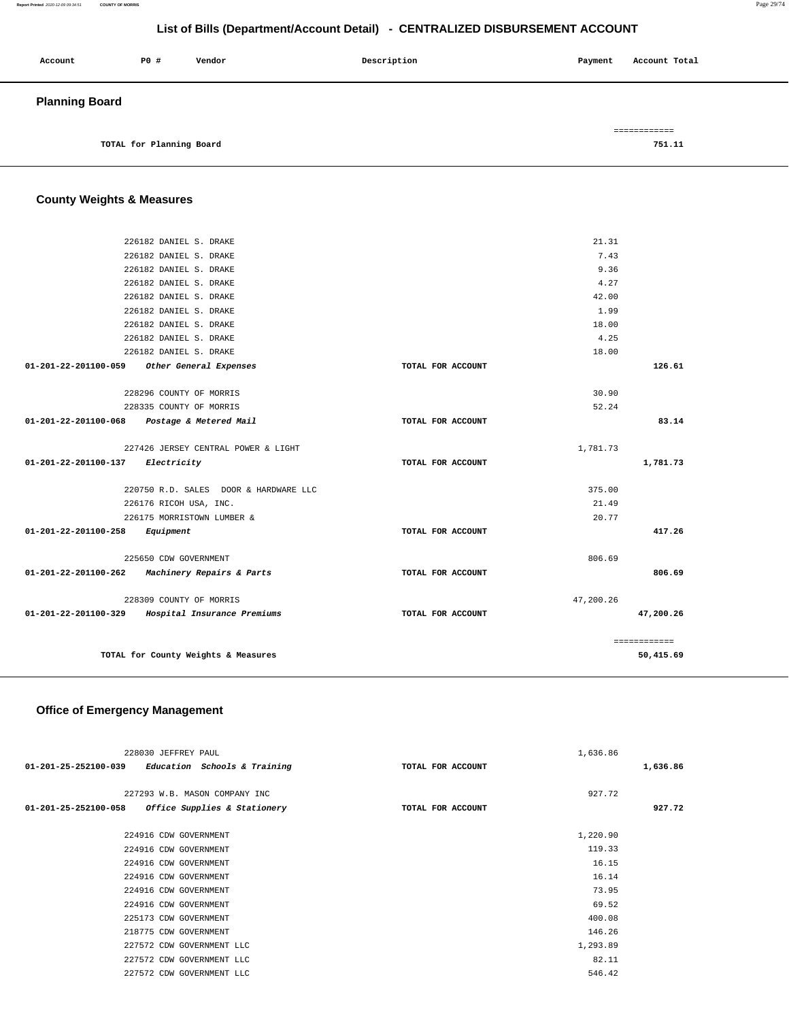#### **Report Printed** 2020-12-09 09:34:51 **COUNTY OF MORRIS** Page 29/74

# **List of Bills (Department/Account Detail) - CENTRALIZED DISBURSEMENT ACCOUNT**

| Account               | PO#                      | Vendor | Description | Payment | Account Total |
|-----------------------|--------------------------|--------|-------------|---------|---------------|
| <b>Planning Board</b> |                          |        |             |         |               |
|                       |                          |        |             |         | ============  |
|                       | TOTAL for Planning Board |        |             |         | 751.11        |

# **County Weights & Measures**

| 226182 DANIEL S. DRAKE                            |                   | 21.31     |              |
|---------------------------------------------------|-------------------|-----------|--------------|
| 226182 DANIEL S. DRAKE                            |                   | 7.43      |              |
| 226182 DANIEL S. DRAKE                            |                   | 9.36      |              |
| 226182 DANIEL S. DRAKE                            |                   | 4.27      |              |
| 226182 DANIEL S. DRAKE                            |                   | 42.00     |              |
| 226182 DANIEL S. DRAKE                            |                   | 1.99      |              |
| 226182 DANIEL S. DRAKE                            |                   | 18.00     |              |
| 226182 DANIEL S. DRAKE                            |                   | 4.25      |              |
| 226182 DANIEL S. DRAKE                            |                   | 18.00     |              |
| 01-201-22-201100-059 Other General Expenses       | TOTAL FOR ACCOUNT |           | 126.61       |
|                                                   |                   |           |              |
| 228296 COUNTY OF MORRIS                           |                   | 30.90     |              |
| 228335 COUNTY OF MORRIS                           |                   | 52.24     |              |
| 01-201-22-201100-068<br>Postage & Metered Mail    | TOTAL FOR ACCOUNT |           | 83.14        |
|                                                   |                   |           |              |
| 227426 JERSEY CENTRAL POWER & LIGHT               |                   | 1,781.73  |              |
| 01-201-22-201100-137 Electricity                  | TOTAL FOR ACCOUNT |           | 1,781.73     |
|                                                   |                   |           |              |
| 220750 R.D. SALES DOOR & HARDWARE LLC             |                   | 375.00    |              |
| 226176 RICOH USA, INC.                            |                   | 21.49     |              |
| 226175 MORRISTOWN LUMBER &                        |                   | 20.77     |              |
| 01-201-22-201100-258 Equipment                    | TOTAL FOR ACCOUNT |           | 417.26       |
| 225650 CDW GOVERNMENT                             |                   | 806.69    |              |
| 01-201-22-201100-262<br>Machinery Repairs & Parts | TOTAL FOR ACCOUNT |           | 806.69       |
|                                                   |                   |           |              |
| 228309 COUNTY OF MORRIS                           |                   | 47,200.26 |              |
| 01-201-22-201100-329 Hospital Insurance Premiums  | TOTAL FOR ACCOUNT |           | 47.200.26    |
|                                                   |                   |           |              |
|                                                   |                   |           | ============ |
| TOTAL for County Weights & Measures               |                   |           | 50,415.69    |
|                                                   |                   |           |              |

# **Office of Emergency Management**

| 228030 JEFFREY PAUL                                  | 1,636.86          |          |
|------------------------------------------------------|-------------------|----------|
| $01-201-25-252100-039$ Education Schools & Training  | TOTAL FOR ACCOUNT | 1,636.86 |
|                                                      |                   |          |
| 227293 W.B. MASON COMPANY INC                        | 927.72            |          |
| 01-201-25-252100-058<br>Office Supplies & Stationery | TOTAL FOR ACCOUNT | 927.72   |
|                                                      |                   |          |
| 224916 CDW GOVERNMENT                                | 1,220.90          |          |
| 224916 CDW GOVERNMENT                                | 119.33            |          |
| 224916 CDW GOVERNMENT                                | 16.15             |          |
| 224916 CDW GOVERNMENT                                | 16.14             |          |
| 224916 CDW GOVERNMENT                                | 73.95             |          |
| 224916 CDW GOVERNMENT                                | 69.52             |          |
| 225173 CDW GOVERNMENT                                | 400.08            |          |
| 218775 CDW GOVERNMENT                                | 146.26            |          |
| 227572 CDW GOVERNMENT LLC                            | 1,293.89          |          |
| 227572 CDW GOVERNMENT LLC                            | 82.11             |          |
| 227572 CDW GOVERNMENT LLC                            | 546.42            |          |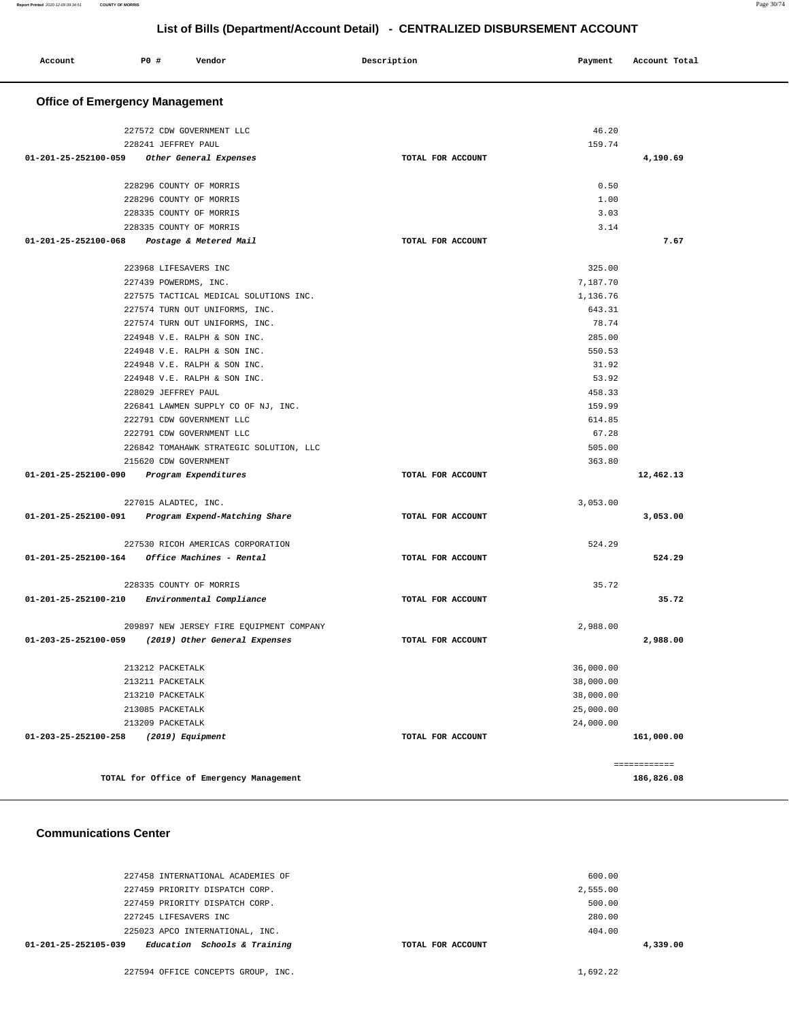| Account              | P0 #                                  | Vendor                                   |  | Description       |  | Payment   | Account Total |
|----------------------|---------------------------------------|------------------------------------------|--|-------------------|--|-----------|---------------|
|                      | <b>Office of Emergency Management</b> |                                          |  |                   |  |           |               |
|                      |                                       | 227572 CDW GOVERNMENT LLC                |  |                   |  | 46.20     |               |
|                      | 228241 JEFFREY PAUL                   |                                          |  |                   |  | 159.74    |               |
| 01-201-25-252100-059 |                                       | Other General Expenses                   |  | TOTAL FOR ACCOUNT |  |           | 4,190.69      |
|                      |                                       | 228296 COUNTY OF MORRIS                  |  |                   |  | 0.50      |               |
|                      |                                       | 228296 COUNTY OF MORRIS                  |  |                   |  | 1.00      |               |
|                      |                                       | 228335 COUNTY OF MORRIS                  |  |                   |  | 3.03      |               |
|                      |                                       | 228335 COUNTY OF MORRIS                  |  |                   |  | 3.14      |               |
| 01-201-25-252100-068 |                                       | Postage & Metered Mail                   |  | TOTAL FOR ACCOUNT |  |           | 7.67          |
|                      | 223968 LIFESAVERS INC                 |                                          |  |                   |  | 325.00    |               |
|                      | 227439 POWERDMS, INC.                 |                                          |  |                   |  | 7,187.70  |               |
|                      |                                       | 227575 TACTICAL MEDICAL SOLUTIONS INC.   |  |                   |  | 1,136.76  |               |
|                      |                                       | 227574 TURN OUT UNIFORMS, INC.           |  |                   |  | 643.31    |               |
|                      |                                       | 227574 TURN OUT UNIFORMS, INC.           |  |                   |  | 78.74     |               |
|                      |                                       | 224948 V.E. RALPH & SON INC.             |  |                   |  | 285.00    |               |
|                      |                                       | 224948 V.E. RALPH & SON INC.             |  |                   |  | 550.53    |               |
|                      |                                       | 224948 V.E. RALPH & SON INC.             |  |                   |  | 31.92     |               |
|                      |                                       | 224948 V.E. RALPH & SON INC.             |  |                   |  | 53.92     |               |
|                      | 228029 JEFFREY PAUL                   |                                          |  |                   |  | 458.33    |               |
|                      |                                       | 226841 LAWMEN SUPPLY CO OF NJ, INC.      |  |                   |  | 159.99    |               |
|                      |                                       | 222791 CDW GOVERNMENT LLC                |  |                   |  | 614.85    |               |
|                      |                                       | 222791 CDW GOVERNMENT LLC                |  |                   |  | 67.28     |               |
|                      |                                       | 226842 TOMAHAWK STRATEGIC SOLUTION, LLC  |  |                   |  | 505.00    |               |
|                      | 215620 CDW GOVERNMENT                 |                                          |  |                   |  | 363.80    |               |
| 01-201-25-252100-090 |                                       | Program Expenditures                     |  | TOTAL FOR ACCOUNT |  |           | 12,462.13     |
|                      | 227015 ALADTEC, INC.                  |                                          |  |                   |  | 3,053.00  |               |
| 01-201-25-252100-091 |                                       | Program Expend-Matching Share            |  | TOTAL FOR ACCOUNT |  |           | 3,053.00      |
|                      |                                       | 227530 RICOH AMERICAS CORPORATION        |  |                   |  | 524.29    |               |
| 01-201-25-252100-164 |                                       | Office Machines - Rental                 |  | TOTAL FOR ACCOUNT |  |           | 524.29        |
|                      |                                       | 228335 COUNTY OF MORRIS                  |  |                   |  | 35.72     |               |
| 01-201-25-252100-210 |                                       | Environmental Compliance                 |  | TOTAL FOR ACCOUNT |  |           | 35.72         |
|                      |                                       | 209897 NEW JERSEY FIRE EQUIPMENT COMPANY |  |                   |  | 2,988.00  |               |
| 01-203-25-252100-059 |                                       | (2019) Other General Expenses            |  | TOTAL FOR ACCOUNT |  |           | 2,988.00      |
|                      | 213212 PACKETALK                      |                                          |  |                   |  | 36,000.00 |               |
|                      | 213211 PACKETALK                      |                                          |  |                   |  | 38,000.00 |               |
|                      | 213210 PACKETALK                      |                                          |  |                   |  | 38,000.00 |               |
|                      | 213085 PACKETALK                      |                                          |  |                   |  | 25,000.00 |               |
|                      | 213209 PACKETALK                      |                                          |  |                   |  | 24,000.00 |               |
| 01-203-25-252100-258 |                                       | (2019) Equipment                         |  | TOTAL FOR ACCOUNT |  |           | 161,000.00    |
|                      |                                       |                                          |  |                   |  |           | ============  |
|                      |                                       | TOTAL for Office of Emergency Management |  |                   |  |           | 186,826.08    |

#### **Communications Center**

| Education Schools & Training<br>01-201-25-252105-039 | TOTAL FOR ACCOUNT | 4,339.00 |
|------------------------------------------------------|-------------------|----------|
| 225023 APCO INTERNATIONAL, INC.                      |                   | 404.00   |
| 227245 LIFESAVERS INC                                |                   | 280.00   |
| 227459 PRIORITY DISPATCH CORP.                       |                   | 500.00   |
| 227459 PRIORITY DISPATCH CORP.                       |                   | 2,555.00 |
| 227458 INTERNATIONAL ACADEMIES OF                    |                   | 600.00   |
|                                                      |                   |          |

227594 OFFICE CONCEPTS GROUP, INC. [1,692.22](https://1,692.22)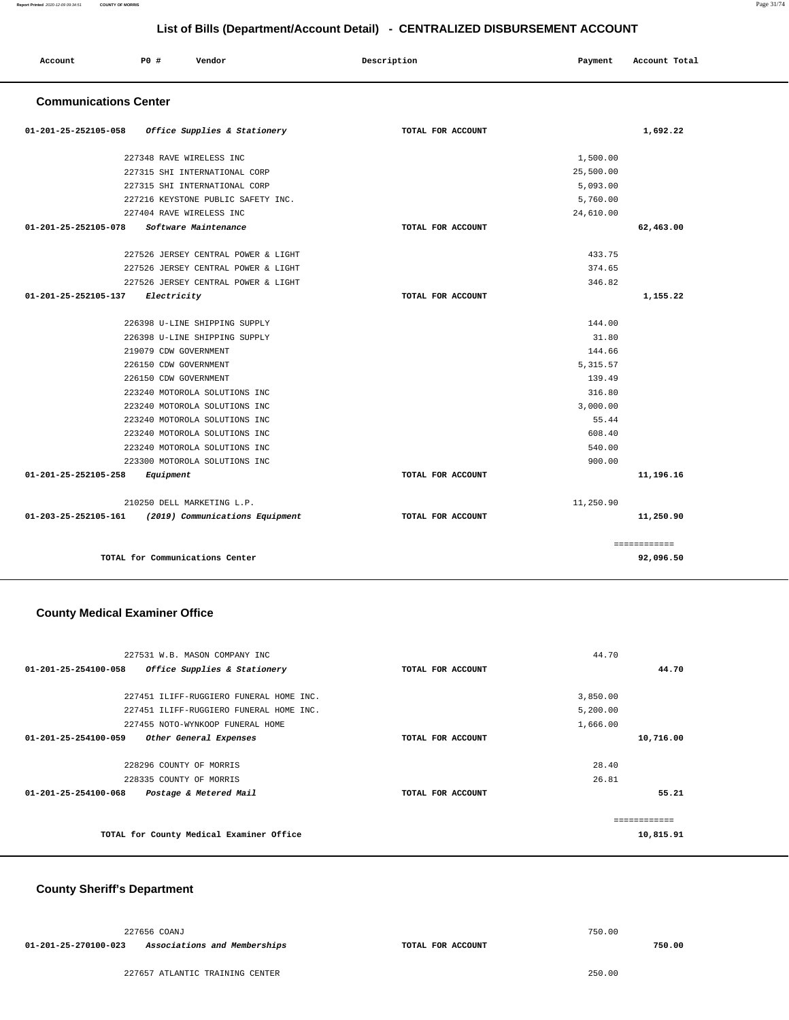| List of Dills (Department/Account Detail) - CENTINALIZED DISDONSEMENT ACCOUNT |                                         |                   |           |               |  |
|-------------------------------------------------------------------------------|-----------------------------------------|-------------------|-----------|---------------|--|
| Account                                                                       | P0 #<br>Vendor                          | Description       | Payment   | Account Total |  |
| <b>Communications Center</b>                                                  |                                         |                   |           |               |  |
| 01-201-25-252105-058                                                          | <i>Office Supplies &amp; Stationery</i> | TOTAL FOR ACCOUNT |           | 1,692.22      |  |
|                                                                               | 227348 RAVE WIRELESS INC                |                   | 1,500.00  |               |  |
|                                                                               | 227315 SHI INTERNATIONAL CORP           |                   | 25,500.00 |               |  |
|                                                                               | 227315 SHI INTERNATIONAL CORP           |                   | 5,093.00  |               |  |
|                                                                               | 227216 KEYSTONE PUBLIC SAFETY INC.      |                   | 5,760.00  |               |  |
|                                                                               | 227404 RAVE WIRELESS INC                |                   | 24,610.00 |               |  |
| 01-201-25-252105-078                                                          | Software Maintenance                    | TOTAL FOR ACCOUNT |           | 62,463.00     |  |
|                                                                               | 227526 JERSEY CENTRAL POWER & LIGHT     |                   | 433.75    |               |  |
|                                                                               | 227526 JERSEY CENTRAL POWER & LIGHT     |                   | 374.65    |               |  |
|                                                                               | 227526 JERSEY CENTRAL POWER & LIGHT     |                   | 346.82    |               |  |
| 01-201-25-252105-137                                                          | Electricity                             | TOTAL FOR ACCOUNT |           | 1,155.22      |  |
|                                                                               | 226398 U-LINE SHIPPING SUPPLY           |                   | 144.00    |               |  |
|                                                                               | 226398 U-LINE SHIPPING SUPPLY           |                   | 31.80     |               |  |
|                                                                               | 219079 CDW GOVERNMENT                   |                   | 144.66    |               |  |
|                                                                               | 226150 CDW GOVERNMENT                   |                   | 5, 315.57 |               |  |
|                                                                               | 226150 CDW GOVERNMENT                   |                   | 139.49    |               |  |
|                                                                               | 223240 MOTOROLA SOLUTIONS INC           |                   | 316.80    |               |  |
|                                                                               | 223240 MOTOROLA SOLUTIONS INC           |                   | 3.000.00  |               |  |
|                                                                               | 223240 MOTOROLA SOLUTIONS INC           |                   | 55.44     |               |  |
|                                                                               | 223240 MOTOROLA SOLUTIONS INC           |                   | 608.40    |               |  |
|                                                                               | 223240 MOTOROLA SOLUTIONS INC           |                   | 540.00    |               |  |
|                                                                               | 223300 MOTOROLA SOLUTIONS INC           |                   | 900.00    |               |  |
| 01-201-25-252105-258                                                          | Equipment                               | TOTAL FOR ACCOUNT |           | 11,196.16     |  |
|                                                                               | 210250 DELL MARKETING L.P.              |                   | 11,250.90 |               |  |
| 01-203-25-252105-161                                                          | (2019) Communications Equipment         | TOTAL FOR ACCOUNT |           | 11,250.90     |  |
|                                                                               |                                         |                   |           | ============  |  |
|                                                                               | TOTAL for Communications Center         |                   |           | 92,096.50     |  |

### **County Medical Examiner Office**

| 227531 W.B. MASON COMPANY INC                            |                   | 44.70     |
|----------------------------------------------------------|-------------------|-----------|
| 01-201-25-254100-058<br>Office Supplies & Stationery     | TOTAL FOR ACCOUNT | 44.70     |
|                                                          |                   |           |
| 227451 ILIFF-RUGGIERO FUNERAL HOME INC.                  |                   | 3,850.00  |
| 227451 ILIFF-RUGGIERO FUNERAL HOME INC.                  |                   | 5,200.00  |
| 227455 NOTO-WYNKOOP FUNERAL HOME                         |                   | 1,666.00  |
| 01-201-25-254100-059<br>Other General Expenses           | TOTAL FOR ACCOUNT | 10,716.00 |
|                                                          |                   |           |
| 228296 COUNTY OF MORRIS                                  |                   | 28.40     |
| 228335 COUNTY OF MORRIS                                  |                   | 26.81     |
| $01 - 201 - 25 - 254100 - 068$<br>Postage & Metered Mail | TOTAL FOR ACCOUNT | 55.21     |
|                                                          |                   |           |
|                                                          |                   |           |
| TOTAL for County Medical Examiner Office                 |                   | 10,815.91 |
|                                                          |                   |           |

### **County Sheriff's Department**

|                      | 227656 COANJ                 |                   | 750.00 |        |
|----------------------|------------------------------|-------------------|--------|--------|
| 01-201-25-270100-023 | Associations and Memberships | TOTAL FOR ACCOUNT |        | 750.00 |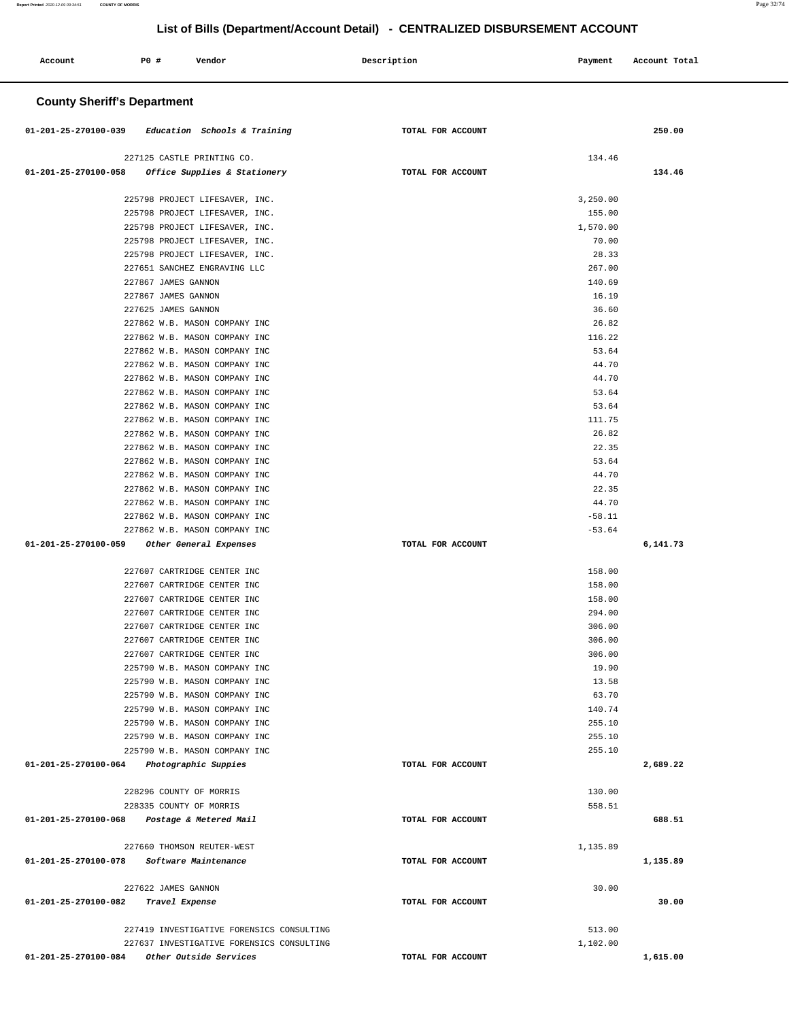#### **Account P0 # Vendor Description Payment Account Total County Sheriff's Department 01-201-25-270100-039 Education Schools & Training TOTAL FOR ACCOUNT 250.00** 227125 CASTLE PRINTING CO. **01-201-25-270100-058 Office Supplies & Stationery TOTAL FOR ACCOUNT**  134.46 **134.46** 225798 PROJECT LIFESAVER, INC. 225798 PROJECT LIFESAVER, INC. 225798 PROJECT LIFESAVER, INC. 225798 PROJECT LIFESAVER, INC. 225798 PROJECT LIFESAVER, INC. 227651 SANCHEZ ENGRAVING LLC 227867 JAMES GANNON 227867 JAMES GANNON 227625 JAMES GANNON 227862 W.B. MASON COMPANY INC 227862 W.B. MASON COMPANY INC 227862 W.B. MASON COMPANY INC 227862 W.B. MASON COMPANY INC 227862 W.B. MASON COMPANY INC 227862 W.B. MASON COMPANY INC 227862 W.B. MASON COMPANY INC 227862 W.B. MASON COMPANY INC 227862 W.B. MASON COMPANY INC 227862 W.B. MASON COMPANY INC 227862 W.B. MASON COMPANY INC 227862 W.B. MASON COMPANY INC 227862 W.B. MASON COMPANY INC 227862 W.B. MASON COMPANY INC 227862 W.B. MASON COMPANY INC 227862 W.B. MASON COMPANY INC **01-201-25-270100-059 Other General Expenses TOTAL FOR ACCOUNT**  3,250.00 155.00 1,570.00 70.00 28.33 267.00 140.69 16.19 36.60 26.82 116.22 53.64 44.70 44.70 53.64 53.64 111.75 26.82 22.35 53.64 44.70 22.35 44.70 -58.11 -53.64 **6,141.73** 227607 CARTRIDGE CENTER INC 227607 CARTRIDGE CENTER INC 227607 CARTRIDGE CENTER INC 227607 CARTRIDGE CENTER INC 227607 CARTRIDGE CENTER INC 227607 CARTRIDGE CENTER INC 227607 CARTRIDGE CENTER INC 225790 W.B. MASON COMPANY INC 225790 W.B. MASON COMPANY INC 225790 W.B. MASON COMPANY INC 225790 W.B. MASON COMPANY INC 225790 W.B. MASON COMPANY INC 225790 W.B. MASON COMPANY INC 225790 W.B. MASON COMPANY INC **01-201-25-270100-064 Photographic Suppies TOTAL FOR ACCOUNT**  158.00 158.00 158.00 294.00 306.00 306.00 306.00 19.90 13.58 63.70 140.74 255.10 255.10 255.10 **2,689.22** 228296 COUNTY OF MORRIS 228335 COUNTY OF MORRIS **01-201-25-270100-068 Postage & Metered Mail TOTAL FOR ACCOUNT**  130.00 558.51 **688.51** 227660 THOMSON REUTER-WEST **01-201-25-270100-078 Software Maintenance TOTAL FOR ACCOUNT**  1,135.89 **1,135.89** 227622 JAMES GANNON **01-201-25-270100-082 Travel Expense TOTAL FOR ACCOUNT**  30.00 **30.00** 227419 INVESTIGATIVE FORENSICS CONSULTING 227637 INVESTIGATIVE FORENSICS CONSULTING **01-201-25-270100-084 Other Outside Services TOTAL FOR ACCOUNT**  513.00 1,102.00 **1,615.00**

# **List of Bills (Department/Account Detail) - CENTRALIZED DISBURSEMENT ACCOUNT**

**Report Printed** 2020-12-09 09:34:51 **COUNTY OF MORRIS** Page 32/74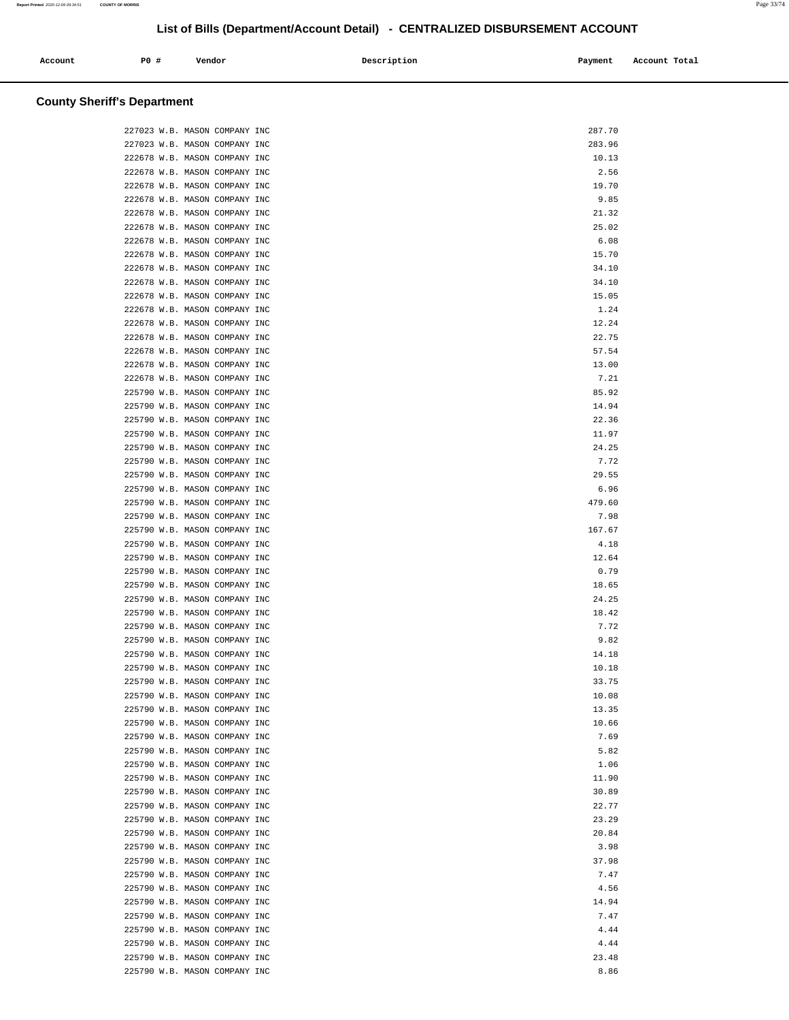| Account | P0# | Vendor | Description | Payment | Account Total |
|---------|-----|--------|-------------|---------|---------------|
| .       |     |        | .           |         | .<br>.        |

# **County Sheriff's Department**

| 227023 W.B. MASON COMPANY INC | 287.70 |
|-------------------------------|--------|
| 227023 W.B. MASON COMPANY INC | 283.96 |
| 222678 W.B. MASON COMPANY INC | 10.13  |
| 222678 W.B. MASON COMPANY INC | 2.56   |
| 222678 W.B. MASON COMPANY INC | 19.70  |
| 222678 W.B. MASON COMPANY INC | 9.85   |
| 222678 W.B. MASON COMPANY INC | 21.32  |
| 222678 W.B. MASON COMPANY INC | 25.02  |
| 222678 W.B. MASON COMPANY INC | 6.08   |
| 222678 W.B. MASON COMPANY INC | 15.70  |
| 222678 W.B. MASON COMPANY INC | 34.10  |
| 222678 W.B. MASON COMPANY INC | 34.10  |
| 222678 W.B. MASON COMPANY INC | 15.05  |
| 222678 W.B. MASON COMPANY INC | 1.24   |
| 222678 W.B. MASON COMPANY INC | 12.24  |
| 222678 W.B. MASON COMPANY INC | 22.75  |
| 222678 W.B. MASON COMPANY INC | 57.54  |
|                               |        |
| 222678 W.B. MASON COMPANY INC | 13.00  |
| 222678 W.B. MASON COMPANY INC | 7.21   |
| 225790 W.B. MASON COMPANY INC | 85.92  |
| 225790 W.B. MASON COMPANY INC | 14.94  |
| 225790 W.B. MASON COMPANY INC | 22.36  |
| 225790 W.B. MASON COMPANY INC | 11.97  |
| 225790 W.B. MASON COMPANY INC | 24.25  |
| 225790 W.B. MASON COMPANY INC | 7.72   |
| 225790 W.B. MASON COMPANY INC | 29.55  |
| 225790 W.B. MASON COMPANY INC | 6.96   |
| 225790 W.B. MASON COMPANY INC | 479.60 |
| 225790 W.B. MASON COMPANY INC | 7.98   |
| 225790 W.B. MASON COMPANY INC | 167.67 |
| 225790 W.B. MASON COMPANY INC | 4.18   |
| 225790 W.B. MASON COMPANY INC | 12.64  |
| 225790 W.B. MASON COMPANY INC | 0.79   |
| 225790 W.B. MASON COMPANY INC | 18.65  |
| 225790 W.B. MASON COMPANY INC | 24.25  |
| 225790 W.B. MASON COMPANY INC | 18.42  |
| 225790 W.B. MASON COMPANY INC | 7.72   |
| 225790 W.B. MASON COMPANY INC | 9.82   |
| 225790 W.B. MASON COMPANY INC | 14.18  |
| 225790 W.B. MASON COMPANY INC | 10.18  |
| 225790 W.B. MASON COMPANY INC | 33.75  |
| 225790 W.B. MASON COMPANY INC | 10.08  |
| 225790 W.B. MASON COMPANY INC | 13.35  |
| 225790 W.B. MASON COMPANY INC | 10.66  |
| 225790 W.B. MASON COMPANY INC | 7.69   |
| 225790 W.B. MASON COMPANY INC | 5.82   |
| 225790 W.B. MASON COMPANY INC | 1.06   |
| 225790 W.B. MASON COMPANY INC | 11.90  |
| 225790 W.B. MASON COMPANY INC | 30.89  |
| 225790 W.B. MASON COMPANY INC | 22.77  |
| 225790 W.B. MASON COMPANY INC | 23.29  |
| 225790 W.B. MASON COMPANY INC | 20.84  |
| 225790 W.B. MASON COMPANY INC | 3.98   |
| 225790 W.B. MASON COMPANY INC | 37.98  |
| 225790 W.B. MASON COMPANY INC | 7.47   |
| 225790 W.B. MASON COMPANY INC | 4.56   |
| 225790 W.B. MASON COMPANY INC | 14.94  |
| 225790 W.B. MASON COMPANY INC | 7.47   |
| 225790 W.B. MASON COMPANY INC | 4.44   |
| 225790 W.B. MASON COMPANY INC | 4.44   |
| 225790 W.B. MASON COMPANY INC | 23.48  |
|                               |        |
| 225790 W.B. MASON COMPANY INC | 8.86   |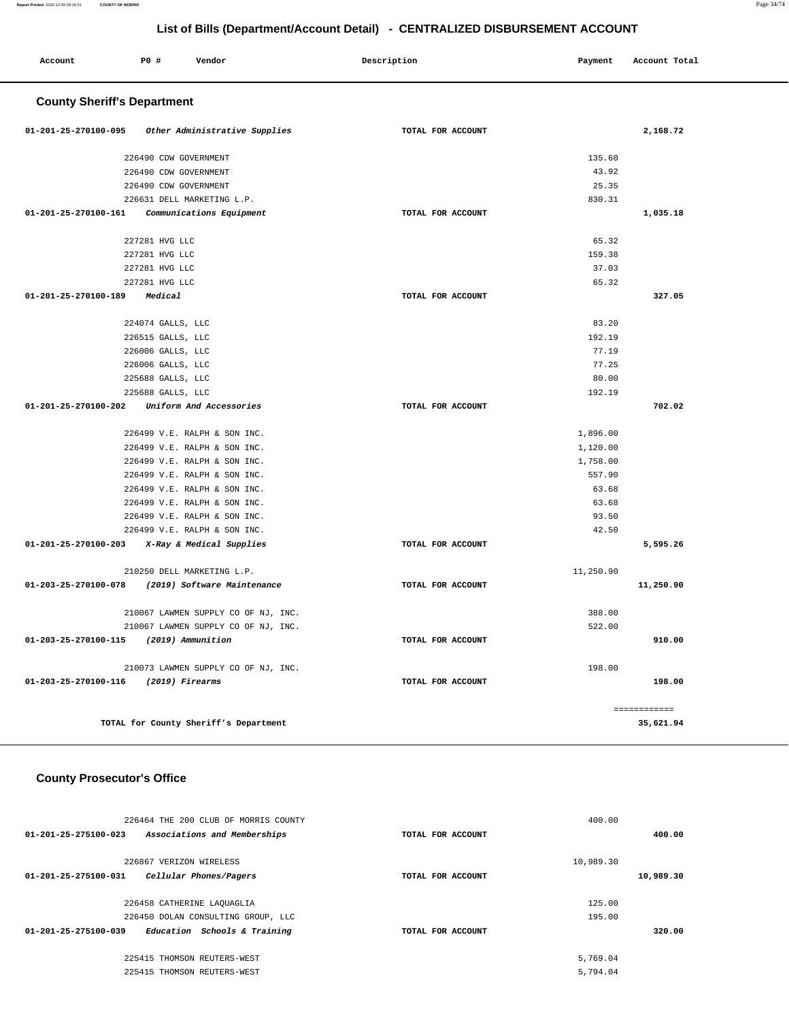| P0 #<br>Account                    | Vendor                                | Description       | Payment   | Account Total |
|------------------------------------|---------------------------------------|-------------------|-----------|---------------|
| <b>County Sheriff's Department</b> |                                       |                   |           |               |
| 01-201-25-270100-095               | Other Administrative Supplies         | TOTAL FOR ACCOUNT |           | 2,168.72      |
|                                    | 226490 CDW GOVERNMENT                 |                   | 135.60    |               |
|                                    | 226490 CDW GOVERNMENT                 |                   | 43.92     |               |
|                                    | 226490 CDW GOVERNMENT                 |                   | 25.35     |               |
|                                    | 226631 DELL MARKETING L.P.            |                   | 830.31    |               |
| 01-201-25-270100-161               | Communications Equipment              | TOTAL FOR ACCOUNT |           | 1,035.18      |
| 227281 HVG LLC                     |                                       |                   | 65.32     |               |
| 227281 HVG LLC                     |                                       |                   | 159.38    |               |
| 227281 HVG LLC                     |                                       |                   | 37.03     |               |
| 227281 HVG LLC                     |                                       |                   | 65.32     |               |
| 01-201-25-270100-189<br>Medical    |                                       | TOTAL FOR ACCOUNT |           | 327.05        |
| 224074 GALLS, LLC                  |                                       |                   | 83.20     |               |
| 226515 GALLS, LLC                  |                                       |                   | 192.19    |               |
| 226006 GALLS, LLC                  |                                       |                   | 77.19     |               |
| 226006 GALLS, LLC                  |                                       |                   | 77.25     |               |
| 225688 GALLS, LLC                  |                                       |                   | 80.00     |               |
| 225688 GALLS, LLC                  |                                       |                   | 192.19    |               |
| 01-201-25-270100-202               | Uniform And Accessories               | TOTAL FOR ACCOUNT |           | 702.02        |
|                                    | 226499 V.E. RALPH & SON INC.          |                   | 1,896.00  |               |
|                                    | 226499 V.E. RALPH & SON INC.          |                   | 1,120.00  |               |
|                                    | 226499 V.E. RALPH & SON INC.          |                   | 1,758.00  |               |
|                                    | 226499 V.E. RALPH & SON INC.          |                   | 557.90    |               |
|                                    | 226499 V.E. RALPH & SON INC.          |                   | 63.68     |               |
|                                    | 226499 V.E. RALPH & SON INC.          |                   | 63.68     |               |
|                                    | 226499 V.E. RALPH & SON INC.          |                   | 93.50     |               |
|                                    | 226499 V.E. RALPH & SON INC.          |                   | 42.50     |               |
| 01-201-25-270100-203               | X-Ray & Medical Supplies              | TOTAL FOR ACCOUNT |           | 5,595.26      |
|                                    | 210250 DELL MARKETING L.P.            |                   | 11,250.90 |               |
| 01-203-25-270100-078               | (2019) Software Maintenance           | TOTAL FOR ACCOUNT |           | 11,250.90     |
|                                    | 210067 LAWMEN SUPPLY CO OF NJ, INC.   |                   | 388.00    |               |
|                                    | 210067 LAWMEN SUPPLY CO OF NJ, INC.   |                   | 522.00    |               |
| 01-203-25-270100-115               | (2019) Ammunition                     | TOTAL FOR ACCOUNT |           | 910.00        |
|                                    | 210073 LAWMEN SUPPLY CO OF NJ, INC.   |                   | 198.00    |               |
| 01-203-25-270100-116               | (2019) Firearms                       | TOTAL FOR ACCOUNT |           | 198.00        |
|                                    |                                       |                   |           | ============  |
|                                    | TOTAL for County Sheriff's Department |                   |           | 35,621.94     |

# **County Prosecutor's Office**

| 226464 THE 200 CLUB OF MORRIS COUNTY                           |                   | 400.00    |
|----------------------------------------------------------------|-------------------|-----------|
| $01 - 201 - 25 - 275100 - 023$<br>Associations and Memberships | TOTAL FOR ACCOUNT | 400.00    |
|                                                                |                   |           |
| 226867 VERIZON WIRELESS                                        |                   | 10,989.30 |
| 01-201-25-275100-031<br>Cellular Phones/Pagers                 | TOTAL FOR ACCOUNT | 10,989.30 |
|                                                                |                   |           |
| 226458 CATHERINE LAQUAGLIA                                     |                   | 125.00    |
| 226450 DOLAN CONSULTING GROUP, LLC                             |                   | 195.00    |
| 01-201-25-275100-039<br>Education Schools & Training           | TOTAL FOR ACCOUNT | 320.00    |
|                                                                |                   |           |
| 225415 THOMSON REUTERS-WEST                                    |                   | 5,769.04  |
| 225415 THOMSON REUTERS-WEST                                    |                   | 5,794.04  |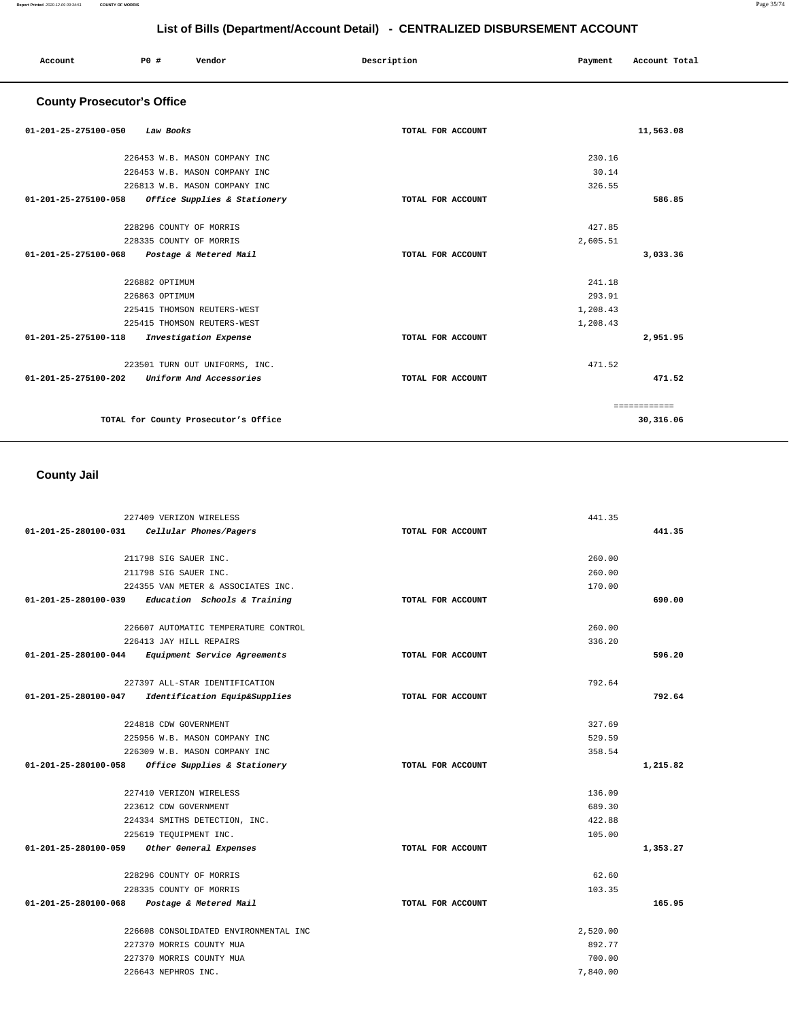| Account                           | P0 #                        | Vendor                               | Description       | Payment  | Account Total |
|-----------------------------------|-----------------------------|--------------------------------------|-------------------|----------|---------------|
| <b>County Prosecutor's Office</b> |                             |                                      |                   |          |               |
| 01-201-25-275100-050              | Law Books                   |                                      | TOTAL FOR ACCOUNT |          | 11,563.08     |
|                                   |                             | 226453 W.B. MASON COMPANY INC        |                   | 230.16   |               |
|                                   |                             | 226453 W.B. MASON COMPANY INC        |                   | 30.14    |               |
|                                   |                             | 226813 W.B. MASON COMPANY INC        |                   | 326.55   |               |
| 01-201-25-275100-058              |                             | Office Supplies & Stationery         | TOTAL FOR ACCOUNT |          | 586.85        |
|                                   | 228296 COUNTY OF MORRIS     |                                      |                   | 427.85   |               |
|                                   | 228335 COUNTY OF MORRIS     |                                      |                   | 2,605.51 |               |
| 01-201-25-275100-068              |                             | Postage & Metered Mail               | TOTAL FOR ACCOUNT |          | 3,033.36      |
|                                   | 226882 OPTIMUM              |                                      |                   | 241.18   |               |
|                                   | 226863 OPTIMUM              |                                      |                   | 293.91   |               |
|                                   | 225415 THOMSON REUTERS-WEST |                                      |                   | 1,208.43 |               |
|                                   | 225415 THOMSON REUTERS-WEST |                                      |                   | 1,208.43 |               |
| 01-201-25-275100-118              |                             | Investigation Expense                | TOTAL FOR ACCOUNT |          | 2,951.95      |
|                                   |                             | 223501 TURN OUT UNIFORMS, INC.       |                   | 471.52   |               |
| 01-201-25-275100-202              |                             | Uniform And Accessories              | TOTAL FOR ACCOUNT |          | 471.52        |
|                                   |                             |                                      |                   |          | ============  |
|                                   |                             | TOTAL for County Prosecutor's Office |                   |          | 30,316.06     |

# **County Jail**

| 227409 VERIZON WIRELESS                               |                   | 441.35   |
|-------------------------------------------------------|-------------------|----------|
| 01-201-25-280100-031<br>Cellular Phones/Pagers        | TOTAL FOR ACCOUNT | 441.35   |
|                                                       |                   |          |
| 211798 SIG SAUER INC.                                 |                   | 260.00   |
| 211798 SIG SAUER INC.                                 |                   | 260.00   |
| 224355 VAN METER & ASSOCIATES INC.                    |                   | 170.00   |
| $01-201-25-280100-039$ Education Schools & Training   | TOTAL FOR ACCOUNT | 690.00   |
| 226607 AUTOMATIC TEMPERATURE CONTROL                  |                   | 260.00   |
| 226413 JAY HILL REPAIRS                               |                   | 336.20   |
| 01-201-25-280100-044 Equipment Service Agreements     | TOTAL FOR ACCOUNT | 596.20   |
| 227397 ALL-STAR IDENTIFICATION                        |                   | 792.64   |
| Identification Equip&Supplies<br>01-201-25-280100-047 | TOTAL FOR ACCOUNT | 792.64   |
|                                                       |                   |          |
| 224818 CDW GOVERNMENT                                 |                   | 327.69   |
| 225956 W.B. MASON COMPANY INC                         |                   | 529.59   |
| 226309 W.B. MASON COMPANY INC                         |                   | 358.54   |
| 01-201-25-280100-058 Office Supplies & Stationery     | TOTAL FOR ACCOUNT | 1,215.82 |
| 227410 VERIZON WIRELESS                               |                   | 136.09   |
| 223612 CDW GOVERNMENT                                 |                   | 689.30   |
| 224334 SMITHS DETECTION, INC.                         |                   | 422.88   |
| 225619 TEQUIPMENT INC.                                |                   | 105.00   |
| 01-201-25-280100-059 Other General Expenses           | TOTAL FOR ACCOUNT | 1,353.27 |
| 228296 COUNTY OF MORRIS                               |                   | 62.60    |
| 228335 COUNTY OF MORRIS                               |                   | 103.35   |
| 01-201-25-280100-068<br>Postage & Metered Mail        | TOTAL FOR ACCOUNT | 165.95   |
|                                                       |                   |          |
| 226608 CONSOLIDATED ENVIRONMENTAL INC                 |                   | 2,520.00 |
| 227370 MORRIS COUNTY MUA                              |                   | 892.77   |
| 227370 MORRIS COUNTY MUA                              |                   | 700.00   |
| 226643 NEPHROS INC.                                   |                   | 7,840.00 |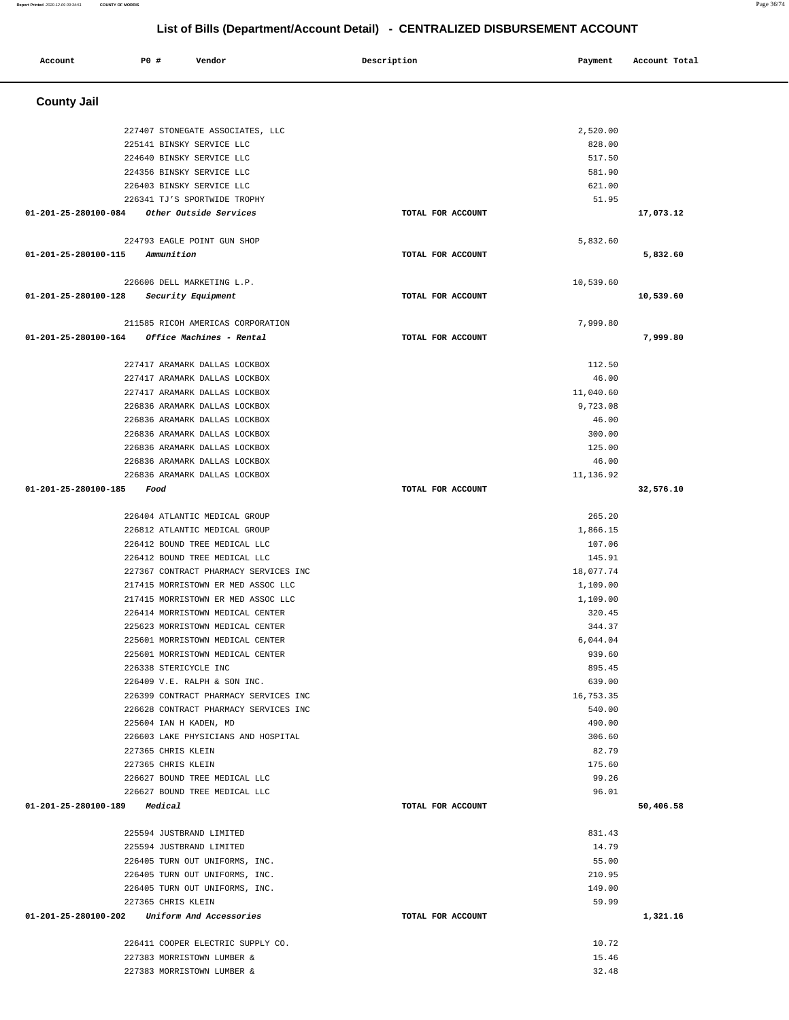| Account              | P0 #<br>Vendor                                                       | Description       | Payment            | Account Total |
|----------------------|----------------------------------------------------------------------|-------------------|--------------------|---------------|
| <b>County Jail</b>   |                                                                      |                   |                    |               |
|                      | 227407 STONEGATE ASSOCIATES, LLC                                     |                   | 2,520.00           |               |
|                      | 225141 BINSKY SERVICE LLC                                            |                   | 828.00             |               |
|                      | 224640 BINSKY SERVICE LLC                                            |                   | 517.50             |               |
|                      | 224356 BINSKY SERVICE LLC                                            |                   | 581.90             |               |
|                      | 226403 BINSKY SERVICE LLC                                            |                   | 621.00             |               |
|                      | 226341 TJ'S SPORTWIDE TROPHY                                         |                   | 51.95              |               |
| 01-201-25-280100-084 | Other Outside Services                                               | TOTAL FOR ACCOUNT |                    | 17,073.12     |
|                      | 224793 EAGLE POINT GUN SHOP                                          |                   | 5,832.60           |               |
| 01-201-25-280100-115 | Ammunition                                                           | TOTAL FOR ACCOUNT |                    | 5,832.60      |
|                      | 226606 DELL MARKETING L.P.                                           |                   | 10,539.60          |               |
| 01-201-25-280100-128 | Security Equipment                                                   | TOTAL FOR ACCOUNT |                    | 10,539.60     |
|                      |                                                                      |                   |                    |               |
|                      | 211585 RICOH AMERICAS CORPORATION                                    |                   | 7,999.80           |               |
| 01-201-25-280100-164 | Office Machines - Rental                                             | TOTAL FOR ACCOUNT |                    | 7,999.80      |
|                      | 227417 ARAMARK DALLAS LOCKBOX                                        |                   | 112.50             |               |
|                      | 227417 ARAMARK DALLAS LOCKBOX                                        |                   | 46.00              |               |
|                      | 227417 ARAMARK DALLAS LOCKBOX                                        |                   | 11,040.60          |               |
|                      | 226836 ARAMARK DALLAS LOCKBOX                                        |                   | 9,723.08           |               |
|                      | 226836 ARAMARK DALLAS LOCKBOX                                        |                   | 46.00              |               |
|                      | 226836 ARAMARK DALLAS LOCKBOX                                        |                   | 300.00             |               |
|                      | 226836 ARAMARK DALLAS LOCKBOX                                        |                   | 125.00             |               |
|                      | 226836 ARAMARK DALLAS LOCKBOX                                        |                   | 46.00              |               |
| 01-201-25-280100-185 | 226836 ARAMARK DALLAS LOCKBOX<br>Food                                | TOTAL FOR ACCOUNT | 11,136.92          | 32,576.10     |
|                      |                                                                      |                   |                    |               |
|                      | 226404 ATLANTIC MEDICAL GROUP                                        |                   | 265.20             |               |
|                      | 226812 ATLANTIC MEDICAL GROUP                                        |                   | 1,866.15           |               |
|                      | 226412 BOUND TREE MEDICAL LLC                                        |                   | 107.06             |               |
|                      | 226412 BOUND TREE MEDICAL LLC                                        |                   | 145.91             |               |
|                      | 227367 CONTRACT PHARMACY SERVICES INC                                |                   | 18,077.74          |               |
|                      | 217415 MORRISTOWN ER MED ASSOC LLC                                   |                   | 1,109.00           |               |
|                      | 217415 MORRISTOWN ER MED ASSOC LLC                                   |                   | 1,109.00           |               |
|                      | 226414 MORRISTOWN MEDICAL CENTER                                     |                   | 320.45             |               |
|                      | 225623 MORRISTOWN MEDICAL CENTER                                     |                   | 344.37<br>6,044.04 |               |
|                      | 225601 MORRISTOWN MEDICAL CENTER<br>225601 MORRISTOWN MEDICAL CENTER |                   | 939.60             |               |
|                      | 226338 STERICYCLE INC                                                |                   | 895.45             |               |
|                      | 226409 V.E. RALPH & SON INC.                                         |                   | 639.00             |               |
|                      | 226399 CONTRACT PHARMACY SERVICES INC                                |                   | 16,753.35          |               |
|                      | 226628 CONTRACT PHARMACY SERVICES INC                                |                   | 540.00             |               |
|                      | 225604 IAN H KADEN, MD                                               |                   | 490.00             |               |
|                      | 226603 LAKE PHYSICIANS AND HOSPITAL                                  |                   | 306.60             |               |
|                      | 227365 CHRIS KLEIN                                                   |                   | 82.79              |               |
|                      | 227365 CHRIS KLEIN                                                   |                   | 175.60             |               |
|                      | 226627 BOUND TREE MEDICAL LLC                                        |                   | 99.26              |               |
|                      | 226627 BOUND TREE MEDICAL LLC<br>01-201-25-280100-189 Medical        | TOTAL FOR ACCOUNT | 96.01              | 50,406.58     |
|                      |                                                                      |                   |                    |               |
|                      | 225594 JUSTBRAND LIMITED                                             |                   | 831.43             |               |
|                      | 225594 JUSTBRAND LIMITED                                             |                   | 14.79              |               |
|                      | 226405 TURN OUT UNIFORMS, INC.                                       |                   | 55.00              |               |
|                      | 226405 TURN OUT UNIFORMS, INC.                                       |                   | 210.95             |               |
|                      | 226405 TURN OUT UNIFORMS, INC.                                       |                   | 149.00             |               |
|                      | 227365 CHRIS KLEIN<br>01-201-25-280100-202 Uniform And Accessories   | TOTAL FOR ACCOUNT | 59.99              | 1,321.16      |
|                      |                                                                      |                   |                    |               |
|                      | 226411 COOPER ELECTRIC SUPPLY CO.                                    |                   | 10.72              |               |
|                      | 227383 MORRISTOWN LUMBER &                                           |                   | 15.46              |               |
|                      | 227383 MORRISTOWN LUMBER &                                           |                   | 32.48              |               |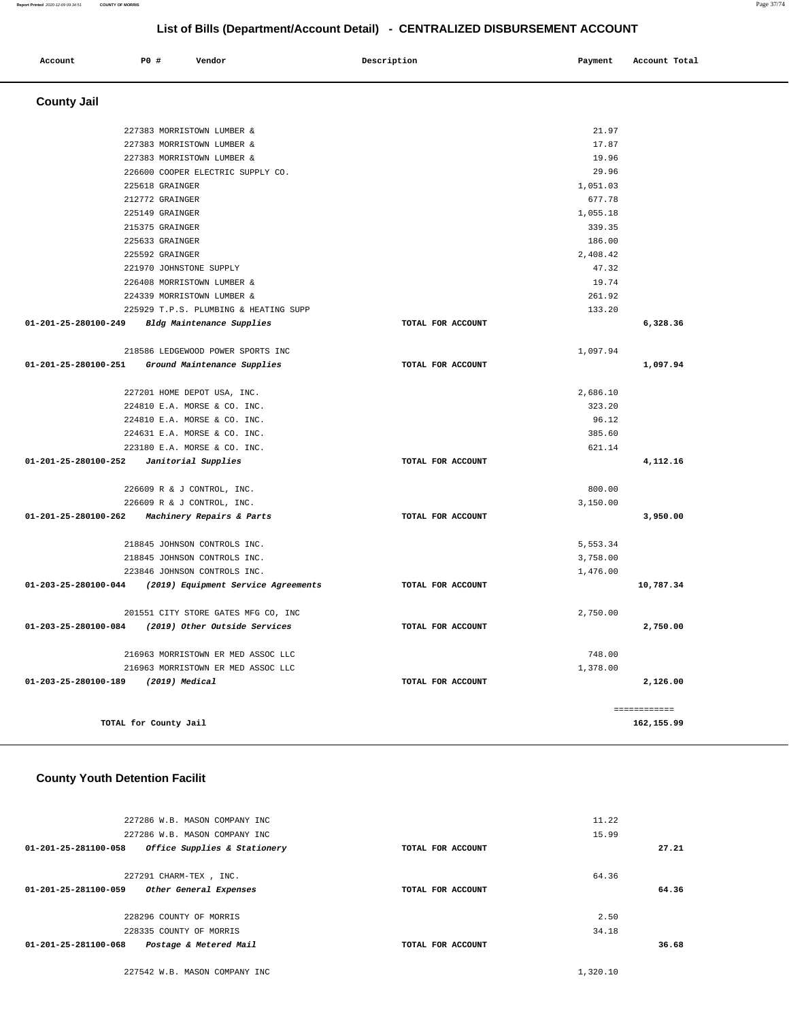#### **Report Printed** 2020-12-09 09:34:51 **COUNTY OF MORRIS** Page 37/74

# **List of Bills (Department/Account Detail) - CENTRALIZED DISBURSEMENT ACCOUNT**

| Account                        | PO#                     | Vendor                                                      | Description       | Payment  | Account Total |
|--------------------------------|-------------------------|-------------------------------------------------------------|-------------------|----------|---------------|
| <b>County Jail</b>             |                         |                                                             |                   |          |               |
|                                |                         | 227383 MORRISTOWN LUMBER &                                  |                   | 21.97    |               |
|                                |                         | 227383 MORRISTOWN LUMBER &                                  |                   | 17.87    |               |
|                                |                         | 227383 MORRISTOWN LUMBER &                                  |                   | 19.96    |               |
|                                |                         | 226600 COOPER ELECTRIC SUPPLY CO.                           |                   | 29.96    |               |
|                                | 225618 GRAINGER         |                                                             |                   | 1,051.03 |               |
|                                | 212772 GRAINGER         |                                                             |                   | 677.78   |               |
|                                | 225149 GRAINGER         |                                                             |                   | 1,055.18 |               |
|                                | 215375 GRAINGER         |                                                             |                   | 339.35   |               |
|                                | 225633 GRAINGER         |                                                             |                   | 186.00   |               |
|                                | 225592 GRAINGER         |                                                             |                   | 2,408.42 |               |
|                                | 221970 JOHNSTONE SUPPLY |                                                             |                   | 47.32    |               |
|                                |                         | 226408 MORRISTOWN LUMBER &                                  |                   | 19.74    |               |
|                                |                         | 224339 MORRISTOWN LUMBER &                                  |                   | 261.92   |               |
|                                |                         | 225929 T.P.S. PLUMBING & HEATING SUPP                       |                   | 133.20   |               |
| 01-201-25-280100-249           |                         | Bldg Maintenance Supplies                                   | TOTAL FOR ACCOUNT |          | 6,328.36      |
|                                |                         | 218586 LEDGEWOOD POWER SPORTS INC                           |                   | 1,097.94 |               |
| 01-201-25-280100-251           |                         | Ground Maintenance Supplies                                 | TOTAL FOR ACCOUNT |          | 1,097.94      |
|                                |                         |                                                             |                   | 2,686.10 |               |
|                                |                         | 227201 HOME DEPOT USA, INC.<br>224810 E.A. MORSE & CO. INC. |                   | 323.20   |               |
|                                |                         | 224810 E.A. MORSE & CO. INC.                                |                   | 96.12    |               |
|                                |                         | 224631 E.A. MORSE & CO. INC.                                |                   | 385.60   |               |
|                                |                         | 223180 E.A. MORSE & CO. INC.                                |                   | 621.14   |               |
| 01-201-25-280100-252           |                         | Janitorial Supplies                                         | TOTAL FOR ACCOUNT |          | 4,112.16      |
|                                |                         |                                                             |                   |          |               |
|                                |                         | 226609 R & J CONTROL, INC.                                  |                   | 800.00   |               |
|                                |                         | 226609 R & J CONTROL, INC.                                  |                   | 3,150.00 |               |
| 01-201-25-280100-262           |                         | Machinery Repairs & Parts                                   | TOTAL FOR ACCOUNT |          | 3,950.00      |
|                                |                         | 218845 JOHNSON CONTROLS INC.                                |                   | 5,553.34 |               |
|                                |                         | 218845 JOHNSON CONTROLS INC.                                |                   | 3,758.00 |               |
|                                |                         | 223846 JOHNSON CONTROLS INC.                                |                   | 1,476.00 |               |
| $01 - 203 - 25 - 280100 - 044$ |                         | (2019) Equipment Service Agreements                         | TOTAL FOR ACCOUNT |          | 10,787.34     |
|                                |                         | 201551 CITY STORE GATES MFG CO, INC                         |                   | 2,750.00 |               |
| 01-203-25-280100-084           |                         | (2019) Other Outside Services                               | TOTAL FOR ACCOUNT |          | 2,750.00      |
|                                |                         |                                                             |                   |          |               |
|                                |                         | 216963 MORRISTOWN ER MED ASSOC LLC                          |                   | 748.00   |               |
|                                |                         | 216963 MORRISTOWN ER MED ASSOC LLC                          |                   | 1,378.00 |               |
| 01-203-25-280100-189           | (2019) Medical          |                                                             | TOTAL FOR ACCOUNT |          | 2,126.00      |
|                                |                         |                                                             |                   |          | ============  |
|                                | TOTAL for County Jail   |                                                             |                   |          | 162,155.99    |

# **County Youth Detention Facilit**

| 227286 W.B. MASON COMPANY INC                        |                   | 11.22 |
|------------------------------------------------------|-------------------|-------|
| 227286 W.B. MASON COMPANY INC                        |                   | 15.99 |
| Office Supplies & Stationery<br>01-201-25-281100-058 | TOTAL FOR ACCOUNT | 27.21 |
|                                                      |                   |       |
| 227291 CHARM-TEX , INC.                              |                   | 64.36 |
| 01-201-25-281100-059<br>Other General Expenses       | TOTAL FOR ACCOUNT | 64.36 |
|                                                      |                   |       |
| 228296 COUNTY OF MORRIS                              |                   | 2.50  |
| 228335 COUNTY OF MORRIS                              |                   | 34.18 |
| Postage & Metered Mail<br>01-201-25-281100-068       | TOTAL FOR ACCOUNT | 36.68 |
|                                                      |                   |       |

227542 W.B. MASON COMPANY INC [1,320.10](https://1,320.10)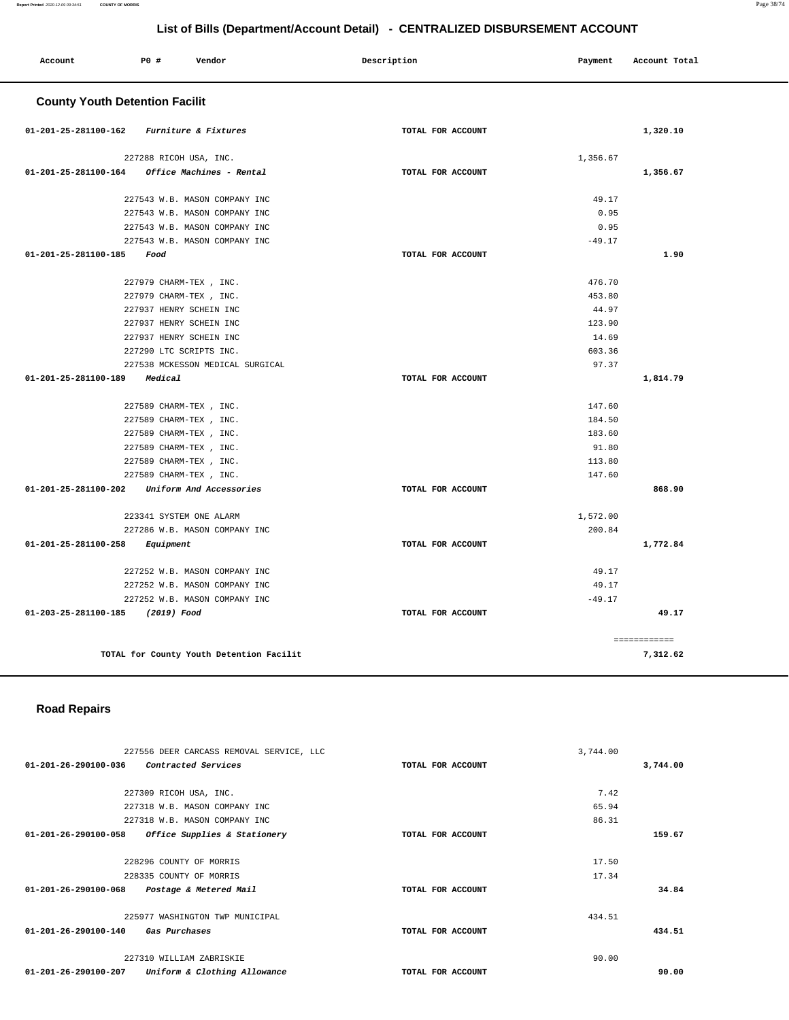| Account              | P0 #<br>Vendor                           | Description       | Payment<br>Account Total |
|----------------------|------------------------------------------|-------------------|--------------------------|
|                      | <b>County Youth Detention Facilit</b>    |                   |                          |
| 01-201-25-281100-162 | Furniture & Fixtures                     | TOTAL FOR ACCOUNT | 1,320.10                 |
|                      | 227288 RICOH USA, INC.                   |                   | 1,356.67                 |
| 01-201-25-281100-164 | Office Machines - Rental                 | TOTAL FOR ACCOUNT | 1,356.67                 |
|                      |                                          |                   |                          |
|                      | 227543 W.B. MASON COMPANY INC            |                   | 49.17                    |
|                      | 227543 W.B. MASON COMPANY INC            |                   | 0.95                     |
|                      | 227543 W.B. MASON COMPANY INC            |                   | 0.95                     |
|                      | 227543 W.B. MASON COMPANY INC            |                   | $-49.17$                 |
| 01-201-25-281100-185 | Food                                     | TOTAL FOR ACCOUNT | 1.90                     |
|                      | 227979 CHARM-TEX, INC.                   |                   | 476.70                   |
|                      | 227979 CHARM-TEX , INC.                  |                   | 453.80                   |
|                      | 227937 HENRY SCHEIN INC                  |                   | 44.97                    |
|                      | 227937 HENRY SCHEIN INC                  |                   | 123.90                   |
|                      | 227937 HENRY SCHEIN INC                  |                   | 14.69                    |
|                      | 227290 LTC SCRIPTS INC.                  |                   | 603.36                   |
|                      | 227538 MCKESSON MEDICAL SURGICAL         |                   | 97.37                    |
| 01-201-25-281100-189 | Medical                                  | TOTAL FOR ACCOUNT | 1,814.79                 |
|                      |                                          |                   |                          |
|                      | 227589 CHARM-TEX, INC.                   |                   | 147.60                   |
|                      | 227589 CHARM-TEX, INC.                   |                   | 184.50                   |
|                      | 227589 CHARM-TEX, INC.                   |                   | 183.60                   |
|                      | 227589 CHARM-TEX , INC.                  |                   | 91.80                    |
|                      | 227589 CHARM-TEX, INC.                   |                   | 113.80                   |
|                      | 227589 CHARM-TEX , INC.                  |                   | 147.60                   |
| 01-201-25-281100-202 | Uniform And Accessories                  | TOTAL FOR ACCOUNT | 868.90                   |
|                      | 223341 SYSTEM ONE ALARM                  |                   | 1,572.00                 |
|                      | 227286 W.B. MASON COMPANY INC            |                   | 200.84                   |
| 01-201-25-281100-258 | Equipment                                | TOTAL FOR ACCOUNT | 1,772.84                 |
|                      |                                          |                   |                          |
|                      | 227252 W.B. MASON COMPANY INC            |                   | 49.17                    |
|                      | 227252 W.B. MASON COMPANY INC            |                   | 49.17                    |
|                      | 227252 W.B. MASON COMPANY INC            |                   | $-49.17$                 |
| 01-203-25-281100-185 | (2019) Food                              | TOTAL FOR ACCOUNT | 49.17                    |
|                      |                                          |                   | ============             |
|                      | TOTAL for County Youth Detention Facilit |                   | 7,312.62                 |

# **Road Repairs**

| 227556 DEER CARCASS REMOVAL SERVICE, LLC             |                   | 3,744.00 |          |
|------------------------------------------------------|-------------------|----------|----------|
| 01-201-26-290100-036<br>Contracted Services          | TOTAL FOR ACCOUNT |          | 3,744.00 |
|                                                      |                   |          |          |
| 227309 RICOH USA, INC.                               |                   | 7.42     |          |
| 227318 W.B. MASON COMPANY INC                        |                   | 65.94    |          |
| 227318 W.B. MASON COMPANY INC                        |                   | 86.31    |          |
| 01-201-26-290100-058<br>Office Supplies & Stationery | TOTAL FOR ACCOUNT |          | 159.67   |
|                                                      |                   |          |          |
| 228296 COUNTY OF MORRIS                              |                   | 17.50    |          |
| 228335 COUNTY OF MORRIS                              |                   | 17.34    |          |
| 01-201-26-290100-068<br>Postage & Metered Mail       | TOTAL FOR ACCOUNT |          | 34.84    |
|                                                      |                   |          |          |
| 225977 WASHINGTON TWP MUNICIPAL                      |                   | 434.51   |          |
| 01-201-26-290100-140<br>Gas Purchases                | TOTAL FOR ACCOUNT |          | 434.51   |
|                                                      |                   |          |          |
| 227310 WILLIAM ZABRISKIE                             |                   | 90.00    |          |
| 01-201-26-290100-207<br>Uniform & Clothing Allowance | TOTAL FOR ACCOUNT |          | 90.00    |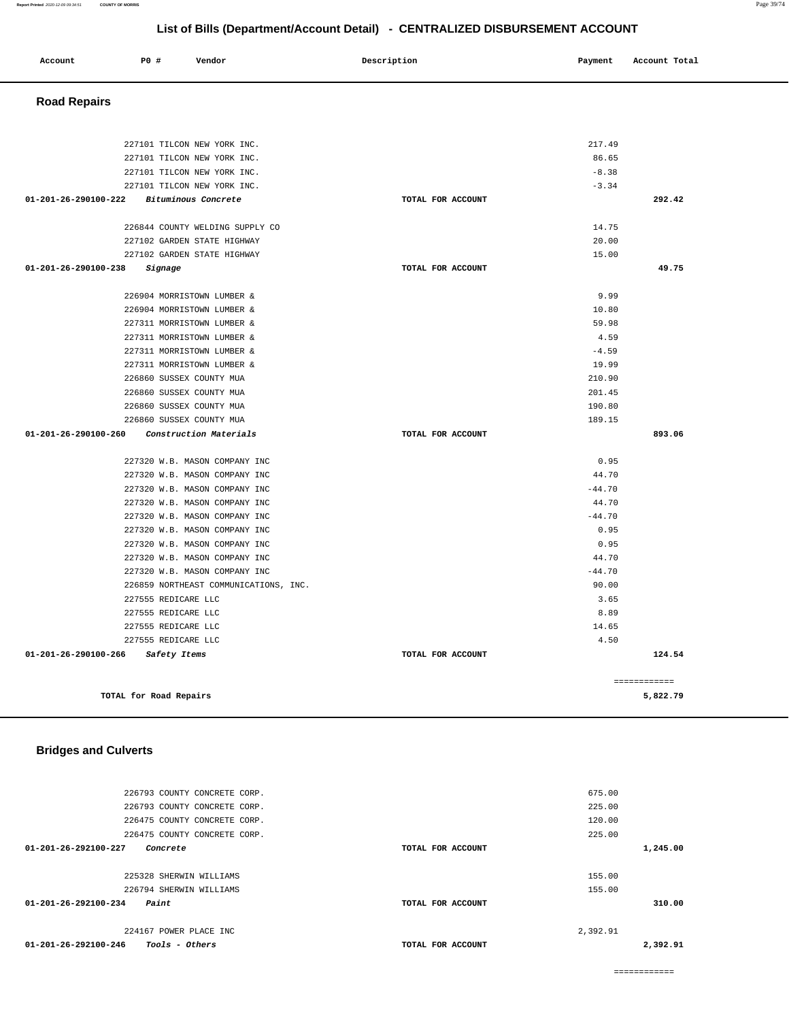#### **Report Printed** 2020-12-09 09:34:51 **COUNTY OF MORRIS** Page 39/74

### **List of Bills (Department/Account Detail) - CENTRALIZED DISBURSEMENT ACCOUNT**

| Account                        | P0 #                     | Vendor                                                         | List of Bills (Department/Account Detail) - CENTRALIZED DISBURSEMENT ACCOUNT<br>Description | Payment  | Account Total |
|--------------------------------|--------------------------|----------------------------------------------------------------|---------------------------------------------------------------------------------------------|----------|---------------|
|                                |                          |                                                                |                                                                                             |          |               |
| <b>Road Repairs</b>            |                          |                                                                |                                                                                             |          |               |
|                                |                          |                                                                |                                                                                             |          |               |
|                                |                          | 227101 TILCON NEW YORK INC.                                    |                                                                                             | 217.49   |               |
|                                |                          | 227101 TILCON NEW YORK INC.                                    |                                                                                             | 86.65    |               |
|                                |                          | 227101 TILCON NEW YORK INC.                                    |                                                                                             | $-8.38$  |               |
|                                |                          | 227101 TILCON NEW YORK INC.                                    |                                                                                             | $-3.34$  |               |
| $01 - 201 - 26 - 290100 - 222$ |                          | Bituminous Concrete                                            | TOTAL FOR ACCOUNT                                                                           |          | 292.42        |
|                                |                          | 226844 COUNTY WELDING SUPPLY CO                                |                                                                                             | 14.75    |               |
|                                |                          | 227102 GARDEN STATE HIGHWAY                                    |                                                                                             | 20.00    |               |
|                                |                          | 227102 GARDEN STATE HIGHWAY                                    |                                                                                             | 15.00    |               |
| $01 - 201 - 26 - 290100 - 238$ | Signage                  |                                                                | TOTAL FOR ACCOUNT                                                                           |          | 49.75         |
|                                |                          | 226904 MORRISTOWN LUMBER &                                     |                                                                                             | 9.99     |               |
|                                |                          | 226904 MORRISTOWN LUMBER &                                     |                                                                                             | 10.80    |               |
|                                |                          | 227311 MORRISTOWN LUMBER &                                     |                                                                                             | 59.98    |               |
|                                |                          | 227311 MORRISTOWN LUMBER &                                     |                                                                                             | 4.59     |               |
|                                |                          | 227311 MORRISTOWN LUMBER &                                     |                                                                                             | $-4.59$  |               |
|                                |                          | 227311 MORRISTOWN LUMBER &                                     |                                                                                             | 19.99    |               |
|                                | 226860 SUSSEX COUNTY MUA |                                                                |                                                                                             | 210.90   |               |
|                                | 226860 SUSSEX COUNTY MUA |                                                                |                                                                                             | 201.45   |               |
|                                | 226860 SUSSEX COUNTY MUA |                                                                |                                                                                             | 190.80   |               |
|                                | 226860 SUSSEX COUNTY MUA |                                                                |                                                                                             | 189.15   |               |
| $01 - 201 - 26 - 290100 - 260$ |                          | Construction Materials                                         | TOTAL FOR ACCOUNT                                                                           |          | 893.06        |
|                                |                          |                                                                |                                                                                             | 0.95     |               |
|                                |                          | 227320 W.B. MASON COMPANY INC<br>227320 W.B. MASON COMPANY INC |                                                                                             | 44.70    |               |
|                                |                          | 227320 W.B. MASON COMPANY INC                                  |                                                                                             | $-44.70$ |               |
|                                |                          | 227320 W.B. MASON COMPANY INC                                  |                                                                                             | 44.70    |               |
|                                |                          | 227320 W.B. MASON COMPANY INC                                  |                                                                                             | $-44.70$ |               |
|                                |                          | 227320 W.B. MASON COMPANY INC                                  |                                                                                             | 0.95     |               |
|                                |                          | 227320 W.B. MASON COMPANY INC                                  |                                                                                             | 0.95     |               |
|                                |                          | 227320 W.B. MASON COMPANY INC                                  |                                                                                             | 44.70    |               |
|                                |                          | 227320 W.B. MASON COMPANY INC                                  |                                                                                             | $-44.70$ |               |
|                                |                          | 226859 NORTHEAST COMMUNICATIONS, INC.                          |                                                                                             | 90.00    |               |
|                                | 227555 REDICARE LLC      |                                                                |                                                                                             | 3.65     |               |
|                                | 227555 REDICARE LLC      |                                                                |                                                                                             | 8.89     |               |
|                                | 227555 REDICARE LLC      |                                                                |                                                                                             | 14.65    |               |
|                                | 227555 REDICARE LLC      |                                                                |                                                                                             | 4.50     |               |
| $01 - 201 - 26 - 290100 - 266$ | Safety Items             |                                                                | TOTAL FOR ACCOUNT                                                                           |          | 124.54        |
|                                |                          |                                                                |                                                                                             |          | ============  |
|                                | TOTAL for Road Repairs   |                                                                |                                                                                             |          | 5,822.79      |
|                                |                          |                                                                |                                                                                             |          |               |

# **Bridges and Culverts**

| 226793 COUNTY CONCRETE CORP.                     |                   | 675.00   |          |
|--------------------------------------------------|-------------------|----------|----------|
| 226793 COUNTY CONCRETE CORP.                     |                   | 225.00   |          |
| 226475 COUNTY CONCRETE CORP.                     |                   | 120.00   |          |
| 226475 COUNTY CONCRETE CORP.                     |                   | 225.00   |          |
| 01-201-26-292100-227<br>Concrete                 | TOTAL FOR ACCOUNT |          | 1,245.00 |
|                                                  |                   |          |          |
| 225328 SHERWIN WILLIAMS                          |                   | 155.00   |          |
| 226794 SHERWIN WILLIAMS                          |                   | 155.00   |          |
| $01 - 201 - 26 - 292100 - 234$<br>Paint          | TOTAL FOR ACCOUNT |          | 310.00   |
|                                                  |                   |          |          |
| 224167 POWER PLACE INC                           |                   | 2,392.91 |          |
| $01 - 201 - 26 - 292100 - 246$<br>Tools - Others | TOTAL FOR ACCOUNT |          | 2,392.91 |
|                                                  |                   |          |          |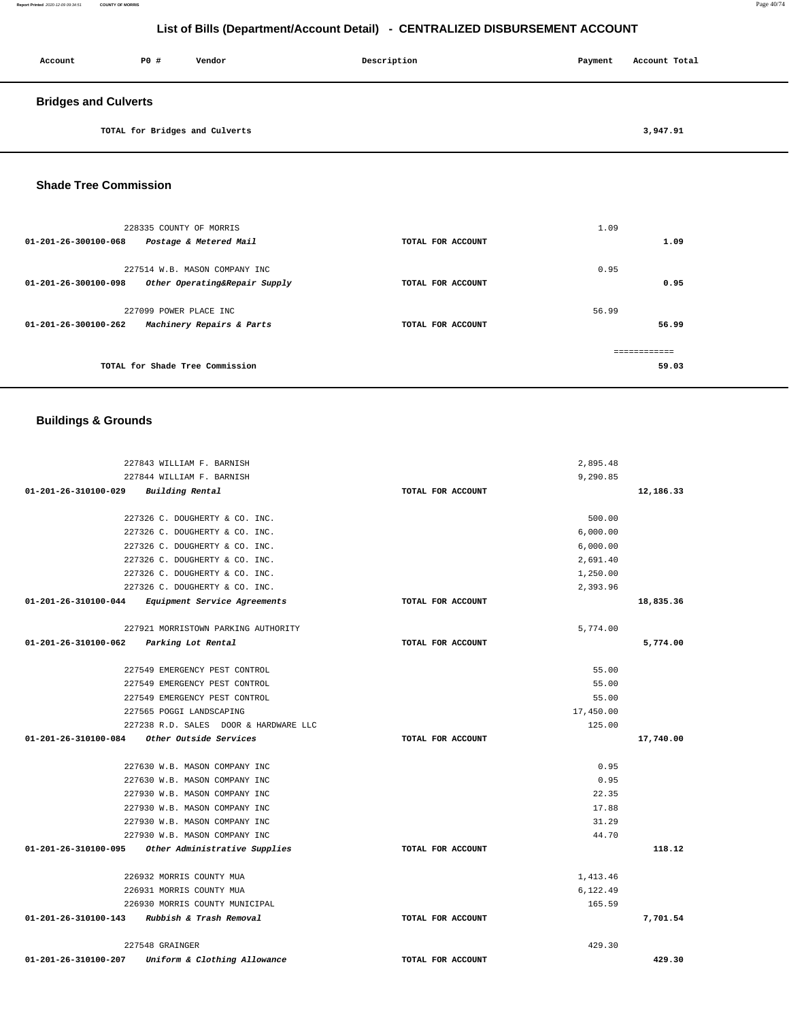**Report Printed** 2020-12-09 09:34:51 **COUNTY OF MORRIS** Page 40/74

# **List of Bills (Department/Account Detail) - CENTRALIZED DISBURSEMENT ACCOUNT**

| Account                     | PO# | Vendor                         | Description | Payment | Account Total |
|-----------------------------|-----|--------------------------------|-------------|---------|---------------|
| <b>Bridges and Culverts</b> |     |                                |             |         |               |
|                             |     | TOTAL for Bridges and Culverts |             |         | 3,947.91      |

### **Shade Tree Commission**

| 228335 COUNTY OF MORRIS<br>Postage & Metered Mail<br>01-201-26-300100-068              | TOTAL FOR ACCOUNT | 1.09<br>1.09          |
|----------------------------------------------------------------------------------------|-------------------|-----------------------|
| 227514 W.B. MASON COMPANY INC<br>01-201-26-300100-098<br>Other Operating&Repair Supply | TOTAL FOR ACCOUNT | 0.95<br>0.95          |
| 227099 POWER PLACE INC<br>Machinery Repairs & Parts<br>01-201-26-300100-262            | TOTAL FOR ACCOUNT | 56.99<br>56.99        |
| TOTAL for Shade Tree Commission                                                        |                   | ============<br>59.03 |

# **Buildings & Grounds**

| 227843 WILLIAM F. BARNISH                            |                   | 2,895.48  |           |
|------------------------------------------------------|-------------------|-----------|-----------|
| 227844 WILLIAM F. BARNISH                            |                   | 9,290.85  |           |
| 01-201-26-310100-029<br>Building Rental              | TOTAL FOR ACCOUNT |           | 12,186.33 |
| 227326 C. DOUGHERTY & CO. INC.                       |                   | 500.00    |           |
| 227326 C. DOUGHERTY & CO. INC.                       |                   | 6,000.00  |           |
| 227326 C. DOUGHERTY & CO. INC.                       |                   | 6,000.00  |           |
| 227326 C. DOUGHERTY & CO. INC.                       |                   | 2,691.40  |           |
| 227326 C. DOUGHERTY & CO. INC.                       |                   | 1,250.00  |           |
| 227326 C. DOUGHERTY & CO. INC.                       |                   | 2,393.96  |           |
| 01-201-26-310100-044<br>Equipment Service Agreements | TOTAL FOR ACCOUNT |           | 18,835.36 |
| 227921 MORRISTOWN PARKING AUTHORITY                  |                   | 5,774.00  |           |
| 01-201-26-310100-062<br>Parking Lot Rental           | TOTAL FOR ACCOUNT |           | 5,774.00  |
| 227549 EMERGENCY PEST CONTROL                        |                   | 55.00     |           |
| 227549 EMERGENCY PEST CONTROL                        |                   | 55.00     |           |
| 227549 EMERGENCY PEST CONTROL                        |                   | 55.00     |           |
| 227565 POGGI LANDSCAPING                             |                   | 17,450.00 |           |
| 227238 R.D. SALES DOOR & HARDWARE LLC                |                   | 125.00    |           |
| 01-201-26-310100-084<br>Other Outside Services       | TOTAL FOR ACCOUNT |           | 17,740.00 |
| 227630 W.B. MASON COMPANY INC                        |                   | 0.95      |           |
| 227630 W.B. MASON COMPANY INC                        |                   | 0.95      |           |
| 227930 W.B. MASON COMPANY INC                        |                   | 22.35     |           |
| 227930 W.B. MASON COMPANY INC                        |                   | 17.88     |           |
| 227930 W.B. MASON COMPANY INC                        |                   | 31.29     |           |
| 227930 W.B. MASON COMPANY INC                        |                   | 44.70     |           |
| 01-201-26-310100-095 Other Administrative Supplies   | TOTAL FOR ACCOUNT |           | 118.12    |
| 226932 MORRIS COUNTY MUA                             |                   | 1,413.46  |           |
| 226931 MORRIS COUNTY MUA                             |                   | 6,122.49  |           |
| 226930 MORRIS COUNTY MUNICIPAL                       |                   | 165.59    |           |
| 01-201-26-310100-143 Rubbish & Trash Removal         | TOTAL FOR ACCOUNT |           | 7,701.54  |
| 227548 GRAINGER                                      |                   | 429.30    |           |
| 01-201-26-310100-207<br>Uniform & Clothing Allowance | TOTAL FOR ACCOUNT |           | 429.30    |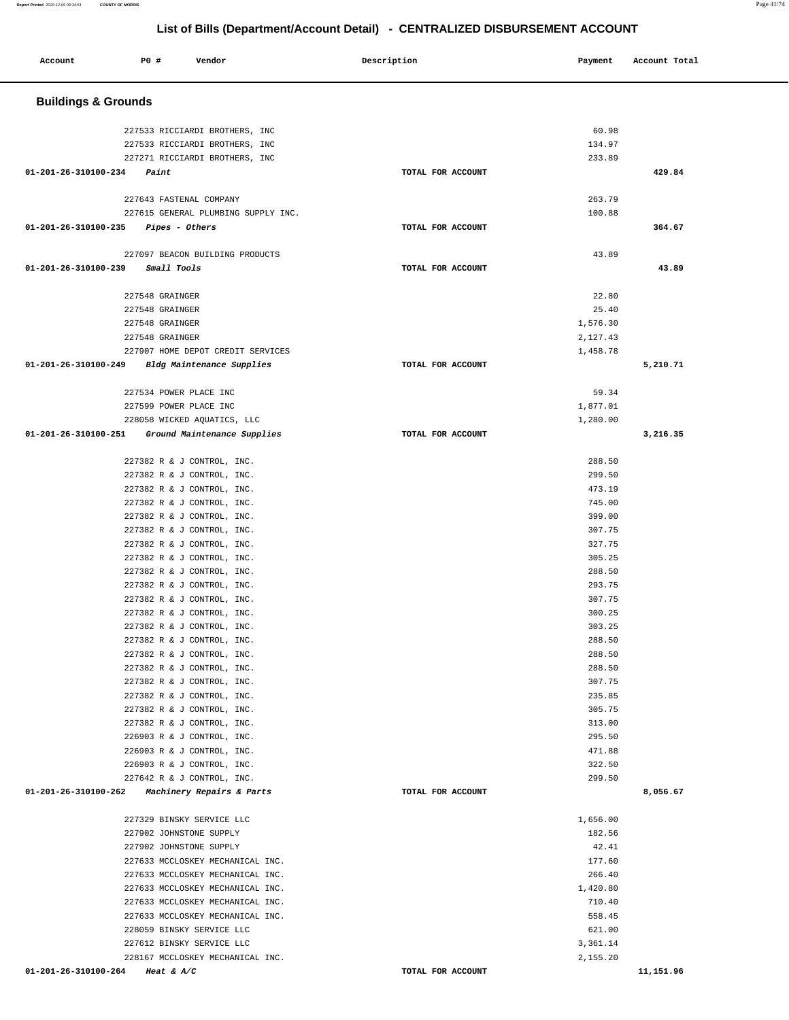۰

| Account                        | P0 # | Vendor                                                   | Description |                   | Payment            | Account Total |
|--------------------------------|------|----------------------------------------------------------|-------------|-------------------|--------------------|---------------|
|                                |      |                                                          |             |                   |                    |               |
| <b>Buildings &amp; Grounds</b> |      |                                                          |             |                   |                    |               |
|                                |      | 227533 RICCIARDI BROTHERS, INC                           |             |                   | 60.98              |               |
|                                |      | 227533 RICCIARDI BROTHERS, INC                           |             |                   | 134.97             |               |
|                                |      | 227271 RICCIARDI BROTHERS, INC                           |             |                   | 233.89             |               |
| 01-201-26-310100-234           |      | Paint                                                    |             | TOTAL FOR ACCOUNT |                    | 429.84        |
|                                |      |                                                          |             |                   |                    |               |
|                                |      | 227643 FASTENAL COMPANY                                  |             |                   | 263.79             |               |
|                                |      | 227615 GENERAL PLUMBING SUPPLY INC.                      |             |                   | 100.88             |               |
| 01-201-26-310100-235           |      | Pipes - Others                                           |             | TOTAL FOR ACCOUNT |                    | 364.67        |
|                                |      | 227097 BEACON BUILDING PRODUCTS                          |             |                   | 43.89              |               |
| 01-201-26-310100-239           |      | Small Tools                                              |             | TOTAL FOR ACCOUNT |                    | 43.89         |
|                                |      |                                                          |             |                   |                    |               |
|                                |      | 227548 GRAINGER                                          |             |                   | 22.80              |               |
|                                |      | 227548 GRAINGER                                          |             |                   | 25.40              |               |
|                                |      | 227548 GRAINGER                                          |             |                   | 1,576.30           |               |
|                                |      | 227548 GRAINGER                                          |             |                   | 2,127.43           |               |
|                                |      | 227907 HOME DEPOT CREDIT SERVICES                        |             |                   | 1,458.78           |               |
| 01-201-26-310100-249           |      | Bldg Maintenance Supplies                                |             | TOTAL FOR ACCOUNT |                    | 5,210.71      |
|                                |      | 227534 POWER PLACE INC                                   |             |                   | 59.34              |               |
|                                |      | 227599 POWER PLACE INC                                   |             |                   | 1,877.01           |               |
|                                |      | 228058 WICKED AQUATICS, LLC                              |             |                   | 1,280.00           |               |
| 01-201-26-310100-251           |      | Ground Maintenance Supplies                              |             | TOTAL FOR ACCOUNT |                    | 3,216.35      |
|                                |      |                                                          |             |                   |                    |               |
|                                |      | 227382 R & J CONTROL, INC.                               |             |                   | 288.50             |               |
|                                |      | 227382 R & J CONTROL, INC.                               |             |                   | 299.50             |               |
|                                |      | 227382 R & J CONTROL, INC.                               |             |                   | 473.19             |               |
|                                |      | 227382 R & J CONTROL, INC.                               |             |                   | 745.00             |               |
|                                |      | 227382 R & J CONTROL, INC.<br>227382 R & J CONTROL, INC. |             |                   | 399.00<br>307.75   |               |
|                                |      | 227382 R & J CONTROL, INC.                               |             |                   | 327.75             |               |
|                                |      | 227382 R & J CONTROL, INC.                               |             |                   | 305.25             |               |
|                                |      | 227382 R & J CONTROL, INC.                               |             |                   | 288.50             |               |
|                                |      | 227382 R & J CONTROL, INC.                               |             |                   | 293.75             |               |
|                                |      | 227382 R & J CONTROL, INC.                               |             |                   | 307.75             |               |
|                                |      | 227382 R & J CONTROL, INC.                               |             |                   | 300.25             |               |
|                                |      | 227382 R & J CONTROL, INC.                               |             |                   | 303.25             |               |
|                                |      | 227382 R & J CONTROL, INC.                               |             |                   | 288.50             |               |
|                                |      | 227382 R & J CONTROL, INC.                               |             |                   | 288.50             |               |
|                                |      | 227382 R & J CONTROL, INC.                               |             |                   | 288.50             |               |
|                                |      | 227382 R & J CONTROL, INC.<br>227382 R & J CONTROL, INC. |             |                   | 307.75<br>235.85   |               |
|                                |      | 227382 R & J CONTROL, INC.                               |             |                   | 305.75             |               |
|                                |      | 227382 R & J CONTROL, INC.                               |             |                   | 313.00             |               |
|                                |      | 226903 R & J CONTROL, INC.                               |             |                   | 295.50             |               |
|                                |      | 226903 R & J CONTROL, INC.                               |             |                   | 471.88             |               |
|                                |      | 226903 R & J CONTROL, INC.                               |             |                   | 322.50             |               |
|                                |      | 227642 R & J CONTROL, INC.                               |             |                   | 299.50             |               |
|                                |      | 01-201-26-310100-262 Machinery Repairs & Parts           |             | TOTAL FOR ACCOUNT |                    | 8,056.67      |
|                                |      |                                                          |             |                   |                    |               |
|                                |      | 227329 BINSKY SERVICE LLC                                |             |                   | 1,656.00<br>182.56 |               |
|                                |      | 227902 JOHNSTONE SUPPLY<br>227902 JOHNSTONE SUPPLY       |             |                   | 42.41              |               |
|                                |      | 227633 MCCLOSKEY MECHANICAL INC.                         |             |                   | 177.60             |               |
|                                |      | 227633 MCCLOSKEY MECHANICAL INC.                         |             |                   | 266.40             |               |
|                                |      | 227633 MCCLOSKEY MECHANICAL INC.                         |             |                   | 1,420.80           |               |
|                                |      | 227633 MCCLOSKEY MECHANICAL INC.                         |             |                   | 710.40             |               |
|                                |      | 227633 MCCLOSKEY MECHANICAL INC.                         |             |                   | 558.45             |               |
|                                |      | 228059 BINSKY SERVICE LLC                                |             |                   | 621.00             |               |
|                                |      | 227612 BINSKY SERVICE LLC                                |             |                   | 3,361.14           |               |
|                                |      | 228167 MCCLOSKEY MECHANICAL INC.                         |             |                   | 2,155.20           |               |
| 01-201-26-310100-264           |      | Heat & $A/C$                                             |             | TOTAL FOR ACCOUNT |                    | 11,151.96     |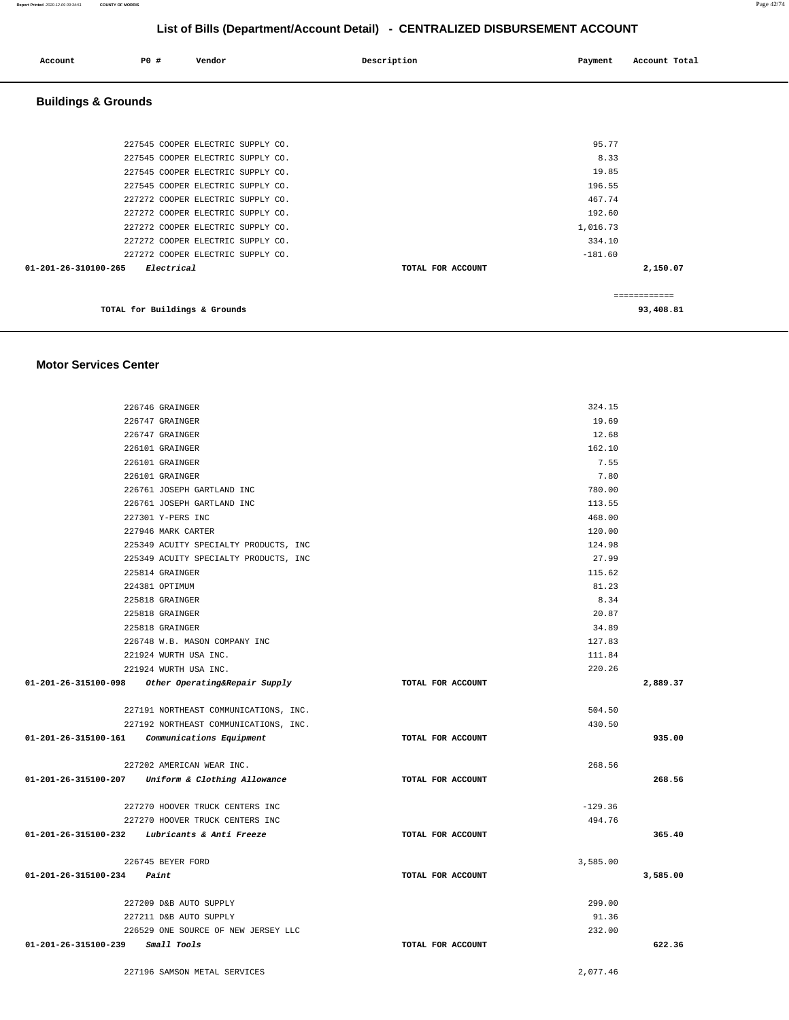| Account                        | <b>PO #</b>                   | Vendor                            | Description       | Payment   | Account Total |  |
|--------------------------------|-------------------------------|-----------------------------------|-------------------|-----------|---------------|--|
| <b>Buildings &amp; Grounds</b> |                               |                                   |                   |           |               |  |
|                                |                               |                                   |                   |           |               |  |
|                                |                               | 227545 COOPER ELECTRIC SUPPLY CO. |                   | 95.77     |               |  |
|                                |                               | 227545 COOPER ELECTRIC SUPPLY CO. |                   | 8.33      |               |  |
|                                |                               | 227545 COOPER ELECTRIC SUPPLY CO. |                   | 19.85     |               |  |
|                                |                               | 227545 COOPER ELECTRIC SUPPLY CO. |                   | 196.55    |               |  |
|                                |                               | 227272 COOPER ELECTRIC SUPPLY CO. |                   | 467.74    |               |  |
|                                |                               | 227272 COOPER ELECTRIC SUPPLY CO. |                   | 192.60    |               |  |
|                                |                               | 227272 COOPER ELECTRIC SUPPLY CO. |                   | 1,016.73  |               |  |
|                                |                               | 227272 COOPER ELECTRIC SUPPLY CO. |                   | 334.10    |               |  |
|                                |                               | 227272 COOPER ELECTRIC SUPPLY CO. |                   | $-181.60$ |               |  |
| $01 - 201 - 26 - 310100 - 265$ | Electrical                    |                                   | TOTAL FOR ACCOUNT |           | 2,150.07      |  |
|                                |                               |                                   |                   |           | ============  |  |
|                                | TOTAL for Buildings & Grounds |                                   |                   |           | 93,408.81     |  |

### **Motor Services Center**

|                                      | 226746 GRAINGER                                    |                   | 324.15    |          |
|--------------------------------------|----------------------------------------------------|-------------------|-----------|----------|
|                                      | 226747 GRAINGER                                    |                   | 19.69     |          |
|                                      | 226747 GRAINGER                                    |                   | 12.68     |          |
|                                      | 226101 GRAINGER                                    |                   | 162.10    |          |
|                                      | 226101 GRAINGER                                    |                   | 7.55      |          |
|                                      | 226101 GRAINGER                                    |                   | 7.80      |          |
|                                      | 226761 JOSEPH GARTLAND INC                         |                   | 780.00    |          |
|                                      | 226761 JOSEPH GARTLAND INC                         |                   | 113.55    |          |
|                                      | 227301 Y-PERS INC                                  |                   | 468.00    |          |
|                                      | 227946 MARK CARTER                                 |                   | 120.00    |          |
|                                      | 225349 ACUITY SPECIALTY PRODUCTS, INC              |                   | 124.98    |          |
|                                      | 225349 ACUITY SPECIALTY PRODUCTS, INC              |                   | 27.99     |          |
|                                      | 225814 GRAINGER                                    |                   | 115.62    |          |
|                                      | 224381 OPTIMUM                                     |                   | 81.23     |          |
|                                      | 225818 GRAINGER                                    |                   | 8.34      |          |
|                                      | 225818 GRAINGER                                    |                   | 20.87     |          |
|                                      | 225818 GRAINGER                                    |                   | 34.89     |          |
|                                      | 226748 W.B. MASON COMPANY INC                      |                   | 127.83    |          |
|                                      | 221924 WURTH USA INC.                              |                   | 111.84    |          |
|                                      | 221924 WURTH USA INC.                              |                   | 220.26    |          |
|                                      | 01-201-26-315100-098 Other Operating&Repair Supply | TOTAL FOR ACCOUNT |           | 2,889.37 |
|                                      | 227191 NORTHEAST COMMUNICATIONS, INC.              |                   | 504.50    |          |
|                                      | 227192 NORTHEAST COMMUNICATIONS, INC.              |                   | 430.50    |          |
|                                      | $01-201-26-315100-161$ Communications Equipment    | TOTAL FOR ACCOUNT |           | 935.00   |
|                                      | 227202 AMERICAN WEAR INC.                          |                   | 268.56    |          |
|                                      | 01-201-26-315100-207 Uniform & Clothing Allowance  | TOTAL FOR ACCOUNT |           | 268.56   |
|                                      | 227270 HOOVER TRUCK CENTERS INC                    |                   | $-129.36$ |          |
|                                      | 227270 HOOVER TRUCK CENTERS INC                    |                   | 494.76    |          |
|                                      | 01-201-26-315100-232 Lubricants & Anti Freeze      | TOTAL FOR ACCOUNT |           | 365.40   |
|                                      | 226745 BEYER FORD                                  |                   | 3,585.00  |          |
| $01 - 201 - 26 - 315100 - 234$ Paint |                                                    | TOTAL FOR ACCOUNT |           | 3,585.00 |
|                                      | 227209 D&B AUTO SUPPLY                             |                   | 299.00    |          |
|                                      | 227211 D&B AUTO SUPPLY                             |                   | 91.36     |          |
|                                      | 226529 ONE SOURCE OF NEW JERSEY LLC                |                   | 232.00    |          |
| 01-201-26-315100-239 Small Tools     |                                                    | TOTAL FOR ACCOUNT |           | 622.36   |
|                                      | 227196 SAMSON METAL SERVICES                       |                   | 2,077.46  |          |
|                                      |                                                    |                   |           |          |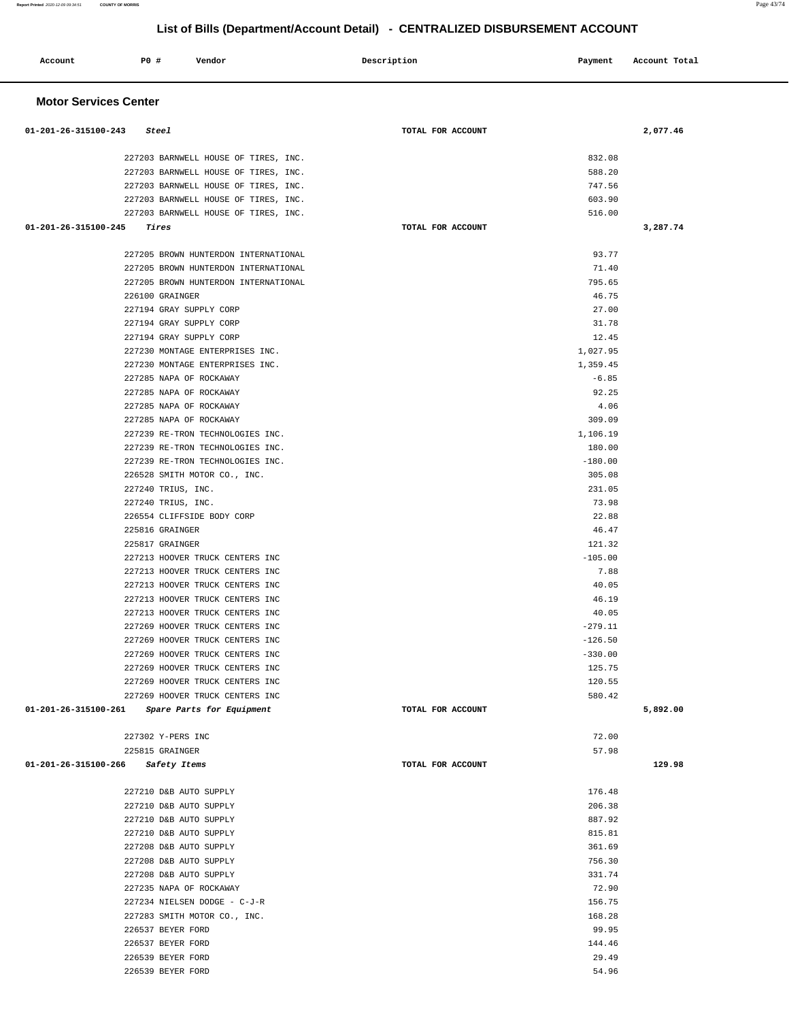| P0 #<br>Account                                                    | Vendor                               | Description       | Payment          | Account Total |
|--------------------------------------------------------------------|--------------------------------------|-------------------|------------------|---------------|
| <b>Motor Services Center</b>                                       |                                      |                   |                  |               |
| 01-201-26-315100-243<br>Steel                                      |                                      | TOTAL FOR ACCOUNT |                  | 2,077.46      |
|                                                                    | 227203 BARNWELL HOUSE OF TIRES, INC. |                   | 832.08           |               |
|                                                                    | 227203 BARNWELL HOUSE OF TIRES, INC. |                   | 588.20           |               |
|                                                                    | 227203 BARNWELL HOUSE OF TIRES, INC. |                   | 747.56           |               |
|                                                                    | 227203 BARNWELL HOUSE OF TIRES, INC. |                   | 603.90           |               |
|                                                                    | 227203 BARNWELL HOUSE OF TIRES, INC. |                   | 516.00           |               |
| 01-201-26-315100-245<br>Tires                                      |                                      | TOTAL FOR ACCOUNT |                  | 3,287.74      |
|                                                                    | 227205 BROWN HUNTERDON INTERNATIONAL |                   | 93.77            |               |
|                                                                    | 227205 BROWN HUNTERDON INTERNATIONAL |                   | 71.40            |               |
|                                                                    | 227205 BROWN HUNTERDON INTERNATIONAL |                   | 795.65           |               |
| 226100 GRAINGER                                                    |                                      |                   | 46.75            |               |
| 227194 GRAY SUPPLY CORP                                            |                                      |                   | 27.00            |               |
| 227194 GRAY SUPPLY CORP                                            |                                      |                   | 31.78            |               |
| 227194 GRAY SUPPLY CORP                                            |                                      |                   | 12.45            |               |
| 227230 MONTAGE ENTERPRISES INC.                                    |                                      |                   | 1,027.95         |               |
| 227230 MONTAGE ENTERPRISES INC.                                    |                                      |                   | 1,359.45         |               |
| 227285 NAPA OF ROCKAWAY                                            |                                      |                   | $-6.85$          |               |
| 227285 NAPA OF ROCKAWAY<br>227285 NAPA OF ROCKAWAY                 |                                      |                   | 92.25<br>4.06    |               |
| 227285 NAPA OF ROCKAWAY                                            |                                      |                   | 309.09           |               |
|                                                                    | 227239 RE-TRON TECHNOLOGIES INC.     |                   | 1,106.19         |               |
|                                                                    | 227239 RE-TRON TECHNOLOGIES INC.     |                   | 180.00           |               |
|                                                                    | 227239 RE-TRON TECHNOLOGIES INC.     |                   | $-180.00$        |               |
| 226528 SMITH MOTOR CO., INC.                                       |                                      |                   | 305.08           |               |
| 227240 TRIUS, INC.                                                 |                                      |                   | 231.05           |               |
| 227240 TRIUS, INC.                                                 |                                      |                   | 73.98            |               |
| 226554 CLIFFSIDE BODY CORP                                         |                                      |                   | 22.88            |               |
| 225816 GRAINGER                                                    |                                      |                   | 46.47            |               |
| 225817 GRAINGER                                                    |                                      |                   | 121.32           |               |
| 227213 HOOVER TRUCK CENTERS INC                                    |                                      |                   | $-105.00$        |               |
| 227213 HOOVER TRUCK CENTERS INC                                    |                                      |                   | 7.88             |               |
| 227213 HOOVER TRUCK CENTERS INC                                    |                                      |                   | 40.05            |               |
| 227213 HOOVER TRUCK CENTERS INC                                    |                                      |                   | 46.19            |               |
| 227213 HOOVER TRUCK CENTERS INC                                    |                                      |                   | 40.05            |               |
| 227269 HOOVER TRUCK CENTERS INC                                    |                                      |                   | $-279.11$        |               |
| 227269 HOOVER TRUCK CENTERS INC                                    |                                      |                   | $-126.50$        |               |
| 227269 HOOVER TRUCK CENTERS INC                                    |                                      |                   | $-330.00$        |               |
| 227269 HOOVER TRUCK CENTERS INC<br>227269 HOOVER TRUCK CENTERS INC |                                      |                   | 125.75<br>120.55 |               |
| 227269 HOOVER TRUCK CENTERS INC                                    |                                      |                   | 580.42           |               |
| 01-201-26-315100-261 Spare Parts for Equipment                     |                                      | TOTAL FOR ACCOUNT |                  | 5,892.00      |
|                                                                    |                                      |                   | 72.00            |               |
| 227302 Y-PERS INC<br>225815 GRAINGER                               |                                      |                   | 57.98            |               |
| 01-201-26-315100-266<br>Safety Items                               |                                      | TOTAL FOR ACCOUNT |                  | 129.98        |
|                                                                    |                                      |                   |                  |               |
| 227210 D&B AUTO SUPPLY                                             |                                      |                   | 176.48           |               |
| 227210 D&B AUTO SUPPLY                                             |                                      |                   | 206.38           |               |
| 227210 D&B AUTO SUPPLY                                             |                                      |                   | 887.92           |               |
| 227210 D&B AUTO SUPPLY                                             |                                      |                   | 815.81           |               |
| 227208 D&B AUTO SUPPLY                                             |                                      |                   | 361.69           |               |
| 227208 D&B AUTO SUPPLY                                             |                                      |                   | 756.30           |               |
| 227208 D&B AUTO SUPPLY                                             |                                      |                   | 331.74           |               |
| 227235 NAPA OF ROCKAWAY                                            |                                      |                   | 72.90            |               |
| 227234 NIELSEN DODGE - C-J-R                                       |                                      |                   | 156.75           |               |
| 227283 SMITH MOTOR CO., INC.<br>226537 BEYER FORD                  |                                      |                   | 168.28<br>99.95  |               |
| 226537 BEYER FORD                                                  |                                      |                   | 144.46           |               |
| 226539 BEYER FORD                                                  |                                      |                   | 29.49            |               |
| 226539 BEYER FORD                                                  |                                      |                   | 54.96            |               |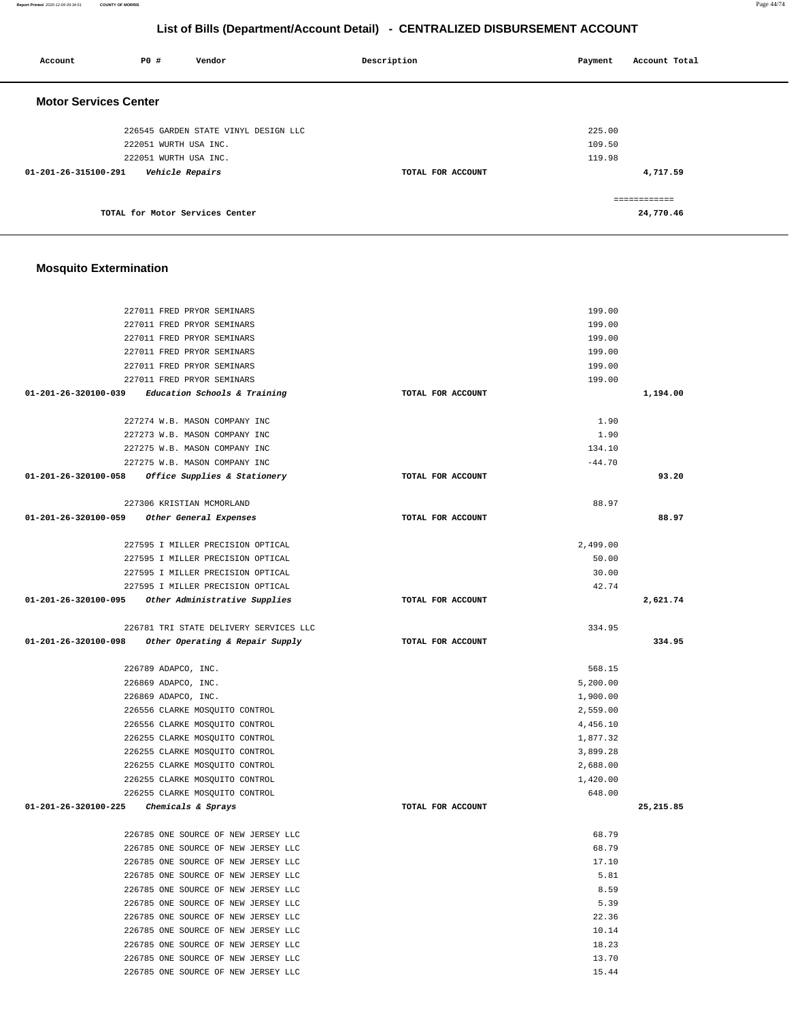# **Mosquito Extermination**

| Account                      | PO#                           | Vendor                               | Description       | Payment<br>Account Total |
|------------------------------|-------------------------------|--------------------------------------|-------------------|--------------------------|
| <b>Motor Services Center</b> |                               |                                      |                   |                          |
|                              |                               | 226545 GARDEN STATE VINYL DESIGN LLC |                   | 225.00                   |
|                              | 222051 WURTH USA INC.         |                                      |                   | 109.50                   |
|                              | 222051 WURTH USA INC.         |                                      |                   | 119.98                   |
| 01-201-26-315100-291         | <i><b>Vehicle Repairs</b></i> |                                      | TOTAL FOR ACCOUNT | 4,717.59                 |
|                              |                               |                                      |                   | -------------            |
|                              |                               | TOTAL for Motor Services Center      |                   | 24,770.46                |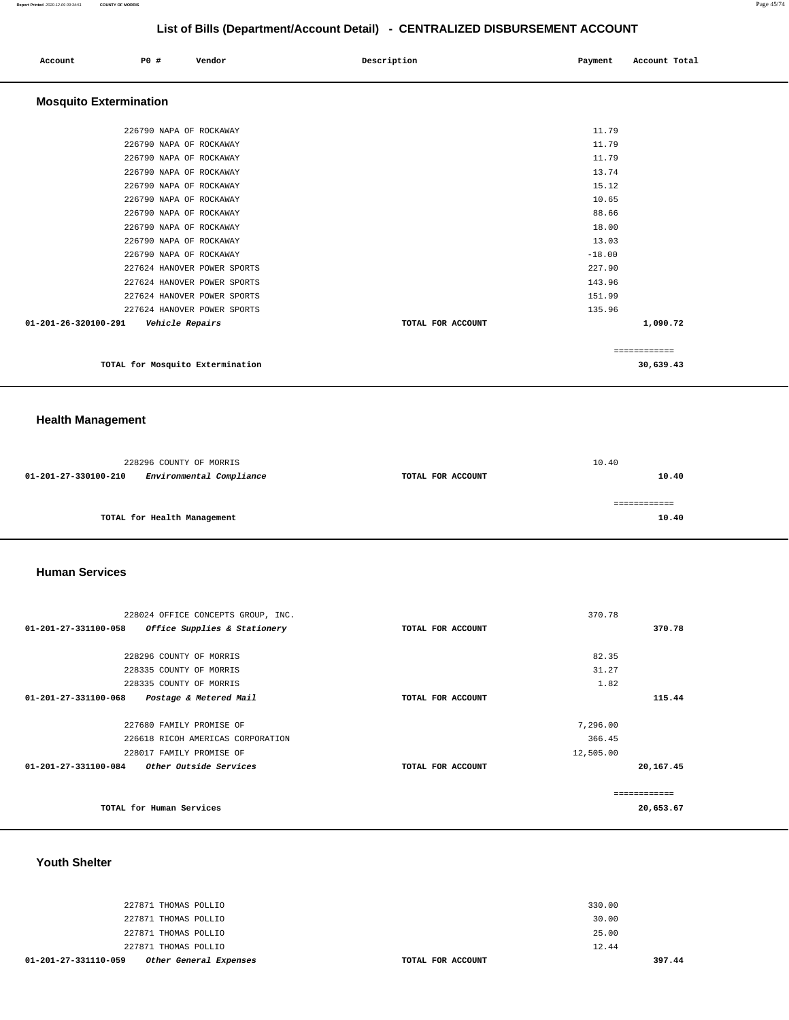============

# **List of Bills (Department/Account Detail) - CENTRALIZED DISBURSEMENT ACCOUNT**

|                               |                         |                             | . .               |          |               |
|-------------------------------|-------------------------|-----------------------------|-------------------|----------|---------------|
| Account                       | <b>PO #</b>             | Vendor                      | Description       | Payment  | Account Total |
| <b>Mosquito Extermination</b> |                         |                             |                   |          |               |
|                               | 226790 NAPA OF ROCKAWAY |                             |                   | 11.79    |               |
|                               | 226790 NAPA OF ROCKAWAY |                             |                   | 11.79    |               |
|                               | 226790 NAPA OF ROCKAWAY |                             |                   | 11.79    |               |
|                               | 226790 NAPA OF ROCKAWAY |                             |                   | 13.74    |               |
|                               | 226790 NAPA OF ROCKAWAY |                             |                   | 15.12    |               |
|                               | 226790 NAPA OF ROCKAWAY |                             |                   | 10.65    |               |
|                               | 226790 NAPA OF ROCKAWAY |                             |                   | 88.66    |               |
|                               | 226790 NAPA OF ROCKAWAY |                             |                   | 18.00    |               |
|                               | 226790 NAPA OF ROCKAWAY |                             |                   | 13.03    |               |
|                               | 226790 NAPA OF ROCKAWAY |                             |                   | $-18.00$ |               |
|                               |                         | 227624 HANOVER POWER SPORTS |                   | 227.90   |               |
|                               |                         | 227624 HANOVER POWER SPORTS |                   | 143.96   |               |
|                               |                         | 227624 HANOVER POWER SPORTS |                   | 151.99   |               |
|                               |                         | 227624 HANOVER POWER SPORTS |                   | 135.96   |               |
| 01-201-26-320100-291          | Vehicle Repairs         |                             | TOTAL FOR ACCOUNT |          | 1,090.72      |
|                               |                         |                             |                   |          |               |

**TOTAL for Mosquito Extermination 30,639.43**

# **Health Management**

|                      | 228296 COUNTY OF MORRIS     |                   | 10.40 |       |
|----------------------|-----------------------------|-------------------|-------|-------|
| 01-201-27-330100-210 | Environmental Compliance    | TOTAL FOR ACCOUNT |       | 10.40 |
|                      |                             |                   |       |       |
|                      |                             |                   |       |       |
|                      | TOTAL for Health Management |                   |       | 10.40 |
|                      |                             |                   |       |       |

### **Human Services**

| 228024 OFFICE CONCEPTS GROUP, INC. | 370.78                   |           |
|------------------------------------|--------------------------|-----------|
| Office Supplies & Stationery       | TOTAL FOR ACCOUNT        | 370.78    |
|                                    |                          |           |
| 228296 COUNTY OF MORRIS            | 82.35                    |           |
| 228335 COUNTY OF MORRIS            | 31.27                    |           |
| 228335 COUNTY OF MORRIS            | 1.82                     |           |
| Postage & Metered Mail             | TOTAL FOR ACCOUNT        | 115.44    |
|                                    |                          |           |
| 227680 FAMILY PROMISE OF           | 7,296.00                 |           |
| 226618 RICOH AMERICAS CORPORATION  | 366.45                   |           |
| 228017 FAMILY PROMISE OF           | 12,505.00                |           |
| Other Outside Services             | TOTAL FOR ACCOUNT        | 20,167.45 |
|                                    |                          |           |
|                                    |                          | 20,653.67 |
|                                    |                          |           |
|                                    | TOTAL for Human Services |           |

### **Youth Shelter**

| 01-201-27-331110-059<br>Other General Expenses | TOTAL FOR ACCOUNT | 397.44 |
|------------------------------------------------|-------------------|--------|
| 227871 THOMAS POLLIO                           |                   | 12.44  |
| 227871 THOMAS POLLIO                           |                   | 25.00  |
| 227871 THOMAS POLLIO                           |                   | 30.00  |
| 227871 THOMAS POLLIO                           |                   | 330.00 |
|                                                |                   |        |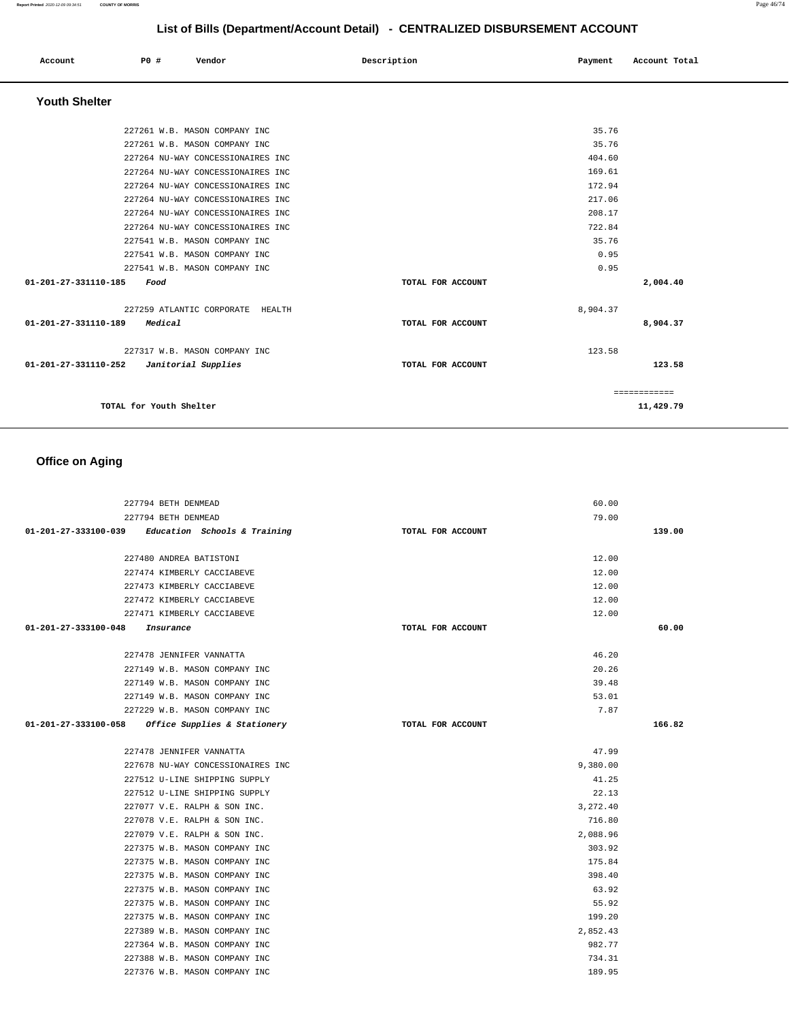| Account              | P0 # | Vendor | Description | Payment | Account Total |
|----------------------|------|--------|-------------|---------|---------------|
| <b>Youth Shelter</b> |      |        |             |         |               |

| 227261 W.B. MASON COMPANY INC               |                   | 35.76        |
|---------------------------------------------|-------------------|--------------|
| 227261 W.B. MASON COMPANY INC               |                   | 35.76        |
| 227264 NU-WAY CONCESSIONAIRES INC           |                   | 404.60       |
| 227264 NU-WAY CONCESSIONAIRES INC           |                   | 169.61       |
| 227264 NU-WAY CONCESSIONAIRES INC           |                   | 172.94       |
| 227264 NU-WAY CONCESSIONAIRES INC           |                   | 217.06       |
| 227264 NU-WAY CONCESSIONAIRES INC           |                   | 208.17       |
| 227264 NU-WAY CONCESSIONAIRES INC           |                   | 722.84       |
| 227541 W.B. MASON COMPANY INC               |                   | 35.76        |
| 227541 W.B. MASON COMPANY INC               |                   | 0.95         |
| 227541 W.B. MASON COMPANY INC               |                   | 0.95         |
| 01-201-27-331110-185<br>Food                | TOTAL FOR ACCOUNT | 2,004.40     |
| 227259 ATLANTIC CORPORATE HEALTH            |                   | 8,904.37     |
| 01-201-27-331110-189<br>Medical             | TOTAL FOR ACCOUNT | 8,904.37     |
| 227317 W.B. MASON COMPANY INC               |                   | 123.58       |
| 01-201-27-331110-252<br>Janitorial Supplies | TOTAL FOR ACCOUNT | 123.58       |
|                                             |                   | ============ |
| TOTAL for Youth Shelter                     |                   | 11,429.79    |
|                                             |                   |              |

# **Office on Aging**

| 227794 BETH DENMEAD                               |                   | 60.00    |        |
|---------------------------------------------------|-------------------|----------|--------|
| 227794 BETH DENMEAD                               |                   | 79.00    |        |
| 01-201-27-333100-039 Education Schools & Training | TOTAL FOR ACCOUNT |          | 139.00 |
|                                                   |                   |          |        |
| 227480 ANDREA BATISTONI                           |                   | 12.00    |        |
| 227474 KIMBERLY CACCIABEVE                        |                   | 12.00    |        |
| 227473 KIMBERLY CACCIABEVE                        |                   | 12.00    |        |
| 227472 KIMBERLY CACCIABEVE                        |                   | 12.00    |        |
| 227471 KIMBERLY CACCIABEVE                        |                   | 12.00    |        |
| $01 - 201 - 27 - 333100 - 048$<br>Insurance       | TOTAL FOR ACCOUNT |          | 60.00  |
|                                                   |                   |          |        |
| 227478 JENNIFER VANNATTA                          |                   | 46.20    |        |
| 227149 W.B. MASON COMPANY INC                     |                   | 20.26    |        |
| 227149 W.B. MASON COMPANY INC                     |                   | 39.48    |        |
| 227149 W.B. MASON COMPANY INC                     |                   | 53.01    |        |
| 227229 W.B. MASON COMPANY INC                     |                   | 7.87     |        |
| 01-201-27-333100-058 Office Supplies & Stationery | TOTAL FOR ACCOUNT |          | 166.82 |
|                                                   |                   |          |        |
| 227478 JENNIFER VANNATTA                          |                   | 47.99    |        |
| 227678 NU-WAY CONCESSIONAIRES INC                 |                   | 9,380.00 |        |
| 227512 U-LINE SHIPPING SUPPLY                     |                   | 41.25    |        |
| 227512 U-LINE SHIPPING SUPPLY                     |                   | 22.13    |        |
| 227077 V.E. RALPH & SON INC.                      |                   | 3,272.40 |        |
| 227078 V.E. RALPH & SON INC.                      |                   | 716.80   |        |
| 227079 V.E. RALPH & SON INC.                      |                   | 2,088.96 |        |
| 227375 W.B. MASON COMPANY INC                     |                   | 303.92   |        |
| 227375 W.B. MASON COMPANY INC                     |                   | 175.84   |        |
| 227375 W.B. MASON COMPANY INC                     |                   | 398.40   |        |
| 227375 W.B. MASON COMPANY INC                     |                   | 63.92    |        |
| 227375 W.B. MASON COMPANY INC                     |                   | 55.92    |        |
| 227375 W.B. MASON COMPANY INC                     |                   | 199.20   |        |
| 227389 W.B. MASON COMPANY INC                     |                   | 2,852.43 |        |
| 227364 W.B. MASON COMPANY INC                     |                   | 982.77   |        |
| 227388 W.B. MASON COMPANY INC                     |                   | 734.31   |        |
| 227376 W.B. MASON COMPANY INC                     |                   | 189.95   |        |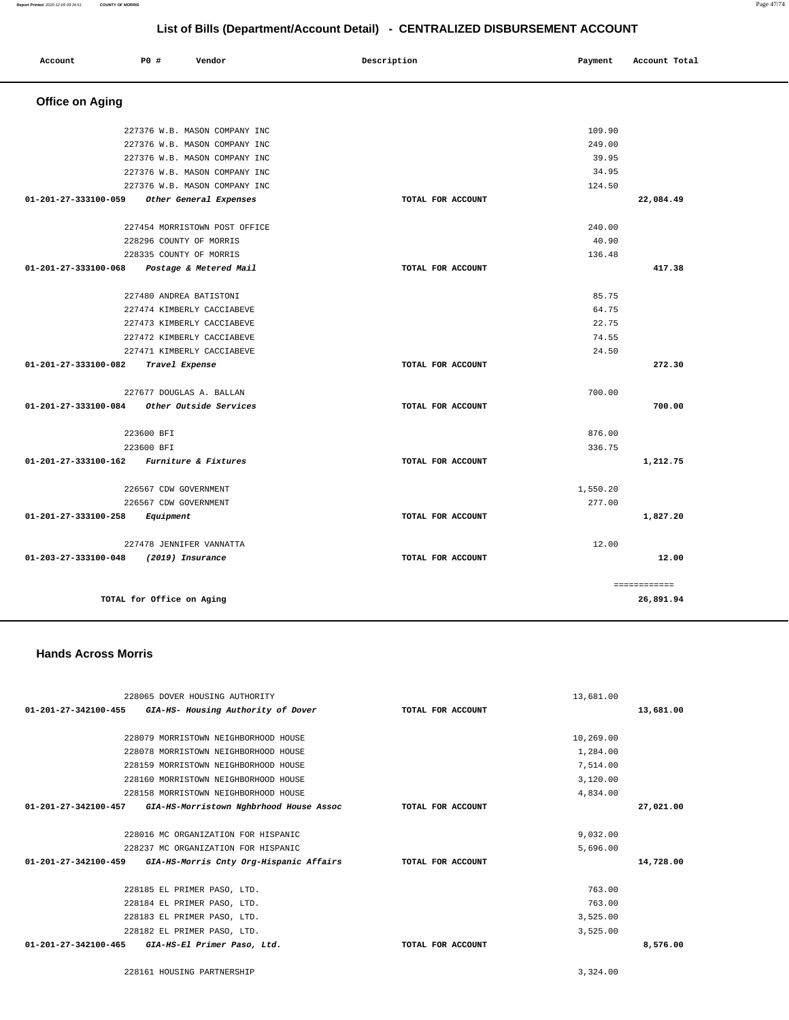| Account                        | P0 #                      | Vendor                        | Description       | Payment  | Account Total |
|--------------------------------|---------------------------|-------------------------------|-------------------|----------|---------------|
| <b>Office on Aging</b>         |                           |                               |                   |          |               |
|                                |                           | 227376 W.B. MASON COMPANY INC |                   | 109.90   |               |
|                                |                           | 227376 W.B. MASON COMPANY INC |                   | 249.00   |               |
|                                |                           | 227376 W.B. MASON COMPANY INC |                   | 39.95    |               |
|                                |                           | 227376 W.B. MASON COMPANY INC |                   | 34.95    |               |
|                                |                           | 227376 W.B. MASON COMPANY INC |                   | 124.50   |               |
| 01-201-27-333100-059           |                           | Other General Expenses        | TOTAL FOR ACCOUNT |          | 22,084.49     |
|                                |                           | 227454 MORRISTOWN POST OFFICE |                   | 240.00   |               |
|                                | 228296 COUNTY OF MORRIS   |                               |                   | 40.90    |               |
|                                | 228335 COUNTY OF MORRIS   |                               |                   | 136.48   |               |
| 01-201-27-333100-068           |                           | Postage & Metered Mail        | TOTAL FOR ACCOUNT |          | 417.38        |
|                                | 227480 ANDREA BATISTONI   |                               |                   | 85.75    |               |
|                                |                           | 227474 KIMBERLY CACCIABEVE    |                   | 64.75    |               |
|                                |                           | 227473 KIMBERLY CACCIABEVE    |                   | 22.75    |               |
|                                |                           | 227472 KIMBERLY CACCIABEVE    |                   | 74.55    |               |
|                                |                           | 227471 KIMBERLY CACCIABEVE    |                   | 24.50    |               |
| 01-201-27-333100-082           | Travel Expense            |                               | TOTAL FOR ACCOUNT |          | 272.30        |
|                                |                           | 227677 DOUGLAS A. BALLAN      |                   | 700.00   |               |
| $01 - 201 - 27 - 333100 - 084$ |                           | Other Outside Services        | TOTAL FOR ACCOUNT |          | 700.00        |
|                                | 223600 BFI                |                               |                   | 876.00   |               |
|                                | 223600 BFI                |                               |                   | 336.75   |               |
| 01-201-27-333100-162           |                           | Furniture & Fixtures          | TOTAL FOR ACCOUNT |          | 1,212.75      |
|                                | 226567 CDW GOVERNMENT     |                               |                   | 1,550.20 |               |
|                                | 226567 CDW GOVERNMENT     |                               |                   | 277.00   |               |
| 01-201-27-333100-258           | Equipment                 |                               | TOTAL FOR ACCOUNT |          | 1,827.20      |
|                                |                           | 227478 JENNIFER VANNATTA      |                   | 12.00    |               |
| 01-203-27-333100-048           | (2019) Insurance          |                               | TOTAL FOR ACCOUNT |          | 12.00         |
|                                |                           |                               |                   |          | ============  |
|                                | TOTAL for Office on Aging |                               |                   |          | 26,891.94     |

228065 DOVER HOUSING AUTHORITY **01-201-27-342100-455 GIA-HS- Housing Authority of Dover TOTAL FOR ACCOUNT**  13,681.00 **13,681.00** 228079 MORRISTOWN NEIGHBORHOOD HOUSE 228078 MORRISTOWN NEIGHBORHOOD HOUSE 228159 MORRISTOWN NEIGHBORHOOD HOUSE 228160 MORRISTOWN NEIGHBORHOOD HOUSE 228158 MORRISTOWN NEIGHBORHOOD HOUSE **01-201-27-342100-457 GIA-HS-Morristown Nghbrhood House Assoc TOTAL FOR ACCOUNT**  10,269.00 1,284.00 7,514.00 3,120.00 4,834.00 **27,021.00** 228016 MC ORGANIZATION FOR HISPANIC 228237 MC ORGANIZATION FOR HISPANIC **01-201-27-342100-459 GIA-HS-Morris Cnty Org-Hispanic Affairs TOTAL FOR ACCOUNT**  9,032.00 5,696.00 **14,728.00** 228185 EL PRIMER PASO, LTD. 228184 EL PRIMER PASO, LTD. 228183 EL PRIMER PASO, LTD. 228182 EL PRIMER PASO, LTD. **01-201-27-342100-465 GIA-HS-El Primer Paso, Ltd. TOTAL FOR ACCOUNT**  763.00 763.00 3,525.00 3,525.00 **8,576.00** 228161 HOUSING PARTNERSHIP [3,324.00](https://3,324.00) 

 **Hands Across Morris**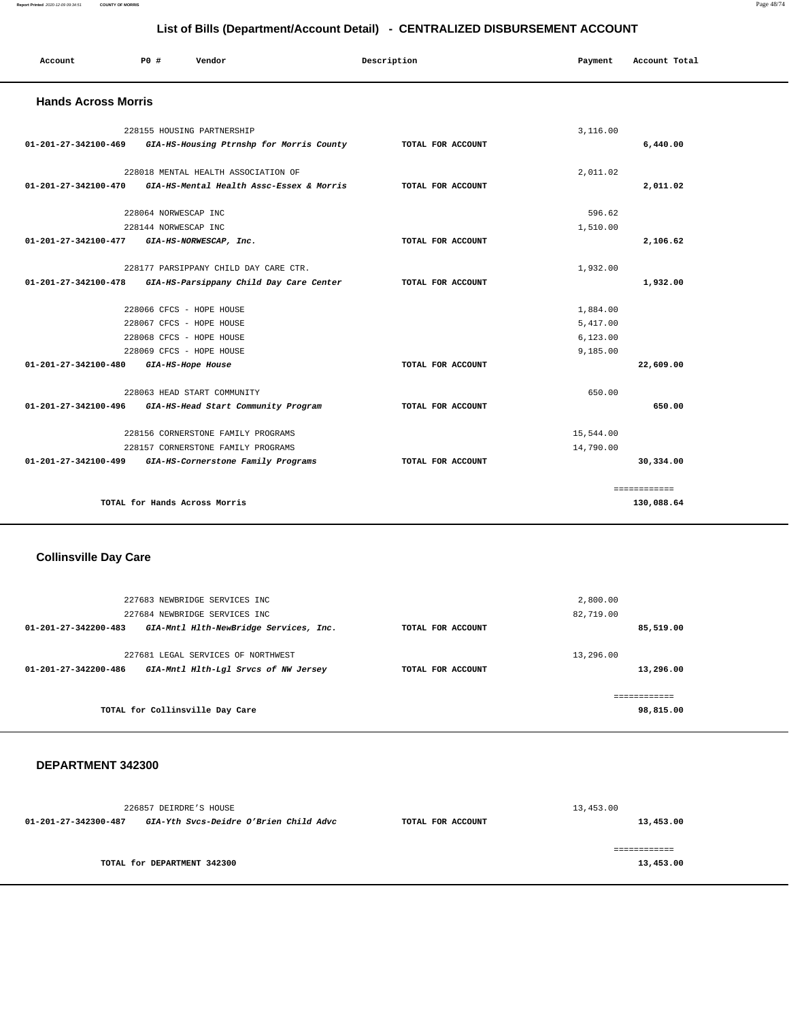### **Report Printed** 2020-12-09 09:34:51 **COUNTY OF MORRIS** Page 48/74

# **List of Bills (Department/Account Detail) - CENTRALIZED DISBURSEMENT ACCOUNT**

| Account                                     | PO#                           | Vendor                                                        | Description       | Payment   | Account Total |
|---------------------------------------------|-------------------------------|---------------------------------------------------------------|-------------------|-----------|---------------|
| <b>Hands Across Morris</b>                  |                               |                                                               |                   |           |               |
|                                             | 228155 HOUSING PARTNERSHIP    |                                                               |                   | 3.116.00  |               |
|                                             |                               | 01-201-27-342100-469 GIA-HS-Housing Ptrnshp for Morris County | TOTAL FOR ACCOUNT |           | 6,440.00      |
|                                             |                               | 228018 MENTAL HEALTH ASSOCIATION OF                           |                   | 2,011.02  |               |
| 01-201-27-342100-470                        |                               | GIA-HS-Mental Health Assc-Essex & Morris                      | TOTAL FOR ACCOUNT |           | 2,011.02      |
|                                             | 228064 NORWESCAP INC          |                                                               |                   | 596.62    |               |
|                                             | 228144 NORWESCAP INC          |                                                               |                   | 1,510.00  |               |
| 01-201-27-342100-477 GIA-HS-NORWESCAP, Inc. |                               |                                                               | TOTAL FOR ACCOUNT |           | 2,106.62      |
|                                             |                               | 228177 PARSIPPANY CHILD DAY CARE CTR.                         |                   | 1,932.00  |               |
|                                             |                               | 01-201-27-342100-478 GIA-HS-Parsippany Child Day Care Center  | TOTAL FOR ACCOUNT |           | 1,932.00      |
|                                             | 228066 CFCS - HOPE HOUSE      |                                                               |                   | 1,884.00  |               |
|                                             | 228067 CFCS - HOPE HOUSE      |                                                               |                   | 5,417.00  |               |
|                                             | 228068 CFCS - HOPE HOUSE      |                                                               |                   | 6, 123.00 |               |
|                                             | 228069 CFCS - HOPE HOUSE      |                                                               |                   | 9,185.00  |               |
| $01 - 201 - 27 - 342100 - 480$              | GIA-HS-Hope House             |                                                               | TOTAL FOR ACCOUNT |           | 22,609.00     |
|                                             |                               | 228063 HEAD START COMMUNITY                                   |                   | 650.00    |               |
|                                             |                               | 01-201-27-342100-496 GIA-HS-Head Start Community Program      | TOTAL FOR ACCOUNT |           | 650.00        |
|                                             |                               | 228156 CORNERSTONE FAMILY PROGRAMS                            |                   | 15,544.00 |               |
|                                             |                               | 228157 CORNERSTONE FAMILY PROGRAMS                            |                   | 14,790.00 |               |
|                                             |                               | 01-201-27-342100-499 GIA-HS-Cornerstone Family Programs       | TOTAL FOR ACCOUNT |           | 30,334.00     |
|                                             |                               |                                                               |                   |           | ============  |
|                                             | TOTAL for Hands Across Morris |                                                               |                   |           | 130,088.64    |

# **Collinsville Day Care**

|                                | 227683 NEWBRIDGE SERVICES INC<br>227684 NEWBRIDGE SERVICES INC |                   | 2,800.00<br>82,719.00 |
|--------------------------------|----------------------------------------------------------------|-------------------|-----------------------|
| $01 - 201 - 27 - 342200 - 483$ | GIA-Mntl Hlth-NewBridge Services, Inc.                         | TOTAL FOR ACCOUNT | 85,519.00             |
|                                | 227681 LEGAL SERVICES OF NORTHWEST                             |                   | 13,296.00             |
| $01 - 201 - 27 - 342200 - 486$ | GIA-Mntl Hlth-Lgl Srvcs of NW Jersey                           | TOTAL FOR ACCOUNT | 13,296.00             |
|                                |                                                                |                   | ------------          |
|                                | TOTAL for Collinsville Day Care                                |                   | 98,815.00             |

|                      | 226857 DEIRDRE'S HOUSE                 |                   | 13,453.00 |
|----------------------|----------------------------------------|-------------------|-----------|
| 01-201-27-342300-487 | GIA-Yth Svcs-Deidre O'Brien Child Advc | TOTAL FOR ACCOUNT | 13,453.00 |
|                      |                                        |                   |           |
|                      |                                        |                   |           |
|                      | TOTAL for DEPARTMENT 342300            |                   | 13,453.00 |
|                      |                                        |                   |           |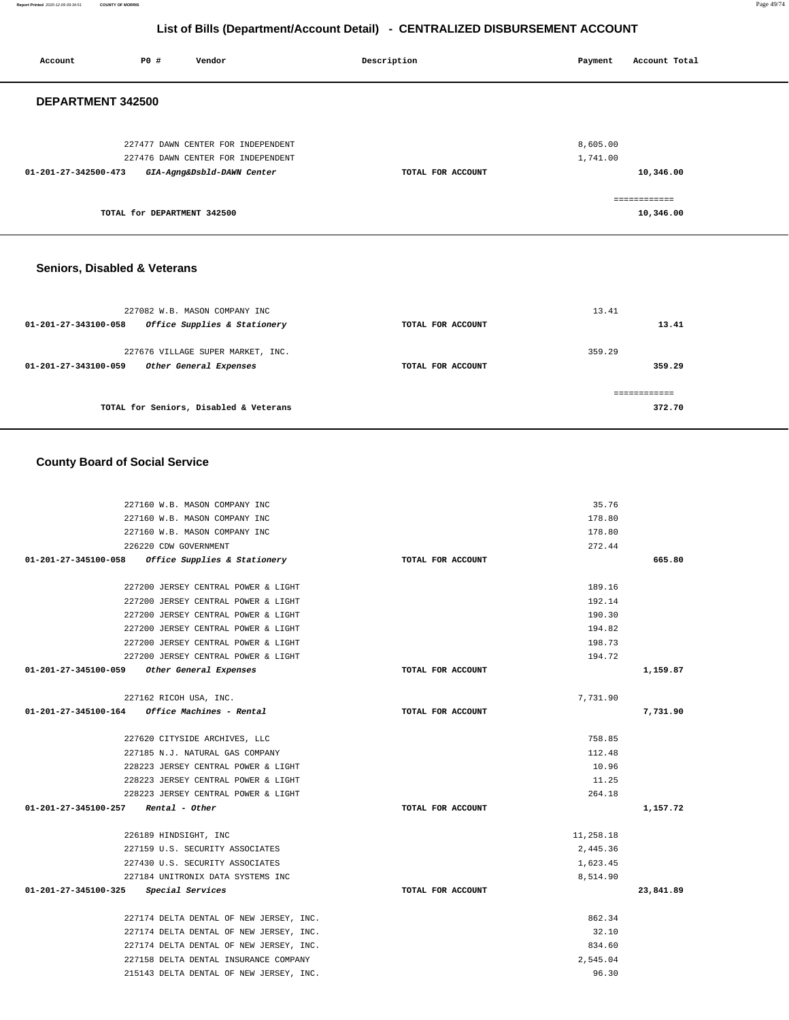**Report Printed** 2020-12-09 09:34:51 **COUNTY OF MORRIS** Page 49/74

# **List of Bills (Department/Account Detail) - CENTRALIZED DISBURSEMENT ACCOUNT**

| <b>PO #</b><br>Vendor<br>Account                                         | Description       | Payment              | Account Total             |
|--------------------------------------------------------------------------|-------------------|----------------------|---------------------------|
| DEPARTMENT 342500                                                        |                   |                      |                           |
| 227477 DAWN CENTER FOR INDEPENDENT<br>227476 DAWN CENTER FOR INDEPENDENT |                   | 8,605.00<br>1,741.00 |                           |
| 01-201-27-342500-473<br>GIA-Agng&Dsbld-DAWN Center                       | TOTAL FOR ACCOUNT |                      | 10,346.00                 |
| TOTAL for DEPARTMENT 342500                                              |                   |                      | ============<br>10,346.00 |

# **Seniors, Disabled & Veterans**

| 227082 W.B. MASON COMPANY INC<br>Office Supplies & Stationery<br>01-201-27-343100-058 | TOTAL FOR ACCOUNT | 13.41<br>13.41   |
|---------------------------------------------------------------------------------------|-------------------|------------------|
| 227676 VILLAGE SUPER MARKET, INC.<br>Other General Expenses<br>01-201-27-343100-059   | TOTAL FOR ACCOUNT | 359.29<br>359.29 |
| TOTAL for Seniors, Disabled & Veterans                                                |                   | 372.70           |

# **County Board of Social Service**

| 227160 W.B. MASON COMPANY INC                           |                   | 35.76     |           |
|---------------------------------------------------------|-------------------|-----------|-----------|
| 227160 W.B. MASON COMPANY INC                           |                   | 178.80    |           |
| 227160 W.B. MASON COMPANY INC                           |                   | 178.80    |           |
| 226220 CDW GOVERNMENT                                   |                   | 272.44    |           |
| 01-201-27-345100-058 Office Supplies & Stationery       | TOTAL FOR ACCOUNT |           | 665.80    |
|                                                         |                   |           |           |
| 227200 JERSEY CENTRAL POWER & LIGHT                     |                   | 189.16    |           |
| 227200 JERSEY CENTRAL POWER & LIGHT                     |                   | 192.14    |           |
| 227200 JERSEY CENTRAL POWER & LIGHT                     |                   | 190.30    |           |
| 227200 JERSEY CENTRAL POWER & LIGHT                     |                   | 194.82    |           |
| 227200 JERSEY CENTRAL POWER & LIGHT                     |                   | 198.73    |           |
| 227200 JERSEY CENTRAL POWER & LIGHT                     |                   | 194.72    |           |
| 01-201-27-345100-059 Other General Expenses             | TOTAL FOR ACCOUNT |           | 1,159.87  |
|                                                         |                   |           |           |
| 227162 RICOH USA, INC.                                  |                   | 7,731.90  |           |
| $01 - 201 - 27 - 345100 - 164$ Office Machines - Rental | TOTAL FOR ACCOUNT |           | 7,731.90  |
|                                                         |                   |           |           |
| 227620 CITYSIDE ARCHIVES, LLC                           |                   | 758.85    |           |
| 227185 N.J. NATURAL GAS COMPANY                         |                   | 112.48    |           |
| 228223 JERSEY CENTRAL POWER & LIGHT                     |                   | 10.96     |           |
| 228223 JERSEY CENTRAL POWER & LIGHT                     |                   | 11.25     |           |
| 228223 JERSEY CENTRAL POWER & LIGHT                     |                   | 264.18    |           |
| $01-201-27-345100-257$ Rental - Other                   | TOTAL FOR ACCOUNT |           | 1,157.72  |
|                                                         |                   |           |           |
| 226189 HINDSIGHT, INC                                   |                   | 11,258.18 |           |
| 227159 U.S. SECURITY ASSOCIATES                         |                   | 2,445.36  |           |
| 227430 U.S. SECURITY ASSOCIATES                         |                   | 1,623.45  |           |
| 227184 UNITRONIX DATA SYSTEMS INC                       |                   | 8,514.90  |           |
| 01-201-27-345100-325 Special Services                   | TOTAL FOR ACCOUNT |           | 23,841.89 |
|                                                         |                   |           |           |
| 227174 DELTA DENTAL OF NEW JERSEY, INC.                 |                   | 862.34    |           |
| 227174 DELTA DENTAL OF NEW JERSEY, INC.                 |                   | 32.10     |           |
| 227174 DELTA DENTAL OF NEW JERSEY, INC.                 |                   | 834.60    |           |
| 227158 DELTA DENTAL INSURANCE COMPANY                   |                   | 2.545.04  |           |
| 215143 DELTA DENTAL OF NEW JERSEY, INC.                 |                   | 96.30     |           |
|                                                         |                   |           |           |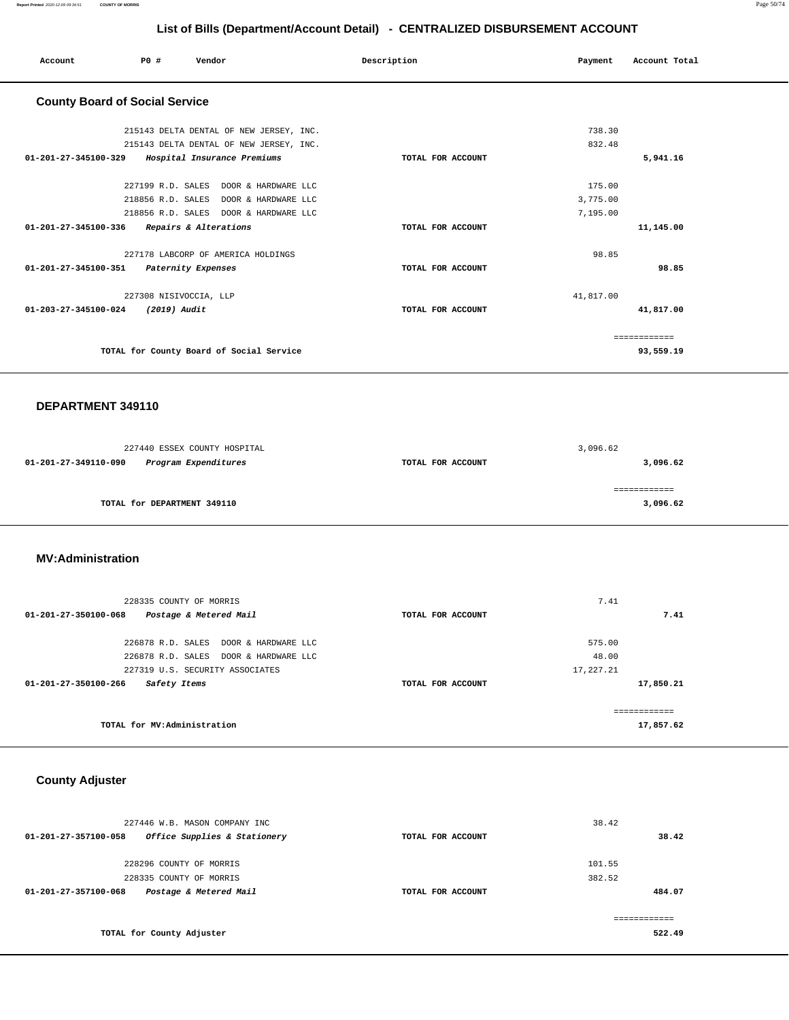| <b>PO #</b><br>Vendor<br>Account                 | Description       | Account Total<br>Payment |
|--------------------------------------------------|-------------------|--------------------------|
| <b>County Board of Social Service</b>            |                   |                          |
| 215143 DELTA DENTAL OF NEW JERSEY, INC.          |                   | 738.30                   |
| 215143 DELTA DENTAL OF NEW JERSEY, INC.          |                   | 832.48                   |
| 01-201-27-345100-329 Hospital Insurance Premiums | TOTAL FOR ACCOUNT | 5,941.16                 |
| 227199 R.D. SALES DOOR & HARDWARE LLC            |                   | 175.00                   |
| 218856 R.D. SALES DOOR & HARDWARE LLC            |                   | 3,775.00                 |
| 218856 R.D. SALES DOOR & HARDWARE LLC            |                   | 7,195.00                 |
| 01-201-27-345100-336 Repairs & Alterations       | TOTAL FOR ACCOUNT | 11,145.00                |
| 227178 LABCORP OF AMERICA HOLDINGS               |                   | 98.85                    |
| 01-201-27-345100-351 Paternity Expenses          | TOTAL FOR ACCOUNT | 98.85                    |
| 227308 NISIVOCCIA, LLP                           |                   | 41,817.00                |
| 01-203-27-345100-024<br>(2019) Audit             | TOTAL FOR ACCOUNT | 41,817.00                |
|                                                  |                   | ============             |
| TOTAL for County Board of Social Service         |                   | 93,559.19                |

### **DEPARTMENT 349110**

| 227440 ESSEX COUNTY HOSPITAL                 |                   | 3,096.62 |
|----------------------------------------------|-------------------|----------|
| Program Expenditures<br>01-201-27-349110-090 | TOTAL FOR ACCOUNT | 3,096.62 |
|                                              |                   |          |
|                                              |                   |          |
| TOTAL for DEPARTMENT 349110                  |                   | 3,096.62 |
|                                              |                   |          |

### **MV:Administration**

| 228335 COUNTY OF MORRIS                                  |                   | 7.41         |
|----------------------------------------------------------|-------------------|--------------|
| Postage & Metered Mail<br>$01 - 201 - 27 - 350100 - 068$ | TOTAL FOR ACCOUNT | 7.41         |
| 226878 R.D. SALES DOOR & HARDWARE LLC                    |                   | 575.00       |
| 226878 R.D. SALES DOOR & HARDWARE LLC                    |                   | 48.00        |
| 227319 U.S. SECURITY ASSOCIATES                          |                   | 17,227.21    |
| $01 - 201 - 27 - 350100 - 266$<br>Safety Items           | TOTAL FOR ACCOUNT | 17,850.21    |
|                                                          |                   | ------------ |
| TOTAL for MV:Administration                              |                   | 17,857.62    |

# **County Adjuster**

| 227446 W.B. MASON COMPANY INC                            |                   | 38.42  |
|----------------------------------------------------------|-------------------|--------|
| Office Supplies & Stationery<br>01-201-27-357100-058     | TOTAL FOR ACCOUNT | 38.42  |
| 228296 COUNTY OF MORRIS                                  |                   | 101.55 |
| 228335 COUNTY OF MORRIS                                  |                   | 382.52 |
| Postage & Metered Mail<br>$01 - 201 - 27 - 357100 - 068$ | TOTAL FOR ACCOUNT | 484.07 |
|                                                          |                   |        |
| TOTAL for County Adjuster                                |                   | 522.49 |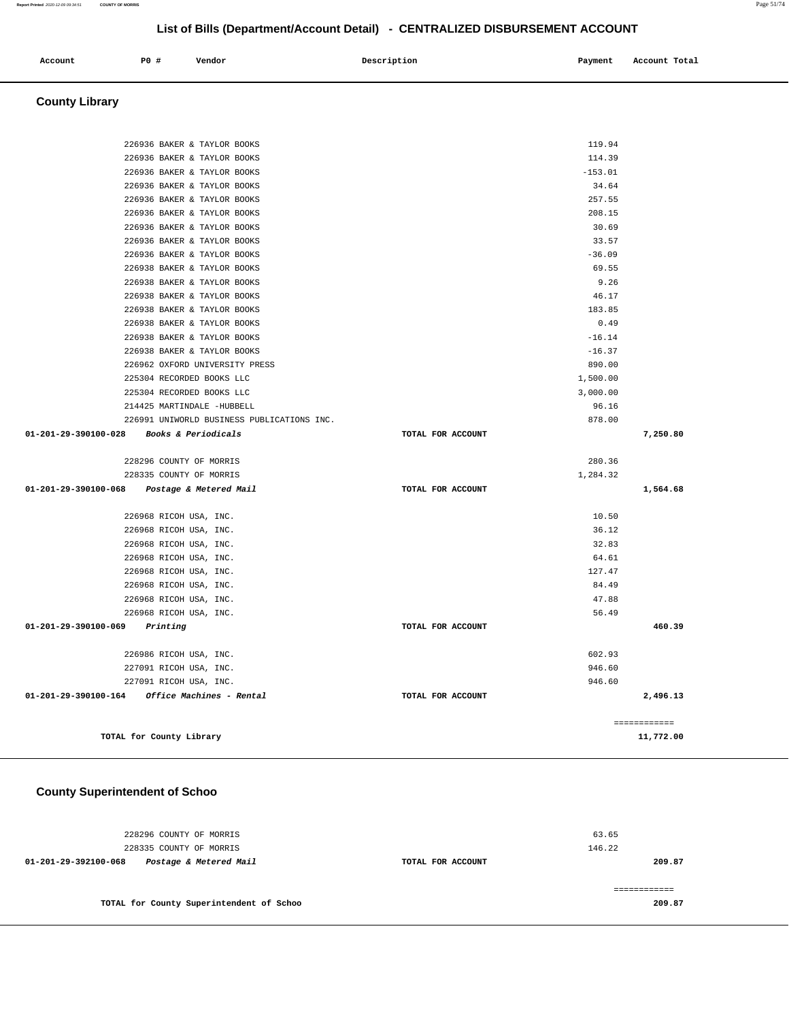| Account | P0 # | Vendor | Description | Payment | Account Total |
|---------|------|--------|-------------|---------|---------------|
|         |      |        |             |         |               |

# **County Library**

| 226936 BAKER & TAYLOR BOOKS                    |                   | 119.94    |              |
|------------------------------------------------|-------------------|-----------|--------------|
| 226936 BAKER & TAYLOR BOOKS                    |                   | 114.39    |              |
| 226936 BAKER & TAYLOR BOOKS                    |                   | $-153.01$ |              |
| 226936 BAKER & TAYLOR BOOKS                    |                   | 34.64     |              |
| 226936 BAKER & TAYLOR BOOKS                    |                   | 257.55    |              |
| 226936 BAKER & TAYLOR BOOKS                    |                   | 208.15    |              |
| 226936 BAKER & TAYLOR BOOKS                    |                   | 30.69     |              |
| 226936 BAKER & TAYLOR BOOKS                    |                   | 33.57     |              |
| 226936 BAKER & TAYLOR BOOKS                    |                   | $-36.09$  |              |
| 226938 BAKER & TAYLOR BOOKS                    |                   | 69.55     |              |
| 226938 BAKER & TAYLOR BOOKS                    |                   | 9.26      |              |
| 226938 BAKER & TAYLOR BOOKS                    |                   | 46.17     |              |
| 226938 BAKER & TAYLOR BOOKS                    |                   | 183.85    |              |
| 226938 BAKER & TAYLOR BOOKS                    |                   | 0.49      |              |
| 226938 BAKER & TAYLOR BOOKS                    |                   | $-16.14$  |              |
| 226938 BAKER & TAYLOR BOOKS                    |                   | $-16.37$  |              |
| 226962 OXFORD UNIVERSITY PRESS                 |                   | 890.00    |              |
| 225304 RECORDED BOOKS LLC                      |                   | 1,500.00  |              |
| 225304 RECORDED BOOKS LLC                      |                   | 3,000.00  |              |
| 214425 MARTINDALE -HUBBELL                     |                   | 96.16     |              |
| 226991 UNIWORLD BUSINESS PUBLICATIONS INC.     |                   | 878.00    |              |
| 01-201-29-390100-028 Books & Periodicals       | TOTAL FOR ACCOUNT |           | 7,250.80     |
| 228296 COUNTY OF MORRIS                        |                   | 280.36    |              |
| 228335 COUNTY OF MORRIS                        |                   | 1,284.32  |              |
| 01-201-29-390100-068<br>Postage & Metered Mail | TOTAL FOR ACCOUNT |           | 1,564.68     |
| 226968 RICOH USA, INC.                         |                   | 10.50     |              |
| 226968 RICOH USA, INC.                         |                   | 36.12     |              |
| 226968 RICOH USA, INC.                         |                   | 32.83     |              |
| 226968 RICOH USA, INC.                         |                   | 64.61     |              |
| 226968 RICOH USA, INC.                         |                   | 127.47    |              |
| 226968 RICOH USA, INC.                         |                   | 84.49     |              |
| 226968 RICOH USA, INC.                         |                   | 47.88     |              |
| 226968 RICOH USA, INC.                         |                   | 56.49     |              |
| $01 - 201 - 29 - 390100 - 069$ Printing        | TOTAL FOR ACCOUNT |           | 460.39       |
| 226986 RICOH USA, INC.                         |                   | 602.93    |              |
| 227091 RICOH USA, INC.                         |                   | 946.60    |              |
| 227091 RICOH USA, INC.                         |                   | 946.60    |              |
| 01-201-29-390100-164 Office Machines - Rental  | TOTAL FOR ACCOUNT |           | 2,496.13     |
|                                                |                   |           |              |
|                                                |                   |           | ============ |
| TOTAL for County Library                       |                   |           | 11,772.00    |

# **County Superintendent of Schoo**

| 228296 COUNTY OF MORRIS<br>228335 COUNTY OF MORRIS |                   | 63.65<br>146.22 |
|----------------------------------------------------|-------------------|-----------------|
| Postage & Metered Mail<br>01-201-29-392100-068     | TOTAL FOR ACCOUNT | 209.87          |
|                                                    |                   |                 |
| TOTAL for County Superintendent of Schoo           |                   | 209.87          |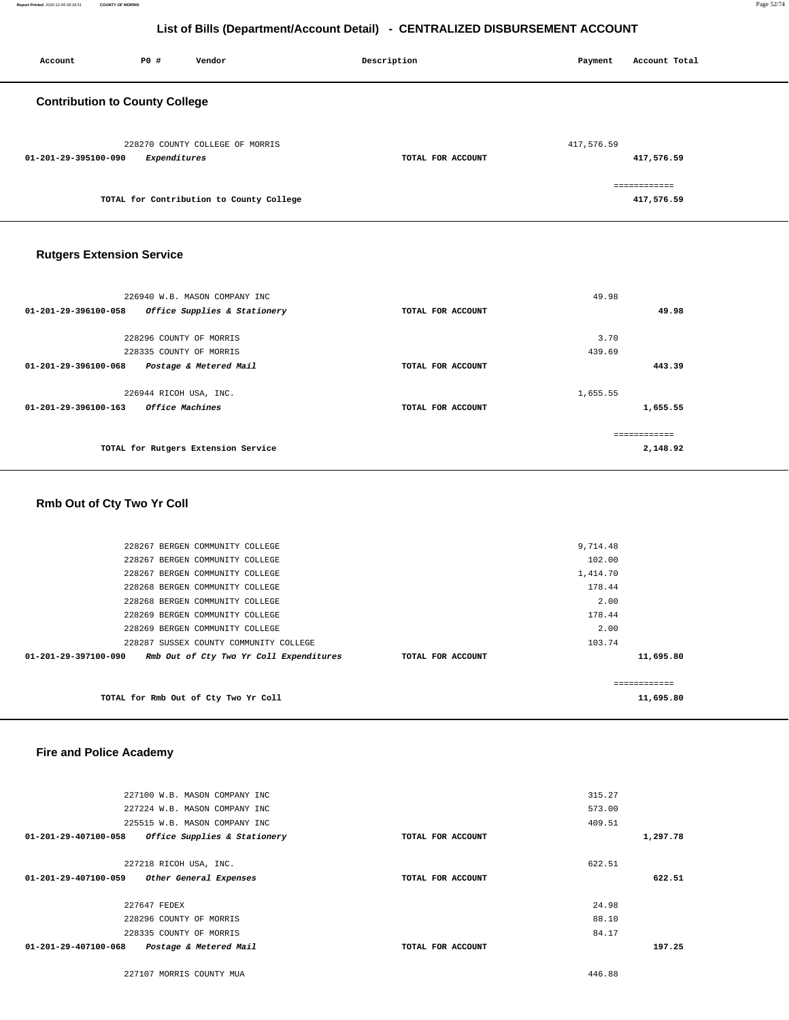| Account                               | P0 #         | Vendor                                   | Description       | Payment    | Account Total              |
|---------------------------------------|--------------|------------------------------------------|-------------------|------------|----------------------------|
| <b>Contribution to County College</b> |              |                                          |                   |            |                            |
| 01-201-29-395100-090                  | Expenditures | 228270 COUNTY COLLEGE OF MORRIS          | TOTAL FOR ACCOUNT | 417,576.59 | 417,576.59                 |
|                                       |              | TOTAL for Contribution to County College |                   |            | ============<br>417,576.59 |

# **Rutgers Extension Service**

| 226940 W.B. MASON COMPANY INC                         |                   | 49.98        |
|-------------------------------------------------------|-------------------|--------------|
| 01-201-29-396100-058<br>Office Supplies & Stationery  | TOTAL FOR ACCOUNT | 49.98        |
|                                                       |                   |              |
| 228296 COUNTY OF MORRIS                               |                   | 3.70         |
| 228335 COUNTY OF MORRIS                               |                   | 439.69       |
| 01-201-29-396100-068<br>Postage & Metered Mail        | TOTAL FOR ACCOUNT | 443.39       |
| 226944 RICOH USA, INC.                                |                   | 1,655.55     |
| <i><b>Office Machines</b></i><br>01-201-29-396100-163 | TOTAL FOR ACCOUNT | 1,655.55     |
|                                                       |                   | ============ |
| TOTAL for Rutgers Extension Service                   |                   | 2,148.92     |
|                                                       |                   |              |

# **Rmb Out of Cty Two Yr Coll**

| TOTAL for Rmb Out of Cty Two Yr Coll                            |                   |          | -------------<br>11,695.80 |
|-----------------------------------------------------------------|-------------------|----------|----------------------------|
| Rmb Out of Cty Two Yr Coll Expenditures<br>01-201-29-397100-090 | TOTAL FOR ACCOUNT |          | 11,695.80                  |
| 228287 SUSSEX COUNTY COMMUNITY COLLEGE                          |                   | 103.74   |                            |
| 228269 BERGEN COMMUNITY COLLEGE                                 |                   | 2.00     |                            |
| 228269 BERGEN COMMUNITY COLLEGE                                 |                   | 178.44   |                            |
| 228268 BERGEN COMMUNITY COLLEGE                                 |                   | 2.00     |                            |
| 228268 BERGEN COMMUNITY COLLEGE                                 |                   | 178.44   |                            |
| 228267 BERGEN COMMUNITY COLLEGE                                 |                   | 1,414.70 |                            |
| 228267 BERGEN COMMUNITY COLLEGE                                 |                   | 102.00   |                            |
| 228267 BERGEN COMMUNITY COLLEGE                                 |                   | 9,714.48 |                            |
|                                                                 |                   |          |                            |

# **Fire and Police Academy**

| 227100 W.B. MASON COMPANY INC                        |                   | 315.27   |
|------------------------------------------------------|-------------------|----------|
| 227224 W.B. MASON COMPANY INC                        |                   | 573.00   |
| 225515 W.B. MASON COMPANY INC                        |                   | 409.51   |
| 01-201-29-407100-058<br>Office Supplies & Stationery | TOTAL FOR ACCOUNT | 1,297.78 |
|                                                      |                   |          |
| 227218 RICOH USA, INC.                               |                   | 622.51   |
| 01-201-29-407100-059<br>Other General Expenses       | TOTAL FOR ACCOUNT | 622.51   |
|                                                      |                   |          |
| 227647 FEDEX                                         |                   | 24.98    |
| 228296 COUNTY OF MORRIS                              |                   | 88.10    |
| 228335 COUNTY OF MORRIS                              |                   | 84.17    |
|                                                      |                   |          |
| 01-201-29-407100-068<br>Postage & Metered Mail       | TOTAL FOR ACCOUNT | 197.25   |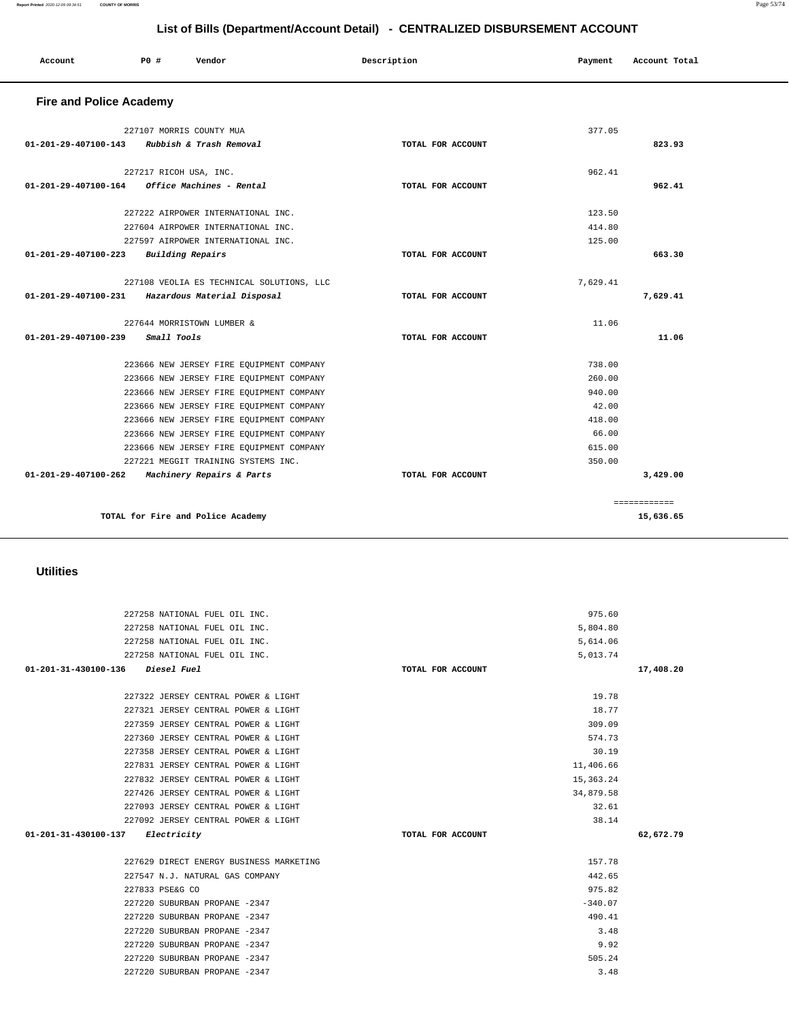| 227258 NATIONAL FUEL OIL INC.           | 5,614.06          |           |
|-----------------------------------------|-------------------|-----------|
| 227258 NATIONAL FUEL OIL INC.           | 5,013.74          |           |
| 01-201-31-430100-136 Diesel Fuel        | TOTAL FOR ACCOUNT | 17,408.20 |
|                                         |                   |           |
| 227322 JERSEY CENTRAL POWER & LIGHT     | 19.78             |           |
| 227321 JERSEY CENTRAL POWER & LIGHT     | 18.77             |           |
| 227359 JERSEY CENTRAL POWER & LIGHT     | 309.09            |           |
| 227360 JERSEY CENTRAL POWER & LIGHT     | 574.73            |           |
| 227358 JERSEY CENTRAL POWER & LIGHT     | 30.19             |           |
| 227831 JERSEY CENTRAL POWER & LIGHT     | 11,406.66         |           |
| 227832 JERSEY CENTRAL POWER & LIGHT     | 15, 363. 24       |           |
| 227426 JERSEY CENTRAL POWER & LIGHT     | 34,879.58         |           |
| 227093 JERSEY CENTRAL POWER & LIGHT     | 32.61             |           |
| 227092 JERSEY CENTRAL POWER & LIGHT     | 38.14             |           |
| 01-201-31-430100-137 Electricity        | TOTAL FOR ACCOUNT | 62,672.79 |
|                                         |                   |           |
| 227629 DIRECT ENERGY BUSINESS MARKETING | 157.78            |           |
| 227547 N.J. NATURAL GAS COMPANY         | 442.65            |           |
| 227833 PSE&G CO                         | 975.82            |           |
| 227220 SUBURBAN PROPANE -2347           | $-340.07$         |           |
| 227220 SUBURBAN PROPANE -2347           | 490.41            |           |
| 227220 SUBURBAN PROPANE -2347           | 3.48              |           |
| 227220 SUBURBAN PROPANE -2347           | 9.92              |           |
| 227220 SUBURBAN PROPANE -2347           | 505.24            |           |
| 227220 SUBURBAN PROPANE -2347           | 3.48              |           |
|                                         |                   |           |

227258 NATIONAL FUEL OIL INC. 975.60 227258 NATIONAL FUEL OIL INC. 5,804.80

### **Utilities**

| <b>Fire and Police Academy</b> |                                                  |                   |          |              |
|--------------------------------|--------------------------------------------------|-------------------|----------|--------------|
|                                | 227107 MORRIS COUNTY MUA                         |                   | 377.05   |              |
| 01-201-29-407100-143           | Rubbish & Trash Removal                          | TOTAL FOR ACCOUNT |          | 823.93       |
|                                | 227217 RICOH USA, INC.                           |                   | 962.41   |              |
| $01 - 201 - 29 - 407100 - 164$ | Office Machines - Rental                         | TOTAL FOR ACCOUNT |          | 962.41       |
|                                | 227222 AIRPOWER INTERNATIONAL INC.               |                   | 123.50   |              |
|                                | 227604 AIRPOWER INTERNATIONAL INC.               |                   | 414.80   |              |
|                                | 227597 AIRPOWER INTERNATIONAL INC.               |                   | 125.00   |              |
| $01 - 201 - 29 - 407100 - 223$ | Building Repairs                                 | TOTAL FOR ACCOUNT |          | 663.30       |
|                                | 227108 VEOLIA ES TECHNICAL SOLUTIONS, LLC        |                   | 7,629.41 |              |
|                                | 01-201-29-407100-231 Hazardous Material Disposal | TOTAL FOR ACCOUNT |          | 7.629.41     |
|                                | 227644 MORRISTOWN LUMBER &                       |                   | 11.06    |              |
| $01 - 201 - 29 - 407100 - 239$ | Small Tools                                      | TOTAL FOR ACCOUNT |          | 11.06        |
|                                | 223666 NEW JERSEY FIRE EQUIPMENT COMPANY         |                   | 738.00   |              |
|                                | 223666 NEW JERSEY FIRE EQUIPMENT COMPANY         |                   | 260.00   |              |
|                                | 223666 NEW JERSEY FIRE EQUIPMENT COMPANY         |                   | 940.00   |              |
|                                | 223666 NEW JERSEY FIRE EQUIPMENT COMPANY         |                   | 42.00    |              |
|                                | 223666 NEW JERSEY FIRE EQUIPMENT COMPANY         |                   | 418.00   |              |
|                                | 223666 NEW JERSEY FIRE EQUIPMENT COMPANY         |                   | 66.00    |              |
|                                | 223666 NEW JERSEY FIRE EQUIPMENT COMPANY         |                   | 615.00   |              |
|                                | 227221 MEGGIT TRAINING SYSTEMS INC.              |                   | 350.00   |              |
| $01 - 201 - 29 - 407100 - 262$ | Machinery Repairs & Parts                        | TOTAL FOR ACCOUNT |          | 3,429.00     |
|                                |                                                  |                   |          | ============ |
|                                | TOTAL for Fire and Police Academy                |                   |          | 15,636.65    |

# **List of Bills (Department/Account Detail) - CENTRALIZED DISBURSEMENT ACCOUNT**

 **Account** 20 **P P**  $\uparrow$  **Payment** Payment Account Total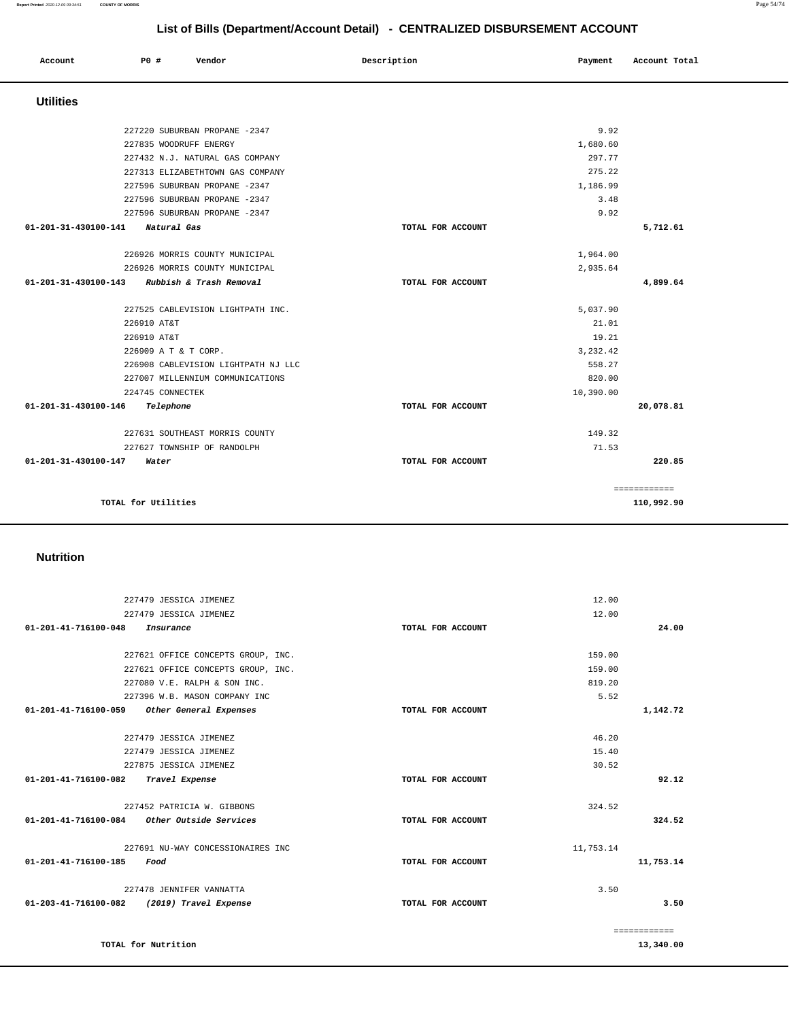| Account                        | PO#                                                                    | Vendor                                                                                                                                                                                                  | Description       | Payment                                                                 | Account Total              |
|--------------------------------|------------------------------------------------------------------------|---------------------------------------------------------------------------------------------------------------------------------------------------------------------------------------------------------|-------------------|-------------------------------------------------------------------------|----------------------------|
| <b>Utilities</b>               |                                                                        |                                                                                                                                                                                                         |                   |                                                                         |                            |
|                                | 227835 WOODRUFF ENERGY                                                 | 227220 SUBURBAN PROPANE -2347<br>227432 N.J. NATURAL GAS COMPANY<br>227313 ELIZABETHTOWN GAS COMPANY<br>227596 SUBURBAN PROPANE -2347<br>227596 SUBURBAN PROPANE -2347<br>227596 SUBURBAN PROPANE -2347 |                   | 9.92<br>1,680.60<br>297.77<br>275.22<br>1,186.99<br>3.48<br>9.92        |                            |
| 01-201-31-430100-141           | Natural Gas                                                            |                                                                                                                                                                                                         | TOTAL FOR ACCOUNT |                                                                         | 5,712.61                   |
| 01-201-31-430100-143           |                                                                        | 226926 MORRIS COUNTY MUNICIPAL<br>226926 MORRIS COUNTY MUNICIPAL<br>Rubbish & Trash Removal                                                                                                             | TOTAL FOR ACCOUNT | 1,964.00<br>2,935.64                                                    | 4,899.64                   |
|                                | 226910 AT&T<br>226910 AT&T<br>226909 A T & T CORP.<br>224745 CONNECTEK | 227525 CABLEVISION LIGHTPATH INC.<br>226908 CABLEVISION LIGHTPATH NJ LLC<br>227007 MILLENNIUM COMMUNICATIONS                                                                                            |                   | 5,037.90<br>21.01<br>19.21<br>3.232.42<br>558.27<br>820.00<br>10,390.00 |                            |
| 01-201-31-430100-146           | Telephone                                                              |                                                                                                                                                                                                         | TOTAL FOR ACCOUNT |                                                                         | 20,078.81                  |
| $01 - 201 - 31 - 430100 - 147$ | Water                                                                  | 227631 SOUTHEAST MORRIS COUNTY<br>227627 TOWNSHIP OF RANDOLPH                                                                                                                                           | TOTAL FOR ACCOUNT | 149.32<br>71.53                                                         | 220.85                     |
|                                | TOTAL for Utilities                                                    |                                                                                                                                                                                                         |                   |                                                                         | ============<br>110,992.90 |

 **Nutrition** 

|                              | 227479 JESSICA JIMENEZ             |                   | 12.00        |
|------------------------------|------------------------------------|-------------------|--------------|
|                              | 227479 JESSICA JIMENEZ             |                   | 12.00        |
| 01-201-41-716100-048         | Insurance                          | TOTAL FOR ACCOUNT | 24.00        |
|                              |                                    |                   |              |
|                              | 227621 OFFICE CONCEPTS GROUP, INC. | 159.00            |              |
|                              | 227621 OFFICE CONCEPTS GROUP, INC. | 159.00            |              |
|                              | 227080 V.E. RALPH & SON INC.       |                   | 819.20       |
|                              | 227396 W.B. MASON COMPANY INC      |                   | 5.52         |
| 01-201-41-716100-059         | Other General Expenses             | TOTAL FOR ACCOUNT | 1,142.72     |
|                              |                                    |                   |              |
|                              | 227479 JESSICA JIMENEZ             |                   | 46.20        |
|                              | 227479 JESSICA JIMENEZ             |                   | 15.40        |
|                              | 227875 JESSICA JIMENEZ             |                   | 30.52        |
| 01-201-41-716100-082         | Travel Expense                     | TOTAL FOR ACCOUNT | 92.12        |
|                              |                                    |                   |              |
|                              | 227452 PATRICIA W. GIBBONS         |                   | 324.52       |
| 01-201-41-716100-084         | Other Outside Services             | TOTAL FOR ACCOUNT | 324.52       |
|                              |                                    |                   |              |
|                              | 227691 NU-WAY CONCESSIONAIRES INC  | 11,753.14         |              |
| 01-201-41-716100-185<br>Food |                                    | TOTAL FOR ACCOUNT | 11,753.14    |
|                              |                                    |                   |              |
|                              | 227478 JENNIFER VANNATTA           |                   | 3.50         |
| 01-203-41-716100-082         | (2019) Travel Expense              | TOTAL FOR ACCOUNT | 3.50         |
|                              |                                    |                   |              |
|                              |                                    |                   | ============ |
| TOTAL for Nutrition          |                                    |                   | 13,340.00    |

**Report Printed** 2020-12-09 09:34:51 **COUNTY OF MORRIS** Page 54/74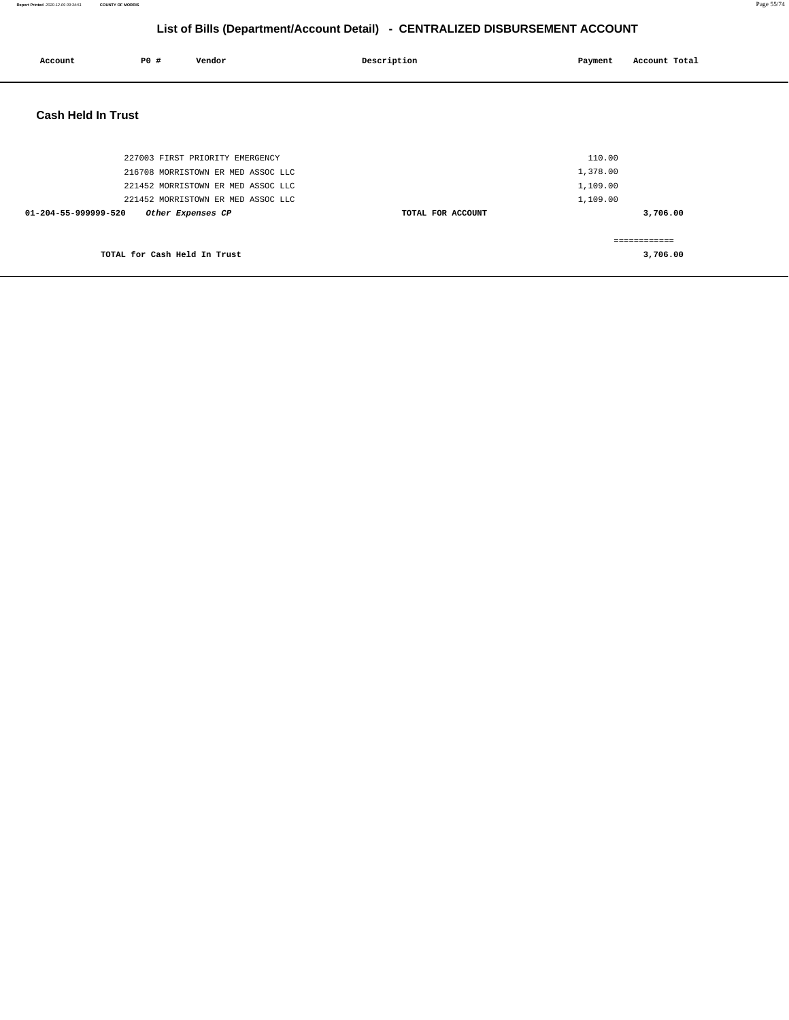| Account                   | <b>PO #</b>                  | Vendor                             | Description       | Payment  | Account Total |
|---------------------------|------------------------------|------------------------------------|-------------------|----------|---------------|
| <b>Cash Held In Trust</b> |                              |                                    |                   |          |               |
|                           |                              | 227003 FIRST PRIORITY EMERGENCY    |                   | 110.00   |               |
|                           |                              | 216708 MORRISTOWN ER MED ASSOC LLC |                   | 1,378.00 |               |
|                           |                              | 221452 MORRISTOWN ER MED ASSOC LLC |                   | 1,109.00 |               |
|                           |                              | 221452 MORRISTOWN ER MED ASSOC LLC |                   | 1,109.00 |               |
| 01-204-55-999999-520      |                              | Other Expenses CP                  | TOTAL FOR ACCOUNT |          | 3,706.00      |
|                           |                              |                                    |                   |          | ------------  |
|                           | TOTAL for Cash Held In Trust |                                    |                   |          | 3,706.00      |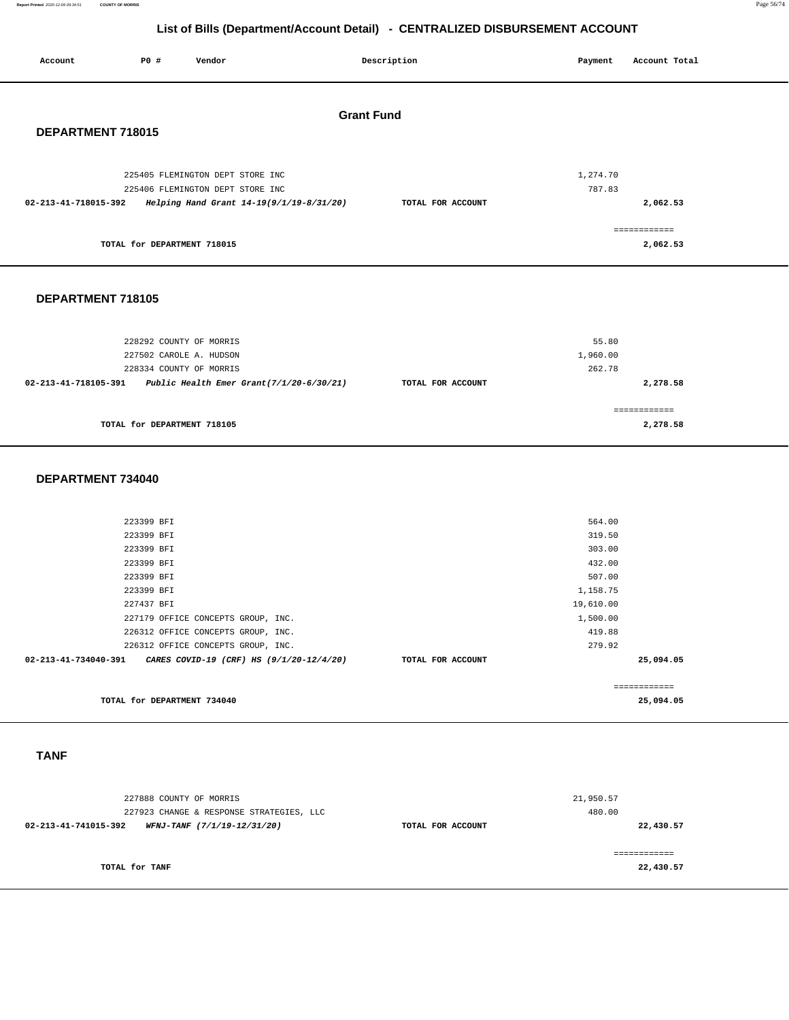**Report Printed** 2020-12-09 09:34:51 **COUNTY OF MORRIS** Page 56/74

# **List of Bills (Department/Account Detail) - CENTRALIZED DISBURSEMENT ACCOUNT**

| Account              | P0 #                        | Vendor                                   | Description       | Payment  | Account Total            |
|----------------------|-----------------------------|------------------------------------------|-------------------|----------|--------------------------|
| DEPARTMENT 718015    |                             |                                          | <b>Grant Fund</b> |          |                          |
|                      |                             | 225405 FLEMINGTON DEPT STORE INC         |                   | 1,274.70 |                          |
|                      |                             | 225406 FLEMINGTON DEPT STORE INC         |                   | 787.83   |                          |
| 02-213-41-718015-392 |                             | Helping Hand Grant 14-19(9/1/19-8/31/20) | TOTAL FOR ACCOUNT |          | 2,062.53                 |
|                      | TOTAL for DEPARTMENT 718015 |                                          |                   |          | ============<br>2,062.53 |

# **DEPARTMENT 718105**

| 228292 COUNTY OF MORRIS                                             |                   | 55.80    |
|---------------------------------------------------------------------|-------------------|----------|
| 227502 CAROLE A. HUDSON                                             |                   | 1,960.00 |
| 228334 COUNTY OF MORRIS                                             |                   | 262.78   |
| Public Health Emer Grant $(7/1/20-6/30/21)$<br>02-213-41-718105-391 | TOTAL FOR ACCOUNT | 2,278.58 |
| TOTAL for DEPARTMENT 718105                                         |                   | 2,278.58 |

### **DEPARTMENT 734040**

| 223399 BFI                                                       |                   | 564.00    |              |
|------------------------------------------------------------------|-------------------|-----------|--------------|
| 223399 BFI                                                       |                   | 319.50    |              |
| 223399 BFI                                                       |                   | 303.00    |              |
| 223399 BFI                                                       |                   | 432.00    |              |
| 223399 BFI                                                       |                   | 507.00    |              |
| 223399 BFI                                                       |                   | 1,158.75  |              |
| 227437 BFI                                                       |                   | 19,610.00 |              |
| 227179 OFFICE CONCEPTS GROUP, INC.                               |                   | 1,500.00  |              |
| 226312 OFFICE CONCEPTS GROUP, INC.                               |                   | 419.88    |              |
| 226312 OFFICE CONCEPTS GROUP, INC.                               |                   | 279.92    |              |
| 02-213-41-734040-391<br>CARES COVID-19 (CRF) HS (9/1/20-12/4/20) | TOTAL FOR ACCOUNT |           | 25,094.05    |
|                                                                  |                   |           | ------------ |
| TOTAL for DEPARTMENT 734040                                      |                   |           | 25,094.05    |

# **TANF**

| 227888 COUNTY OF MORRIS<br>227923 CHANGE & RESPONSE STRATEGIES, LLC | 21,950.57<br>480.00 |           |
|---------------------------------------------------------------------|---------------------|-----------|
| 02-213-41-741015-392<br>WFNJ-TANF (7/1/19-12/31/20)                 | TOTAL FOR ACCOUNT   | 22,430.57 |
|                                                                     |                     |           |
| TOTAL for TANF                                                      |                     | 22,430.57 |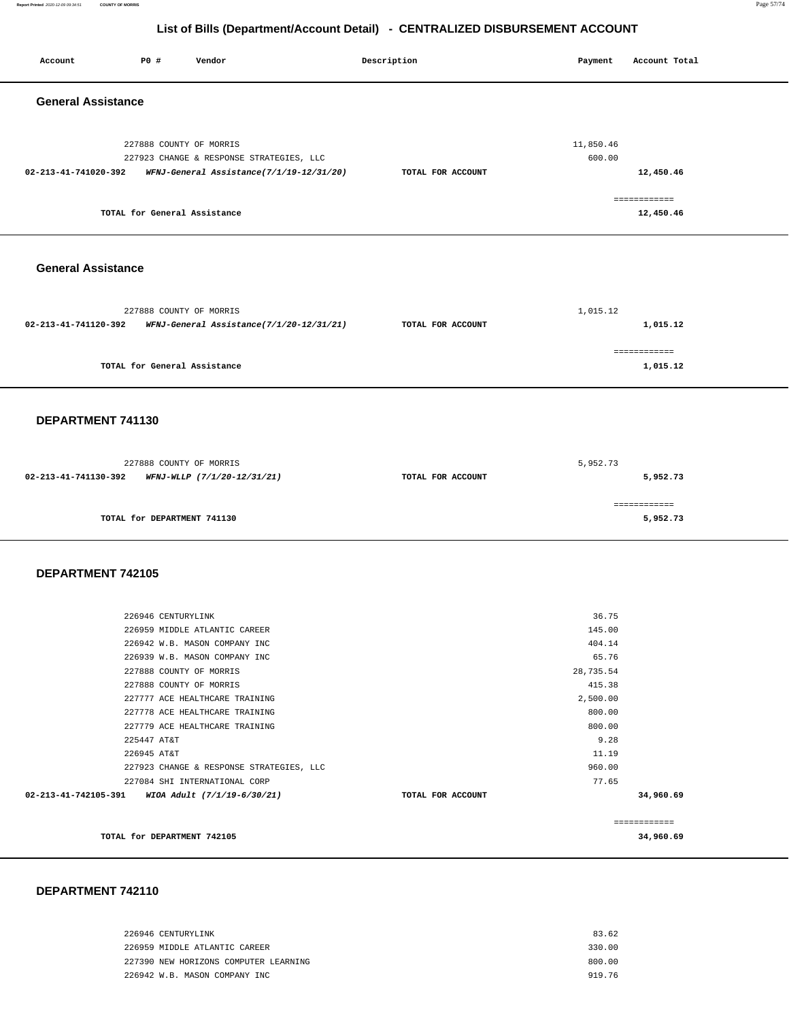**Report Printed** 2020-12-09 09:34:51 **COUNTY OF MORRIS** Page 57/74

# **List of Bills (Department/Account Detail) - CENTRALIZED DISBURSEMENT ACCOUNT**

| <b>PO #</b><br>Account<br>Vendor                                                                                                                                                                                                                                                                                                                                                                                                                 | Description       | Payment<br>Account Total                                                                                                                   |
|--------------------------------------------------------------------------------------------------------------------------------------------------------------------------------------------------------------------------------------------------------------------------------------------------------------------------------------------------------------------------------------------------------------------------------------------------|-------------------|--------------------------------------------------------------------------------------------------------------------------------------------|
| <b>General Assistance</b>                                                                                                                                                                                                                                                                                                                                                                                                                        |                   |                                                                                                                                            |
| 227888 COUNTY OF MORRIS<br>227923 CHANGE & RESPONSE STRATEGIES, LLC<br>02-213-41-741020-392<br>WFNJ-General Assistance(7/1/19-12/31/20)                                                                                                                                                                                                                                                                                                          | TOTAL FOR ACCOUNT | 11,850.46<br>600.00<br>12,450.46<br>============                                                                                           |
| TOTAL for General Assistance                                                                                                                                                                                                                                                                                                                                                                                                                     |                   | 12,450.46                                                                                                                                  |
| <b>General Assistance</b>                                                                                                                                                                                                                                                                                                                                                                                                                        |                   |                                                                                                                                            |
| 227888 COUNTY OF MORRIS<br>02-213-41-741120-392<br>WFNJ-General Assistance(7/1/20-12/31/21)                                                                                                                                                                                                                                                                                                                                                      | TOTAL FOR ACCOUNT | 1,015.12<br>1,015.12                                                                                                                       |
| TOTAL for General Assistance                                                                                                                                                                                                                                                                                                                                                                                                                     |                   | ============<br>1,015.12                                                                                                                   |
| DEPARTMENT 741130                                                                                                                                                                                                                                                                                                                                                                                                                                |                   |                                                                                                                                            |
| 227888 COUNTY OF MORRIS<br>02-213-41-741130-392<br>WFNJ-WLLP (7/1/20-12/31/21)                                                                                                                                                                                                                                                                                                                                                                   | TOTAL FOR ACCOUNT | 5,952.73<br>5,952.73                                                                                                                       |
| TOTAL for DEPARTMENT 741130                                                                                                                                                                                                                                                                                                                                                                                                                      |                   | ============<br>5,952.73                                                                                                                   |
| DEPARTMENT 742105                                                                                                                                                                                                                                                                                                                                                                                                                                |                   |                                                                                                                                            |
| 226946 CENTURYLINK<br>226959 MIDDLE ATLANTIC CAREER<br>226942 W.B. MASON COMPANY INC<br>226939 W.B. MASON COMPANY INC<br>227888 COUNTY OF MORRIS<br>227888 COUNTY OF MORRIS<br>227777 ACE HEALTHCARE TRAINING<br>227778 ACE HEALTHCARE TRAINING<br>227779 ACE HEALTHCARE TRAINING<br>225447 AT&T<br>226945 AT&T<br>227923 CHANGE & RESPONSE STRATEGIES, LLC<br>227084 SHI INTERNATIONAL CORP<br>02-213-41-742105-391 WIOA Adult (7/1/19-6/30/21) | TOTAL FOR ACCOUNT | 36.75<br>145.00<br>404.14<br>65.76<br>28,735.54<br>415.38<br>2,500.00<br>800.00<br>800.00<br>9.28<br>11.19<br>960.00<br>77.65<br>34,960.69 |
| TOTAL for DEPARTMENT 742105                                                                                                                                                                                                                                                                                                                                                                                                                      |                   | ============<br>34,960.69                                                                                                                  |

| 226946 CENTURYLINK                    | 83.62  |
|---------------------------------------|--------|
| 226959 MIDDLE ATLANTIC CAREER         | 330.00 |
| 227390 NEW HORIZONS COMPUTER LEARNING | 800.00 |
| 226942 W.B. MASON COMPANY INC         | 919 76 |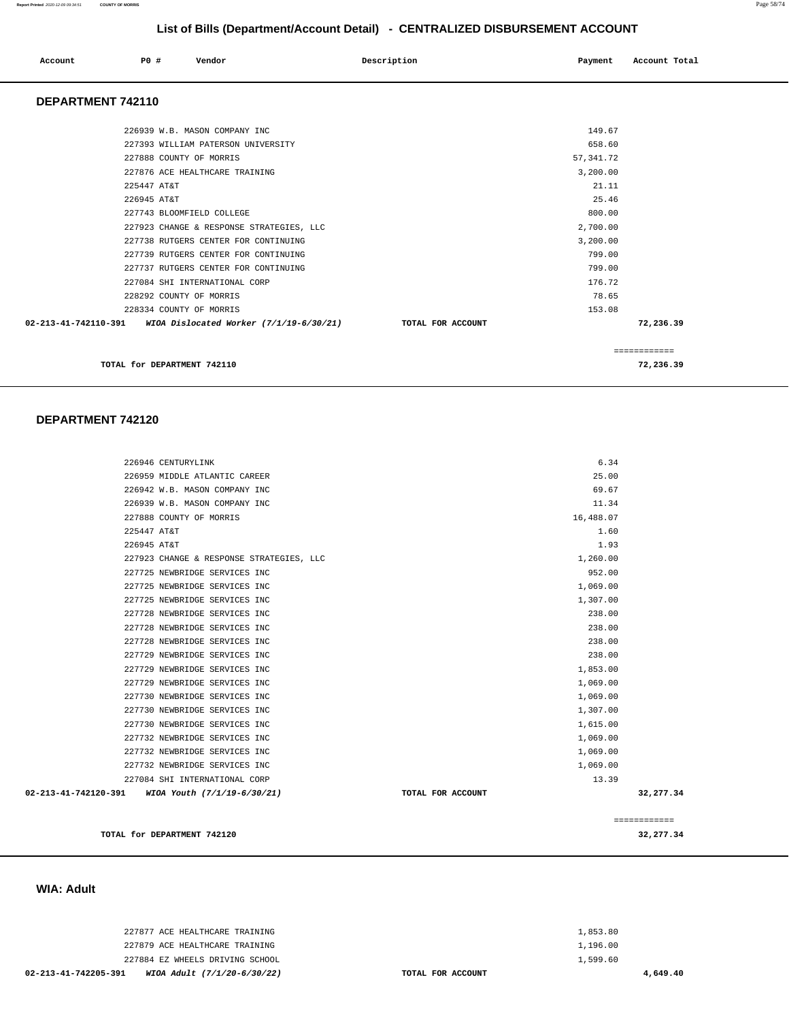### **Report Printed** 2020-12-09 09:34:51 **COUNTY OF MORRIS** Page 58/74

# **List of Bills (Department/Account Detail) - CENTRALIZED DISBURSEMENT ACCOUNT**

| Account                  | P0 # | Vendor                        | Description | Payment | Account Total |
|--------------------------|------|-------------------------------|-------------|---------|---------------|
| <b>DEPARTMENT 742110</b> |      |                               |             |         |               |
|                          |      | 226939 W.B. MASON COMPANY INC |             | 149.67  |               |

| TOTAL for DEPARTMENT 742110                                     |                   | 72,236.39    |
|-----------------------------------------------------------------|-------------------|--------------|
|                                                                 |                   | ============ |
| 02-213-41-742110-391<br>WIOA Dislocated Worker (7/1/19-6/30/21) | TOTAL FOR ACCOUNT | 72,236.39    |
| 228334 COUNTY OF MORRIS                                         | 153.08            |              |
| 228292 COUNTY OF MORRIS                                         | 78.65             |              |
| 227084 SHI INTERNATIONAL CORP                                   | 176.72            |              |
| 227737 RUTGERS CENTER FOR CONTINUING                            | 799.00            |              |
| 227739 RUTGERS CENTER FOR CONTINUING                            | 799.00            |              |
| 227738 RUTGERS CENTER FOR CONTINUING                            | 3,200.00          |              |
| 227923 CHANGE & RESPONSE STRATEGIES, LLC                        | 2,700.00          |              |
| 227743 BLOOMFIELD COLLEGE                                       | 800.00            |              |
| 226945 AT&T                                                     | 25.46             |              |
| 225447 AT&T                                                     | 21.11             |              |
| 227876 ACE HEALTHCARE TRAINING                                  | 3,200.00          |              |
| 227888 COUNTY OF MORRIS                                         | 57, 341.72        |              |
| 227393 WILLIAM PATERSON UNIVERSITY                              | 658.60            |              |
| AAUJJJ W.D. MADUN COMEANI INC                                   | $+1$ . $+1$       |              |

### **DEPARTMENT 742120**

| 226946 CENTURYLINK                                  | 6.34              |              |
|-----------------------------------------------------|-------------------|--------------|
| 226959 MIDDLE ATLANTIC CAREER                       | 25.00             |              |
| 226942 W.B. MASON COMPANY INC                       | 69.67             |              |
| 226939 W.B. MASON COMPANY INC                       | 11.34             |              |
| 227888 COUNTY OF MORRIS                             | 16,488.07         |              |
| 225447 AT&T                                         | 1.60              |              |
| 226945 AT&T                                         | 1.93              |              |
| 227923 CHANGE & RESPONSE STRATEGIES, LLC            | 1,260.00          |              |
| 227725 NEWBRIDGE SERVICES INC                       | 952.00            |              |
| 227725 NEWBRIDGE SERVICES INC                       | 1,069.00          |              |
| 227725 NEWBRIDGE SERVICES INC                       | 1,307.00          |              |
| 227728 NEWBRIDGE SERVICES INC                       | 238.00            |              |
| 227728 NEWBRIDGE SERVICES INC                       | 238.00            |              |
| 227728 NEWBRIDGE SERVICES INC                       | 238.00            |              |
| 227729 NEWBRIDGE SERVICES INC                       | 238.00            |              |
| 227729 NEWBRIDGE SERVICES INC                       | 1,853.00          |              |
| 227729 NEWBRIDGE SERVICES INC                       | 1,069.00          |              |
| 227730 NEWBRIDGE SERVICES INC                       | 1,069.00          |              |
| 227730 NEWBRIDGE SERVICES INC                       | 1,307.00          |              |
| 227730 NEWBRIDGE SERVICES INC                       | 1,615.00          |              |
| 227732 NEWBRIDGE SERVICES INC                       | 1,069.00          |              |
| 227732 NEWBRIDGE SERVICES INC                       | 1,069.00          |              |
| 227732 NEWBRIDGE SERVICES INC                       | 1,069.00          |              |
| 227084 SHI INTERNATIONAL CORP                       | 13.39             |              |
| 02-213-41-742120-391<br>WIOA Youth (7/1/19-6/30/21) | TOTAL FOR ACCOUNT | 32, 277.34   |
|                                                     |                   |              |
|                                                     |                   | ============ |
| TOTAL for DEPARTMENT 742120                         |                   | 32,277.34    |
|                                                     |                   |              |

### **WIA: Adult**

| WIOA Adult (7/1/20-6/30/22)<br>02-213-41-742205-391 | TOTAL FOR ACCOUNT | 4,649.40 |
|-----------------------------------------------------|-------------------|----------|
| 227884 EZ WHEELS DRIVING SCHOOL                     |                   | 1,599.60 |
| 227879 ACE HEALTHCARE TRAINING                      |                   | 1,196.00 |
| 227877 ACE HEALTHCARE TRAINING                      |                   | 1,853.80 |
|                                                     |                   |          |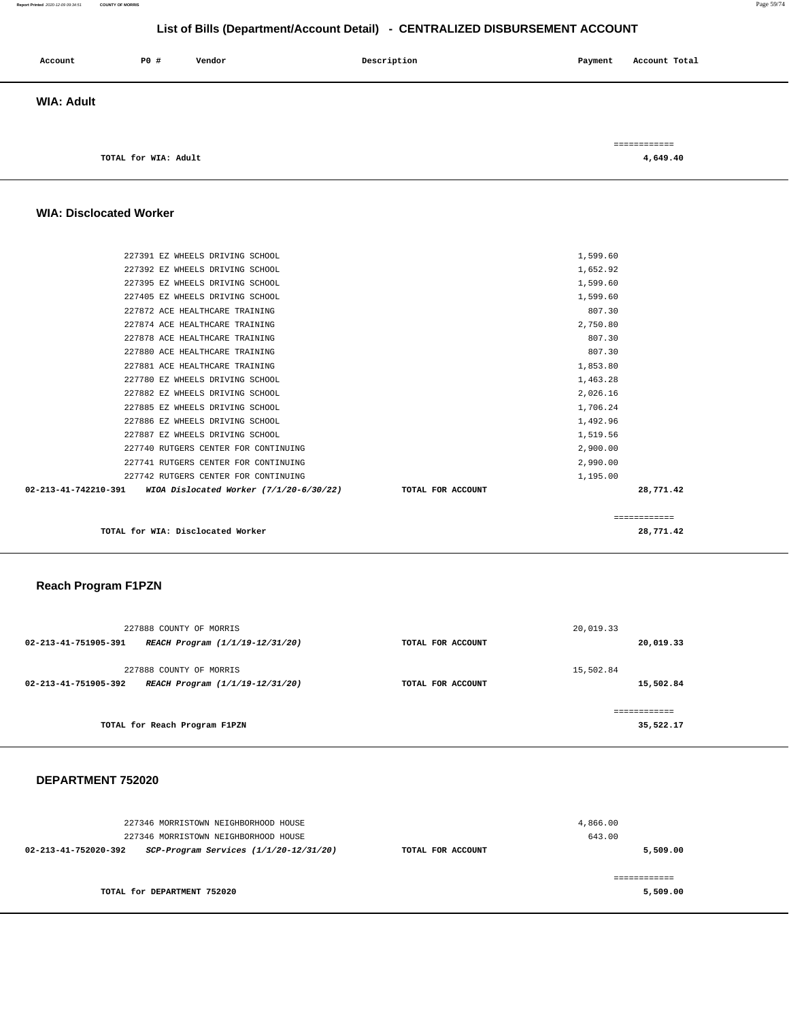### **Report Printed** 2020-12-09 09:34:51 **COUNTY OF MORRIS** Page 59/74

# **List of Bills (Department/Account Detail) - CENTRALIZED DISBURSEMENT ACCOUNT**

| Account           | P0 #                 | Vendor | Description | Payment | Account Total            |
|-------------------|----------------------|--------|-------------|---------|--------------------------|
| <b>WIA: Adult</b> |                      |        |             |         |                          |
|                   | TOTAL for WIA: Adult |        |             |         | ============<br>4,649.40 |

### **WIA: Disclocated Worker**

| TOTAL for WIA: Disclocated Worker                                           |                   | 28,771.42    |  |
|-----------------------------------------------------------------------------|-------------------|--------------|--|
|                                                                             |                   | ============ |  |
| $02 - 213 - 41 - 742210 - 391$<br>WIOA Dislocated Worker $(7/1/20-6/30/22)$ | TOTAL FOR ACCOUNT | 28,771.42    |  |
| 227742 RUTGERS CENTER FOR CONTINUING                                        |                   | 1,195.00     |  |
| 227741 RUTGERS CENTER FOR CONTINUING                                        |                   | 2,990.00     |  |
| 227740 RUTGERS CENTER FOR CONTINUING                                        |                   | 2,900.00     |  |
| 227887 EZ WHEELS DRIVING SCHOOL                                             |                   | 1,519.56     |  |
| 227886 EZ WHEELS DRIVING SCHOOL                                             |                   | 1,492.96     |  |
| 227885 EZ WHEELS DRIVING SCHOOL                                             |                   | 1,706.24     |  |
| 227882 EZ WHEELS DRIVING SCHOOL                                             |                   | 2,026.16     |  |
| 227780 EZ WHEELS DRIVING SCHOOL                                             |                   | 1,463.28     |  |
| 227881 ACE HEALTHCARE TRAINING                                              |                   | 1,853.80     |  |
| 227880 ACE HEALTHCARE TRAINING                                              |                   | 807.30       |  |
| 227878 ACE HEALTHCARE TRAINING                                              |                   | 807.30       |  |
| 227874 ACE HEALTHCARE TRAINING                                              |                   | 2,750.80     |  |
| 227872 ACE HEALTHCARE TRAINING                                              |                   | 807.30       |  |
| 227405 EZ WHEELS DRIVING SCHOOL                                             |                   | 1,599.60     |  |
| 227395 EZ WHEELS DRIVING SCHOOL                                             |                   | 1,599.60     |  |
| 227392 EZ WHEELS DRIVING SCHOOL                                             |                   | 1,652.92     |  |
| 227391 EZ WHEELS DRIVING SCHOOL                                             |                   | 1,599.60     |  |
|                                                                             |                   |              |  |

### **Reach Program F1PZN**

| 227888 COUNTY OF MORRIS                                 |                   | 20,019.33 |
|---------------------------------------------------------|-------------------|-----------|
| 02-213-41-751905-391<br>REACH Program (1/1/19-12/31/20) | TOTAL FOR ACCOUNT | 20,019.33 |
|                                                         |                   |           |
| 227888 COUNTY OF MORRIS                                 |                   | 15,502.84 |
| 02-213-41-751905-392<br>REACH Program (1/1/19-12/31/20) | TOTAL FOR ACCOUNT | 15,502.84 |
|                                                         |                   |           |
|                                                         |                   |           |
| TOTAL for Reach Program F1PZN                           |                   | 35,522.17 |
|                                                         |                   |           |

| 227346 MORRISTOWN NEIGHBORHOOD HOUSE<br>227346 MORRISTOWN NEIGHBORHOOD HOUSE |                   | 4,866.00<br>643.00 |
|------------------------------------------------------------------------------|-------------------|--------------------|
| SCP-Program Services (1/1/20-12/31/20)<br>02-213-41-752020-392               | TOTAL FOR ACCOUNT | 5,509.00           |
| TOTAL for DEPARTMENT 752020                                                  |                   | 5,509.00           |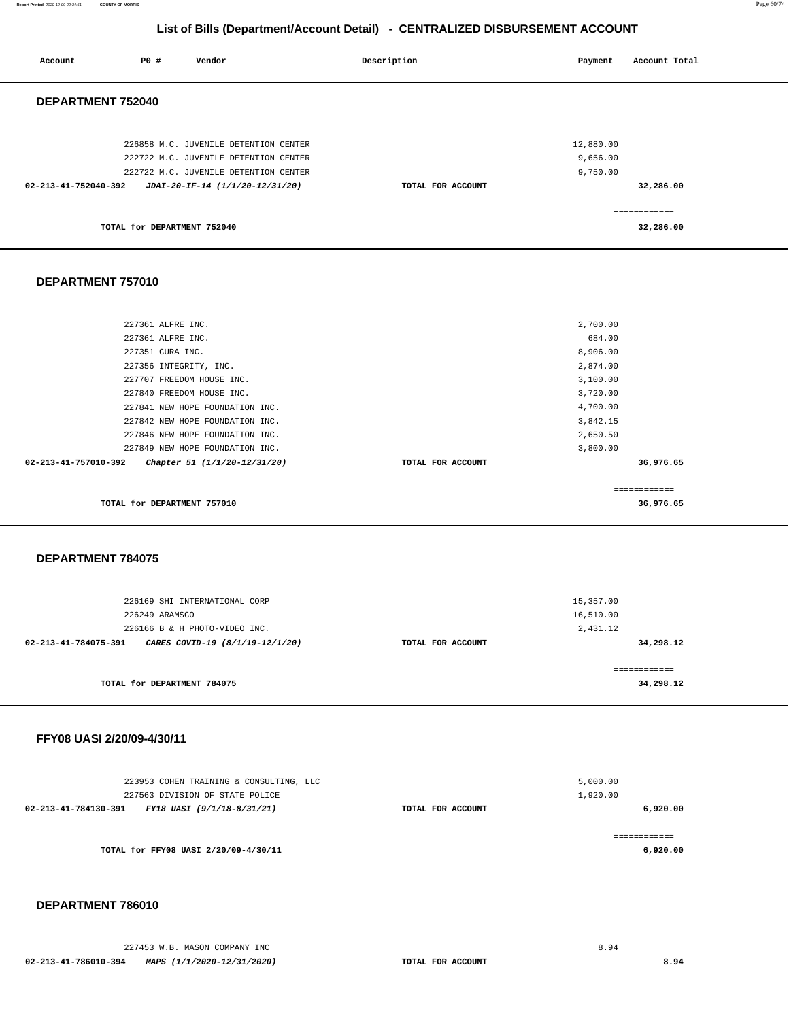| Account              | <b>PO #</b>                 | Vendor                                                                         | Description       | Payment               | Account Total             |
|----------------------|-----------------------------|--------------------------------------------------------------------------------|-------------------|-----------------------|---------------------------|
| DEPARTMENT 752040    |                             |                                                                                |                   |                       |                           |
|                      |                             | 226858 M.C. JUVENILE DETENTION CENTER<br>222722 M.C. JUVENILE DETENTION CENTER |                   | 12,880.00<br>9,656.00 |                           |
| 02-213-41-752040-392 |                             | 222722 M.C. JUVENILE DETENTION CENTER<br>JDAI-20-IF-14 (1/1/20-12/31/20)       | TOTAL FOR ACCOUNT | 9,750.00              | 32,286.00                 |
|                      | TOTAL for DEPARTMENT 752040 |                                                                                |                   |                       | ============<br>32,286.00 |

### **DEPARTMENT 757010**

| 227707 FREEDOM HOUSE INC.<br>227840 FREEDOM HOUSE INC.             |                              |                   | 3,100.00<br>3,720.00  |  |
|--------------------------------------------------------------------|------------------------------|-------------------|-----------------------|--|
| 227841 NEW HOPE FOUNDATION INC.                                    |                              |                   | 4,700.00              |  |
| 227842 NEW HOPE FOUNDATION INC.<br>227846 NEW HOPE FOUNDATION INC. |                              |                   | 3,842.15<br>2,650.50  |  |
| 227849 NEW HOPE FOUNDATION INC.<br>02-213-41-757010-392            | Chapter 51 (1/1/20-12/31/20) | TOTAL FOR ACCOUNT | 3,800.00<br>36,976.65 |  |
|                                                                    |                              |                   |                       |  |
|                                                                    |                              |                   | ============          |  |

### **DEPARTMENT 784075**

| 226169 SHI INTERNATIONAL CORP                           |                   | 15,357.00    |
|---------------------------------------------------------|-------------------|--------------|
| 226249 ARAMSCO                                          | 16,510.00         |              |
|                                                         |                   |              |
| 226166 B & H PHOTO-VIDEO INC.                           |                   | 2,431.12     |
| CARES COVID-19 (8/1/19-12/1/20)<br>02-213-41-784075-391 | TOTAL FOR ACCOUNT | 34,298.12    |
|                                                         |                   | ------------ |
| TOTAL for DEPARTMENT 784075                             |                   | 34,298.12    |

### **FFY08 UASI 2/20/09-4/30/11**

| 223953 COHEN TRAINING & CONSULTING, LLC            |                   | 5,000.00 |
|----------------------------------------------------|-------------------|----------|
| 227563 DIVISION OF STATE POLICE                    |                   | 1,920.00 |
| 02-213-41-784130-391<br>FY18 UASI (9/1/18-8/31/21) | TOTAL FOR ACCOUNT | 6,920.00 |
| TOTAL for FFY08 UASI 2/20/09-4/30/11               |                   | 6,920.00 |

### **DEPARTMENT 786010**

227453 W.B. MASON COMPANY INC 8.94  **02-213-41-786010-394 MAPS (1/1/2020-12/31/2020) TOTAL FOR ACCOUNT 8.94**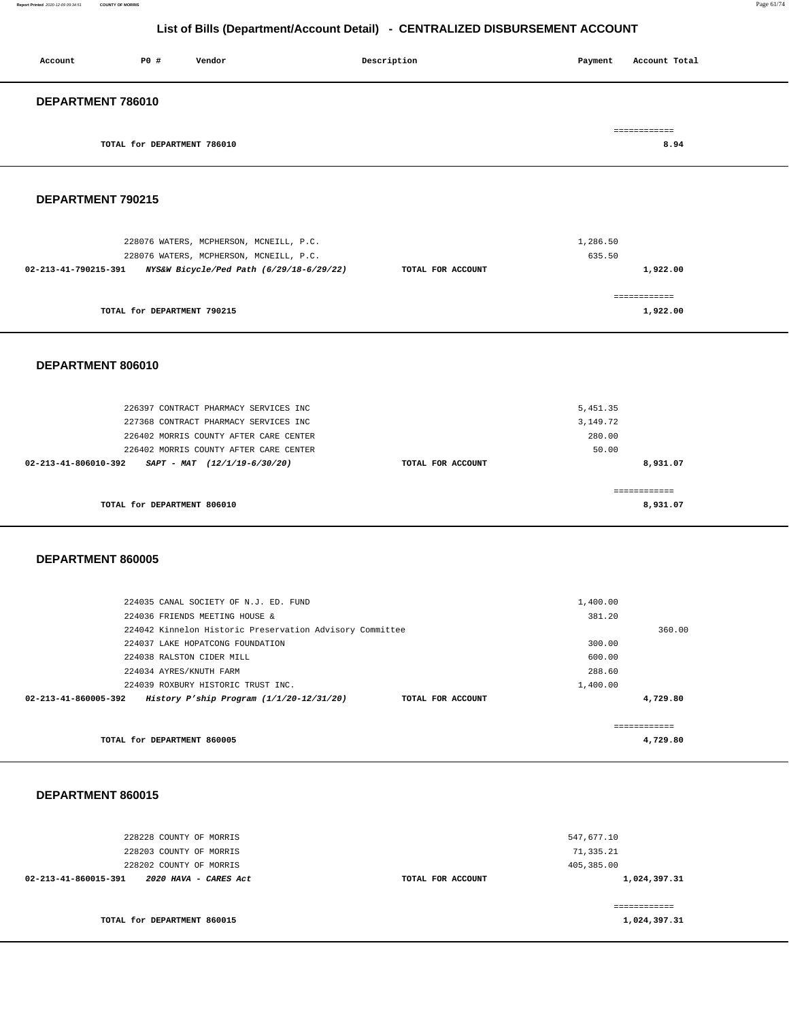#### **Report Printed** 2020-12-09 09:34:51 **COUNTY OF MORRIS** Page 61/74

# **List of Bills (Department/Account Detail) - CENTRALIZED DISBURSEMENT ACCOUNT**

| Account                     | P0 # | Vendor | Description | Payment | Account Total |
|-----------------------------|------|--------|-------------|---------|---------------|
| DEPARTMENT 786010           |      |        |             |         |               |
|                             |      |        |             |         | ============  |
| TOTAL for DEPARTMENT 786010 |      |        |             | 8.94    |               |

### **DEPARTMENT 790215**

| 228076 WATERS, MCPHERSON, MCNEILL, P.C.<br>228076 WATERS, MCPHERSON, MCNEILL, P.C. |                   | 1,286.50<br>635.50 |
|------------------------------------------------------------------------------------|-------------------|--------------------|
| NYS&W Bicycle/Ped Path (6/29/18-6/29/22)<br>02-213-41-790215-391                   | TOTAL FOR ACCOUNT | 1,922.00           |
| TOTAL for DEPARTMENT 790215                                                        |                   | 1,922.00           |

### **DEPARTMENT 806010**

| 226397 CONTRACT PHARMACY SERVICES INC<br>227368 CONTRACT PHARMACY SERVICES INC |                   | 5,451.35<br>3,149.72 |
|--------------------------------------------------------------------------------|-------------------|----------------------|
| 226402 MORRIS COUNTY AFTER CARE CENTER                                         |                   | 280.00               |
| 226402 MORRIS COUNTY AFTER CARE CENTER                                         |                   | 50.00                |
| $02 - 213 - 41 - 806010 - 392$<br>$SAPT - MAT$ (12/1/19-6/30/20)               | TOTAL FOR ACCOUNT | 8,931.07             |
|                                                                                |                   |                      |
| TOTAL for DEPARTMENT 806010                                                    |                   | 8,931.07             |

### **DEPARTMENT 860005**

| TOTAL for DEPARTMENT 860005                                        |                   | 4,729.80 |
|--------------------------------------------------------------------|-------------------|----------|
| 02-213-41-860005-392<br>History P'ship Program $(1/1/20-12/31/20)$ | TOTAL FOR ACCOUNT | 4,729.80 |
| 224039 ROXBURY HISTORIC TRUST INC.                                 | 1,400.00          |          |
| 224034 AYRES/KNUTH FARM                                            | 288.60            |          |
| 224038 RALSTON CIDER MILL                                          | 600.00            |          |
| 224037 LAKE HOPATCONG FOUNDATION                                   | 300.00            |          |
| 224042 Kinnelon Historic Preservation Advisory Committee           |                   | 360.00   |
| 224036 FRIENDS MEETING HOUSE &                                     | 381.20            |          |
| 224035 CANAL SOCIETY OF N.J. ED. FUND                              | 1,400.00          |          |
|                                                                    |                   |          |

| 228228 COUNTY OF MORRIS<br>228203 COUNTY OF MORRIS | 547,677.10<br>71,335.21           |
|----------------------------------------------------|-----------------------------------|
| 228202 COUNTY OF MORRIS                            | 405,385.00                        |
| 02-213-41-860015-391<br>2020 HAVA - CARES Act      | 1,024,397.31<br>TOTAL FOR ACCOUNT |
|                                                    |                                   |
|                                                    | ============                      |
| TOTAL for DEPARTMENT 860015                        | 1,024,397.31                      |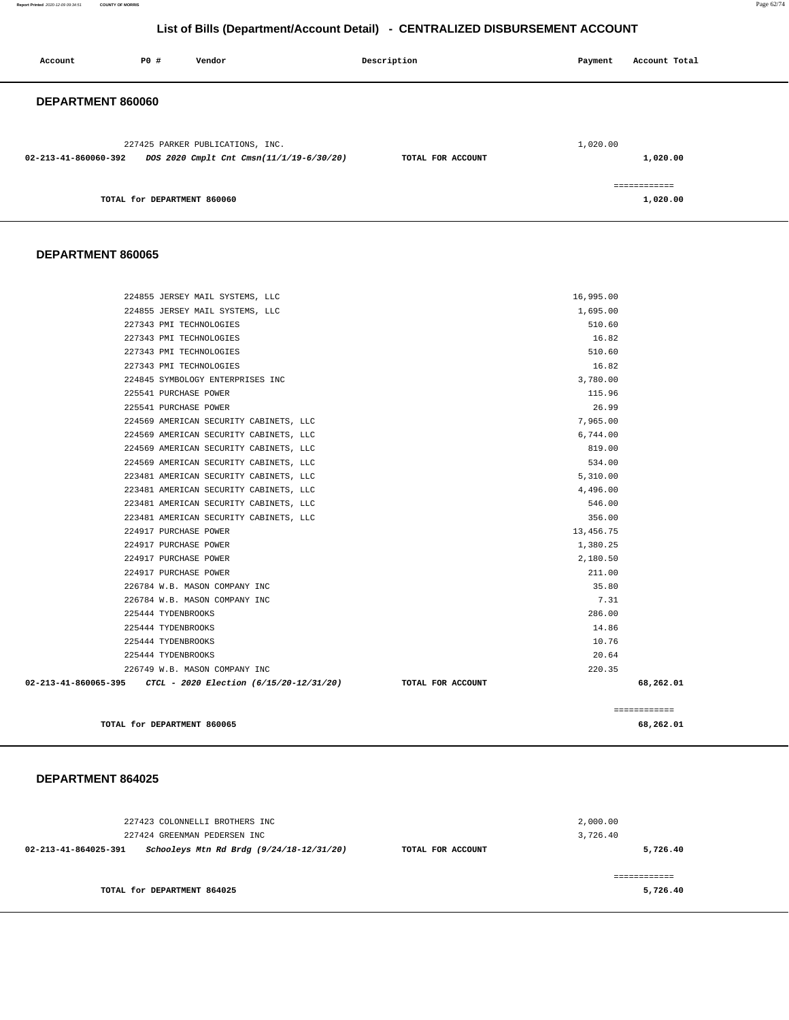**Report Printed** 2020-12-09 09:34:51 **COUNTY OF MORRIS** Page 62/74

# **List of Bills (Department/Account Detail) - CENTRALIZED DISBURSEMENT ACCOUNT**

| Account              | P0 #                        | Vendor                                                                       | Description       | Payment  | Account Total            |
|----------------------|-----------------------------|------------------------------------------------------------------------------|-------------------|----------|--------------------------|
| DEPARTMENT 860060    |                             |                                                                              |                   |          |                          |
| 02-213-41-860060-392 |                             | 227425 PARKER PUBLICATIONS, INC.<br>DOS 2020 Cmplt Cnt Cmsn(11/1/19-6/30/20) | TOTAL FOR ACCOUNT | 1,020.00 | 1,020.00                 |
|                      | TOTAL for DEPARTMENT 860060 |                                                                              |                   |          | ============<br>1,020.00 |

### **DEPARTMENT 860065**

| TOTAL for DEPARTMENT 860065                                  |                   | 68,262.01    |
|--------------------------------------------------------------|-------------------|--------------|
|                                                              |                   | ============ |
| 02-213-41-860065-395 CTCL - 2020 Election (6/15/20-12/31/20) | TOTAL FOR ACCOUNT | 68,262.01    |
| 226749 W.B. MASON COMPANY INC                                | 220.35            |              |
| 225444 TYDENBROOKS                                           | 20.64             |              |
| 225444 TYDENBROOKS                                           | 10.76             |              |
| 225444 TYDENBROOKS                                           | 14.86             |              |
| 225444 TYDENBROOKS                                           | 286.00            |              |
| 226784 W.B. MASON COMPANY INC                                | 7.31              |              |
| 226784 W.B. MASON COMPANY INC                                | 35.80             |              |
| 224917 PURCHASE POWER                                        | 211.00            |              |
| 224917 PURCHASE POWER                                        | 2,180.50          |              |
| 224917 PURCHASE POWER                                        | 1,380.25          |              |
| 224917 PURCHASE POWER                                        | 13,456.75         |              |
| 223481 AMERICAN SECURITY CABINETS, LLC                       | 356.00            |              |
| 223481 AMERICAN SECURITY CABINETS, LLC                       | 546.00            |              |
| 223481 AMERICAN SECURITY CABINETS, LLC                       | 4,496.00          |              |
| 223481 AMERICAN SECURITY CABINETS, LLC                       | 5,310.00          |              |
| 224569 AMERICAN SECURITY CABINETS, LLC                       | 534.00            |              |
| 224569 AMERICAN SECURITY CABINETS, LLC                       | 819.00            |              |
| 224569 AMERICAN SECURITY CABINETS, LLC                       | 6,744.00          |              |
| 224569 AMERICAN SECURITY CABINETS, LLC                       | 7,965.00          |              |
| 225541 PURCHASE POWER                                        | 26.99             |              |
| 225541 PURCHASE POWER                                        | 115.96            |              |
| 224845 SYMBOLOGY ENTERPRISES INC                             | 3,780.00          |              |
| 227343 PMI TECHNOLOGIES                                      | 16.82             |              |
| 227343 PMI TECHNOLOGIES                                      | 510.60            |              |
| 227343 PMI TECHNOLOGIES                                      | 16.82             |              |
| 227343 PMI TECHNOLOGIES                                      | 510.60            |              |
| 224855 JERSEY MAIL SYSTEMS, LLC                              | 1,695.00          |              |
| 224855 JERSEY MAIL SYSTEMS, LLC                              | 16,995.00         |              |

| 227423 COLONNELLI BROTHERS INC<br>227424 GREENMAN PEDERSEN INC   |                   | 2,000.00<br>3,726.40 |
|------------------------------------------------------------------|-------------------|----------------------|
| Schooleys Mtn Rd Brdg (9/24/18-12/31/20)<br>02-213-41-864025-391 | TOTAL FOR ACCOUNT | 5,726.40             |
| TOTAL for DEPARTMENT 864025                                      |                   | 5,726.40             |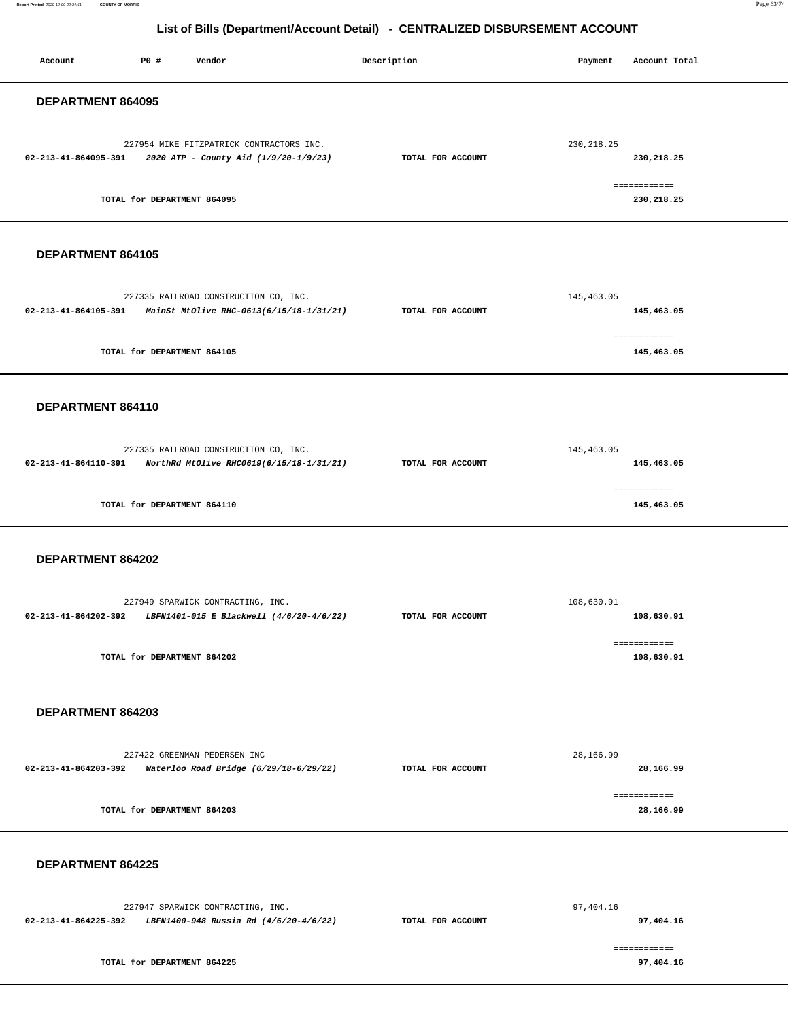**Report Printed** 2020-12-09 09:34:51 **COUNTY OF MORRIS** Page 63/74

| Account              | P0 #                        | Vendor                                                                            | Description |                   | Payment     | Account Total              |  |
|----------------------|-----------------------------|-----------------------------------------------------------------------------------|-------------|-------------------|-------------|----------------------------|--|
| DEPARTMENT 864095    |                             |                                                                                   |             |                   |             |                            |  |
| 02-213-41-864095-391 |                             | 227954 MIKE FITZPATRICK CONTRACTORS INC.<br>2020 ATP - County Aid (1/9/20-1/9/23) |             | TOTAL FOR ACCOUNT | 230, 218.25 | 230,218.25                 |  |
|                      | TOTAL for DEPARTMENT 864095 |                                                                                   |             |                   |             | ============<br>230,218.25 |  |
| DEPARTMENT 864105    |                             |                                                                                   |             |                   |             |                            |  |
| 02-213-41-864105-391 |                             | 227335 RAILROAD CONSTRUCTION CO, INC.<br>MainSt MtOlive RHC-0613(6/15/18-1/31/21) |             | TOTAL FOR ACCOUNT | 145,463.05  | 145,463.05                 |  |
|                      | TOTAL for DEPARTMENT 864105 |                                                                                   |             |                   |             | ------------<br>145,463.05 |  |
| DEPARTMENT 864110    |                             |                                                                                   |             |                   |             |                            |  |
| 02-213-41-864110-391 |                             | 227335 RAILROAD CONSTRUCTION CO, INC.<br>NorthRd MtOlive RHC0619(6/15/18-1/31/21) |             | TOTAL FOR ACCOUNT | 145,463.05  | 145,463.05                 |  |
|                      | TOTAL for DEPARTMENT 864110 |                                                                                   |             |                   |             | ============<br>145,463.05 |  |
| DEPARTMENT 864202    |                             |                                                                                   |             |                   |             |                            |  |
| 02-213-41-864202-392 |                             | 227949 SPARWICK CONTRACTING, INC.<br>LBFN1401-015 E Blackwell (4/6/20-4/6/22)     |             | TOTAL FOR ACCOUNT | 108,630.91  | 108,630.91                 |  |
|                      | TOTAL for DEPARTMENT 864202 |                                                                                   |             |                   |             | ============<br>108,630.91 |  |
| DEPARTMENT 864203    |                             |                                                                                   |             |                   |             |                            |  |
| 02-213-41-864203-392 |                             | 227422 GREENMAN PEDERSEN INC<br>Waterloo Road Bridge (6/29/18-6/29/22)            |             | TOTAL FOR ACCOUNT | 28,166.99   | 28,166.99                  |  |
|                      | TOTAL for DEPARTMENT 864203 |                                                                                   |             |                   |             | ------------<br>28,166.99  |  |
| DEPARTMENT 864225    |                             |                                                                                   |             |                   |             |                            |  |
| 02-213-41-864225-392 |                             | 227947 SPARWICK CONTRACTING, INC.<br>LBFN1400-948 Russia Rd (4/6/20-4/6/22)       |             | TOTAL FOR ACCOUNT | 97,404.16   | 97,404.16                  |  |
|                      | TOTAL for DEPARTMENT 864225 |                                                                                   |             |                   |             | ============<br>97,404.16  |  |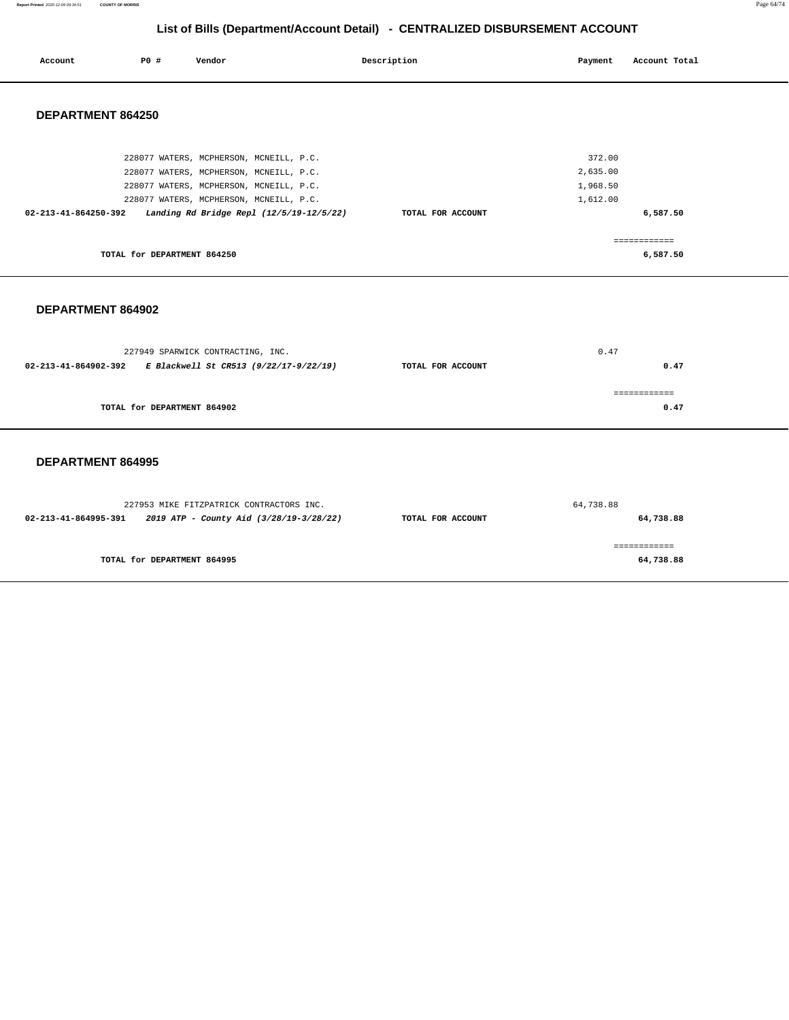**Report Printed** 2020-12-09 09:34:51 **COUNTY OF MORRIS** Page 64/74

# **List of Bills (Department/Account Detail) - CENTRALIZED DISBURSEMENT ACCOUNT**

| Account              | P0 #                        | Vendor                                                                                                                                                                   | Description       | Payment                                    | Account Total                        |
|----------------------|-----------------------------|--------------------------------------------------------------------------------------------------------------------------------------------------------------------------|-------------------|--------------------------------------------|--------------------------------------|
| DEPARTMENT 864250    |                             |                                                                                                                                                                          |                   |                                            |                                      |
|                      |                             | 228077 WATERS, MCPHERSON, MCNEILL, P.C.<br>228077 WATERS, MCPHERSON, MCNEILL, P.C.<br>228077 WATERS, MCPHERSON, MCNEILL, P.C.<br>228077 WATERS, MCPHERSON, MCNEILL, P.C. |                   | 372.00<br>2,635.00<br>1,968.50<br>1,612.00 |                                      |
| 02-213-41-864250-392 | TOTAL for DEPARTMENT 864250 | Landing Rd Bridge Repl (12/5/19-12/5/22)                                                                                                                                 | TOTAL FOR ACCOUNT |                                            | 6,587.50<br>============<br>6,587.50 |

### **DEPARTMENT 864902**

|                      | 227949 SPARWICK CONTRACTING, INC.      |                   | 0.47 |
|----------------------|----------------------------------------|-------------------|------|
| 02-213-41-864902-392 | E Blackwell St CR513 (9/22/17-9/22/19) | TOTAL FOR ACCOUNT | 0.47 |
|                      |                                        |                   |      |
|                      |                                        |                   |      |
|                      | TOTAL for DEPARTMENT 864902            |                   | 0.47 |
|                      |                                        |                   |      |

| 227953 MIKE FITZPATRICK CONTRACTORS INC.                        |                   | 64,738.88 |
|-----------------------------------------------------------------|-------------------|-----------|
| 2019 ATP - County Aid (3/28/19-3/28/22)<br>02-213-41-864995-391 | TOTAL FOR ACCOUNT | 64,738.88 |
|                                                                 |                   |           |
|                                                                 |                   |           |
| TOTAL for DEPARTMENT 864995                                     |                   | 64,738.88 |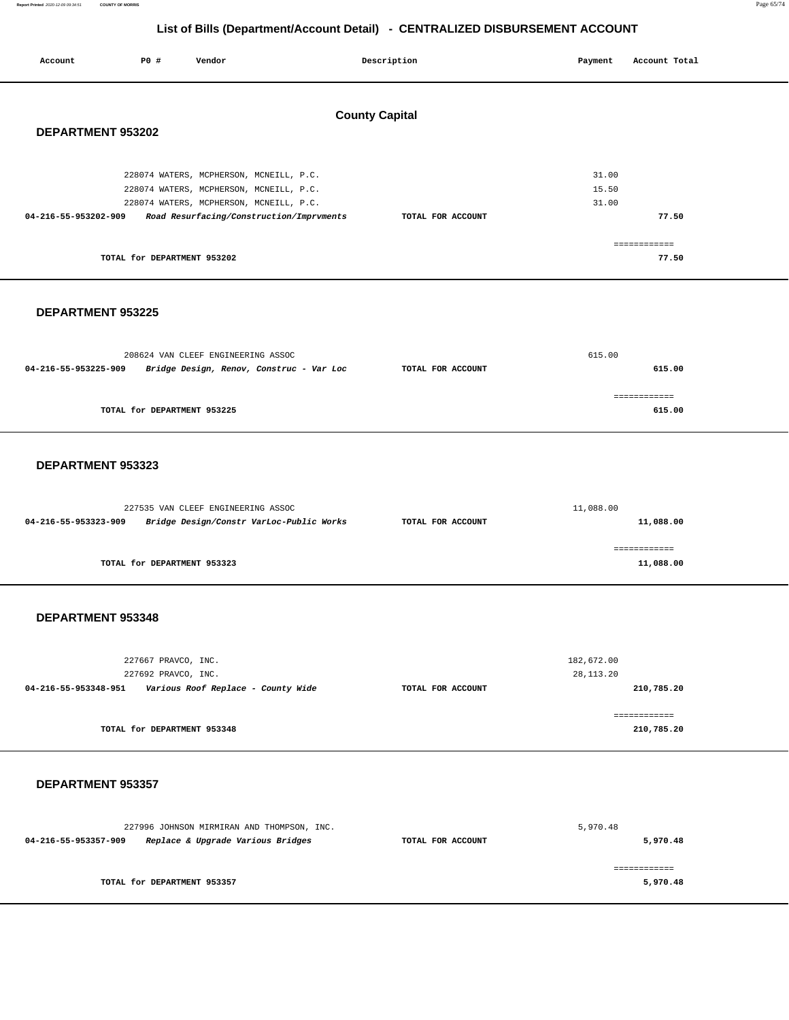**Report Printed** 2020-12-09 09:34:51 **COUNTY OF MORRIS** Page 65/74

# **List of Bills (Department/Account Detail) - CENTRALIZED DISBURSEMENT ACCOUNT**

| Account              | P0 #                        | Vendor                                                                                                                                                                    | Description           | Payment |                         | Account Total         |
|----------------------|-----------------------------|---------------------------------------------------------------------------------------------------------------------------------------------------------------------------|-----------------------|---------|-------------------------|-----------------------|
| DEPARTMENT 953202    |                             |                                                                                                                                                                           | <b>County Capital</b> |         |                         |                       |
| 04-216-55-953202-909 |                             | 228074 WATERS, MCPHERSON, MCNEILL, P.C.<br>228074 WATERS, MCPHERSON, MCNEILL, P.C.<br>228074 WATERS, MCPHERSON, MCNEILL, P.C.<br>Road Resurfacing/Construction/Imprvments | TOTAL FOR ACCOUNT     |         | 31.00<br>15.50<br>31.00 | 77.50                 |
|                      | TOTAL for DEPARTMENT 953202 |                                                                                                                                                                           |                       |         |                         | ============<br>77.50 |
| DEPARTMENT 953225    |                             |                                                                                                                                                                           |                       |         |                         |                       |
|                      |                             | 208624 VAN CLEEF ENGINEERING ASSOC                                                                                                                                        |                       | 615.00  |                         |                       |

| 04-216-55-953225-909 | Bridge Design, Renov, Construc - Var Loc | TOTAL FOR ACCOUNT | 615.00       |
|----------------------|------------------------------------------|-------------------|--------------|
|                      |                                          |                   | :=========== |
|                      | TOTAL for DEPARTMENT 953225              |                   | 615.00       |

### **DEPARTMENT 953323**

|                      | 227535 VAN CLEEF ENGINEERING ASSOC       |                   | 11,088.00 |
|----------------------|------------------------------------------|-------------------|-----------|
| 04-216-55-953323-909 | Bridge Design/Constr VarLoc-Public Works | TOTAL FOR ACCOUNT | 11,088.00 |
|                      |                                          |                   |           |
|                      |                                          |                   |           |
|                      | TOTAL for DEPARTMENT 953323              |                   | 11,088.00 |

### **DEPARTMENT 953348**

|                      | 227667 PRAVCO, INC.<br>227692 PRAVCO, INC. |                   | 182,672.00<br>28, 113. 20  |
|----------------------|--------------------------------------------|-------------------|----------------------------|
| 04-216-55-953348-951 | Various Roof Replace - County Wide         | TOTAL FOR ACCOUNT | 210,785.20                 |
|                      | TOTAL for DEPARTMENT 953348                |                   | ============<br>210,785.20 |

|                      | 227996 JOHNSON MIRMIRAN AND THOMPSON, INC. |                   | 5,970.48 |
|----------------------|--------------------------------------------|-------------------|----------|
| 04-216-55-953357-909 | Replace & Upgrade Various Bridges          | TOTAL FOR ACCOUNT | 5,970.48 |
|                      |                                            |                   |          |
|                      |                                            |                   |          |
|                      | TOTAL for DEPARTMENT 953357                |                   | 5,970.48 |
|                      |                                            |                   |          |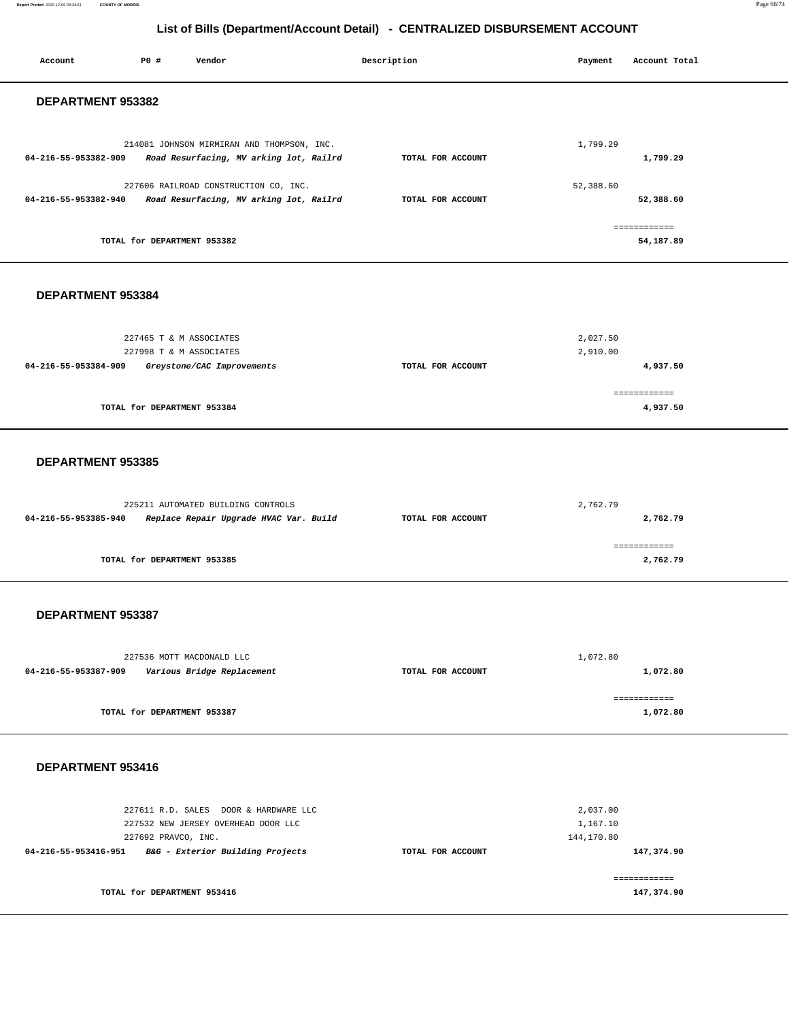|                      |                             |                                                                                       | List of Bills (Department/Account Detail) - CENTRALIZED DISBURSEMENT ACCOUNT |                                    |                           |  |
|----------------------|-----------------------------|---------------------------------------------------------------------------------------|------------------------------------------------------------------------------|------------------------------------|---------------------------|--|
| Account              | P0 #                        | Vendor                                                                                | Description                                                                  | Payment                            | Account Total             |  |
| DEPARTMENT 953382    |                             |                                                                                       |                                                                              |                                    |                           |  |
| 04-216-55-953382-909 |                             | 214081 JOHNSON MIRMIRAN AND THOMPSON, INC.<br>Road Resurfacing, MV arking lot, Railrd | TOTAL FOR ACCOUNT                                                            | 1,799.29                           | 1,799.29                  |  |
| 04-216-55-953382-940 |                             | 227606 RAILROAD CONSTRUCTION CO, INC.<br>Road Resurfacing, MV arking lot, Railrd      | TOTAL FOR ACCOUNT                                                            | 52,388.60                          | 52,388.60                 |  |
|                      | TOTAL for DEPARTMENT 953382 |                                                                                       |                                                                              |                                    | ============<br>54,187.89 |  |
| DEPARTMENT 953384    |                             |                                                                                       |                                                                              |                                    |                           |  |
| 04-216-55-953384-909 |                             | 227465 T & M ASSOCIATES<br>227998 T & M ASSOCIATES<br>Greystone/CAC Improvements      | TOTAL FOR ACCOUNT                                                            | 2,027.50<br>2,910.00               | 4,937.50                  |  |
|                      | TOTAL for DEPARTMENT 953384 |                                                                                       |                                                                              |                                    | ============<br>4,937.50  |  |
| DEPARTMENT 953385    |                             |                                                                                       |                                                                              |                                    |                           |  |
| 04-216-55-953385-940 |                             | 225211 AUTOMATED BUILDING CONTROLS<br>Replace Repair Upgrade HVAC Var. Build          | TOTAL FOR ACCOUNT                                                            | 2,762.79                           | 2,762.79                  |  |
|                      | TOTAL for DEPARTMENT 953385 |                                                                                       |                                                                              |                                    | ------------<br>2,762.79  |  |
| DEPARTMENT 953387    |                             |                                                                                       |                                                                              |                                    |                           |  |
| 04-216-55-953387-909 |                             | 227536 MOTT MACDONALD LLC<br>Various Bridge Replacement                               | TOTAL FOR ACCOUNT                                                            | 1,072.80                           | 1,072.80                  |  |
|                      | TOTAL for DEPARTMENT 953387 |                                                                                       |                                                                              |                                    | ============<br>1,072.80  |  |
| DEPARTMENT 953416    |                             |                                                                                       |                                                                              |                                    |                           |  |
|                      | 227692 PRAVCO, INC.         | 227611 R.D. SALES DOOR & HARDWARE LLC<br>227532 NEW JERSEY OVERHEAD DOOR LLC          |                                                                              | 2,037.00<br>1,167.10<br>144,170.80 |                           |  |

**04-216-55-953416-951 B&G - Exterior Building Projects TOTAL FOR ACCOUNT** 

**147,374.90**

============ **147,374.90**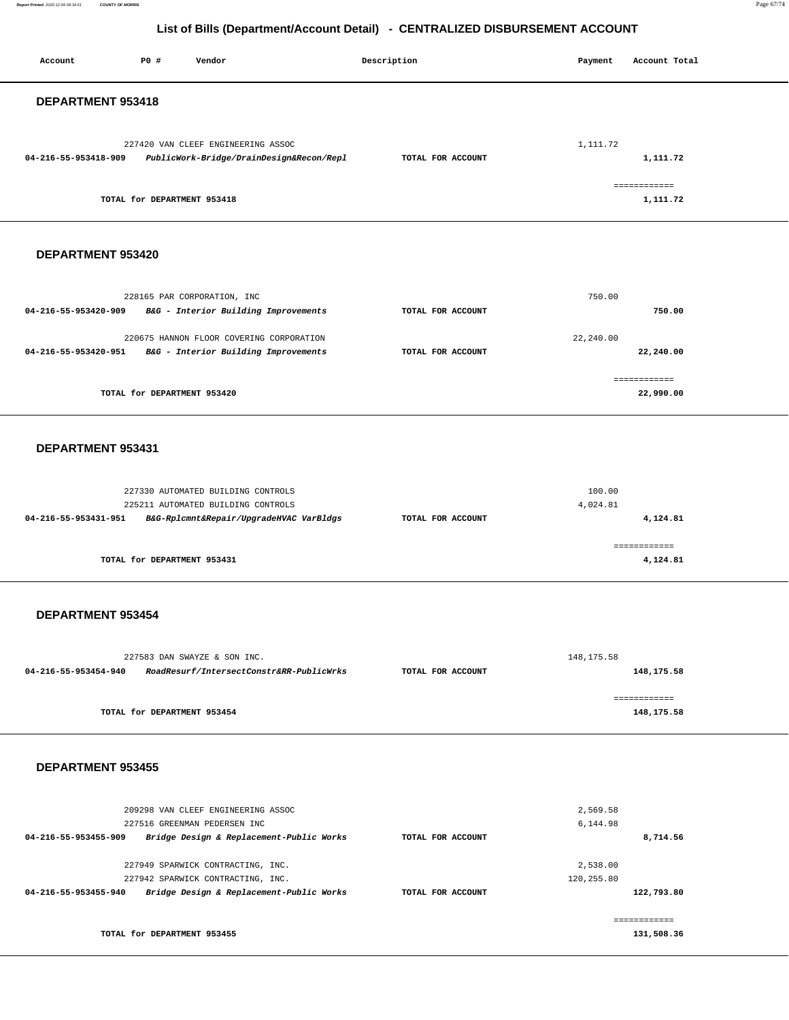**Report Printed** 2020-12-09 09:34:51 **COUNTY OF MORRIS** Page 67/74

| Account                  | <b>PO #</b>                 | Vendor                                                                                                              | Description       | Payment                 | Account Total              |
|--------------------------|-----------------------------|---------------------------------------------------------------------------------------------------------------------|-------------------|-------------------------|----------------------------|
| DEPARTMENT 953418        |                             |                                                                                                                     |                   |                         |                            |
| 04-216-55-953418-909     |                             | 227420 VAN CLEEF ENGINEERING ASSOC<br>PublicWork-Bridge/DrainDesign&Recon/Repl                                      | TOTAL FOR ACCOUNT | 1,111.72                | 1,111.72<br>============   |
|                          | TOTAL for DEPARTMENT 953418 |                                                                                                                     |                   |                         | 1,111.72                   |
| DEPARTMENT 953420        |                             |                                                                                                                     |                   |                         |                            |
| 04-216-55-953420-909     |                             | 228165 PAR CORPORATION, INC<br>B&G - Interior Building Improvements                                                 | TOTAL FOR ACCOUNT | 750.00                  | 750.00                     |
| 04-216-55-953420-951     |                             | 220675 HANNON FLOOR COVERING CORPORATION<br>B&G - Interior Building Improvements                                    | TOTAL FOR ACCOUNT | 22,240.00               | 22,240.00                  |
|                          | TOTAL for DEPARTMENT 953420 |                                                                                                                     |                   |                         | ============<br>22,990.00  |
| DEPARTMENT 953431        |                             |                                                                                                                     |                   |                         |                            |
| 04-216-55-953431-951     |                             | 227330 AUTOMATED BUILDING CONTROLS<br>225211 AUTOMATED BUILDING CONTROLS<br>B&G-Rplcmnt&Repair/UpgradeHVAC VarBldgs | TOTAL FOR ACCOUNT | 100.00<br>4,024.81      | 4,124.81                   |
|                          | TOTAL for DEPARTMENT 953431 |                                                                                                                     |                   |                         | ============<br>4,124.81   |
| DEPARTMENT 953454        |                             |                                                                                                                     |                   |                         |                            |
| 04-216-55-953454-940     |                             | 227583 DAN SWAYZE & SON INC.<br>RoadResurf/IntersectConstr&RR-PublicWrks                                            | TOTAL FOR ACCOUNT | 148, 175.58             | 148,175.58                 |
|                          | TOTAL for DEPARTMENT 953454 |                                                                                                                     |                   |                         | ============<br>148,175.58 |
| <b>DEPARTMENT 953455</b> |                             |                                                                                                                     |                   |                         |                            |
| 04-216-55-953455-909     |                             | 209298 VAN CLEEF ENGINEERING ASSOC<br>227516 GREENMAN PEDERSEN INC<br>Bridge Design & Replacement-Public Works      | TOTAL FOR ACCOUNT | 2,569.58<br>6,144.98    | 8,714.56                   |
| 04-216-55-953455-940     |                             | 227949 SPARWICK CONTRACTING, INC.<br>227942 SPARWICK CONTRACTING, INC.<br>Bridge Design & Replacement-Public Works  | TOTAL FOR ACCOUNT | 2,538.00<br>120, 255.80 | 122,793.80                 |
|                          | TOTAL for DEPARTMENT 953455 |                                                                                                                     |                   |                         | ============<br>131,508.36 |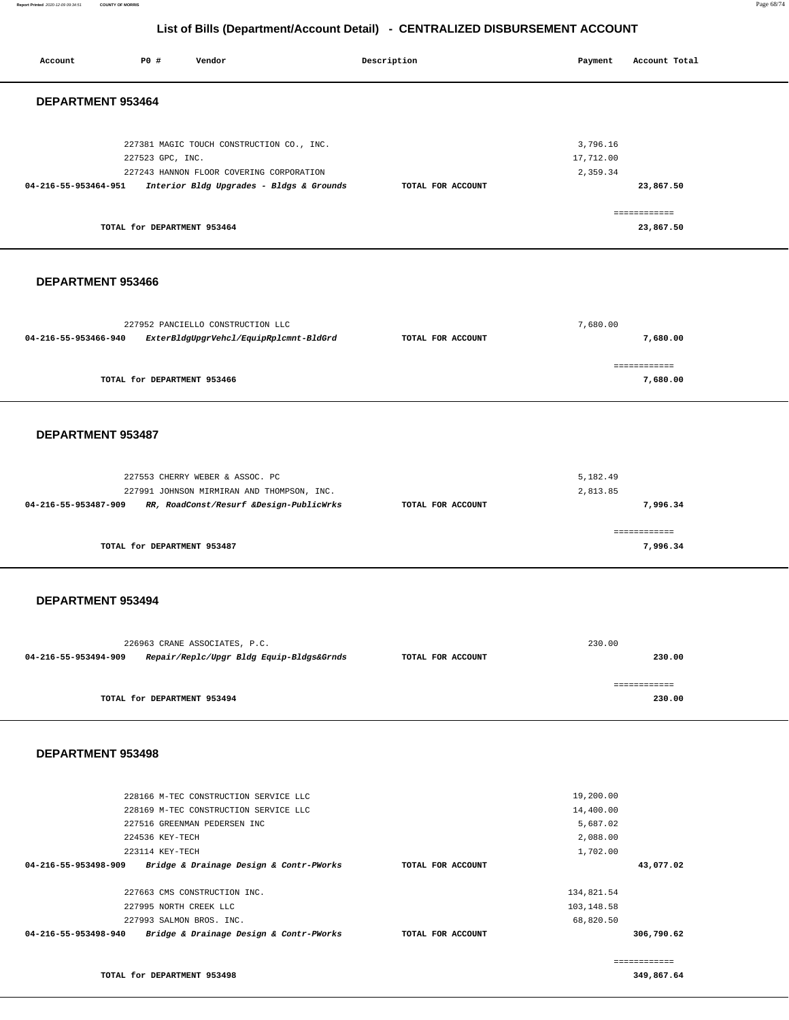**Report Printed** 2020-12-09 09:34:51 **COUNTY OF MORRIS** Page 68/74

| Account                  | PO#                                                | Vendor                                                                                                                                                    |  | Description       | Payment                                                    | Account Total                          |  |  |  |
|--------------------------|----------------------------------------------------|-----------------------------------------------------------------------------------------------------------------------------------------------------------|--|-------------------|------------------------------------------------------------|----------------------------------------|--|--|--|
|                          | DEPARTMENT 953464                                  |                                                                                                                                                           |  |                   |                                                            |                                        |  |  |  |
| 04-216-55-953464-951     | 227523 GPC, INC.<br>TOTAL for DEPARTMENT 953464    | 227381 MAGIC TOUCH CONSTRUCTION CO., INC.<br>227243 HANNON FLOOR COVERING CORPORATION<br>Interior Bldg Upgrades - Bldgs & Grounds                         |  | TOTAL FOR ACCOUNT | 3,796.16<br>17,712.00<br>2,359.34                          | 23,867.50<br>============<br>23,867.50 |  |  |  |
| DEPARTMENT 953466        |                                                    |                                                                                                                                                           |  |                   |                                                            |                                        |  |  |  |
| 04-216-55-953466-940     |                                                    | 227952 PANCIELLO CONSTRUCTION LLC<br>ExterBldgUpgrVehcl/EquipRplcmnt-BldGrd                                                                               |  | TOTAL FOR ACCOUNT | 7,680.00                                                   | 7,680.00<br>------------               |  |  |  |
|                          | TOTAL for DEPARTMENT 953466                        |                                                                                                                                                           |  |                   |                                                            | 7,680.00                               |  |  |  |
| DEPARTMENT 953487        |                                                    |                                                                                                                                                           |  |                   |                                                            |                                        |  |  |  |
| 04-216-55-953487-909     |                                                    | 227553 CHERRY WEBER & ASSOC. PC<br>227991 JOHNSON MIRMIRAN AND THOMPSON, INC.<br>RR, RoadConst/Resurf &Design-PublicWrks                                  |  | TOTAL FOR ACCOUNT | 5,182.49<br>2,813.85                                       | 7,996.34                               |  |  |  |
|                          | TOTAL for DEPARTMENT 953487                        |                                                                                                                                                           |  |                   |                                                            | ============<br>7,996.34               |  |  |  |
| DEPARTMENT 953494        |                                                    |                                                                                                                                                           |  |                   |                                                            |                                        |  |  |  |
| 04-216-55-953494-909     |                                                    | 226963 CRANE ASSOCIATES, P.C.<br>Repair/Replc/Upgr Bldg Equip-Bldgs&Grnds                                                                                 |  | TOTAL FOR ACCOUNT | 230.00                                                     | 230.00                                 |  |  |  |
|                          | TOTAL for DEPARTMENT 953494                        |                                                                                                                                                           |  |                   |                                                            | ============<br>230.00                 |  |  |  |
| <b>DEPARTMENT 953498</b> |                                                    |                                                                                                                                                           |  |                   |                                                            |                                        |  |  |  |
| 04-216-55-953498-909     | 224536 KEY-TECH<br>223114 KEY-TECH                 | 228166 M-TEC CONSTRUCTION SERVICE LLC<br>228169 M-TEC CONSTRUCTION SERVICE LLC<br>227516 GREENMAN PEDERSEN INC<br>Bridge & Drainage Design & Contr-PWorks |  | TOTAL FOR ACCOUNT | 19,200.00<br>14,400.00<br>5,687.02<br>2,088.00<br>1,702.00 | 43,077.02                              |  |  |  |
| 04-216-55-953498-940     | 227995 NORTH CREEK LLC<br>227993 SALMON BROS. INC. | 227663 CMS CONSTRUCTION INC.<br>Bridge & Drainage Design & Contr-PWorks                                                                                   |  | TOTAL FOR ACCOUNT | 134,821.54<br>103,148.58<br>68,820.50                      | 306,790.62                             |  |  |  |
|                          | TOTAL for DEPARTMENT 953498                        |                                                                                                                                                           |  |                   |                                                            | ============<br>349,867.64             |  |  |  |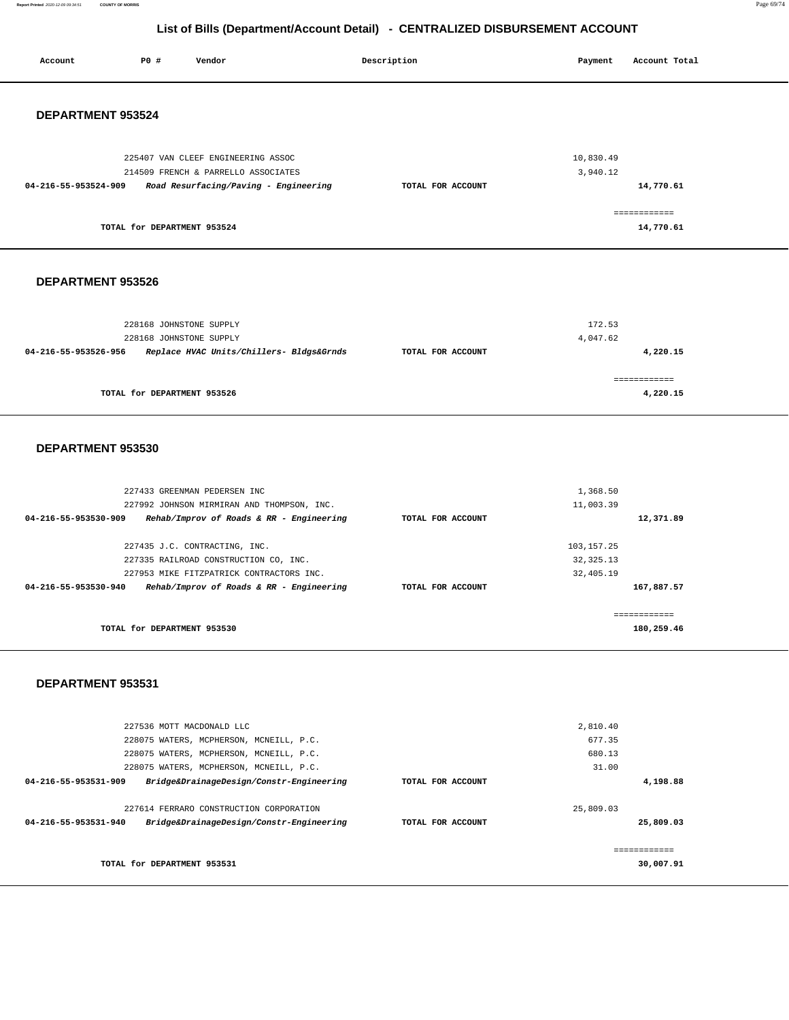**Report Printed** 2020-12-09 09:34:51 **COUNTY OF MORRIS** Page 69/74

| Account              | P0 #                        | Vendor                                                                             | Description       | Payment                 | Account Total             |
|----------------------|-----------------------------|------------------------------------------------------------------------------------|-------------------|-------------------------|---------------------------|
|                      |                             |                                                                                    |                   |                         |                           |
| DEPARTMENT 953524    |                             |                                                                                    |                   |                         |                           |
|                      |                             | 225407 VAN CLEEF ENGINEERING ASSOC                                                 |                   | 10,830.49               |                           |
|                      |                             | 214509 FRENCH & PARRELLO ASSOCIATES                                                |                   | 3,940.12                |                           |
| 04-216-55-953524-909 |                             | Road Resurfacing/Paving - Engineering                                              | TOTAL FOR ACCOUNT |                         | 14,770.61                 |
|                      |                             |                                                                                    |                   |                         | ============              |
|                      | TOTAL for DEPARTMENT 953524 |                                                                                    |                   |                         | 14,770.61                 |
| DEPARTMENT 953526    |                             |                                                                                    |                   |                         |                           |
|                      |                             |                                                                                    |                   |                         |                           |
|                      | 228168 JOHNSTONE SUPPLY     |                                                                                    |                   | 172.53                  |                           |
|                      | 228168 JOHNSTONE SUPPLY     |                                                                                    |                   | 4,047.62                |                           |
| 04-216-55-953526-956 |                             | Replace HVAC Units/Chillers- Bldgs&Grnds                                           | TOTAL FOR ACCOUNT |                         | 4,220.15                  |
|                      | TOTAL for DEPARTMENT 953526 |                                                                                    |                   |                         | ============<br>4,220.15  |
|                      |                             |                                                                                    |                   |                         |                           |
| DEPARTMENT 953530    |                             |                                                                                    |                   |                         |                           |
|                      |                             | 227433 GREENMAN PEDERSEN INC                                                       |                   | 1,368.50                |                           |
|                      |                             | 227992 JOHNSON MIRMIRAN AND THOMPSON, INC.                                         |                   | 11,003.39               |                           |
| 04-216-55-953530-909 |                             | Rehab/Improv of Roads & RR - Engineering                                           | TOTAL FOR ACCOUNT |                         | 12,371.89                 |
|                      |                             | 227435 J.C. CONTRACTING, INC.                                                      |                   | 103, 157. 25            |                           |
|                      |                             | 227335 RAILROAD CONSTRUCTION CO, INC.<br>227953 MIKE FITZPATRICK CONTRACTORS INC.  |                   | 32, 325.13<br>32,405.19 |                           |
| 04-216-55-953530-940 |                             | Rehab/Improv of Roads & RR - Engineering                                           | TOTAL FOR ACCOUNT |                         | 167,887.57                |
|                      |                             |                                                                                    |                   |                         | ============              |
|                      | TOTAL for DEPARTMENT 953530 |                                                                                    |                   |                         | 180,259.46                |
|                      |                             |                                                                                    |                   |                         |                           |
| DEPARTMENT 953531    |                             |                                                                                    |                   |                         |                           |
|                      | 227536 MOTT MACDONALD LLC   |                                                                                    |                   | 2,810.40                |                           |
|                      |                             | 228075 WATERS, MCPHERSON, MCNEILL, P.C.                                            |                   | 677.35                  |                           |
|                      |                             | 228075 WATERS, MCPHERSON, MCNEILL, P.C.<br>228075 WATERS, MCPHERSON, MCNEILL, P.C. |                   | 680.13<br>31.00         |                           |
| 04-216-55-953531-909 |                             | Bridge&DrainageDesign/Constr-Engineering                                           | TOTAL FOR ACCOUNT |                         | 4,198.88                  |
|                      |                             | 227614 FERRARO CONSTRUCTION CORPORATION                                            |                   | 25,809.03               |                           |
| 04-216-55-953531-940 |                             | Bridge&DrainageDesign/Constr-Engineering                                           | TOTAL FOR ACCOUNT |                         | 25,809.03                 |
|                      | TOTAL for DEPARTMENT 953531 |                                                                                    |                   |                         | ------------<br>30,007.91 |
|                      |                             |                                                                                    |                   |                         |                           |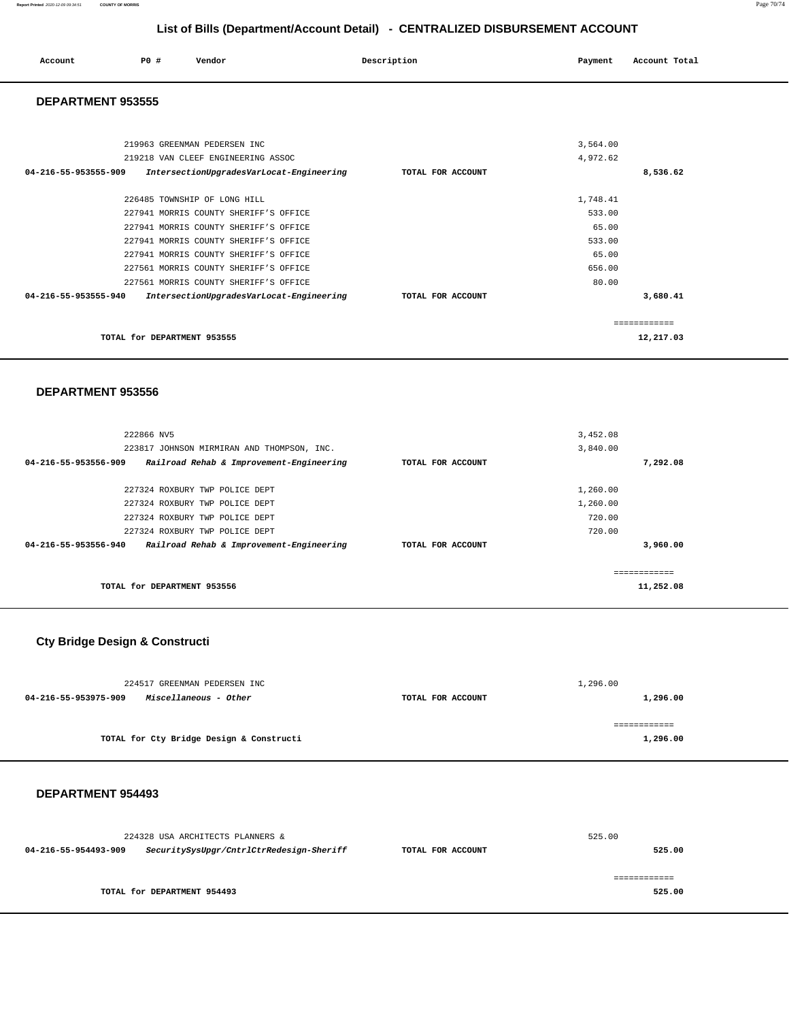| Account<br>. | $P0$ , | Vendor | Description | Payment<br>. .<br>$\sim$ $\sim$ | Account Total |
|--------------|--------|--------|-------------|---------------------------------|---------------|
|              |        |        |             |                                 |               |

### **DEPARTMENT 953555**

| 219963 GREENMAN PEDERSEN INC                                     |                   | 3,564.00 |           |
|------------------------------------------------------------------|-------------------|----------|-----------|
| 219218 VAN CLEEF ENGINEERING ASSOC                               |                   | 4,972.62 |           |
| 04-216-55-953555-909<br>IntersectionUpgradesVarLocat-Engineering | TOTAL FOR ACCOUNT |          | 8,536.62  |
| 226485 TOWNSHIP OF LONG HILL                                     |                   | 1,748.41 |           |
| 227941 MORRIS COUNTY SHERIFF'S OFFICE                            |                   | 533.00   |           |
| 227941 MORRIS COUNTY SHERIFF'S OFFICE                            |                   | 65.00    |           |
| 227941 MORRIS COUNTY SHERIFF'S OFFICE                            |                   | 533.00   |           |
| 227941 MORRIS COUNTY SHERIFF'S OFFICE                            |                   | 65.00    |           |
| 227561 MORRIS COUNTY SHERIFF'S OFFICE                            |                   | 656.00   |           |
| 227561 MORRIS COUNTY SHERIFF'S OFFICE                            |                   | 80.00    |           |
| 04-216-55-953555-940<br>IntersectionUpgradesVarLocat-Engineering | TOTAL FOR ACCOUNT |          | 3,680.41  |
|                                                                  |                   |          |           |
| TOTAL for DEPARTMENT 953555                                      |                   |          | 12,217.03 |

### **DEPARTMENT 953556**

| 222866 NV5                                                       |                   | 3,452.08  |               |
|------------------------------------------------------------------|-------------------|-----------|---------------|
| 223817 JOHNSON MIRMIRAN AND THOMPSON, INC.                       |                   | 3,840.00  |               |
| 04-216-55-953556-909<br>Railroad Rehab & Improvement-Engineering | TOTAL FOR ACCOUNT |           | 7,292.08      |
|                                                                  |                   |           |               |
| 227324 ROXBURY TWP POLICE DEPT                                   |                   | 1,260.00  |               |
| 227324 ROXBURY TWP POLICE DEPT                                   |                   | 1,260.00  |               |
| 227324 ROXBURY TWP POLICE DEPT                                   |                   | 720.00    |               |
| 227324 ROXBURY TWP POLICE DEPT                                   |                   | 720.00    |               |
| Railroad Rehab & Improvement-Engineering<br>04-216-55-953556-940 | TOTAL FOR ACCOUNT |           | 3,960,00      |
|                                                                  |                   |           |               |
|                                                                  |                   |           | ------------- |
| TOTAL for DEPARTMENT 953556                                      |                   | 11,252.08 |               |

# **Cty Bridge Design & Constructi**

| 224517 GREENMAN PEDERSEN INC                  | 1,296.00          |          |  |
|-----------------------------------------------|-------------------|----------|--|
| Miscellaneous - Other<br>04-216-55-953975-909 | TOTAL FOR ACCOUNT | 1,296.00 |  |
|                                               |                   |          |  |
|                                               |                   |          |  |
| TOTAL for Cty Bridge Design & Constructi      |                   | 1,296.00 |  |
|                                               |                   |          |  |

|                      | 224328 USA ARCHITECTS PLANNERS &         |                   | 525.00        |  |
|----------------------|------------------------------------------|-------------------|---------------|--|
| 04-216-55-954493-909 | SecuritySysUpgr/CntrlCtrRedesign-Sheriff | TOTAL FOR ACCOUNT | 525.00        |  |
|                      |                                          |                   | ============= |  |
|                      | TOTAL for DEPARTMENT 954493              |                   | 525.00        |  |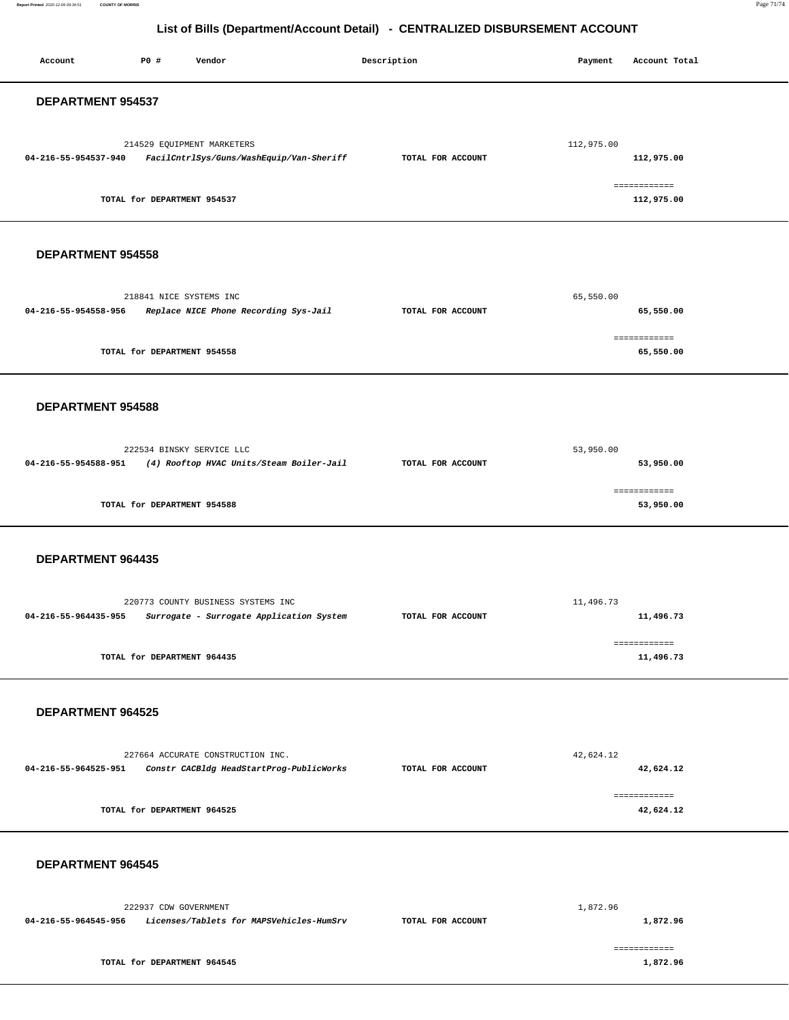**Report Printed** 2020-12-09 09:34:51 **COUNTY OF MORRIS** Page 71/74

| Account                  | P0 #                        | Vendor                                                                         | Description       | Payment    | Account Total              |
|--------------------------|-----------------------------|--------------------------------------------------------------------------------|-------------------|------------|----------------------------|
| DEPARTMENT 954537        |                             |                                                                                |                   |            |                            |
| 04-216-55-954537-940     |                             | 214529 EQUIPMENT MARKETERS<br>FacilCntrlSys/Guns/WashEquip/Van-Sheriff         | TOTAL FOR ACCOUNT | 112,975.00 | 112,975.00<br>------------ |
|                          | TOTAL for DEPARTMENT 954537 |                                                                                |                   |            | 112,975.00                 |
| <b>DEPARTMENT 954558</b> |                             |                                                                                |                   |            |                            |
| 04-216-55-954558-956     | 218841 NICE SYSTEMS INC     | Replace NICE Phone Recording Sys-Jail                                          | TOTAL FOR ACCOUNT | 65,550.00  | 65,550.00                  |
|                          | TOTAL for DEPARTMENT 954558 |                                                                                |                   |            | ------------<br>65,550.00  |
| <b>DEPARTMENT 954588</b> |                             |                                                                                |                   |            |                            |
| 04-216-55-954588-951     |                             | 222534 BINSKY SERVICE LLC<br>(4) Rooftop HVAC Units/Steam Boiler-Jail          | TOTAL FOR ACCOUNT | 53,950.00  | 53,950.00<br>============  |
|                          | TOTAL for DEPARTMENT 954588 |                                                                                |                   |            | 53,950.00                  |
| DEPARTMENT 964435        |                             |                                                                                |                   |            |                            |
| 04-216-55-964435-955     |                             | 220773 COUNTY BUSINESS SYSTEMS INC<br>Surrogate - Surrogate Application System | TOTAL FOR ACCOUNT | 11,496.73  | 11,496.73<br>------------  |
|                          | TOTAL for DEPARTMENT 964435 |                                                                                |                   |            | 11,496.73                  |
| DEPARTMENT 964525        |                             |                                                                                |                   |            |                            |
| 04-216-55-964525-951     |                             | 227664 ACCURATE CONSTRUCTION INC.<br>Constr CACBldg HeadStartProg-PublicWorks  | TOTAL FOR ACCOUNT | 42,624.12  | 42,624.12<br>------------  |
|                          | TOTAL for DEPARTMENT 964525 |                                                                                |                   |            | 42,624.12                  |
| <b>DEPARTMENT 964545</b> |                             |                                                                                |                   |            |                            |
| 04-216-55-964545-956     | 222937 CDW GOVERNMENT       | Licenses/Tablets for MAPSVehicles-HumSrv                                       | TOTAL FOR ACCOUNT | 1,872.96   | 1,872.96<br>------------   |
|                          | TOTAL for DEPARTMENT 964545 |                                                                                |                   |            | 1,872.96                   |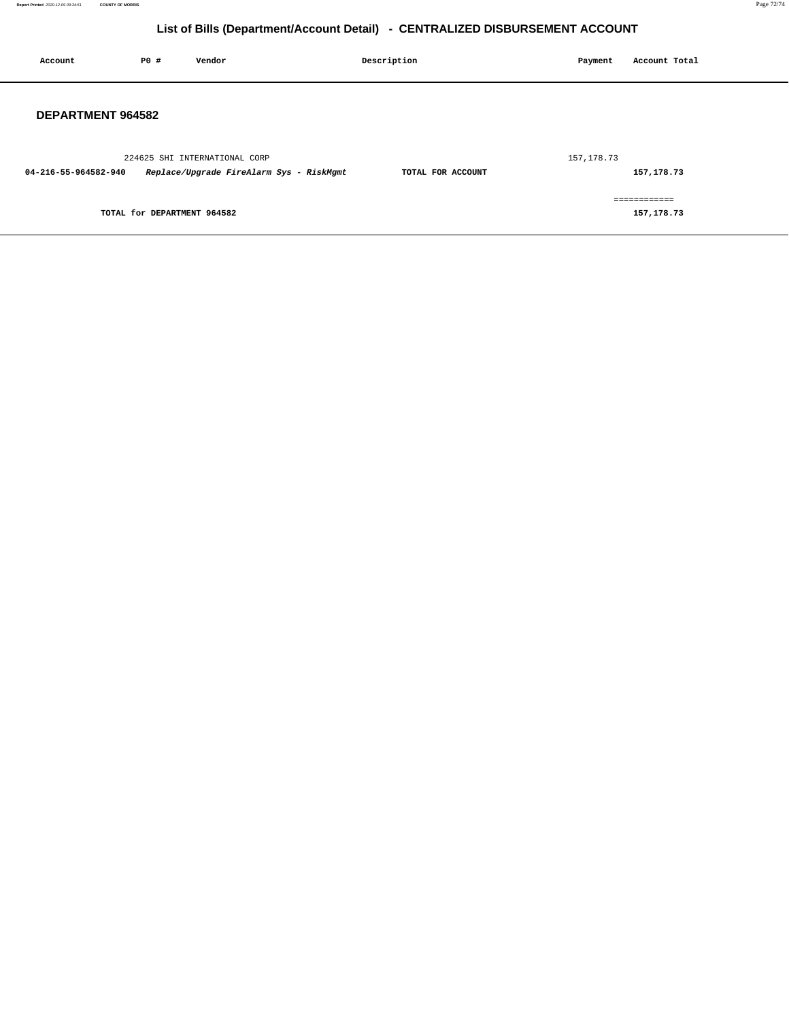**Report Printed** 2020-12-09 09:34:51 **COUNTY OF MORRIS** Page 72/74

| Account                  | P0 #                        | Vendor                                   | Description       | Payment     | Account Total              |
|--------------------------|-----------------------------|------------------------------------------|-------------------|-------------|----------------------------|
| <b>DEPARTMENT 964582</b> |                             |                                          |                   |             |                            |
|                          |                             | 224625 SHI INTERNATIONAL CORP            |                   | 157, 178.73 |                            |
| 04-216-55-964582-940     |                             | Replace/Upgrade FireAlarm Sys - RiskMgmt | TOTAL FOR ACCOUNT |             | 157,178.73                 |
|                          | TOTAL for DEPARTMENT 964582 |                                          |                   |             | ============<br>157,178.73 |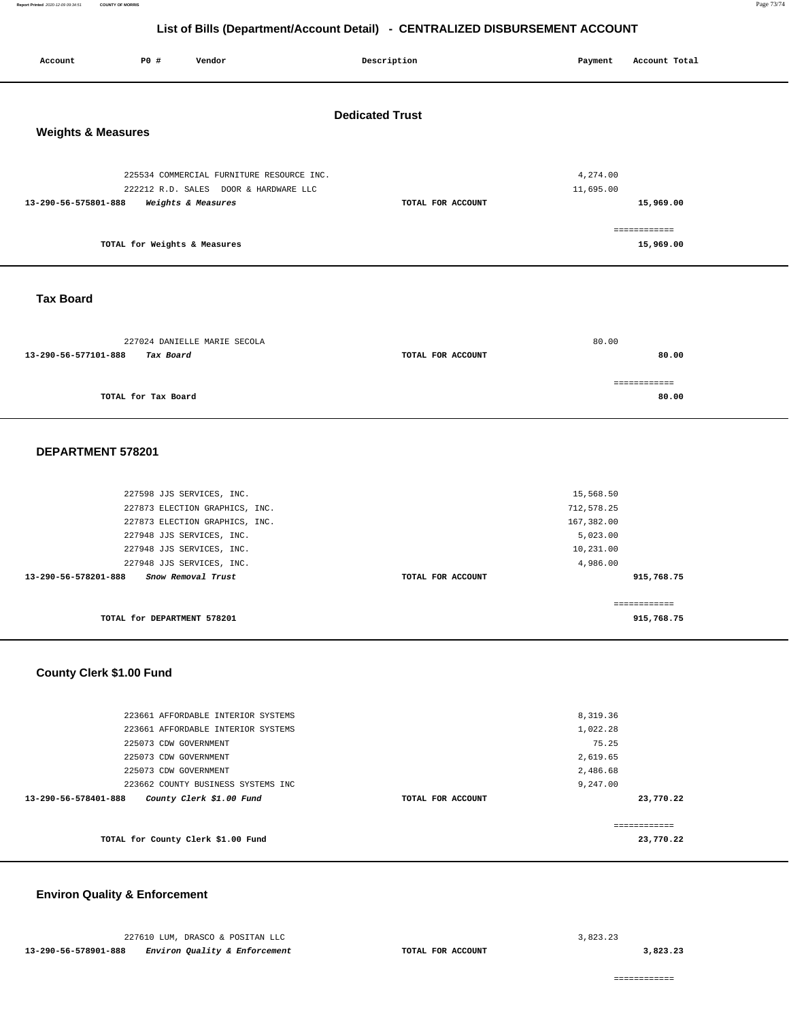**Report Printed** 2020-12-09 09:34:51 **COUNTY OF MORRIS** Page 73/74

# **List of Bills (Department/Account Detail) - CENTRALIZED DISBURSEMENT ACCOUNT**

| Account                  | P0 #                          | Vendor                                                      | Description       | Payment    | Account Total             |  |  |  |
|--------------------------|-------------------------------|-------------------------------------------------------------|-------------------|------------|---------------------------|--|--|--|
| <b>Dedicated Trust</b>   |                               |                                                             |                   |            |                           |  |  |  |
|                          | <b>Weights &amp; Measures</b> |                                                             |                   |            |                           |  |  |  |
|                          |                               | 225534 COMMERCIAL FURNITURE RESOURCE INC.                   |                   | 4,274.00   |                           |  |  |  |
| 13-290-56-575801-888     |                               | 222212 R.D. SALES DOOR & HARDWARE LLC<br>Weights & Measures | TOTAL FOR ACCOUNT | 11,695.00  | 15,969.00                 |  |  |  |
|                          |                               |                                                             |                   |            |                           |  |  |  |
|                          | TOTAL for Weights & Measures  |                                                             |                   |            | ============<br>15,969.00 |  |  |  |
| <b>Tax Board</b>         |                               |                                                             |                   |            |                           |  |  |  |
|                          |                               |                                                             |                   |            |                           |  |  |  |
|                          |                               | 227024 DANIELLE MARIE SECOLA                                |                   | 80.00      |                           |  |  |  |
| 13-290-56-577101-888     | Tax Board                     |                                                             | TOTAL FOR ACCOUNT |            | 80.00                     |  |  |  |
|                          |                               |                                                             |                   |            | ============              |  |  |  |
|                          | TOTAL for Tax Board           |                                                             |                   |            | 80.00                     |  |  |  |
|                          |                               |                                                             |                   |            |                           |  |  |  |
| DEPARTMENT 578201        |                               |                                                             |                   |            |                           |  |  |  |
|                          |                               |                                                             |                   |            |                           |  |  |  |
|                          | 227598 JJS SERVICES, INC.     |                                                             |                   | 15,568.50  |                           |  |  |  |
|                          |                               | 227873 ELECTION GRAPHICS, INC.                              |                   | 712,578.25 |                           |  |  |  |
|                          |                               | 227873 ELECTION GRAPHICS, INC.                              |                   | 167,382.00 |                           |  |  |  |
|                          | 227948 JJS SERVICES, INC.     |                                                             |                   | 5,023.00   |                           |  |  |  |
|                          | 227948 JJS SERVICES, INC.     |                                                             |                   | 10,231.00  |                           |  |  |  |
|                          |                               | 227948 JJS SERVICES, INC.                                   |                   | 4,986.00   |                           |  |  |  |
| 13-290-56-578201-888     |                               | Snow Removal Trust                                          | TOTAL FOR ACCOUNT |            | 915,768.75                |  |  |  |
|                          |                               |                                                             |                   |            | ============              |  |  |  |
|                          | TOTAL for DEPARTMENT 578201   |                                                             |                   |            | 915,768.75                |  |  |  |
|                          |                               |                                                             |                   |            |                           |  |  |  |
| County Clerk \$1.00 Fund |                               |                                                             |                   |            |                           |  |  |  |
|                          |                               | 223661 AFFORDABLE INTERIOR SYSTEMS                          |                   | 8,319.36   |                           |  |  |  |
|                          |                               | 223661 AFFORDABLE INTERIOR SYSTEMS                          |                   | 1,022.28   |                           |  |  |  |
|                          | 225073 CDW GOVERNMENT         |                                                             |                   | 75.25      |                           |  |  |  |
|                          | 225073 CDW GOVERNMENT         |                                                             |                   | 2,619.65   |                           |  |  |  |
|                          | 225073 CDW GOVERNMENT         |                                                             |                   | 2,486.68   |                           |  |  |  |
|                          |                               | 223662 COUNTY BUSINESS SYSTEMS INC                          |                   | 9,247.00   |                           |  |  |  |
| 13-290-56-578401-888     |                               | County Clerk \$1.00 Fund                                    | TOTAL FOR ACCOUNT |            | 23,770.22                 |  |  |  |
|                          |                               |                                                             |                   |            | ============              |  |  |  |
|                          |                               | TOTAL for County Clerk \$1.00 Fund                          |                   |            | 23,770.22                 |  |  |  |

## **Environ Quality & Enforcement**

**3,823.23**

============